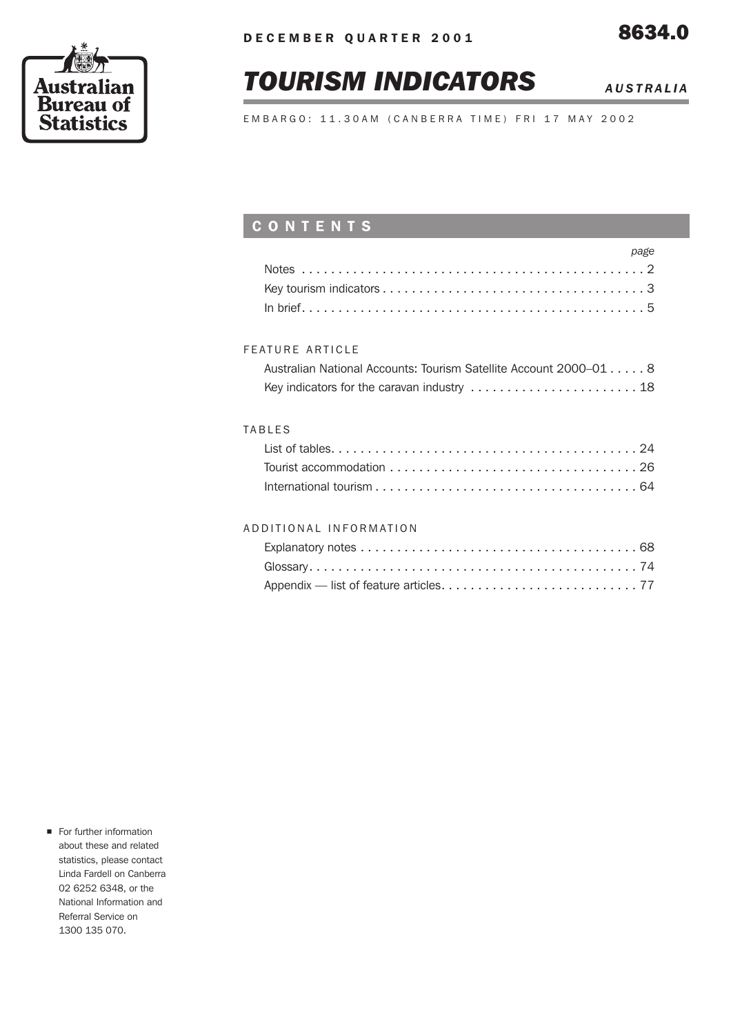# *TOURISM INDICATORS AUSTRALIA*

EMBARGO: 11.30AM (CANBERRA TIME) FRI 17 MAY 2002

# CONTENTS

| page |  |
|------|--|
|      |  |
|      |  |
|      |  |

#### FEATURE ARTICLE

| Australian National Accounts: Tourism Satellite Account 2000–01 8 |  |
|-------------------------------------------------------------------|--|
|                                                                   |  |

#### TABLES

| List of tables. $\ldots \ldots \ldots \ldots \ldots \ldots \ldots \ldots \ldots \ldots \ldots \ldots \ldots$ |  |
|--------------------------------------------------------------------------------------------------------------|--|
|                                                                                                              |  |
|                                                                                                              |  |

#### ADDITIONAL INFORMATION

For further information about these and related statistics, please contact Linda Fardell on Canberra 02 6252 6348, or the National Information and Referral Service on 1300 135 070.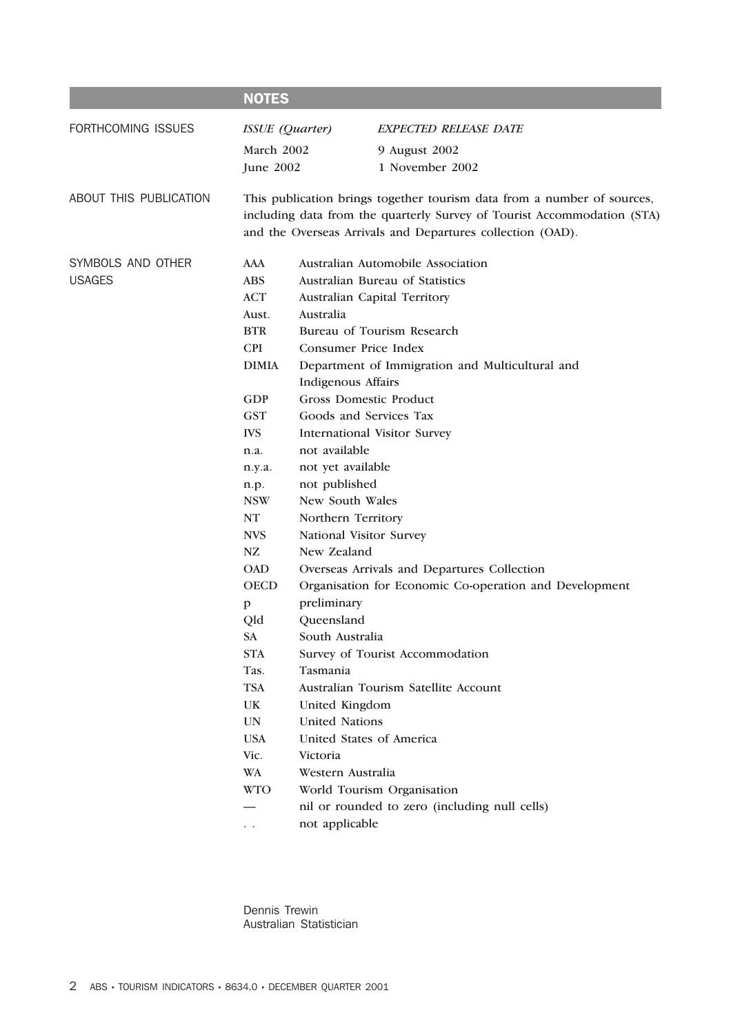|                        | <b>NOTES</b>           |                                     |                                                                                                                                                                                                                  |  |  |  |
|------------------------|------------------------|-------------------------------------|------------------------------------------------------------------------------------------------------------------------------------------------------------------------------------------------------------------|--|--|--|
| FORTHCOMING ISSUES     | <b>ISSUE</b> (Quarter) |                                     | EXPECTED RELEASE DATE                                                                                                                                                                                            |  |  |  |
|                        | March 2002             |                                     | 9 August 2002                                                                                                                                                                                                    |  |  |  |
|                        | June 2002              |                                     | 1 November 2002                                                                                                                                                                                                  |  |  |  |
|                        |                        |                                     |                                                                                                                                                                                                                  |  |  |  |
| ABOUT THIS PUBLICATION |                        |                                     | This publication brings together tourism data from a number of sources,<br>including data from the quarterly Survey of Tourist Accommodation (STA)<br>and the Overseas Arrivals and Departures collection (OAD). |  |  |  |
| SYMBOLS AND OTHER      | AAA                    |                                     | Australian Automobile Association                                                                                                                                                                                |  |  |  |
| <b>USAGES</b>          | <b>ABS</b>             |                                     | Australian Bureau of Statistics                                                                                                                                                                                  |  |  |  |
|                        | <b>ACT</b>             | Australian Capital Territory        |                                                                                                                                                                                                                  |  |  |  |
|                        | Aust.                  | Australia                           |                                                                                                                                                                                                                  |  |  |  |
|                        | <b>BTR</b>             |                                     | Bureau of Tourism Research                                                                                                                                                                                       |  |  |  |
|                        | <b>CPI</b>             | <b>Consumer Price Index</b>         |                                                                                                                                                                                                                  |  |  |  |
|                        | <b>DIMIA</b>           |                                     | Department of Immigration and Multicultural and                                                                                                                                                                  |  |  |  |
|                        |                        | Indigenous Affairs                  |                                                                                                                                                                                                                  |  |  |  |
|                        | <b>GDP</b>             | <b>Gross Domestic Product</b>       |                                                                                                                                                                                                                  |  |  |  |
|                        | <b>GST</b>             | Goods and Services Tax              |                                                                                                                                                                                                                  |  |  |  |
|                        | <b>IVS</b>             | <b>International Visitor Survey</b> |                                                                                                                                                                                                                  |  |  |  |
|                        | n.a.                   | not available                       |                                                                                                                                                                                                                  |  |  |  |
|                        | n.y.a.                 | not yet available                   |                                                                                                                                                                                                                  |  |  |  |
|                        | n.p.                   | not published                       |                                                                                                                                                                                                                  |  |  |  |
|                        | <b>NSW</b>             | New South Wales                     |                                                                                                                                                                                                                  |  |  |  |
|                        | NT                     | Northern Territory                  |                                                                                                                                                                                                                  |  |  |  |
|                        | <b>NVS</b>             | National Visitor Survey             |                                                                                                                                                                                                                  |  |  |  |
|                        | NZ                     | New Zealand                         |                                                                                                                                                                                                                  |  |  |  |
|                        | <b>OAD</b>             |                                     | Overseas Arrivals and Departures Collection                                                                                                                                                                      |  |  |  |
|                        | <b>OECD</b>            |                                     | Organisation for Economic Co-operation and Development                                                                                                                                                           |  |  |  |
|                        | $\mathbf{p}$           | preliminary                         |                                                                                                                                                                                                                  |  |  |  |
|                        | Qld                    | Queensland                          |                                                                                                                                                                                                                  |  |  |  |
|                        | <b>SA</b>              | South Australia                     |                                                                                                                                                                                                                  |  |  |  |
|                        | <b>STA</b>             |                                     | Survey of Tourist Accommodation                                                                                                                                                                                  |  |  |  |
|                        | Tas.                   | Tasmania                            |                                                                                                                                                                                                                  |  |  |  |
|                        | <b>TSA</b>             |                                     | Australian Tourism Satellite Account                                                                                                                                                                             |  |  |  |
|                        | <b>UK</b>              | United Kingdom                      |                                                                                                                                                                                                                  |  |  |  |
|                        | <b>UN</b>              | <b>United Nations</b>               |                                                                                                                                                                                                                  |  |  |  |
|                        | <b>USA</b>             | United States of America            |                                                                                                                                                                                                                  |  |  |  |
|                        | Vic.                   | Victoria                            |                                                                                                                                                                                                                  |  |  |  |
|                        | WA                     | Western Australia                   |                                                                                                                                                                                                                  |  |  |  |
|                        | <b>WTO</b>             |                                     | World Tourism Organisation                                                                                                                                                                                       |  |  |  |
|                        |                        |                                     | nil or rounded to zero (including null cells)                                                                                                                                                                    |  |  |  |

. . not applicable

Dennis Trewin Australian Statistician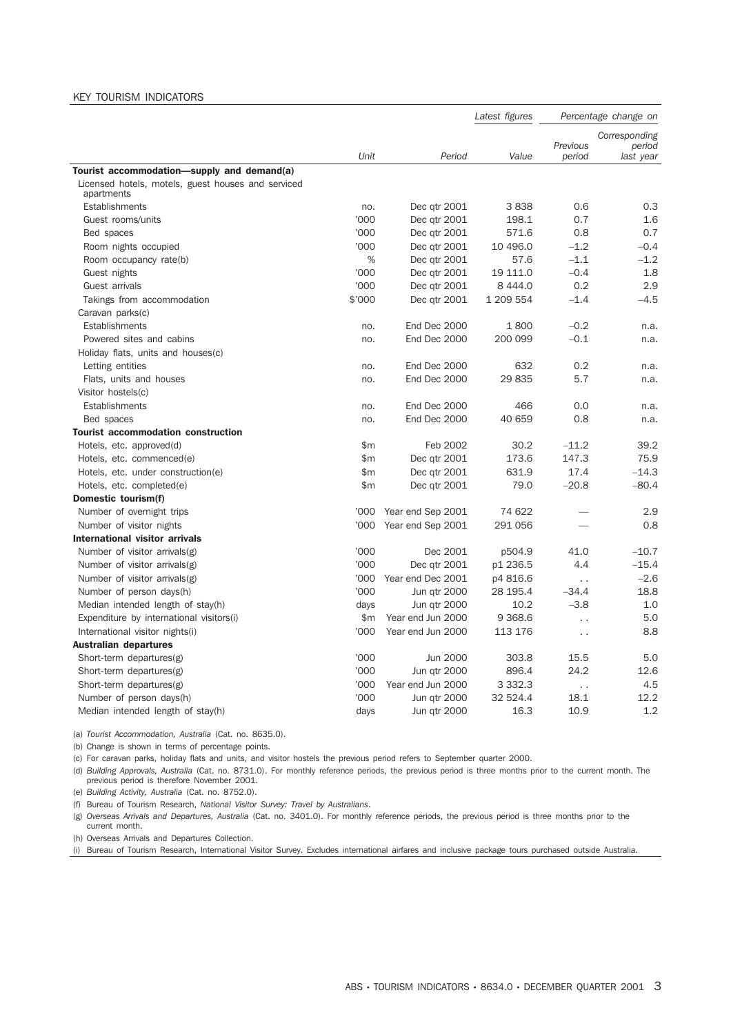#### KEY TOURISM INDICATORS

|                                                                  |        |                     | Latest figures |                      | Percentage change on                 |
|------------------------------------------------------------------|--------|---------------------|----------------|----------------------|--------------------------------------|
|                                                                  | Unit   | Period              | Value          | Previous<br>period   | Corresponding<br>period<br>last year |
| Tourist accommodation-supply and demand(a)                       |        |                     |                |                      |                                      |
| Licensed hotels, motels, guest houses and serviced<br>apartments |        |                     |                |                      |                                      |
| Establishments                                                   | no.    | Dec qtr 2001        | 3838           | 0.6                  | 0.3                                  |
| Guest rooms/units                                                | '000   | Dec qtr 2001        | 198.1          | 0.7                  | 1.6                                  |
| Bed spaces                                                       | '000   | Dec qtr 2001        | 571.6          | 0.8                  | 0.7                                  |
| Room nights occupied                                             | '000   | Dec qtr 2001        | 10 496.0       | $-1.2$               | $-0.4$                               |
| Room occupancy rate(b)                                           | %      | Dec qtr 2001        | 57.6           | $-1.1$               | $-1.2$                               |
| Guest nights                                                     | '000   | Dec qtr 2001        | 19 111.0       | $-0.4$               | 1.8                                  |
| Guest arrivals                                                   | '000   | Dec qtr 2001        | 8 4 4 4.0      | 0.2                  | 2.9                                  |
| Takings from accommodation                                       | \$'000 | Dec qtr 2001        | 1 209 554      | $-1.4$               | $-4.5$                               |
| Caravan parks(c)                                                 |        |                     |                |                      |                                      |
| Establishments                                                   | no.    | End Dec 2000        | 1800           | $-0.2$               | n.a.                                 |
| Powered sites and cabins                                         | no.    | End Dec 2000        | 200 099        | $-0.1$               | n.a.                                 |
| Holiday flats, units and houses(c)                               |        |                     |                |                      |                                      |
| Letting entities                                                 | no.    | End Dec 2000        | 632            | 0.2                  | n.a.                                 |
| Flats, units and houses                                          | no.    | End Dec 2000        | 29 835         | 5.7                  | n.a.                                 |
| Visitor hostels(c)                                               |        |                     |                |                      |                                      |
| Establishments                                                   | no.    | End Dec 2000        | 466            | 0.0                  | n.a.                                 |
| Bed spaces                                                       | no.    | End Dec 2000        | 40 659         | 0.8                  | n.a.                                 |
| <b>Tourist accommodation construction</b>                        |        |                     |                |                      |                                      |
| Hotels, etc. approved(d)                                         | \$m    | Feb 2002            | 30.2           | $-11.2$              | 39.2                                 |
| Hotels, etc. commenced(e)                                        | \$m    | Dec qtr 2001        | 173.6          | 147.3                | 75.9                                 |
| Hotels, etc. under construction(e)                               | \$m\$  | Dec qtr 2001        | 631.9          | 17.4                 | $-14.3$                              |
| Hotels, etc. completed(e)                                        | \$m    | Dec qtr 2001        | 79.0           | $-20.8$              | $-80.4$                              |
| Domestic tourism(f)                                              |        |                     |                |                      |                                      |
| Number of overnight trips                                        | '000   | Year end Sep 2001   | 74 622         |                      | 2.9                                  |
| Number of visitor nights                                         | '000   | Year end Sep 2001   | 291 056        |                      | 0.8                                  |
| <b>International visitor arrivals</b>                            |        |                     |                |                      |                                      |
| Number of visitor arrivals(g)                                    | '000   | Dec 2001            | p504.9         | 41.0                 | $-10.7$                              |
| Number of visitor arrivals $(g)$                                 | '000   | Dec qtr 2001        | p1 236.5       | 4.4                  | $-15.4$                              |
| Number of visitor arrivals(g)                                    | '000   | Year end Dec 2001   | p4 816.6       | $\ddot{\phantom{0}}$ | $-2.6$                               |
| Number of person days(h)                                         | '000   | Jun qtr 2000        | 28 195.4       | $-34.4$              | 18.8                                 |
| Median intended length of stay(h)                                | days   | Jun qtr 2000        | 10.2           | $-3.8$               | 1.0                                  |
| Expenditure by international visitors(i)                         | \$m    | Year end Jun 2000   | 9 3 68.6       | . .                  | 5.0                                  |
| International visitor nights(i)                                  | '000   | Year end Jun 2000   | 113 176        | . .                  | 8.8                                  |
| Australian departures                                            |        |                     |                |                      |                                      |
| Short-term departures $(g)$                                      | '000   | Jun 2000            | 303.8          | 15.5                 | 5.0                                  |
| Short-term departures(g)                                         | '000   | <b>Jun atr 2000</b> | 896.4          | 24.2                 | 12.6                                 |
| Short-term departures(g)                                         | '000   | Year end Jun 2000   | 3 3 3 2.3      | . .                  | 4.5                                  |
| Number of person days(h)                                         | '000   | Jun gtr 2000        | 32 524.4       | 18.1                 | 12.2                                 |
| Median intended length of stay(h)                                | days   | Jun qtr 2000        | 16.3           | 10.9                 | 1.2                                  |

(a) *Tourist Accommodation, Australia* (Cat. no. 8635.0).

(b) Change is shown in terms of percentage points.

(c) For caravan parks, holiday flats and units, and visitor hostels the previous period refers to September quarter 2000.

(d) *Building Approvals, Australia* (Cat. no. 8731.0). For monthly reference periods, the previous period is three months prior to the current month. The previous period is therefore November 2001.

(e) *Building Activity, Australia* (Cat. no. 8752.0).

(f) Bureau of Tourism Research, *National Visitor Survey: Travel by Australians*.

(g) *Overseas Arrivals and Departures, Australia* (Cat. no. 3401.0). For monthly reference periods, the previous period is three months prior to the current month.

(h) Overseas Arrivals and Departures Collection.

(i) Bureau of Tourism Research, International Visitor Survey. Excludes international airfares and inclusive package tours purchased outside Australia.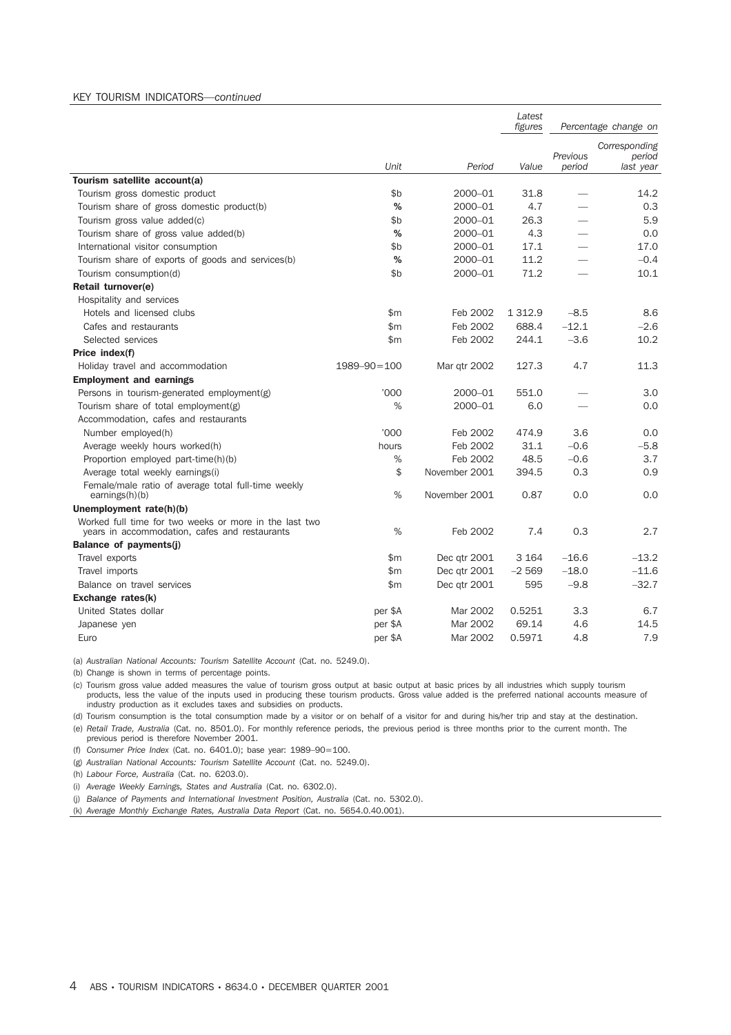#### KEY TOURISM INDICATORS*—continued*

|                                                                                                         |                   |               | Latest<br>figures |                 | Percentage change on |
|---------------------------------------------------------------------------------------------------------|-------------------|---------------|-------------------|-----------------|----------------------|
|                                                                                                         |                   |               |                   |                 | Corresponding        |
|                                                                                                         |                   |               |                   | Previous        | period               |
|                                                                                                         | Unit              | Period        | Value             | period          | last year            |
| Tourism satellite account(a)                                                                            |                   |               |                   |                 |                      |
| Tourism gross domestic product                                                                          | \$b               | 2000-01       | 31.8              |                 | 14.2                 |
| Tourism share of gross domestic product(b)                                                              | %                 | 2000-01       | 4.7               |                 | 0.3                  |
| Tourism gross value added(c)                                                                            | \$b               | 2000-01       | 26.3              |                 | 5.9                  |
| Tourism share of gross value added(b)                                                                   | %                 | 2000-01       | 4.3               |                 | 0.0                  |
| International visitor consumption                                                                       | \$b               | 2000-01       | 17.1              |                 | 17.0                 |
| Tourism share of exports of goods and services(b)                                                       | %                 | 2000-01       | 11.2              |                 | $-0.4$               |
| Tourism consumption(d)                                                                                  | \$b               | 2000-01       | 71.2              | $\qquad \qquad$ | 10.1                 |
| Retail turnover(e)                                                                                      |                   |               |                   |                 |                      |
| Hospitality and services                                                                                |                   |               |                   |                 |                      |
| Hotels and licensed clubs                                                                               | \$m               | Feb 2002      | 1 3 1 2.9         | $-8.5$          | 8.6                  |
| Cafes and restaurants                                                                                   | \$m               | Feb 2002      | 688.4             | $-12.1$         | $-2.6$               |
| Selected services                                                                                       | \$m               | Feb 2002      | 244.1             | $-3.6$          | 10.2                 |
| Price index(f)                                                                                          |                   |               |                   |                 |                      |
| Holiday travel and accommodation                                                                        | $1989 - 90 = 100$ | Mar qtr 2002  | 127.3             | 4.7             | 11.3                 |
| <b>Employment and earnings</b>                                                                          |                   |               |                   |                 |                      |
| Persons in tourism-generated employment(g)                                                              | '000              | 2000-01       | 551.0             |                 | 3.0                  |
| Tourism share of total employment(g)                                                                    | %                 | 2000-01       | 6.0               |                 | 0.0                  |
| Accommodation, cafes and restaurants                                                                    |                   |               |                   |                 |                      |
| Number employed(h)                                                                                      | 000'              | Feb 2002      | 474.9             | 3.6             | 0.0                  |
| Average weekly hours worked(h)                                                                          | hours             | Feb 2002      | 31.1              | $-0.6$          | $-5.8$               |
| Proportion employed part-time(h)(b)                                                                     | $\%$              | Feb 2002      | 48.5              | $-0.6$          | 3.7                  |
| Average total weekly earnings(i)                                                                        | \$                | November 2001 | 394.5             | 0.3             | 0.9                  |
| Female/male ratio of average total full-time weekly<br>earnings(h)(b)                                   | %                 | November 2001 | 0.87              | 0.0             | 0.0                  |
| Unemployment rate(h)(b)                                                                                 |                   |               |                   |                 |                      |
| Worked full time for two weeks or more in the last two<br>years in accommodation, cafes and restaurants | %                 | Feb 2002      | 7.4               | 0.3             | 2.7                  |
| Balance of payments(j)                                                                                  |                   |               |                   |                 |                      |
| Travel exports                                                                                          | \$m               | Dec qtr 2001  | 3 1 6 4           | $-16.6$         | $-13.2$              |
| Travel imports                                                                                          | \$m               | Dec qtr 2001  | $-2569$           | $-18.0$         | $-11.6$              |
| Balance on travel services                                                                              | \$m\$             | Dec qtr 2001  | 595               | $-9.8$          | $-32.7$              |
| Exchange rates(k)                                                                                       |                   |               |                   |                 |                      |
| United States dollar                                                                                    | per \$A           | Mar 2002      | 0.5251            | 3.3             | 6.7                  |
| Japanese yen                                                                                            | per \$A           | Mar 2002      | 69.14             | 4.6             | 14.5                 |
| Euro                                                                                                    | per \$A           | Mar 2002      | 0.5971            | 4.8             | 7.9                  |

(a) *Australian National Accounts: Tourism Satellite Account* (Cat. no. 5249.0).

(b) Change is shown in terms of percentage points.

(c) Tourism gross value added measures the value of tourism gross output at basic output at basic prices by all industries which supply tourism products, less the value of the inputs used in producing these tourism products. Gross value added is the preferred national accounts measure of industry production as it excludes taxes and subsidies on products.

(d) Tourism consumption is the total consumption made by a visitor or on behalf of a visitor for and during his/her trip and stay at the destination.

(e) *Retail Trade, Australia* (Cat. no. 8501.0). For monthly reference periods, the previous period is three months prior to the current month. The previous period is therefore November 2001.

(f) *Consumer Price Index* (Cat. no. 6401.0); base year: 1989–90=100.

(g) *Australian National Accounts: Tourism Satellite Account* (Cat. no. 5249.0).

(h) *Labour Force, Australia* (Cat. no. 6203.0).

(i) *Average Weekly Earnings, States and Australia* (Cat. no. 6302.0).

(j) *Balance of Payments and International Investment Position, Australia* (Cat. no. 5302.0).

(k) *Average Monthly Exchange Rates, Australia Data Report* (Cat. no. 5654.0.40.001).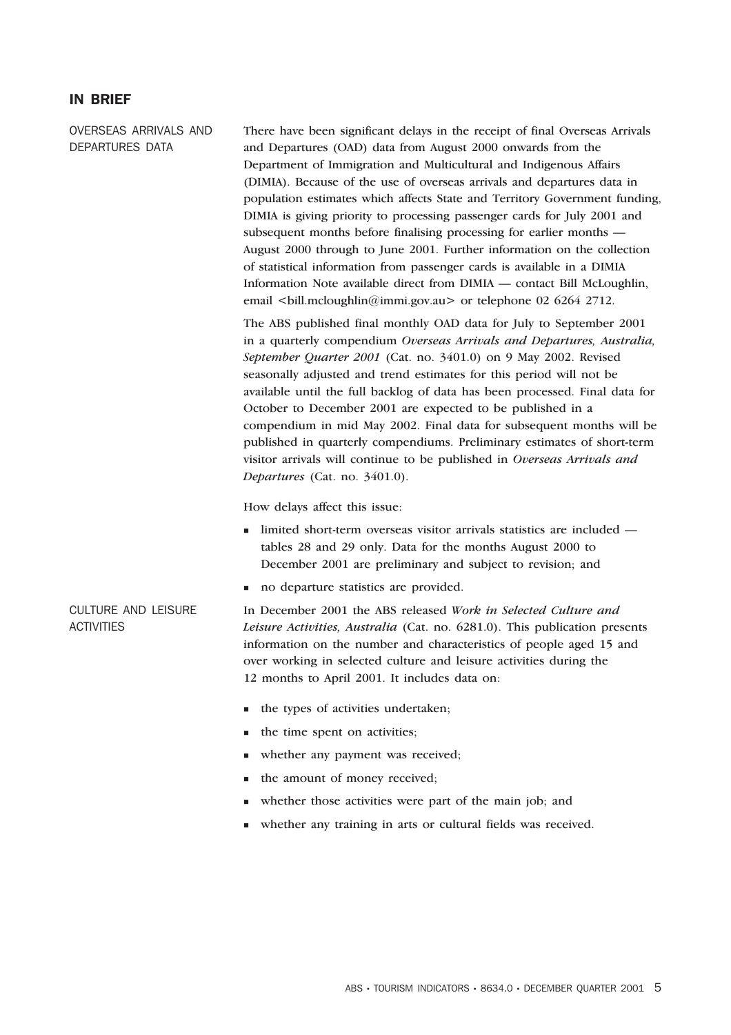#### IN BRIEF

OVERSEAS ARRIVALS AND DEPARTURES DATA

There have been significant delays in the receipt of final Overseas Arrivals and Departures (OAD) data from August 2000 onwards from the Department of Immigration and Multicultural and Indigenous Affairs (DIMIA). Because of the use of overseas arrivals and departures data in population estimates which affects State and Territory Government funding, DIMIA is giving priority to processing passenger cards for July 2001 and subsequent months before finalising processing for earlier months — August 2000 through to June 2001. Further information on the collection of statistical information from passenger cards is available in a DIMIA Information Note available direct from DIMIA — contact Bill McLoughlin, email  $\text{child.mcloughlin@immi.gov.au}$  or telephone 02 6264 2712.

The ABS published final monthly OAD data for July to September 2001 in a quarterly compendium *Overseas Arrivals and Departures, Australia, September Quarter 2001* (Cat. no. 3401.0) on 9 May 2002. Revised seasonally adjusted and trend estimates for this period will not be available until the full backlog of data has been processed. Final data for October to December 2001 are expected to be published in a compendium in mid May 2002. Final data for subsequent months will be published in quarterly compendiums. Preliminary estimates of short-term visitor arrivals will continue to be published in *Overseas Arrivals and Departures* (Cat. no. 3401.0).

How delays affect this issue:

- limited short-term overseas visitor arrivals statistics are included tables 28 and 29 only. Data for the months August 2000 to December 2001 are preliminary and subject to revision; and
- no departure statistics are provided.

#### CULTURE AND LEISURE ACTIVITIES

In December 2001 the ABS released *Work in Selected Culture and Leisure Activities, Australia* (Cat. no. 6281.0). This publication presents information on the number and characteristics of people aged 15 and over working in selected culture and leisure activities during the 12 months to April 2001. It includes data on:

- the types of activities undertaken;
- the time spent on activities;
- whether any payment was received;
- the amount of money received;
- whether those activities were part of the main job; and
- whether any training in arts or cultural fields was received.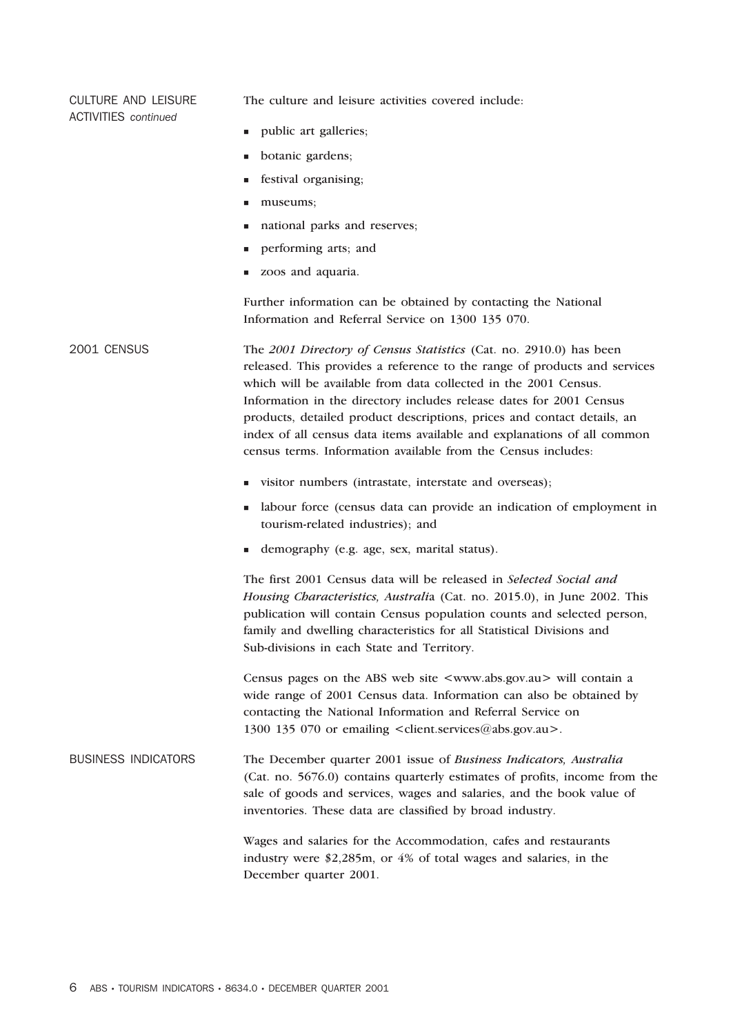ACTIVITIES *continued* **public art galleries; botanic gardens;**  festival organising; museums; national parks and reserves; performing arts; and zoos and aquaria. Further information can be obtained by contacting the National Information and Referral Service on 1300 135 070. 2001 CENSUS The *2001 Directory of Census Statistics* (Cat. no. 2910.0) has been released. This provides a reference to the range of products and services which will be available from data collected in the 2001 Census. Information in the directory includes release dates for 2001 Census products, detailed product descriptions, prices and contact details, an index of all census data items available and explanations of all common census terms. Information available from the Census includes: visitor numbers (intrastate, interstate and overseas); labour force (census data can provide an indication of employment in tourism-related industries); and demography (e.g. age, sex, marital status). The first 2001 Census data will be released in *Selected Social and Housing Characteristics, Australi*a (Cat. no. 2015.0), in June 2002. This publication will contain Census population counts and selected person, family and dwelling characteristics for all Statistical Divisions and Sub-divisions in each State and Territory. Census pages on the ABS web site <www.abs.gov.au> will contain a wide range of 2001 Census data. Information can also be obtained by contacting the National Information and Referral Service on 1300 135 070 or emailing <client.services@abs.gov.au>. BUSINESS INDICATORS The December quarter 2001 issue of *Business Indicators, Australia* (Cat. no. 5676.0) contains quarterly estimates of profits, income from the sale of goods and services, wages and salaries, and the book value of inventories. These data are classified by broad industry. Wages and salaries for the Accommodation, cafes and restaurants industry were \$2,285m, or 4% of total wages and salaries, in the December quarter 2001.

The culture and leisure activities covered include:

CULTURE AND LEISURE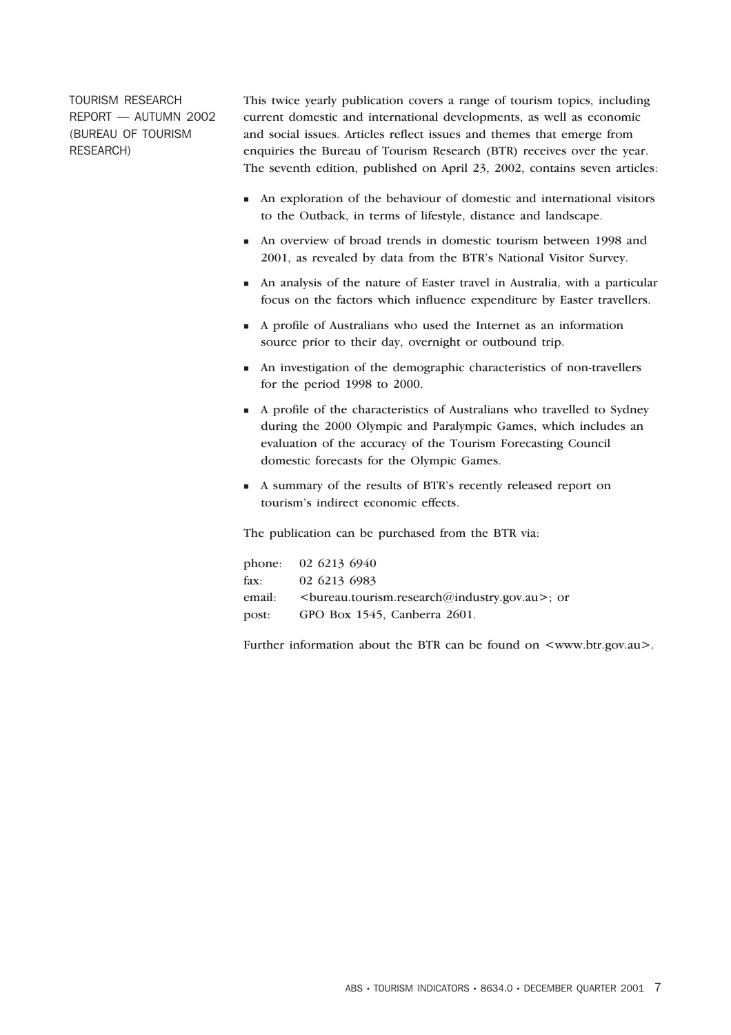TOURISM RESEARCH REPORT — AUTUMN 2002 (BUREAU OF TOURISM RESEARCH)

This twice yearly publication covers a range of tourism topics, including current domestic and international developments, as well as economic and social issues. Articles reflect issues and themes that emerge from enquiries the Bureau of Tourism Research (BTR) receives over the year. The seventh edition, published on April 23, 2002, contains seven articles:

- An exploration of the behaviour of domestic and international visitors to the Outback, in terms of lifestyle, distance and landscape.
- An overview of broad trends in domestic tourism between 1998 and 2001, as revealed by data from the BTR's National Visitor Survey.
- An analysis of the nature of Easter travel in Australia, with a particular focus on the factors which influence expenditure by Easter travellers.
- A profile of Australians who used the Internet as an information source prior to their day, overnight or outbound trip.
- An investigation of the demographic characteristics of non-travellers for the period 1998 to 2000.
- A profile of the characteristics of Australians who travelled to Sydney during the 2000 Olympic and Paralympic Games, which includes an evaluation of the accuracy of the Tourism Forecasting Council domestic forecasts for the Olympic Games.
- A summary of the results of BTR's recently released report on tourism's indirect economic effects.

The publication can be purchased from the BTR via:

|        | phone: $02\,6213\,6940$                          |
|--------|--------------------------------------------------|
|        | fax: $02\,6213\,6983$                            |
| email: | <br>bureau.tourism.research@industry.gov.au>; or |
| post:  | GPO Box 1545, Canberra 2601.                     |

Further information about the BTR can be found on  $\langle$ www.btr.gov.au>.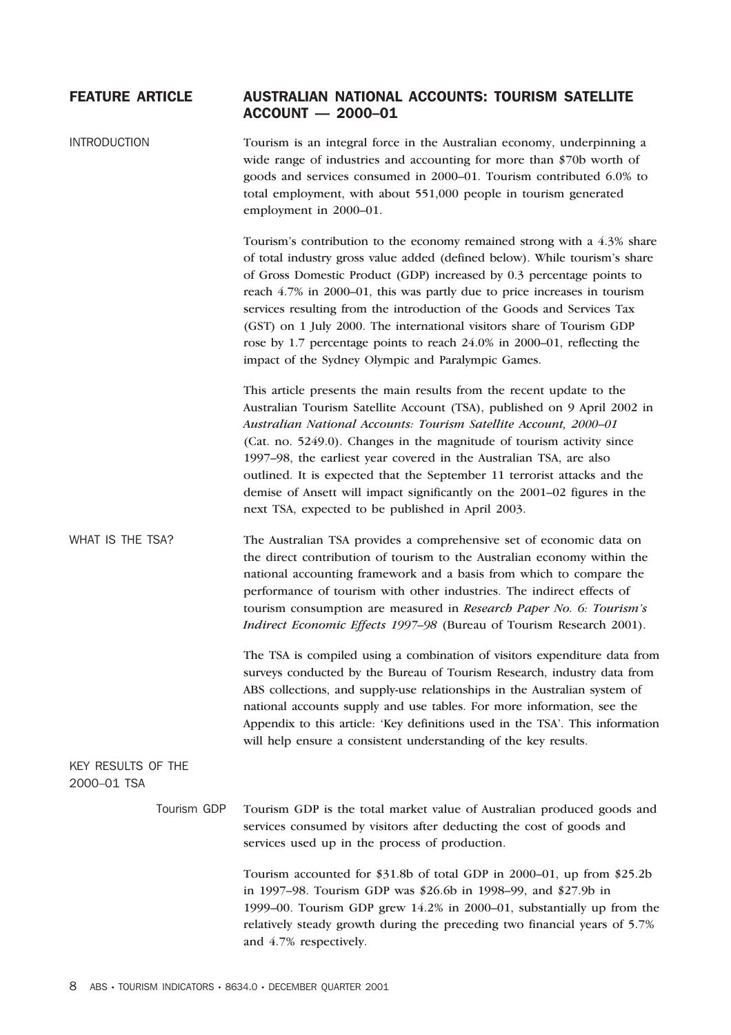## FEATURE ARTICLE AUSTRALIAN NATIONAL ACCOUNTS: TOURISM SATELLITE ACCOUNT — 2000–01

| <b>INTRODUCTION</b>               | Tourism is an integral force in the Australian economy, underpinning a<br>wide range of industries and accounting for more than \$70b worth of<br>goods and services consumed in 2000-01. Tourism contributed 6.0% to<br>total employment, with about 551,000 people in tourism generated<br>employment in 2000-01.                                                                                                                                                                                                                                                                            |
|-----------------------------------|------------------------------------------------------------------------------------------------------------------------------------------------------------------------------------------------------------------------------------------------------------------------------------------------------------------------------------------------------------------------------------------------------------------------------------------------------------------------------------------------------------------------------------------------------------------------------------------------|
|                                   | Tourism's contribution to the economy remained strong with a 4.3% share<br>of total industry gross value added (defined below). While tourism's share<br>of Gross Domestic Product (GDP) increased by 0.3 percentage points to<br>reach 4.7% in 2000–01, this was partly due to price increases in tourism<br>services resulting from the introduction of the Goods and Services Tax<br>(GST) on 1 July 2000. The international visitors share of Tourism GDP<br>rose by 1.7 percentage points to reach 24.0% in 2000–01, reflecting the<br>impact of the Sydney Olympic and Paralympic Games. |
|                                   | This article presents the main results from the recent update to the<br>Australian Tourism Satellite Account (TSA), published on 9 April 2002 in<br>Australian National Accounts: Tourism Satellite Account, 2000-01<br>(Cat. no. 5249.0). Changes in the magnitude of tourism activity since<br>1997-98, the earliest year covered in the Australian TSA, are also<br>outlined. It is expected that the September 11 terrorist attacks and the<br>demise of Ansett will impact significantly on the 2001-02 figures in the<br>next TSA, expected to be published in April 2003.               |
| WHAT IS THE TSA?                  | The Australian TSA provides a comprehensive set of economic data on<br>the direct contribution of tourism to the Australian economy within the<br>national accounting framework and a basis from which to compare the<br>performance of tourism with other industries. The indirect effects of<br>tourism consumption are measured in Research Paper No. 6: Tourism's<br>Indirect Economic Effects 1997-98 (Bureau of Tourism Research 2001).                                                                                                                                                  |
|                                   | The TSA is compiled using a combination of visitors expenditure data from<br>surveys conducted by the Bureau of Tourism Research, industry data from<br>ABS collections, and supply-use relationships in the Australian system of<br>national accounts supply and use tables. For more information, see the<br>Appendix to this article: 'Key definitions used in the TSA'. This information<br>will help ensure a consistent understanding of the key results.                                                                                                                                |
| KEY RESULTS OF THE<br>2000-01 TSA |                                                                                                                                                                                                                                                                                                                                                                                                                                                                                                                                                                                                |
| Tourism GDP                       | Tourism GDP is the total market value of Australian produced goods and<br>services consumed by visitors after deducting the cost of goods and<br>services used up in the process of production.                                                                                                                                                                                                                                                                                                                                                                                                |
|                                   | Tourism accounted for \$31.8b of total GDP in 2000–01, up from \$25.2b<br>in 1997-98. Tourism GDP was \$26.6b in 1998-99, and \$27.9b in<br>1999-00. Tourism GDP grew 14.2% in 2000-01, substantially up from the<br>relatively steady growth during the preceding two financial years of 5.7%<br>and 4.7% respectively.                                                                                                                                                                                                                                                                       |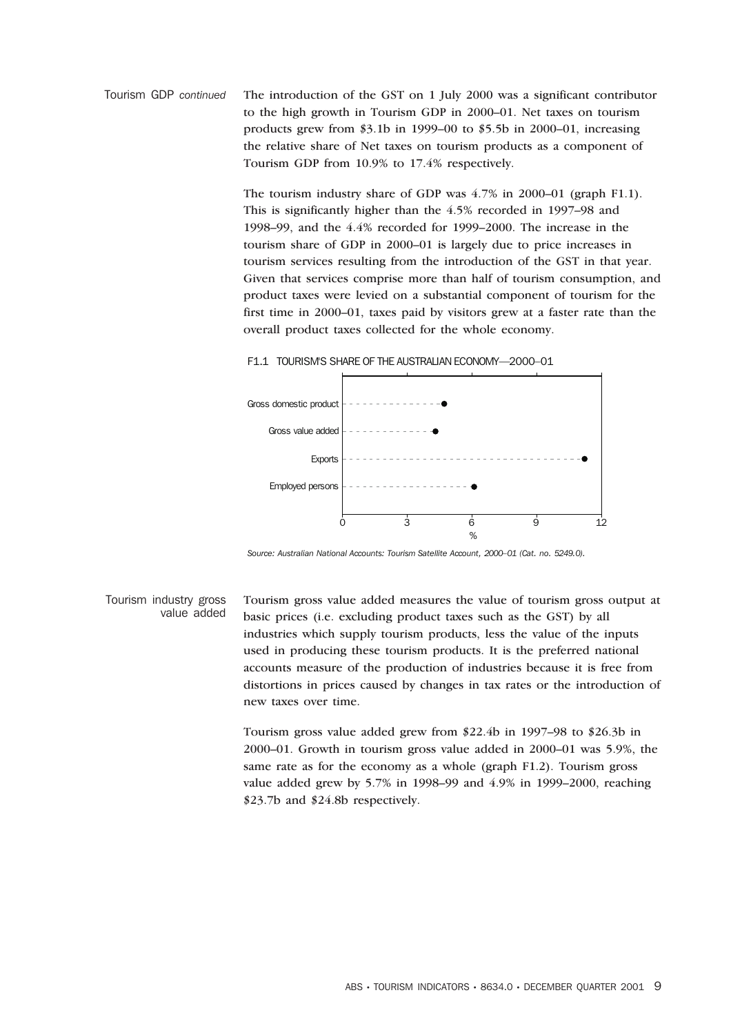Tourism GDP *continued* The introduction of the GST on 1 July 2000 was a significant contributor to the high growth in Tourism GDP in 2000–01. Net taxes on tourism products grew from \$3.1b in 1999–00 to \$5.5b in 2000–01, increasing the relative share of Net taxes on tourism products as a component of Tourism GDP from 10.9% to 17.4% respectively.

> The tourism industry share of GDP was 4.7% in 2000–01 (graph F1.1). This is significantly higher than the 4.5% recorded in 1997–98 and 1998–99, and the 4.4% recorded for 1999–2000. The increase in the tourism share of GDP in 2000–01 is largely due to price increases in tourism services resulting from the introduction of the GST in that year. Given that services comprise more than half of tourism consumption, and product taxes were levied on a substantial component of tourism for the first time in 2000–01, taxes paid by visitors grew at a faster rate than the overall product taxes collected for the whole economy.

F1.1 TOURISM'S SHARE OF THE AUSTRALIAN ECONOMY—2000–01



*Source: Australian National Accounts: Tourism Satellite Account, 2000–01 (Cat. no. 5249.0).*

Tourism industry gross value added Tourism gross value added measures the value of tourism gross output at basic prices (i.e. excluding product taxes such as the GST) by all industries which supply tourism products, less the value of the inputs used in producing these tourism products. It is the preferred national accounts measure of the production of industries because it is free from distortions in prices caused by changes in tax rates or the introduction of new taxes over time.

> Tourism gross value added grew from \$22.4b in 1997–98 to \$26.3b in 2000–01. Growth in tourism gross value added in 2000–01 was 5.9%, the same rate as for the economy as a whole (graph F1.2). Tourism gross value added grew by 5.7% in 1998–99 and 4.9% in 1999–2000, reaching \$23.7b and \$24.8b respectively.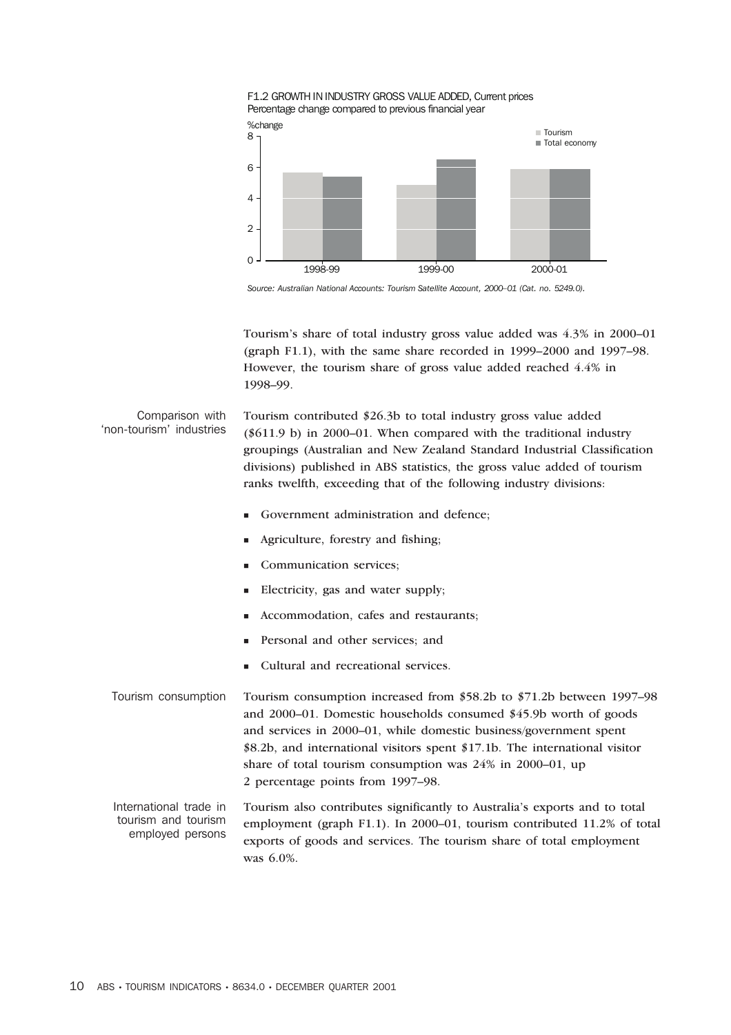



*Source: Australian National Accounts: Tourism Satellite Account, 2000–01 (Cat. no. 5249.0).*

Tourism's share of total industry gross value added was 4.3% in 2000–01 (graph F1.1), with the same share recorded in 1999–2000 and 1997–98. However, the tourism share of gross value added reached 4.4% in 1998–99.

Comparison with 'non-tourism' industries Tourism contributed \$26.3b to total industry gross value added (\$611.9 b) in 2000–01. When compared with the traditional industry groupings (Australian and New Zealand Standard Industrial Classification divisions) published in ABS statistics, the gross value added of tourism ranks twelfth, exceeding that of the following industry divisions:

- Government administration and defence;
- Agriculture, forestry and fishing;
- Communication services;
- Electricity, gas and water supply;
- Accommodation, cafes and restaurants;
- Personal and other services; and
- Cultural and recreational services.
- Tourism consumption Tourism consumption increased from \$58.2b to \$71.2b between 1997–98 and 2000–01. Domestic households consumed \$45.9b worth of goods and services in 2000–01, while domestic business/government spent \$8.2b, and international visitors spent \$17.1b. The international visitor share of total tourism consumption was 24% in 2000–01, up 2 percentage points from 1997–98.

International trade in tourism and tourism employed persons Tourism also contributes significantly to Australia's exports and to total employment (graph F1.1). In 2000–01, tourism contributed 11.2% of total exports of goods and services. The tourism share of total employment was 6.0%.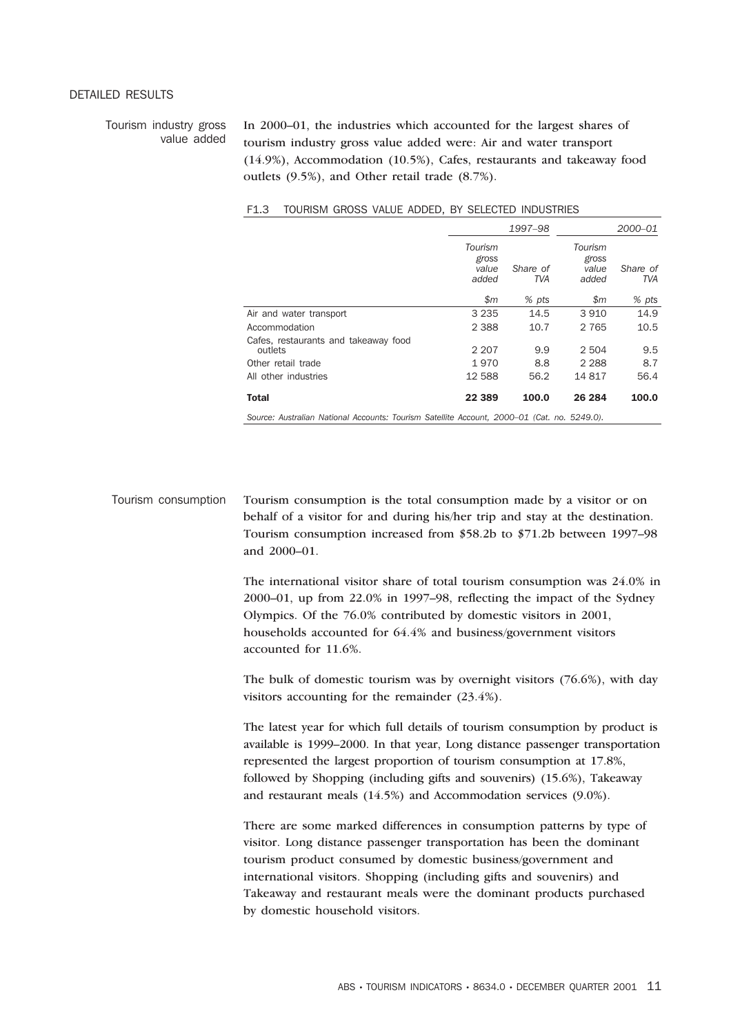#### DETAILED RESULTS

Tourism industry gross value added In 2000–01, the industries which accounted for the largest shares of tourism industry gross value added were: Air and water transport (14.9%), Accommodation (10.5%), Cafes, restaurants and takeaway food outlets (9.5%), and Other retail trade (8.7%).

|                                                                                             |                                    | 1997-98         |                                    | 2000-01         |
|---------------------------------------------------------------------------------------------|------------------------------------|-----------------|------------------------------------|-----------------|
|                                                                                             | Tourism<br>gross<br>value<br>added | Share of<br>TVA | Tourism<br>gross<br>value<br>added | Share of<br>TVA |
|                                                                                             | \$m\$                              | % pts           | \$m\$                              | % pts           |
| Air and water transport                                                                     | 3 2 3 5                            | 14.5            | 3910                               | 14.9            |
| Accommodation                                                                               | 2 3 8 8                            | 10.7            | 2 7 6 5                            | 10.5            |
| Cafes, restaurants and takeaway food<br>outlets                                             | 2 2 0 7                            | 9.9             | 2 5 0 4                            | 9.5             |
| Other retail trade                                                                          | 1970                               | 8.8             | 2 2 8 8                            | 8.7             |
| All other industries                                                                        | 12 588                             | 56.2            | 14817                              | 56.4            |
| <b>Total</b>                                                                                | 22 3 89                            | 100.0           | 26 284                             | 100.0           |
| Source: Australian National Accounts: Tourism Satellite Account, 2000–01 (Cat. no. 5249.0). |                                    |                 |                                    |                 |

#### F1.3 TOURISM GROSS VALUE ADDED, BY SELECTED INDUSTRIES

Tourism consumption Tourism consumption is the total consumption made by a visitor or on behalf of a visitor for and during his/her trip and stay at the destination. Tourism consumption increased from \$58.2b to \$71.2b between 1997–98 and 2000–01.

> The international visitor share of total tourism consumption was 24.0% in 2000–01, up from 22.0% in 1997–98, reflecting the impact of the Sydney Olympics. Of the 76.0% contributed by domestic visitors in 2001, households accounted for 64.4% and business/government visitors accounted for 11.6%.

> The bulk of domestic tourism was by overnight visitors (76.6%), with day visitors accounting for the remainder (23.4%).

> The latest year for which full details of tourism consumption by product is available is 1999–2000. In that year, Long distance passenger transportation represented the largest proportion of tourism consumption at 17.8%, followed by Shopping (including gifts and souvenirs) (15.6%), Takeaway and restaurant meals (14.5%) and Accommodation services (9.0%).

There are some marked differences in consumption patterns by type of visitor. Long distance passenger transportation has been the dominant tourism product consumed by domestic business/government and international visitors. Shopping (including gifts and souvenirs) and Takeaway and restaurant meals were the dominant products purchased by domestic household visitors.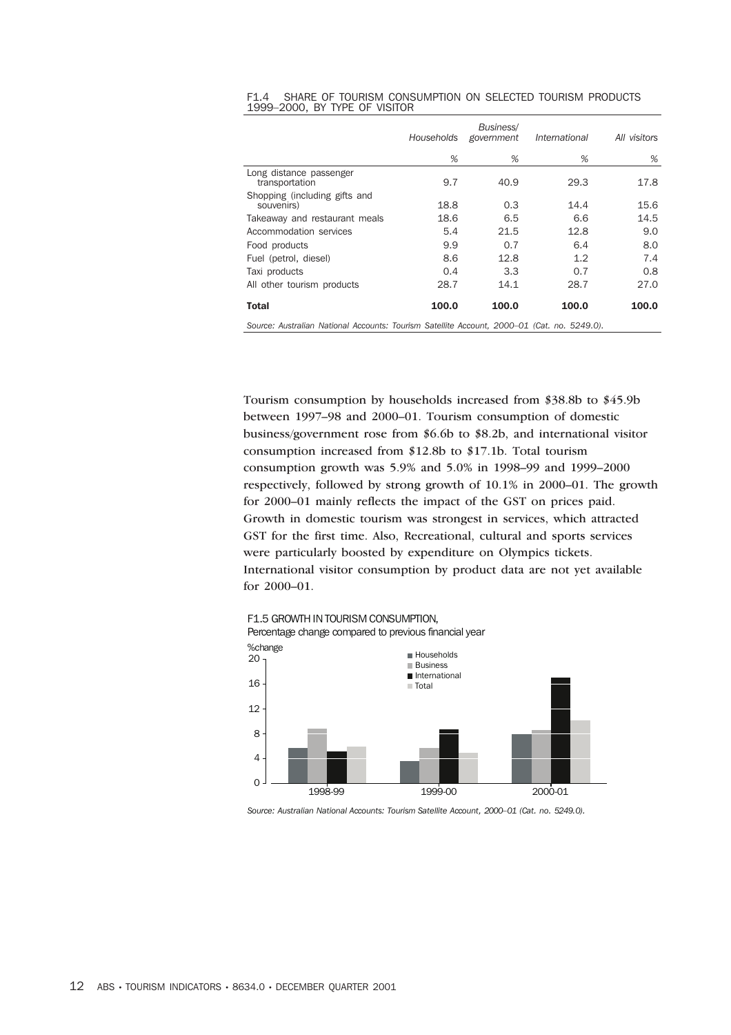|  |                               | F1.4 SHARE OF TOURISM CONSUMPTION ON SELECTED TOURISM PRODUCTS |  |  |
|--|-------------------------------|----------------------------------------------------------------|--|--|
|  | 1999–2000, BY TYPE OF VISITOR |                                                                |  |  |

|                                                                                             | Households | Business/<br>government | International | All visitors |
|---------------------------------------------------------------------------------------------|------------|-------------------------|---------------|--------------|
|                                                                                             | %          | %                       | %             | %            |
| Long distance passenger<br>transportation                                                   | 9.7        | 40.9                    | 29.3          | 17.8         |
| Shopping (including gifts and<br>souvenirs)                                                 | 18.8       | 0.3                     | 14.4          | 15.6         |
| Takeaway and restaurant meals                                                               | 18.6       | 6.5                     | 6.6           | 14.5         |
| Accommodation services                                                                      | 5.4        | 21.5                    | 12.8          | 9.0          |
| Food products                                                                               | 9.9        | 0.7                     | 6.4           | 8.0          |
| Fuel (petrol, diesel)                                                                       | 8.6        | 12.8                    | 1.2           | 7.4          |
| Taxi products                                                                               | 0.4        | 3.3                     | 0.7           | 0.8          |
| All other tourism products                                                                  | 28.7       | 14.1                    | 28.7          | 27.0         |
| <b>Total</b>                                                                                | 100.0      | 100.0                   | 100.0         | 100.0        |
| Source: Australian National Accounts: Tourism Satellite Account, 2000–01 (Cat. no. 5249.0). |            |                         |               |              |

Tourism consumption by households increased from \$38.8b to \$45.9b between 1997–98 and 2000–01. Tourism consumption of domestic business/government rose from \$6.6b to \$8.2b, and international visitor consumption increased from \$12.8b to \$17.1b. Total tourism consumption growth was 5.9% and 5.0% in 1998–99 and 1999–2000 respectively, followed by strong growth of 10.1% in 2000–01. The growth for 2000–01 mainly reflects the impact of the GST on prices paid. Growth in domestic tourism was strongest in services, which attracted GST for the first time. Also, Recreational, cultural and sports services were particularly boosted by expenditure on Olympics tickets. International visitor consumption by product data are not yet available for 2000–01.

F1.5 GROWTH IN TOURISM CONSUMPTION, Percentage change compared to previous financial year



*Source: Australian National Accounts: Tourism Satellite Account, 2000–01 (Cat. no. 5249.0).*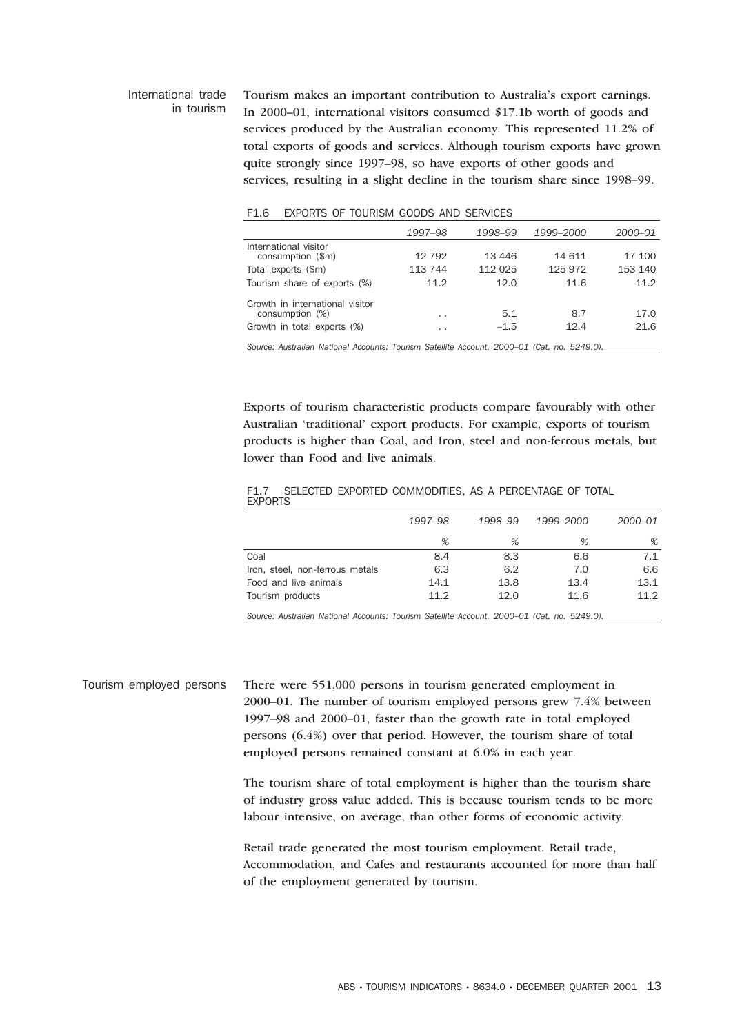#### International trade in tourism Tourism makes an important contribution to Australia's export earnings. In 2000–01, international visitors consumed \$17.1b worth of goods and services produced by the Australian economy. This represented 11.2% of total exports of goods and services. Although tourism exports have grown quite strongly since 1997–98, so have exports of other goods and services, resulting in a slight decline in the tourism share since 1998–99.

| F1.6 |  |  |  |  |  | EXPORTS OF TOURISM GOODS AND SERVICES |
|------|--|--|--|--|--|---------------------------------------|
|------|--|--|--|--|--|---------------------------------------|

|                                                                                             | 1997–98         | 1998-99 | 1999-2000 | 2000–01 |
|---------------------------------------------------------------------------------------------|-----------------|---------|-----------|---------|
| International visitor<br>consumption (\$m)                                                  | 12 792          | 13 446  | 14 611    | 17 100  |
| Total exports (\$m)                                                                         | 113 744         | 112 025 | 125 972   | 153 140 |
| Tourism share of exports (%)                                                                | 11.2            | 12.0    | 11.6      | 11.2    |
| Growth in international visitor<br>consumption (%)                                          | $\cdot$ .       | 5.1     | 8.7       | 17.0    |
| Growth in total exports (%)                                                                 | $\cdot$ $\cdot$ | $-1.5$  | 12.4      | 21.6    |
| Source: Australian National Accounts: Tourism Satellite Account, 2000-01 (Cat. no. 5249.0). |                 |         |           |         |

Exports of tourism characteristic products compare favourably with other Australian 'traditional' export products. For example, exports of tourism products is higher than Coal, and Iron, steel and non-ferrous metals, but lower than Food and live animals.

|                |  | F1.7 SELECTED EXPORTED COMMODITIES, AS A PERCENTAGE OF TOTAL |
|----------------|--|--------------------------------------------------------------|
| <b>EXPORTS</b> |  |                                                              |

|                                 | 1997-98 | 1998-99 | 1999–2000 | 2000-01 |
|---------------------------------|---------|---------|-----------|---------|
|                                 | %       | %       | %         | %       |
| Coal                            | 8.4     | 8.3     | 6.6       | 7.1     |
| Iron, steel, non-ferrous metals | 6.3     | 6.2     | 7.0       | 6.6     |
| Food and live animals           | 14.1    | 13.8    | 13.4      | 13.1    |
| Tourism products                | 11.2    | 12.0    | 11.6      | 11.2    |

*Source: Australian National Accounts: Tourism Satellite Account, 2000–01 (Cat. no. 5249.0).*

Tourism employed persons There were 551,000 persons in tourism generated employment in 2000–01. The number of tourism employed persons grew 7.4% between 1997–98 and 2000–01, faster than the growth rate in total employed persons (6.4%) over that period. However, the tourism share of total employed persons remained constant at 6.0% in each year.

> The tourism share of total employment is higher than the tourism share of industry gross value added. This is because tourism tends to be more labour intensive, on average, than other forms of economic activity.

> Retail trade generated the most tourism employment. Retail trade, Accommodation, and Cafes and restaurants accounted for more than half of the employment generated by tourism.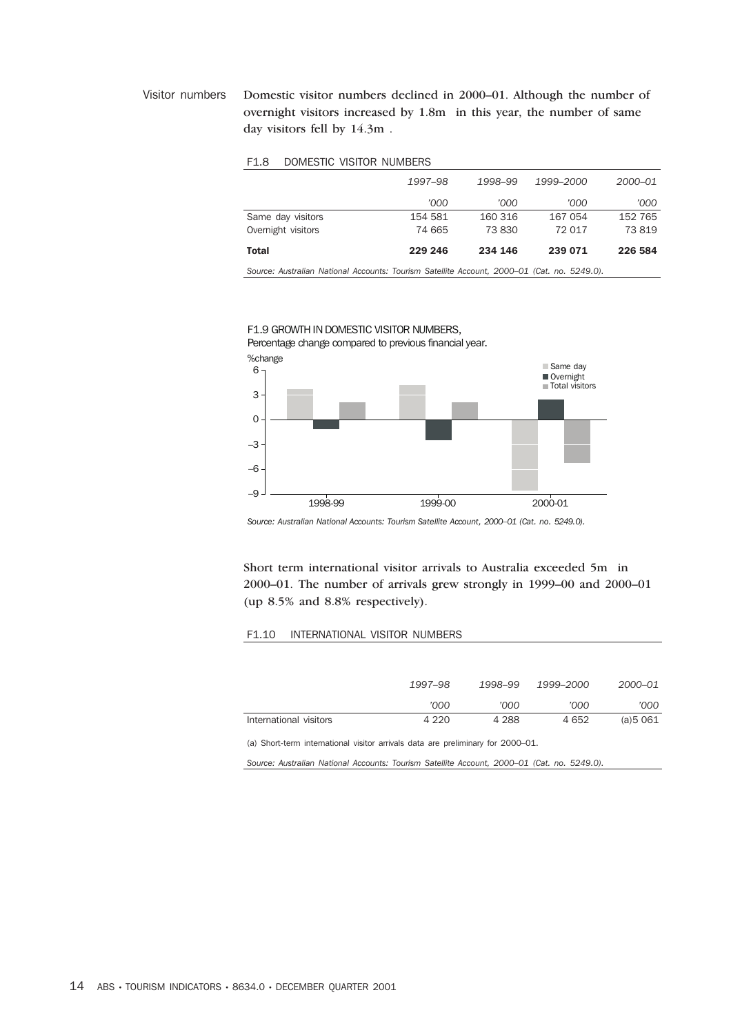Visitor numbers Domestic visitor numbers declined in 2000–01. Although the number of overnight visitors increased by 1.8m in this year, the number of same day visitors fell by 14.3m .

#### F1.8 DOMESTIC VISITOR NUMBERS

|                    | 1997-98 | 1998-99 | 1999–2000 | 2000-01 |
|--------------------|---------|---------|-----------|---------|
|                    | '000    | '000    | '000      | '000    |
| Same day visitors  | 154 581 | 160 316 | 167 054   | 152 765 |
| Overnight visitors | 74 665  | 73 830  | 72 017    | 73819   |
| Total              | 229 246 | 234 146 | 239 071   | 226 584 |

*Source: Australian National Accounts: Tourism Satellite Account, 2000–01 (Cat. no. 5249.0).*



F1.9 GROWTH IN DOMESTIC VISITOR NUMBERS, Percentage change compared to previous financial year.

*Source: Australian National Accounts: Tourism Satellite Account, 2000–01 (Cat. no. 5249.0).*

Short term international visitor arrivals to Australia exceeded 5m in 2000–01. The number of arrivals grew strongly in 1999–00 and 2000–01 (up 8.5% and 8.8% respectively).

#### F1.10 INTERNATIONAL VISITOR NUMBERS

|                        | 1997–98 | 1998–99 | 1999–2000 | 2000–01  |
|------------------------|---------|---------|-----------|----------|
|                        | '000    | '000    | '000      | '000     |
| International visitors | 4 2 2 0 | 4 2 8 8 | 4 652     | (a)5 061 |

(a) Short-term international visitor arrivals data are preliminary for 2000–01.

*Source: Australian National Accounts: Tourism Satellite Account, 2000–01 (Cat. no. 5249.0).*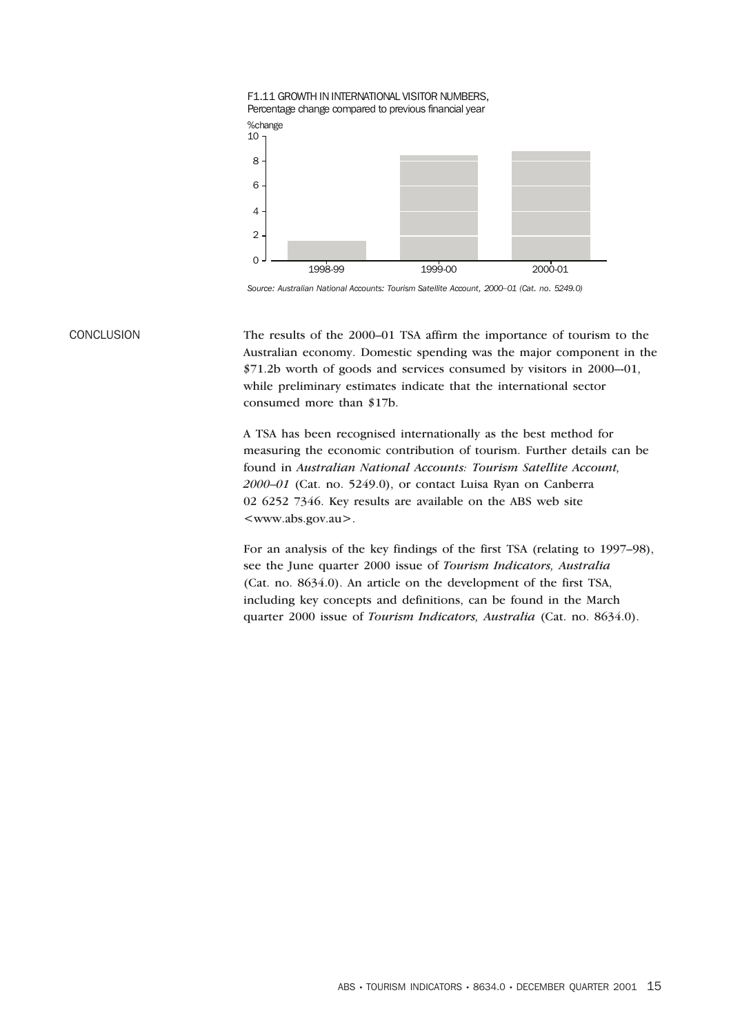

*Source: Australian National Accounts: Tourism Satellite Account, 2000–01 (Cat. no. 5249.0)*

CONCLUSION The results of the 2000–01 TSA affirm the importance of tourism to the Australian economy. Domestic spending was the major component in the \$71.2b worth of goods and services consumed by visitors in 2000–-01, while preliminary estimates indicate that the international sector consumed more than \$17b.

> A TSA has been recognised internationally as the best method for measuring the economic contribution of tourism. Further details can be found in *Australian National Accounts: Tourism Satellite Account, 2000–01* (Cat. no. 5249.0), or contact Luisa Ryan on Canberra 02 6252 7346. Key results are available on the ABS web site <www.abs.gov.au>.

For an analysis of the key findings of the first TSA (relating to 1997–98), see the June quarter 2000 issue of *Tourism Indicators, Australia* (Cat. no. 8634.0). An article on the development of the first TSA, including key concepts and definitions, can be found in the March quarter 2000 issue of *Tourism Indicators, Australia* (Cat. no. 8634.0).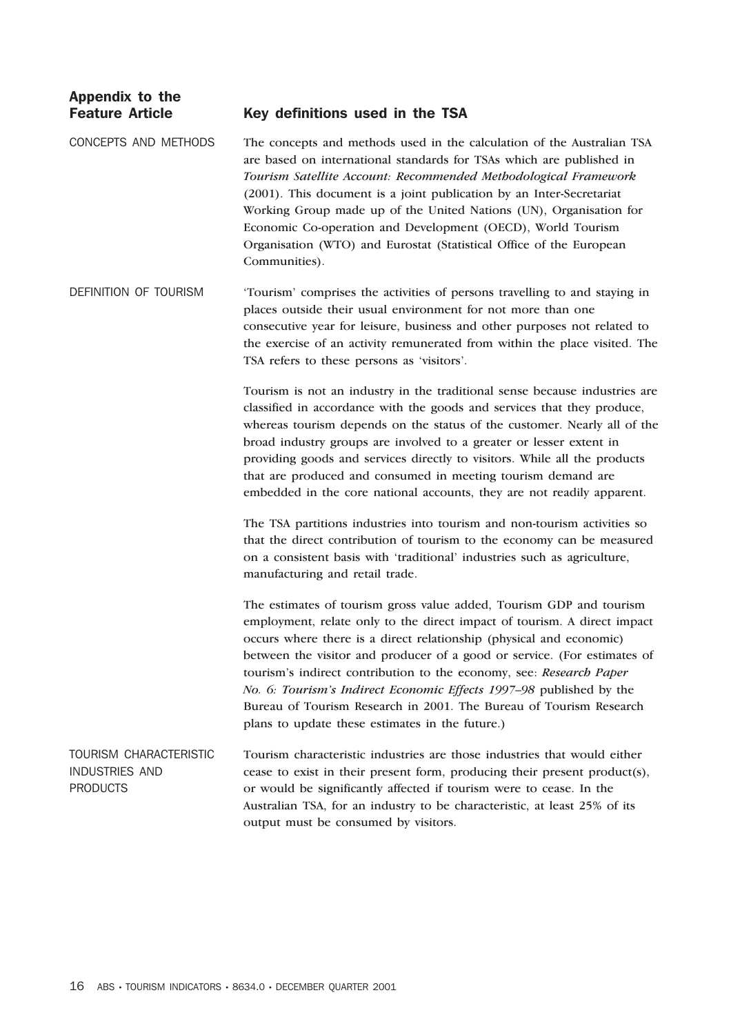# Appendix to the

#### Feature Article Key definitions used in the TSA

CONCEPTS AND METHODS The concepts and methods used in the calculation of the Australian TSA are based on international standards for TSAs which are published in *Tourism Satellite Account: Recommended Methodological Framework* (2001). This document is a joint publication by an Inter-Secretariat Working Group made up of the United Nations (UN), Organisation for Economic Co-operation and Development (OECD), World Tourism Organisation (WTO) and Eurostat (Statistical Office of the European Communities).

DEFINITION OF TOURISM 'Tourism' comprises the activities of persons travelling to and staying in places outside their usual environment for not more than one consecutive year for leisure, business and other purposes not related to the exercise of an activity remunerated from within the place visited. The TSA refers to these persons as 'visitors'.

> Tourism is not an industry in the traditional sense because industries are classified in accordance with the goods and services that they produce, whereas tourism depends on the status of the customer. Nearly all of the broad industry groups are involved to a greater or lesser extent in providing goods and services directly to visitors. While all the products that are produced and consumed in meeting tourism demand are embedded in the core national accounts, they are not readily apparent.

The TSA partitions industries into tourism and non-tourism activities so that the direct contribution of tourism to the economy can be measured on a consistent basis with 'traditional' industries such as agriculture, manufacturing and retail trade.

The estimates of tourism gross value added, Tourism GDP and tourism employment, relate only to the direct impact of tourism. A direct impact occurs where there is a direct relationship (physical and economic) between the visitor and producer of a good or service. (For estimates of tourism's indirect contribution to the economy, see: *Research Paper No. 6: Tourism's Indirect Economic Effects 1997–98* published by the Bureau of Tourism Research in 2001. The Bureau of Tourism Research plans to update these estimates in the future.)

TOURISM CHARACTERISTIC INDUSTRIES AND PRODUCTS Tourism characteristic industries are those industries that would either cease to exist in their present form, producing their present product(s), or would be significantly affected if tourism were to cease. In the Australian TSA, for an industry to be characteristic, at least 25% of its output must be consumed by visitors.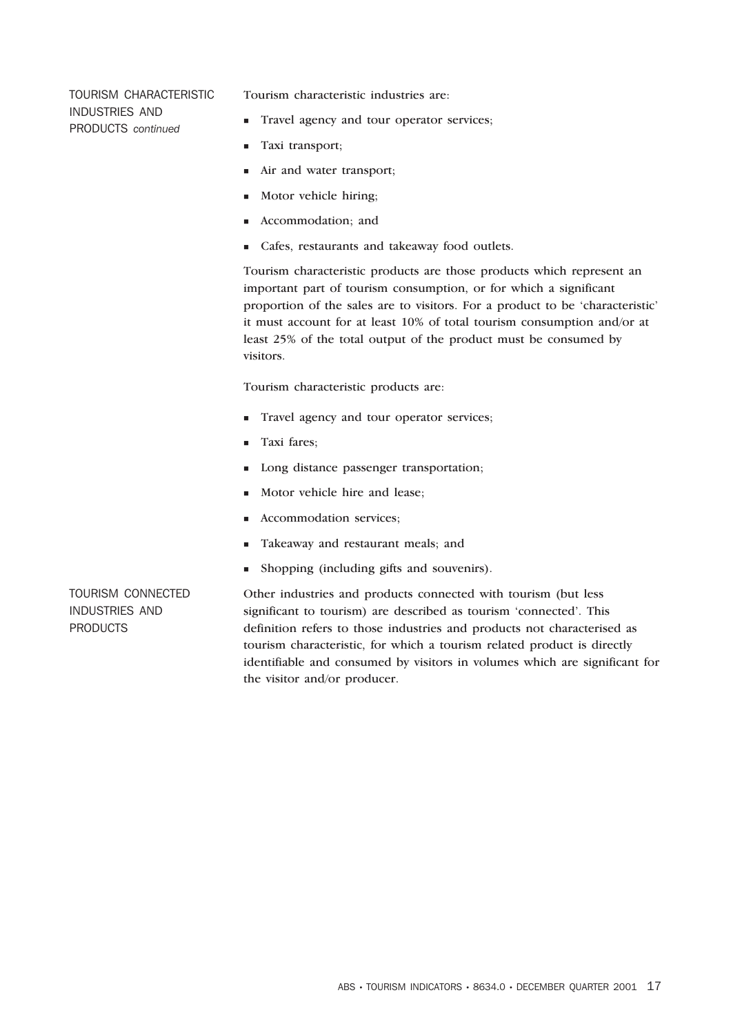TOURISM CHARACTERISTIC INDUSTRIES AND PRODUCTS *continued*

Tourism characteristic industries are:

- Travel agency and tour operator services;
- **Taxi** transport;
- In Air and water transport;
- Motor vehicle hiring;
- Accommodation; and
- Cafes, restaurants and takeaway food outlets.

Tourism characteristic products are those products which represent an important part of tourism consumption, or for which a significant proportion of the sales are to visitors. For a product to be 'characteristic' it must account for at least 10% of total tourism consumption and/or at least 25% of the total output of the product must be consumed by visitors.

Tourism characteristic products are:

- Travel agency and tour operator services;
- Taxi fares;
- Long distance passenger transportation;
- Motor vehicle hire and lease;
- Accommodation services:
- Takeaway and restaurant meals; and
- Shopping (including gifts and souvenirs).

TOURISM CONNECTED INDUSTRIES AND **PRODUCTS** 

Other industries and products connected with tourism (but less significant to tourism) are described as tourism 'connected'. This definition refers to those industries and products not characterised as tourism characteristic, for which a tourism related product is directly identifiable and consumed by visitors in volumes which are significant for the visitor and/or producer.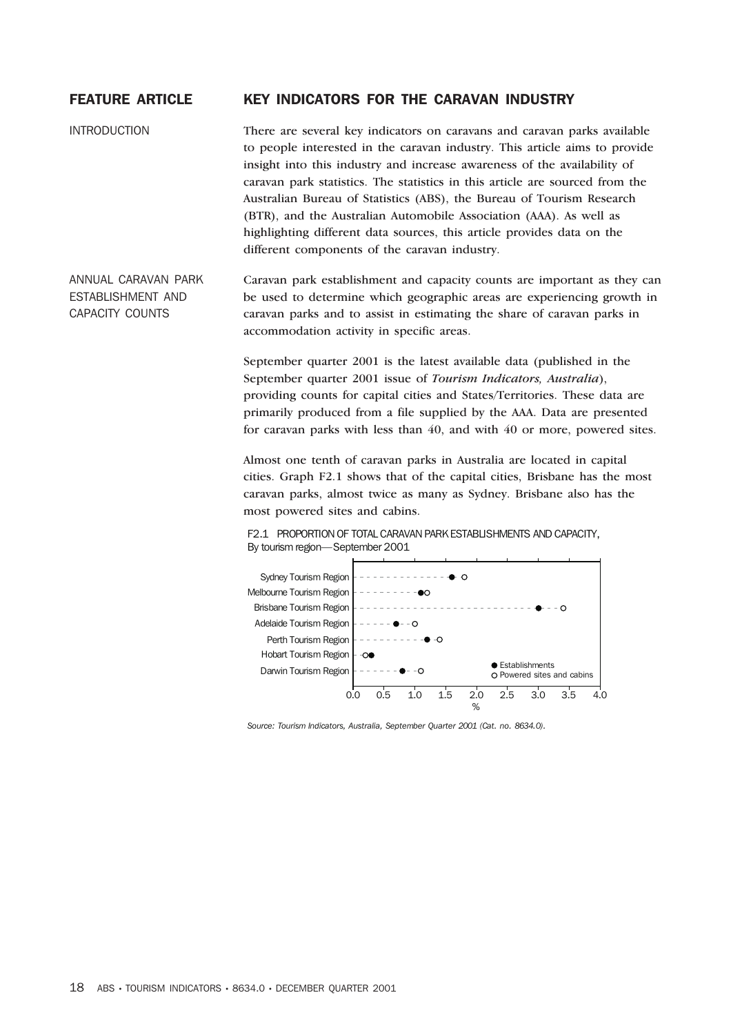#### FEATURE ARTICLE KEY INDICATORS FOR THE CARAVAN INDUSTRY

INTRODUCTION There are several key indicators on caravans and caravan parks available to people interested in the caravan industry. This article aims to provide insight into this industry and increase awareness of the availability of caravan park statistics. The statistics in this article are sourced from the Australian Bureau of Statistics (ABS), the Bureau of Tourism Research (BTR), and the Australian Automobile Association (AAA). As well as highlighting different data sources, this article provides data on the different components of the caravan industry.

ANNUAL CARAVAN PARK ESTABLISHMENT AND CAPACITY COUNTS Caravan park establishment and capacity counts are important as they can be used to determine which geographic areas are experiencing growth in caravan parks and to assist in estimating the share of caravan parks in accommodation activity in specific areas.

> September quarter 2001 is the latest available data (published in the September quarter 2001 issue of *Tourism Indicators, Australia*), providing counts for capital cities and States/Territories. These data are primarily produced from a file supplied by the AAA. Data are presented for caravan parks with less than 40, and with 40 or more, powered sites.

> Almost one tenth of caravan parks in Australia are located in capital cities. Graph F2.1 shows that of the capital cities, Brisbane has the most caravan parks, almost twice as many as Sydney. Brisbane also has the most powered sites and cabins.

F2.1 PROPORTION OF TOTAL CARAVAN PARK ESTABLISHMENTS AND CAPACITY, By tourism region—September 2001



*Source: Tourism Indicators, Australia, September Quarter 2001 (Cat. no. 8634.0).*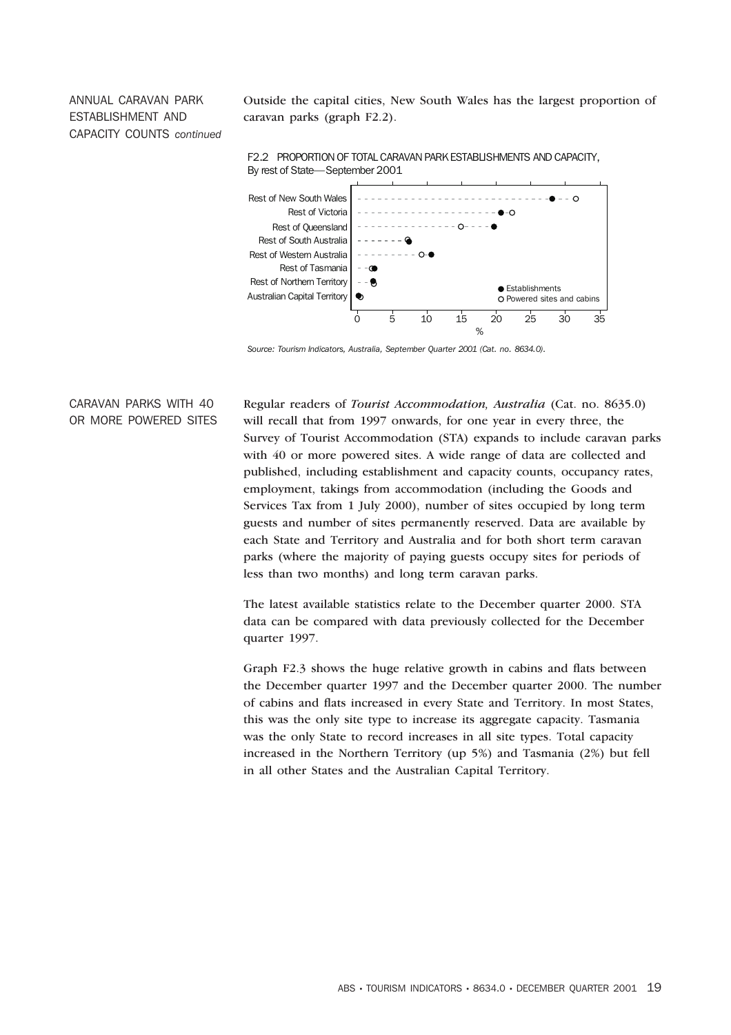### ANNUAL CARAVAN PARK ESTABLISHMENT AND CAPACITY COUNTS *continued*

Outside the capital cities, New South Wales has the largest proportion of caravan parks (graph F2.2).



F2.2 PROPORTION OF TOTAL CARAVAN PARK ESTABLISHMENTS AND CAPACITY, By rest of State—September 2001

*Source: Tourism Indicators, Australia, September Quarter 2001 (Cat. no. 8634.0).*

#### CARAVAN PARKS WITH 40 OR MORE POWERED SITES

Regular readers of *Tourist Accommodation, Australia* (Cat. no. 8635.0) will recall that from 1997 onwards, for one year in every three, the Survey of Tourist Accommodation (STA) expands to include caravan parks with 40 or more powered sites. A wide range of data are collected and published, including establishment and capacity counts, occupancy rates, employment, takings from accommodation (including the Goods and Services Tax from 1 July 2000), number of sites occupied by long term guests and number of sites permanently reserved. Data are available by each State and Territory and Australia and for both short term caravan parks (where the majority of paying guests occupy sites for periods of less than two months) and long term caravan parks.

The latest available statistics relate to the December quarter 2000. STA data can be compared with data previously collected for the December quarter 1997.

Graph F2.3 shows the huge relative growth in cabins and flats between the December quarter 1997 and the December quarter 2000. The number of cabins and flats increased in every State and Territory. In most States, this was the only site type to increase its aggregate capacity. Tasmania was the only State to record increases in all site types. Total capacity increased in the Northern Territory (up 5%) and Tasmania (2%) but fell in all other States and the Australian Capital Territory.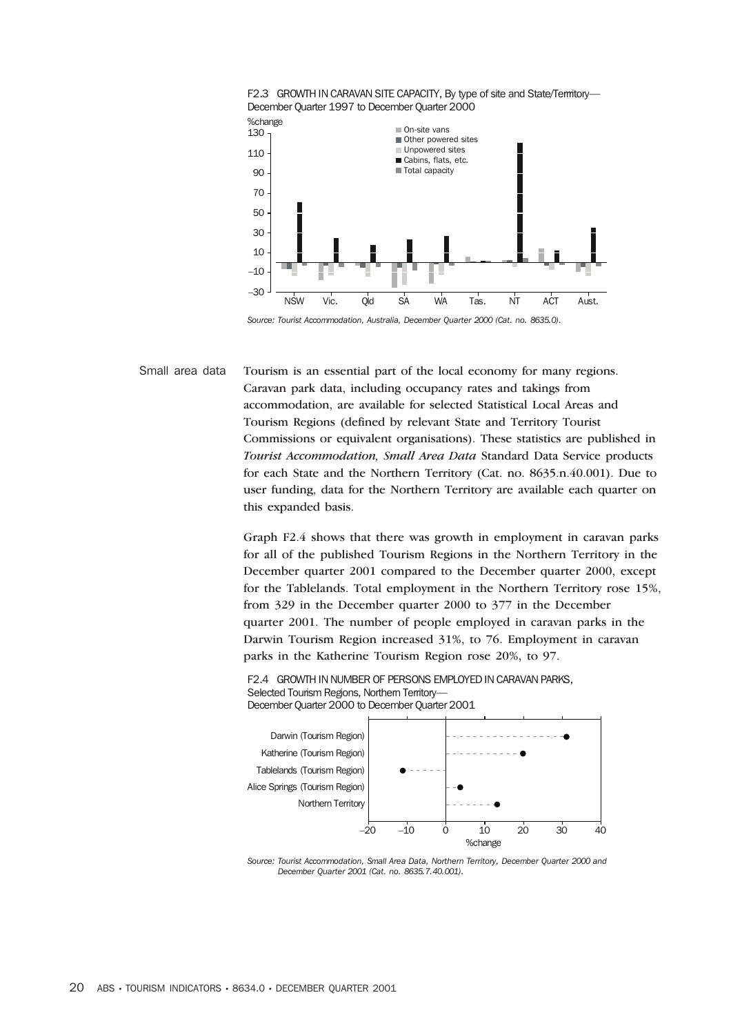

Small area data Tourism is an essential part of the local economy for many regions. Caravan park data, including occupancy rates and takings from accommodation, are available for selected Statistical Local Areas and Tourism Regions (defined by relevant State and Territory Tourist Commissions or equivalent organisations). These statistics are published in *Tourist Accommodation, Small Area Data* Standard Data Service products for each State and the Northern Territory (Cat. no. 8635.n.40.001). Due to user funding, data for the Northern Territory are available each quarter on this expanded basis.

> Graph F2.4 shows that there was growth in employment in caravan parks for all of the published Tourism Regions in the Northern Territory in the December quarter 2001 compared to the December quarter 2000, except for the Tablelands. Total employment in the Northern Territory rose 15%, from 329 in the December quarter 2000 to 377 in the December quarter 2001. The number of people employed in caravan parks in the Darwin Tourism Region increased 31%, to 76. Employment in caravan parks in the Katherine Tourism Region rose 20%, to 97.

F2.4 GROWTH IN NUMBER OF PERSONS EMPLOYED IN CARAVAN PARKS, Selected Tourism Regions, Northern Territory-December Quarter 2000 to December Quarter 2001



*Source: Tourist Accommodation, Small Area Data, Northern Territory, December Quarter 2000 and December Quarter 2001 (Cat. no. 8635.7.40.001).*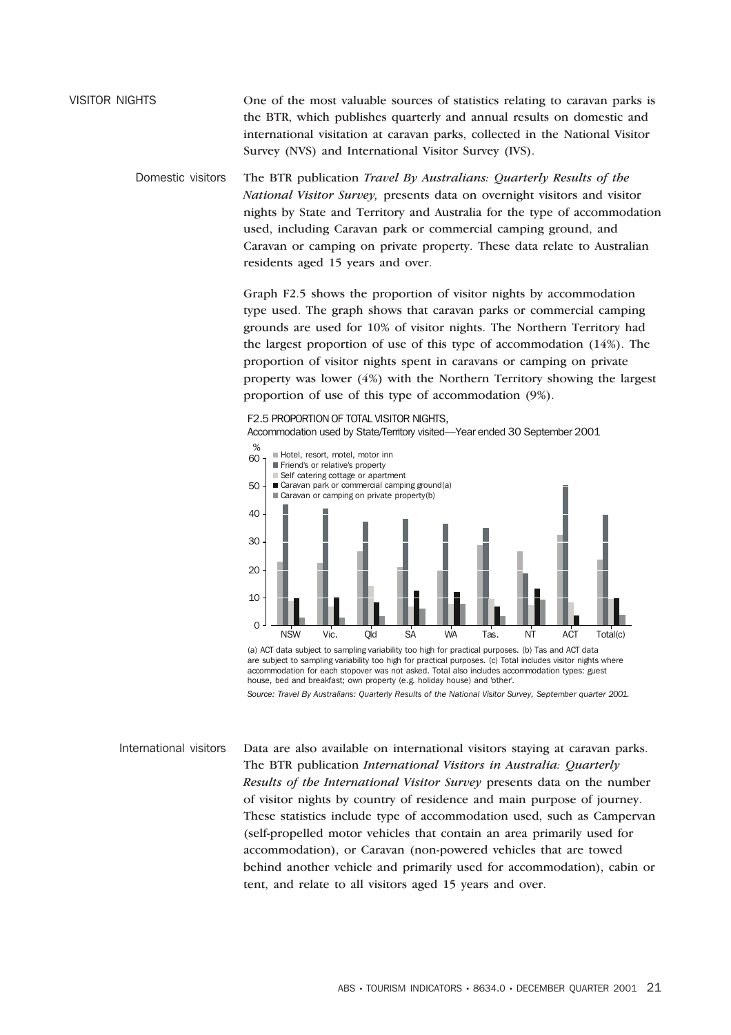### VISITOR NIGHTS One of the most valuable sources of statistics relating to caravan parks is the BTR, which publishes quarterly and annual results on domestic and international visitation at caravan parks, collected in the National Visitor Survey (NVS) and International Visitor Survey (IVS).

Domestic visitors The BTR publication *Travel By Australians: Quarterly Results of the National Visitor Survey,* presents data on overnight visitors and visitor nights by State and Territory and Australia for the type of accommodation used, including Caravan park or commercial camping ground, and Caravan or camping on private property. These data relate to Australian residents aged 15 years and over.

> Graph F2.5 shows the proportion of visitor nights by accommodation type used. The graph shows that caravan parks or commercial camping grounds are used for 10% of visitor nights. The Northern Territory had the largest proportion of use of this type of accommodation (14%). The proportion of visitor nights spent in caravans or camping on private property was lower (4%) with the Northern Territory showing the largest proportion of use of this type of accommodation (9%).



(a) ACT data subject to sampling variability too high for practical purposes. (b) Tas and ACT data are subject to sampling variability too high for practical purposes. (c) Total includes visitor nights where accommodation for each stopover was not asked. Total also includes accommodation types: guest house, bed and breakfast; own property (e.g. holiday house) and 'other'.

*Source: Travel By Australians: Quarterly Results of the National Visitor Survey, September quarter 2001.*

International visitors Data are also available on international visitors staying at caravan parks. The BTR publication *International Visitors in Australia: Quarterly Results of the International Visitor Survey* presents data on the number of visitor nights by country of residence and main purpose of journey. These statistics include type of accommodation used, such as Campervan (self-propelled motor vehicles that contain an area primarily used for accommodation), or Caravan (non-powered vehicles that are towed behind another vehicle and primarily used for accommodation), cabin or tent, and relate to all visitors aged 15 years and over.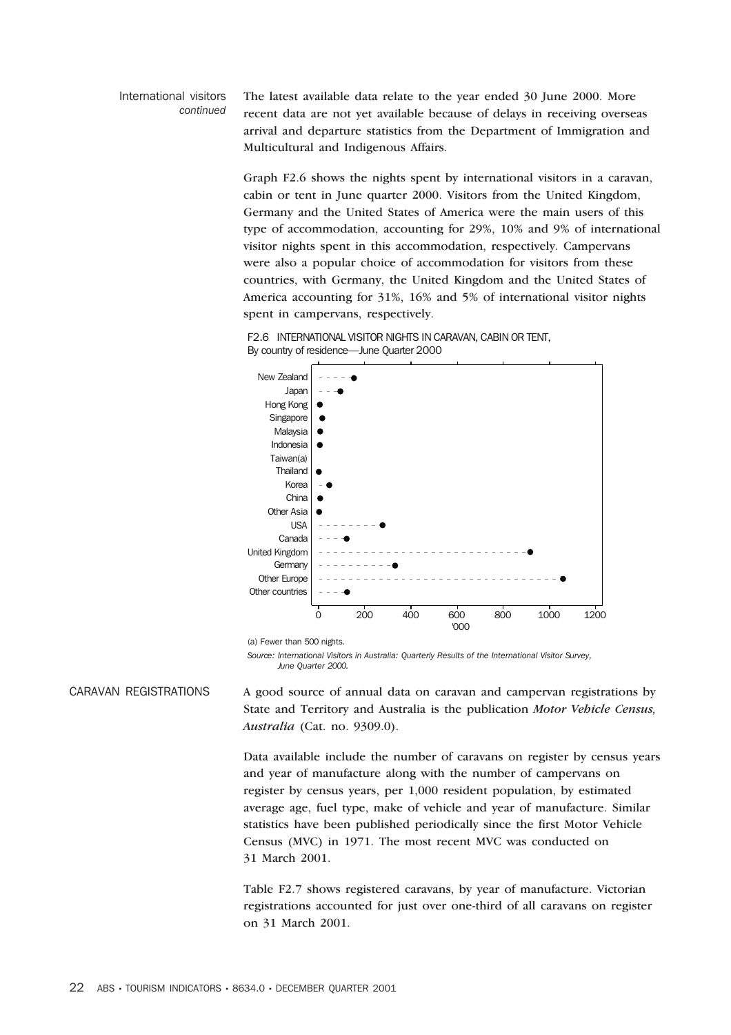#### International visitors *continued*

The latest available data relate to the year ended 30 June 2000. More recent data are not yet available because of delays in receiving overseas arrival and departure statistics from the Department of Immigration and Multicultural and Indigenous Affairs.

Graph F2.6 shows the nights spent by international visitors in a caravan, cabin or tent in June quarter 2000. Visitors from the United Kingdom, Germany and the United States of America were the main users of this type of accommodation, accounting for 29%, 10% and 9% of international visitor nights spent in this accommodation, respectively. Campervans were also a popular choice of accommodation for visitors from these countries, with Germany, the United Kingdom and the United States of America accounting for 31%, 16% and 5% of international visitor nights spent in campervans, respectively.

F2.6 INTERNATIONAL VISITOR NIGHTS IN CARAVAN, CABIN OR TENT, By country of residence—June Quarter 2000



(a) Fewer than 500 nights.

*Source: International Visitors in Australia: Quarterly Results of the International Visitor Survey, June Quarter 2000.*

CARAVAN REGISTRATIONS A good source of annual data on caravan and campervan registrations by State and Territory and Australia is the publication *Motor Vehicle Census, Australia* (Cat. no. 9309.0).

> Data available include the number of caravans on register by census years and year of manufacture along with the number of campervans on register by census years, per 1,000 resident population, by estimated average age, fuel type, make of vehicle and year of manufacture. Similar statistics have been published periodically since the first Motor Vehicle Census (MVC) in 1971. The most recent MVC was conducted on 31 March 2001.

Table F2.7 shows registered caravans, by year of manufacture. Victorian registrations accounted for just over one-third of all caravans on register on 31 March 2001.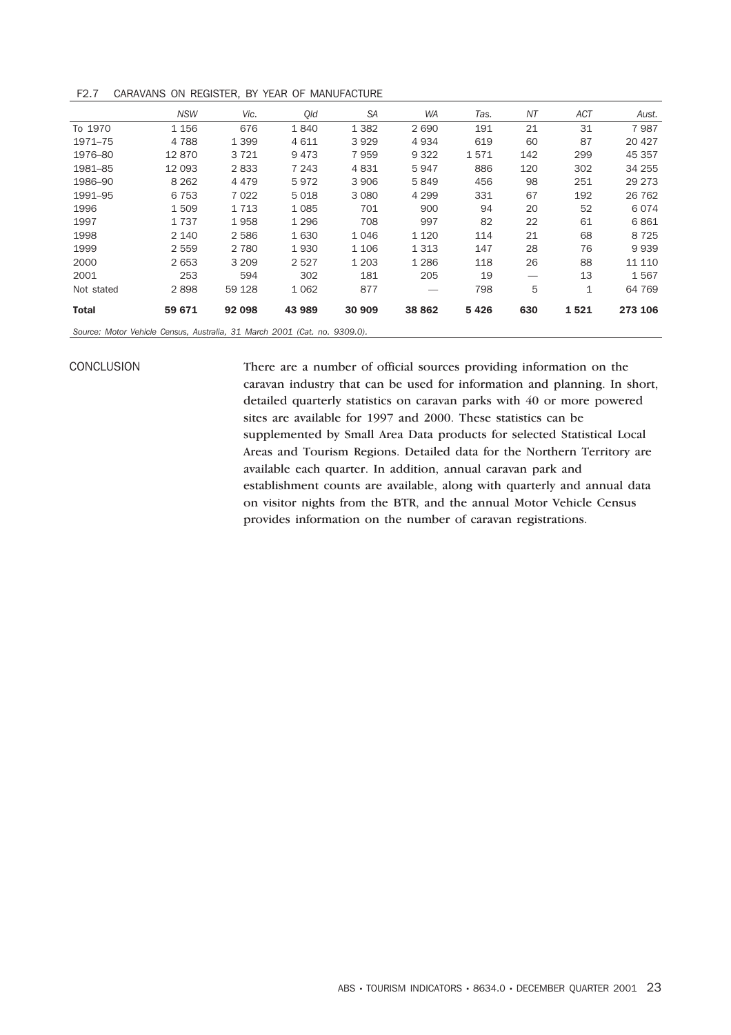F2.7 CARAVANS ON REGISTER, BY YEAR OF MANUFACTURE

|                                                                           | <b>NSW</b> | Vic.    | Old     | <b>SA</b> | <b>WA</b> | Tas. | NΤ  | <b>ACT</b> | Aust.   |  |
|---------------------------------------------------------------------------|------------|---------|---------|-----------|-----------|------|-----|------------|---------|--|
| To 1970                                                                   | 1 1 5 6    | 676     | 1840    | 1 3 8 2   | 2690      | 191  | 21  | 31         | 7987    |  |
| 1971-75                                                                   | 4788       | 1 3 9 9 | 4611    | 3929      | 4934      | 619  | 60  | 87         | 20 4 27 |  |
| 1976-80                                                                   | 12870      | 3721    | 9473    | 7959      | 9 3 2 2   | 1571 | 142 | 299        | 45 357  |  |
| 1981-85                                                                   | 12 093     | 2833    | 7 2 4 3 | 4831      | 5947      | 886  | 120 | 302        | 34 255  |  |
| 1986-90                                                                   | 8 2 6 2    | 4 4 7 9 | 5972    | 3 9 0 6   | 5849      | 456  | 98  | 251        | 29 273  |  |
| 1991-95                                                                   | 6 7 5 3    | 7 0 2 2 | 5018    | 3 0 8 0   | 4 2 9 9   | 331  | 67  | 192        | 26 762  |  |
| 1996                                                                      | 1509       | 1 7 1 3 | 1085    | 701       | 900       | 94   | 20  | 52         | 6074    |  |
| 1997                                                                      | 1737       | 1958    | 1 2 9 6 | 708       | 997       | 82   | 22  | 61         | 6861    |  |
| 1998                                                                      | 2 1 4 0    | 2 5 8 6 | 1630    | 1046      | 1 1 2 0   | 114  | 21  | 68         | 8725    |  |
| 1999                                                                      | 2 5 5 9    | 2 7 8 0 | 1930    | 1 1 0 6   | 1 3 1 3   | 147  | 28  | 76         | 9939    |  |
| 2000                                                                      | 2 6 5 3    | 3 2 0 9 | 2527    | 1 2 0 3   | 1 2 8 6   | 118  | 26  | 88         | 11 110  |  |
| 2001                                                                      | 253        | 594     | 302     | 181       | 205       | 19   |     | 13         | 1567    |  |
| Not stated                                                                | 2898       | 59 1 28 | 1 0 6 2 | 877       |           | 798  | 5   | 1          | 64 769  |  |
| <b>Total</b>                                                              | 59 671     | 92 098  | 43 989  | 30 909    | 38 862    | 5426 | 630 | 1521       | 273 106 |  |
| Source: Motor Vehicle Census, Australia, 31 March 2001 (Cat. no. 9309.0). |            |         |         |           |           |      |     |            |         |  |

CONCLUSION There are a number of official sources providing information on the caravan industry that can be used for information and planning. In short, detailed quarterly statistics on caravan parks with 40 or more powered sites are available for 1997 and 2000. These statistics can be supplemented by Small Area Data products for selected Statistical Local Areas and Tourism Regions. Detailed data for the Northern Territory are available each quarter. In addition, annual caravan park and establishment counts are available, along with quarterly and annual data on visitor nights from the BTR, and the annual Motor Vehicle Census provides information on the number of caravan registrations.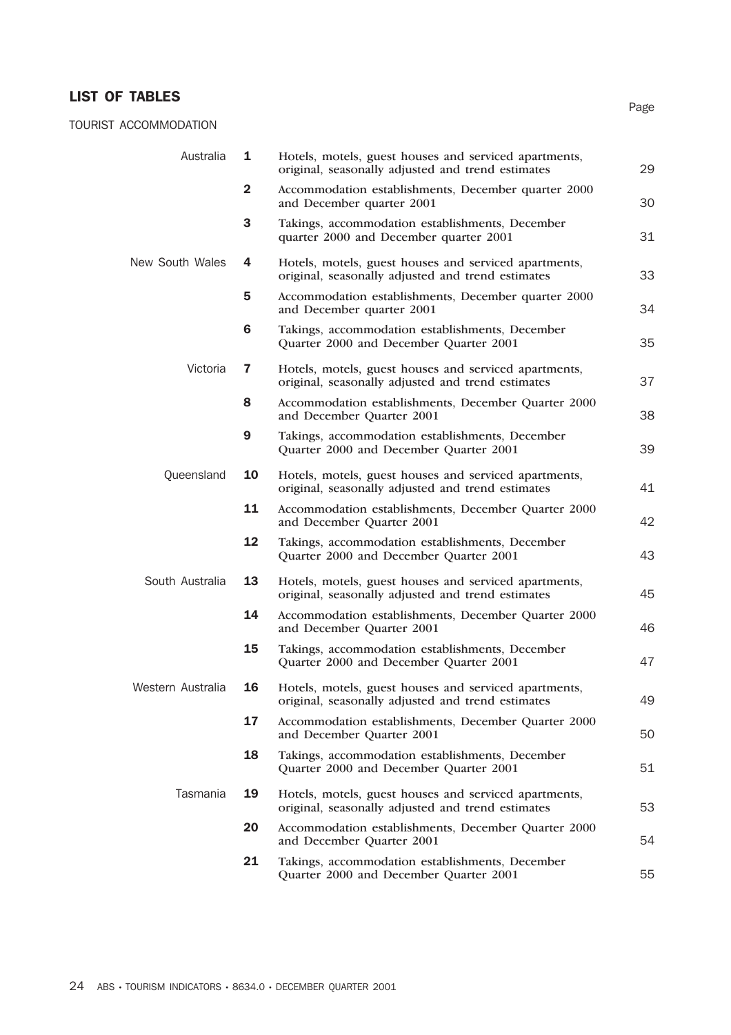## LIST OF TABLES

TOURIST ACCOMMODATION

| Australia         | 1              | Hotels, motels, guest houses and serviced apartments,<br>original, seasonally adjusted and trend estimates | 29 |
|-------------------|----------------|------------------------------------------------------------------------------------------------------------|----|
|                   | $\overline{2}$ | Accommodation establishments, December quarter 2000<br>and December quarter 2001                           | 30 |
|                   | 3              | Takings, accommodation establishments, December<br>quarter 2000 and December quarter 2001                  | 31 |
| New South Wales   | 4              | Hotels, motels, guest houses and serviced apartments,<br>original, seasonally adjusted and trend estimates | 33 |
|                   | 5              | Accommodation establishments, December quarter 2000<br>and December quarter 2001                           | 34 |
|                   | 6              | Takings, accommodation establishments, December<br>Quarter 2000 and December Quarter 2001                  | 35 |
| Victoria          | $\overline{7}$ | Hotels, motels, guest houses and serviced apartments,<br>original, seasonally adjusted and trend estimates | 37 |
|                   | 8              | Accommodation establishments, December Quarter 2000<br>and December Quarter 2001                           | 38 |
|                   | 9              | Takings, accommodation establishments, December<br>Quarter 2000 and December Quarter 2001                  | 39 |
| Queensland        | 10             | Hotels, motels, guest houses and serviced apartments,<br>original, seasonally adjusted and trend estimates | 41 |
|                   | 11             | Accommodation establishments, December Quarter 2000<br>and December Quarter 2001                           | 42 |
|                   | 12             | Takings, accommodation establishments, December<br>Quarter 2000 and December Quarter 2001                  | 43 |
| South Australia   | 13             | Hotels, motels, guest houses and serviced apartments,<br>original, seasonally adjusted and trend estimates | 45 |
|                   | 14             | Accommodation establishments, December Quarter 2000<br>and December Quarter 2001                           | 46 |
|                   | 15             | Takings, accommodation establishments, December<br>Quarter 2000 and December Quarter 2001                  | 47 |
| Western Australia | 16             | Hotels, motels, guest houses and serviced apartments,<br>original, seasonally adjusted and trend estimates | 49 |
|                   | 17             | Accommodation establishments, December Quarter 2000<br>and December Quarter 2001                           | 50 |
|                   | 18             | Takings, accommodation establishments, December<br>Quarter 2000 and December Quarter 2001                  | 51 |
| Tasmania          | 19             | Hotels, motels, guest houses and serviced apartments,<br>original, seasonally adjusted and trend estimates | 53 |
|                   | 20             | Accommodation establishments, December Quarter 2000<br>and December Quarter 2001                           | 54 |
|                   | 21             | Takings, accommodation establishments, December<br>Quarter 2000 and December Quarter 2001                  | 55 |

Page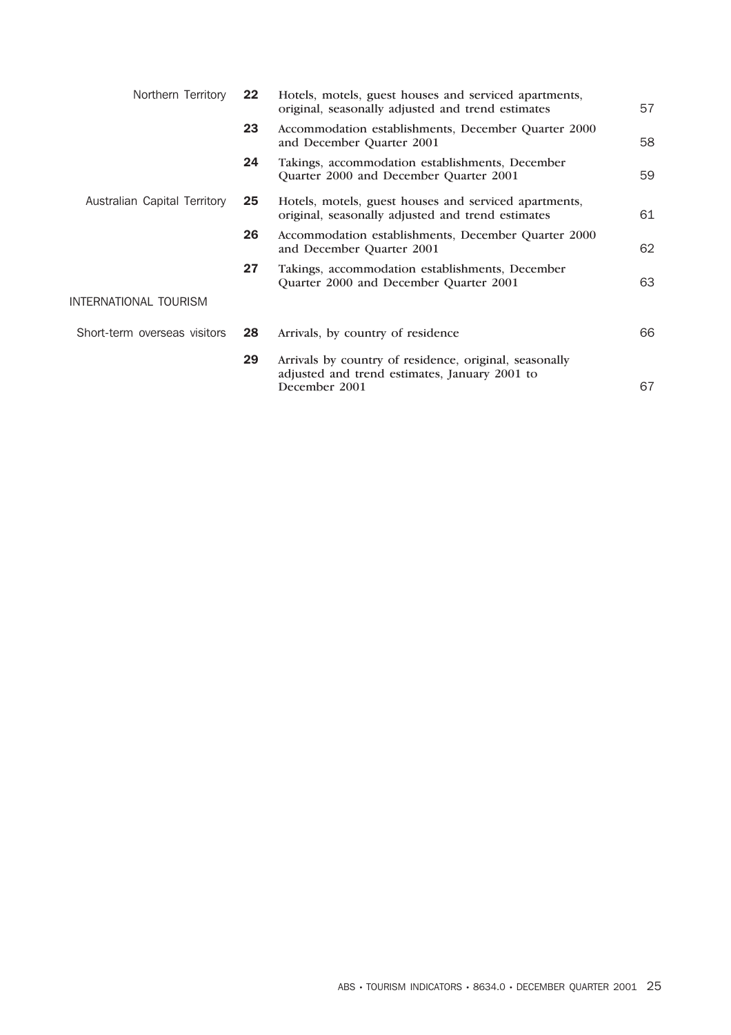| Northern Territory           | 22 | Hotels, motels, guest houses and serviced apartments,<br>original, seasonally adjusted and trend estimates               | 57 |
|------------------------------|----|--------------------------------------------------------------------------------------------------------------------------|----|
|                              | 23 | Accommodation establishments, December Quarter 2000<br>and December Quarter 2001                                         | 58 |
|                              | 24 | Takings, accommodation establishments, December<br>Quarter 2000 and December Quarter 2001                                | 59 |
| Australian Capital Territory | 25 | Hotels, motels, guest houses and serviced apartments,<br>original, seasonally adjusted and trend estimates               | 61 |
|                              | 26 | Accommodation establishments, December Quarter 2000<br>and December Quarter 2001                                         | 62 |
|                              | 27 | Takings, accommodation establishments, December<br>Quarter 2000 and December Quarter 2001                                | 63 |
| INTERNATIONAL TOURISM        |    |                                                                                                                          |    |
| Short-term overseas visitors | 28 | Arrivals, by country of residence                                                                                        | 66 |
|                              | 29 | Arrivals by country of residence, original, seasonally<br>adjusted and trend estimates, January 2001 to<br>December 2001 | 67 |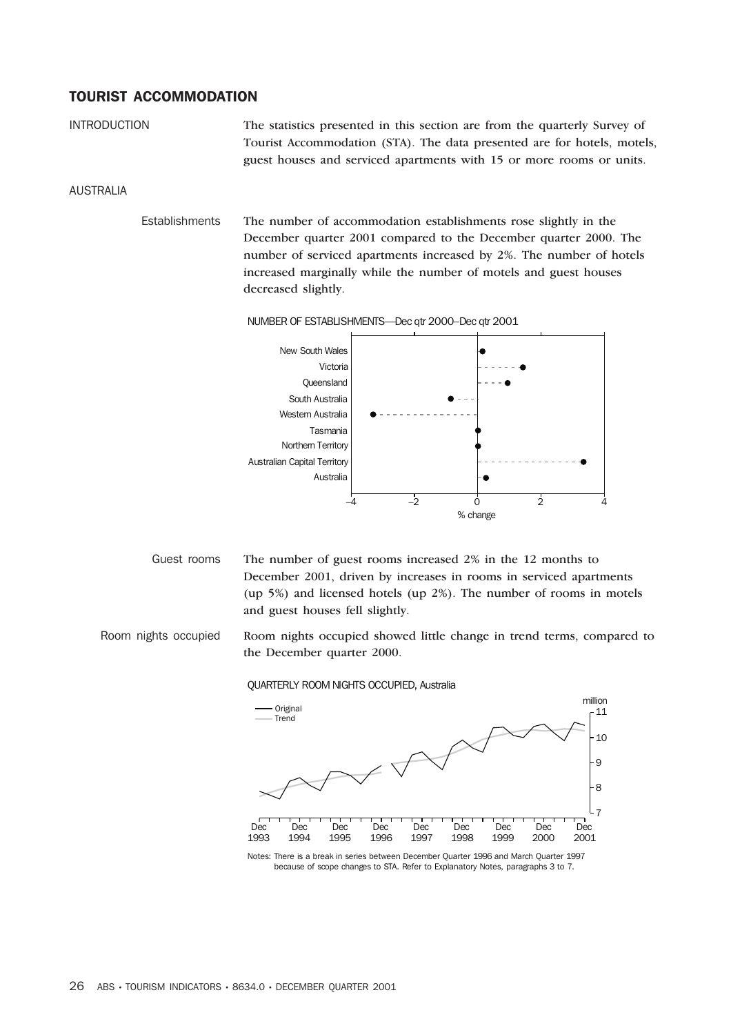#### TOURIST ACCOMMODATION

INTRODUCTION The statistics presented in this section are from the quarterly Survey of Tourist Accommodation (STA). The data presented are for hotels, motels, guest houses and serviced apartments with 15 or more rooms or units.

#### AUSTRALIA

Establishments The number of accommodation establishments rose slightly in the December quarter 2001 compared to the December quarter 2000. The number of serviced apartments increased by 2%. The number of hotels increased marginally while the number of motels and guest houses decreased slightly.

NUMBER OF ESTABLISHMENTS—Dec qtr 2000–Dec qtr 2001



Guest rooms The number of guest rooms increased 2% in the 12 months to December 2001, driven by increases in rooms in serviced apartments (up 5%) and licensed hotels (up 2%). The number of rooms in motels and guest houses fell slightly.

Room nights occupied Room nights occupied showed little change in trend terms, compared to the December quarter 2000.

QUARTERLY ROOM NIGHTS OCCUPIED, Australia



because of scope changes to STA. Refer to Explanatory Notes, paragraphs 3 to 7.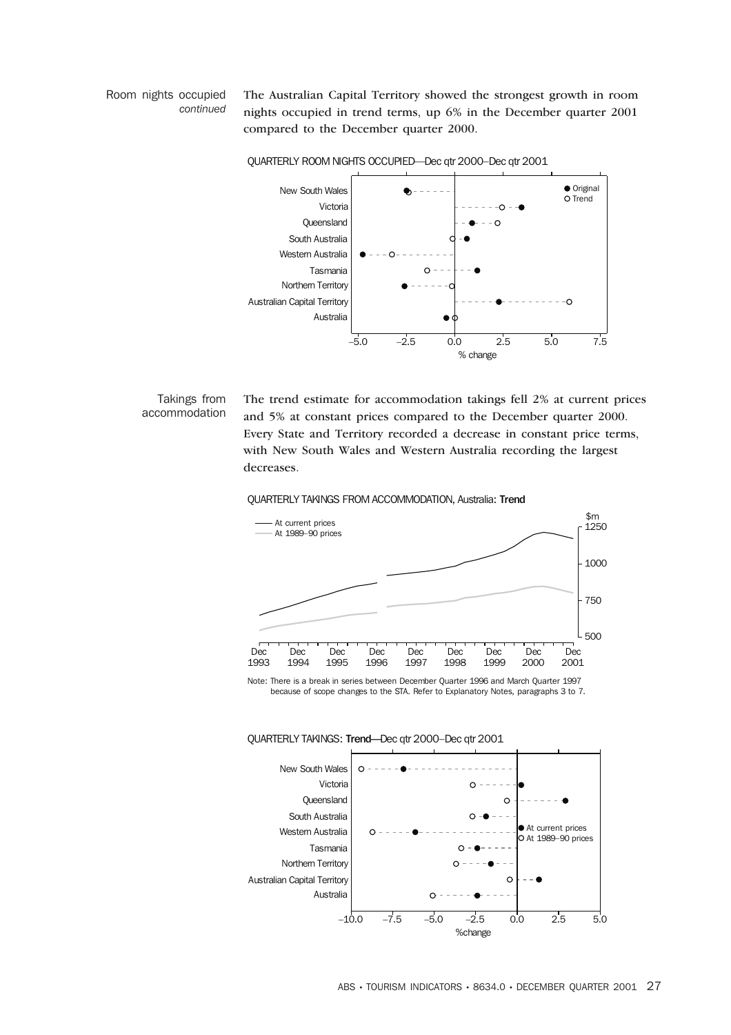#### Room nights occupied *continued*

The Australian Capital Territory showed the strongest growth in room nights occupied in trend terms, up 6% in the December quarter 2001 compared to the December quarter 2000.



QUARTERLY ROOM NIGHTS OCCUPIED-Dec qtr 2000-Dec qtr 2001

#### Takings from accommodation

The trend estimate for accommodation takings fell 2% at current prices and 5% at constant prices compared to the December quarter 2000. Every State and Territory recorded a decrease in constant price terms, with New South Wales and Western Australia recording the largest decreases.









#### QUARTERLY TAKINGS: Trend—Dec qtr 2000–Dec qtr 2001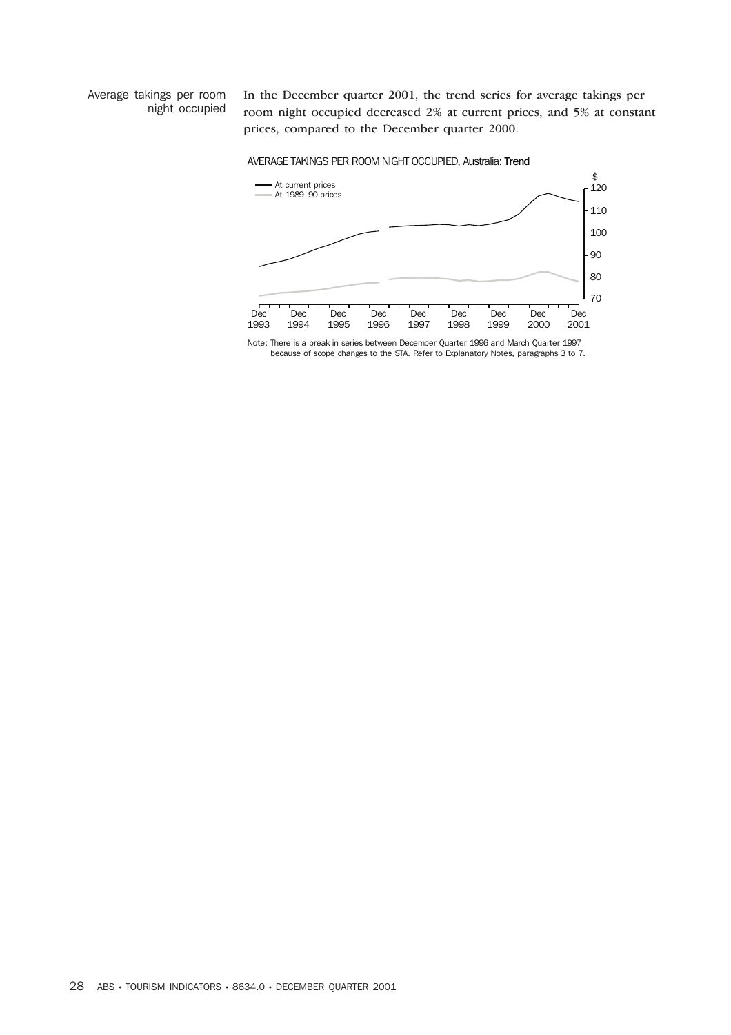Average takings per room night occupied In the December quarter 2001, the trend series for average takings per room night occupied decreased 2% at current prices, and 5% at constant prices, compared to the December quarter 2000.





Note: There is a break in series between December Quarter 1996 and March Quarter 1997 because of scope changes to the STA. Refer to Explanatory Notes, paragraphs 3 to 7.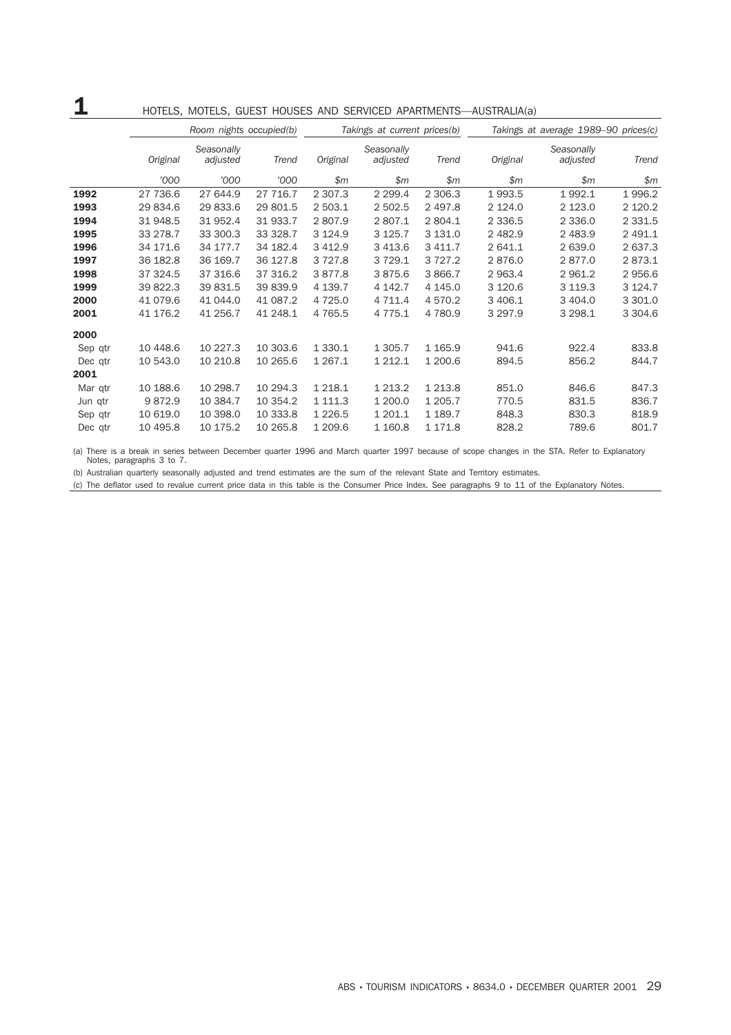# 1 HOTELS, MOTELS, GUEST HOUSES AND SERVICED APARTMENTS—AUSTRALIA(a)

|         |          | Room nights occupied(b) |          | Takings at current prices(b)                |             |             |            | Takings at average 1989-90 prices(c) |             |  |
|---------|----------|-------------------------|----------|---------------------------------------------|-------------|-------------|------------|--------------------------------------|-------------|--|
|         | Original | Seasonally<br>adjusted  | Trend    | Seasonally<br>Original<br>adjusted<br>Trend |             |             | Original   | Seasonally<br>adjusted               | Trend       |  |
|         | '000     | '000                    | '000     | \$m\$                                       | \$m\$       | \$m\$       | \$m\$      | \$m\$                                | \$m\$       |  |
| 1992    | 27 736.6 | 27 644.9                | 27 716.7 | 2 3 0 7 . 3                                 | 2 2 9 9.4   | 2 306.3     | 1993.5     | 1992.1                               | 1996.2      |  |
| 1993    | 29 834.6 | 29 833.6                | 29 801.5 | 2 503.1                                     | 2 502.5     | 2 4 9 7.8   | 2 1 2 4 .0 | 2 1 2 3 . 0                          | 2 120.2     |  |
| 1994    | 31 948.5 | 31 952.4                | 31 933.7 | 2807.9                                      | 2807.1      | 2 804.1     | 2 3 3 6.5  | 2 3 3 6 . 0                          | 2 3 3 1.5   |  |
| 1995    | 33 278.7 | 33 300.3                | 33 328.7 | 3 1 2 4 .9                                  | 3 1 2 5 . 7 | 3 131.0     | 2 482.9    | 2 483.9                              | 2 491.1     |  |
| 1996    | 34 171.6 | 34 177.7                | 34 182.4 | 3 4 1 2.9                                   | 3 4 1 3.6   | 3 4 1 1.7   | 2 641.1    | 2 639.0                              | 2 637.3     |  |
| 1997    | 36 182.8 | 36 169.7                | 36 127.8 | 3 7 2 7 .8                                  | 3 7 2 9.1   | 3 7 2 7 . 2 | 2876.0     | 2877.0                               | 2873.1      |  |
| 1998    | 37 324.5 | 37 316.6                | 37 316.2 | 3877.8                                      | 3875.6      | 3 866.7     | 2 963.4    | 2 961.2                              | 2 956.6     |  |
| 1999    | 39 822.3 | 39 831.5                | 39 839.9 | 4 139.7                                     | 4 142.7     | 4 145.0     | 3 1 2 0.6  | 3 1 1 9 . 3                          | 3 1 2 4 . 7 |  |
| 2000    | 41 079.6 | 41 044.0                | 41 087.2 | 4 7 2 5 . 0                                 | 4 7 1 1.4   | 4 570.2     | 3 406.1    | 3 4 0 4 .0                           | 3 301.0     |  |
| 2001    | 41 176.2 | 41 256.7                | 41 248.1 | 4 7 6 5 .5                                  | 4 7 7 5 . 1 | 4 780.9     | 3 297.9    | 3 2 9 8.1                            | 3 3 0 4.6   |  |
| 2000    |          |                         |          |                                             |             |             |            |                                      |             |  |
| Sep qtr | 10 448.6 | 10 227.3                | 10 303.6 | 1 3 3 0.1                                   | 1 3 0 5.7   | 1 1 65.9    | 941.6      | 922.4                                | 833.8       |  |
| Dec qtr | 10 543.0 | 10 210.8                | 10 265.6 | 1 2 6 7 . 1                                 | 1 2 1 2 . 1 | 1 200.6     | 894.5      | 856.2                                | 844.7       |  |
| 2001    |          |                         |          |                                             |             |             |            |                                      |             |  |
| Mar qtr | 10 188.6 | 10 298.7                | 10 294.3 | 1 2 1 8 . 1                                 | 1 2 1 3 . 2 | 1 2 1 3.8   | 851.0      | 846.6                                | 847.3       |  |
| Jun gtr | 9872.9   | 10 384.7                | 10 354.2 | 1 1 1 1 . 3                                 | 1 200.0     | 1 205.7     | 770.5      | 831.5                                | 836.7       |  |
| Sep qtr | 10 619.0 | 10 398.0                | 10 333.8 | 1 2 2 6.5                                   | 1 201.1     | 1 189.7     | 848.3      | 830.3                                | 818.9       |  |
| Dec qtr | 10 495.8 | 10 175.2                | 10 265.8 | 1 209.6                                     | 1 160.8     | 1 171.8     | 828.2      | 789.6                                | 801.7       |  |

(a) There is a break in series between December quarter 1996 and March quarter 1997 because of scope changes in the STA. Refer to Explanatory Notes, paragraphs 3 to 7.

(b) Australian quarterly seasonally adjusted and trend estimates are the sum of the relevant State and Territory estimates.

(c) The deflator used to revalue current price data in this table is the Consumer Price Index. See paragraphs 9 to 11 of the Explanatory Notes.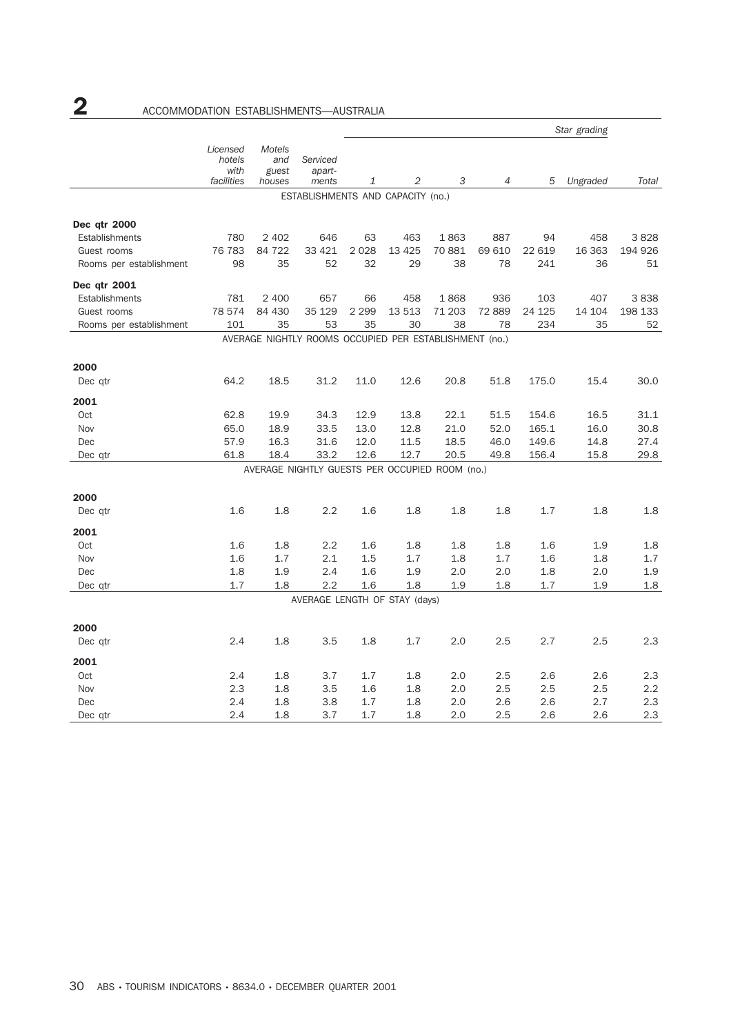|                         |                                          |                                         |                                                        |         |         |        |                |         | Star grading |         |
|-------------------------|------------------------------------------|-----------------------------------------|--------------------------------------------------------|---------|---------|--------|----------------|---------|--------------|---------|
|                         | Licensed<br>hotels<br>with<br>facilities | <b>Motels</b><br>and<br>guest<br>houses | Serviced<br>apart-<br>ments                            | 1       | 2       | 3      | $\overline{4}$ | 5       | Ungraded     | Total   |
|                         |                                          |                                         | ESTABLISHMENTS AND CAPACITY (no.)                      |         |         |        |                |         |              |         |
|                         |                                          |                                         |                                                        |         |         |        |                |         |              |         |
| Dec qtr 2000            |                                          |                                         |                                                        |         |         |        |                |         |              |         |
| Establishments          | 780                                      | 2 4 0 2                                 | 646                                                    | 63      | 463     | 1863   | 887            | 94      | 458          | 3828    |
| Guest rooms             | 76 783                                   | 84 722                                  | 33 4 21                                                | 2028    | 13 4 25 | 70 881 | 69 610         | 22 619  | 16 363       | 194 926 |
| Rooms per establishment | 98                                       | 35                                      | 52                                                     | 32      | 29      | 38     | 78             | 241     | 36           | 51      |
| Dec qtr 2001            |                                          |                                         |                                                        |         |         |        |                |         |              |         |
| Establishments          | 781                                      | 2 400                                   | 657                                                    | 66      | 458     | 1868   | 936            | 103     | 407          | 3838    |
| Guest rooms             | 78 574                                   | 84 430                                  | 35 129                                                 | 2 2 9 9 | 13 513  | 71 203 | 72 889         | 24 1 25 | 14 104       | 198 133 |
| Rooms per establishment | 101                                      | 35                                      | 53                                                     | 35      | 30      | 38     | 78             | 234     | 35           | 52      |
|                         |                                          |                                         | AVERAGE NIGHTLY ROOMS OCCUPIED PER ESTABLISHMENT (no.) |         |         |        |                |         |              |         |
| 2000                    |                                          |                                         |                                                        |         |         |        |                |         |              |         |
| Dec qtr                 | 64.2                                     | 18.5                                    | 31.2                                                   | 11.0    | 12.6    | 20.8   | 51.8           | 175.0   | 15.4         | 30.0    |
| 2001                    |                                          |                                         |                                                        |         |         |        |                |         |              |         |
| Oct                     | 62.8                                     | 19.9                                    | 34.3                                                   | 12.9    | 13.8    | 22.1   | 51.5           | 154.6   | 16.5         | 31.1    |
| Nov                     | 65.0                                     | 18.9                                    | 33.5                                                   | 13.0    | 12.8    | 21.0   | 52.0           | 165.1   | 16.0         | 30.8    |
| Dec                     | 57.9                                     | 16.3                                    | 31.6                                                   | 12.0    | 11.5    | 18.5   | 46.0           | 149.6   | 14.8         | 27.4    |
| Dec qtr                 | 61.8                                     | 18.4                                    | 33.2                                                   | 12.6    | 12.7    | 20.5   | 49.8           | 156.4   | 15.8         | 29.8    |
|                         |                                          |                                         | AVERAGE NIGHTLY GUESTS PER OCCUPIED ROOM (no.)         |         |         |        |                |         |              |         |
| 2000                    |                                          |                                         |                                                        |         |         |        |                |         |              |         |
| Dec qtr                 | 1.6                                      | 1.8                                     | 2.2                                                    | 1.6     | 1.8     | 1.8    | 1.8            | 1.7     | 1.8          | 1.8     |
| 2001                    |                                          |                                         |                                                        |         |         |        |                |         |              |         |
| Oct                     | 1.6                                      | 1.8                                     | 2.2                                                    | 1.6     | 1.8     | 1.8    | 1.8            | 1.6     | 1.9          | 1.8     |
| Nov                     | 1.6                                      | 1.7                                     | 2.1                                                    | 1.5     | 1.7     | 1.8    | 1.7            | 1.6     | 1.8          | 1.7     |
| Dec                     | 1.8                                      | 1.9                                     | 2.4                                                    | 1.6     | 1.9     | 2.0    | 2.0            | 1.8     | 2.0          | 1.9     |
| Dec qtr                 | 1.7                                      | 1.8                                     | 2.2                                                    | 1.6     | 1.8     | 1.9    | 1.8            | 1.7     | 1.9          | 1.8     |
|                         |                                          |                                         | AVERAGE LENGTH OF STAY (days)                          |         |         |        |                |         |              |         |
| 2000                    |                                          |                                         |                                                        |         |         |        |                |         |              |         |
| Dec qtr                 | 2.4                                      | 1.8                                     | 3.5                                                    | 1.8     | 1.7     | 2.0    | 2.5            | 2.7     | 2.5          | 2.3     |
| 2001                    |                                          |                                         |                                                        |         |         |        |                |         |              |         |
| Oct                     | 2.4                                      | 1.8                                     | 3.7                                                    | 1.7     | 1.8     | 2.0    | 2.5            | 2.6     | 2.6          | 2.3     |
| Nov                     | 2.3                                      | 1.8                                     | 3.5                                                    | 1.6     | 1.8     | 2.0    | 2.5            | 2.5     | 2.5          | 2.2     |
| Dec                     | 2.4                                      | 1.8                                     | 3.8                                                    | 1.7     | 1.8     | 2.0    | 2.6            | 2.6     | 2.7          | 2.3     |
| Dec qtr                 | 2.4                                      | 1.8                                     | 3.7                                                    | 1.7     | 1.8     | 2.0    | 2.5            | 2.6     | 2.6          | 2.3     |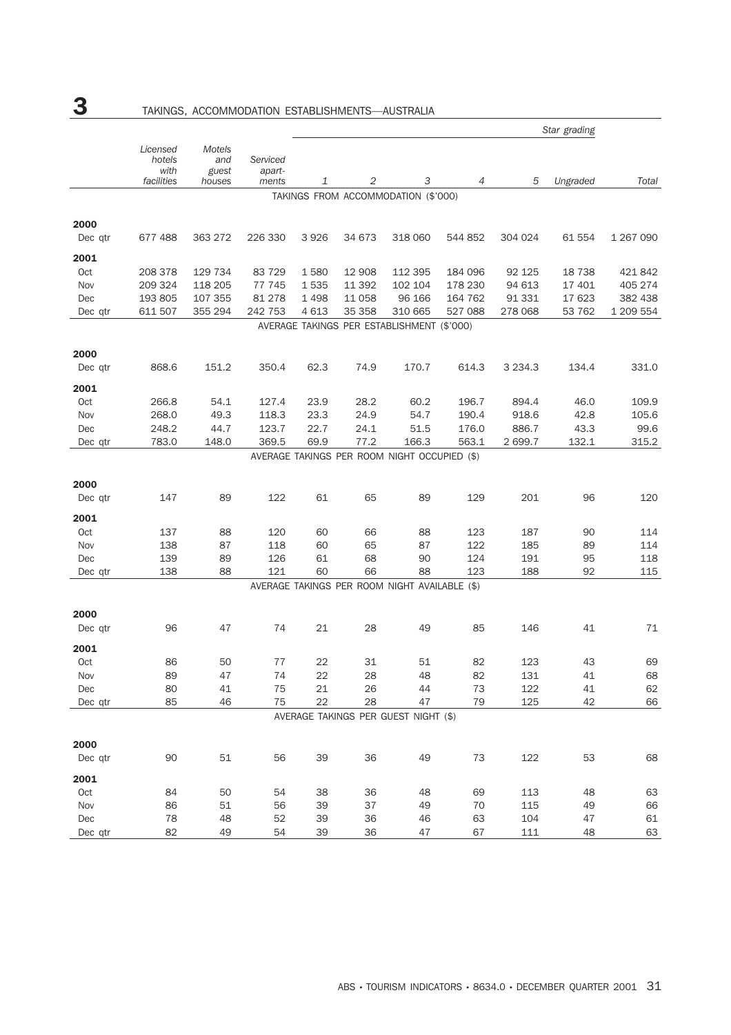|            |                                          |                                         |                             |         |         |                                               |         |             | Star grading |           |
|------------|------------------------------------------|-----------------------------------------|-----------------------------|---------|---------|-----------------------------------------------|---------|-------------|--------------|-----------|
|            | Licensed<br>hotels<br>with<br>facilities | <b>Motels</b><br>and<br>guest<br>houses | Serviced<br>apart-<br>ments | 1       | 2       | 3                                             | 4       | 5           | Ungraded     | Total     |
|            |                                          |                                         |                             |         |         | TAKINGS FROM ACCOMMODATION (\$'000)           |         |             |              |           |
| 2000       |                                          |                                         |                             |         |         |                                               |         |             |              |           |
| Dec qtr    | 677 488                                  | 363 272                                 | 226 330                     | 3926    | 34 673  | 318 060                                       | 544 852 | 304 024     | 61 554       | 1 267 090 |
| 2001       |                                          |                                         |                             |         |         |                                               |         |             |              |           |
| Oct        | 208 378                                  | 129 734                                 | 83 729                      | 1580    | 12 908  | 112 395                                       | 184 096 | 92 125      | 18 738       | 421 842   |
| Nov        | 209 324                                  | 118 205                                 | 77 745                      | 1535    | 11 392  | 102 104                                       | 178 230 | 94 613      | 17 401       | 405 274   |
| Dec        | 193 805                                  | 107 355                                 | 81 278                      | 1498    | 11 0 58 | 96 166                                        | 164 762 | 91 331      | 17 623       | 382 438   |
| Dec qtr    | 611 507                                  | 355 294                                 | 242 753                     | 4 6 1 3 | 35 358  | 310 665                                       | 527 088 | 278 068     | 53 762       | 1 209 554 |
|            |                                          |                                         |                             |         |         | AVERAGE TAKINGS PER ESTABLISHMENT (\$'000)    |         |             |              |           |
| 2000       |                                          |                                         |                             |         |         |                                               |         |             |              |           |
| Dec qtr    | 868.6                                    | 151.2                                   | 350.4                       | 62.3    | 74.9    | 170.7                                         | 614.3   | 3 2 3 4 . 3 | 134.4        | 331.0     |
| 2001       |                                          |                                         |                             |         |         |                                               |         |             |              |           |
| Oct        | 266.8                                    | 54.1                                    | 127.4                       | 23.9    | 28.2    | 60.2                                          | 196.7   | 894.4       | 46.0         | 109.9     |
| Nov        | 268.0                                    | 49.3                                    | 118.3                       | 23.3    | 24.9    | 54.7                                          | 190.4   | 918.6       | 42.8         | 105.6     |
| Dec        | 248.2                                    | 44.7                                    | 123.7                       | 22.7    | 24.1    | 51.5                                          | 176.0   | 886.7       | 43.3         | 99.6      |
| Dec qtr    | 783.0                                    | 148.0                                   | 369.5                       | 69.9    | 77.2    | 166.3                                         | 563.1   | 2 699.7     | 132.1        | 315.2     |
|            |                                          |                                         |                             |         |         | AVERAGE TAKINGS PER ROOM NIGHT OCCUPIED (\$)  |         |             |              |           |
|            |                                          |                                         |                             |         |         |                                               |         |             |              |           |
| 2000       |                                          |                                         |                             |         |         |                                               |         |             |              |           |
| Dec qtr    | 147                                      | 89                                      | 122                         | 61      | 65      | 89                                            | 129     | 201         | 96           | 120       |
| 2001       |                                          |                                         |                             |         |         |                                               |         |             |              |           |
| <b>Oct</b> | 137                                      | 88                                      | 120                         | 60      | 66      | 88                                            | 123     | 187         | 90           | 114       |
| Nov        | 138                                      | 87                                      | 118                         | 60      | 65      | 87                                            | 122     | 185         | 89           | 114       |
| Dec        | 139                                      | 89                                      | 126                         | 61      | 68      | 90                                            | 124     | 191         | 95           | 118       |
| Dec qtr    | 138                                      | 88                                      | 121                         | 60      | 66      | 88                                            | 123     | 188         | 92           | 115       |
|            |                                          |                                         |                             |         |         | AVERAGE TAKINGS PER ROOM NIGHT AVAILABLE (\$) |         |             |              |           |
| 2000       |                                          |                                         |                             |         |         |                                               |         |             |              |           |
| Dec qtr    | 96                                       | 47                                      | 74                          | 21      | 28      | 49                                            | 85      | 146         | 41           | 71        |
| 2001       |                                          |                                         |                             |         |         |                                               |         |             |              |           |
| Oct        | 86                                       | 50                                      | 77                          | 22      | 31      | 51                                            | 82      | 123         | 43           | 69        |
| Nov        | 89                                       | 47                                      | 74                          | 22      | 28      | 48                                            | 82      | 131         | 41           | 68        |
| Dec        | 80                                       | 41                                      | 75                          | 21      | 26      | 44                                            | 73      | 122         | 41           | 62        |
| Dec gtr    | 85                                       | 46                                      | 75                          | 22      | 28      | 47                                            | 79      | 125         | 42           | 66        |
|            |                                          |                                         |                             |         |         | AVERAGE TAKINGS PER GUEST NIGHT (\$)          |         |             |              |           |
| 2000       |                                          |                                         |                             |         |         |                                               |         |             |              |           |
| Dec qtr    | 90                                       | 51                                      | 56                          | 39      | 36      | 49                                            | 73      | 122         | 53           | 68        |
| 2001       |                                          |                                         |                             |         |         |                                               |         |             |              |           |
| Oct        | 84                                       | 50                                      | 54                          | 38      | 36      | 48                                            | 69      | 113         | 48           | 63        |
| Nov        | 86                                       | 51                                      | 56                          | 39      | 37      | 49                                            | 70      | 115         | 49           | 66        |
| Dec        | 78                                       | 48                                      | 52                          | 39      | 36      | 46                                            | 63      | 104         | 47           | 61        |
| Dec qtr    | 82                                       | 49                                      | 54                          | 39      | 36      | 47                                            | 67      | 111         | 48           | 63        |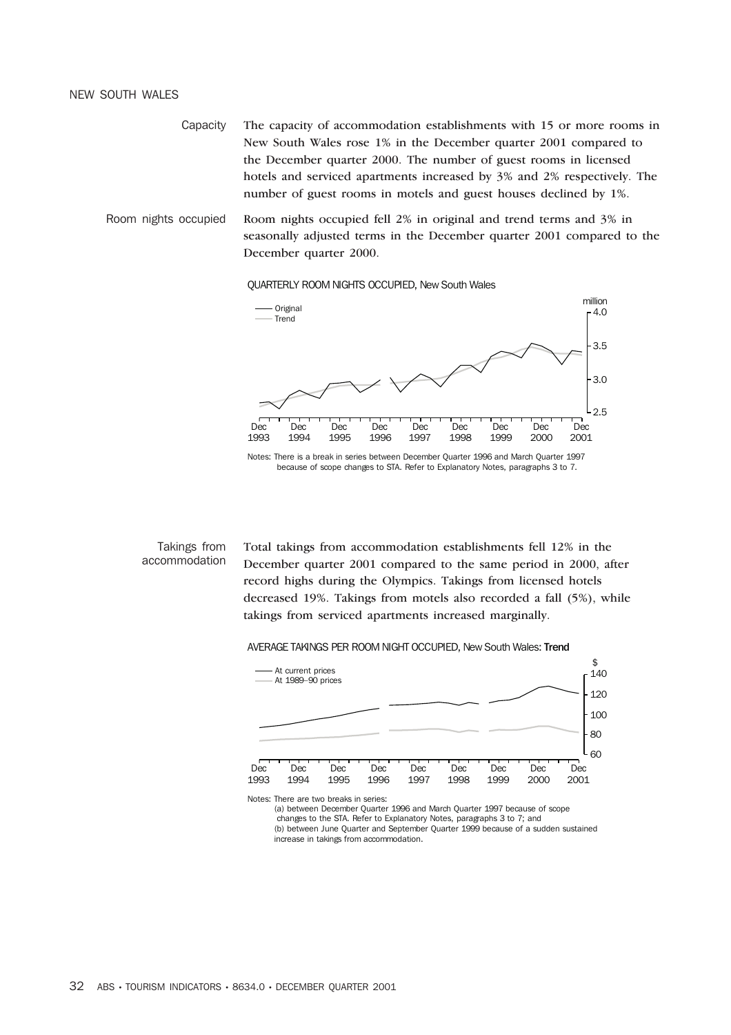#### NEW SOUTH WALES

Capacity The capacity of accommodation establishments with 15 or more rooms in New South Wales rose 1% in the December quarter 2001 compared to the December quarter 2000. The number of guest rooms in licensed hotels and serviced apartments increased by 3% and 2% respectively. The number of guest rooms in motels and guest houses declined by 1%.

Room nights occupied Room nights occupied fell 2% in original and trend terms and 3% in seasonally adjusted terms in the December quarter 2001 compared to the December quarter 2000.

QUARTERLY ROOM NIGHTS OCCUPIED, New South Wales



Notes: There is a break in series between December Quarter 1996 and March Quarter 1997 because of scope changes to STA. Refer to Explanatory Notes, paragraphs 3 to 7.

#### Takings from accommodation

Total takings from accommodation establishments fell 12% in the December quarter 2001 compared to the same period in 2000, after record highs during the Olympics. Takings from licensed hotels decreased 19%. Takings from motels also recorded a fall (5%), while takings from serviced apartments increased marginally.

#### AVERAGE TAKINGS PER ROOM NIGHT OCCUPIED, New South Wales: Trend



(a) between December Quarter 1996 and March Quarter 1997 because of scope changes to the STA. Refer to Explanatory Notes, paragraphs 3 to 7; and (b) between June Quarter and September Quarter 1999 because of a sudden sustained increase in takings from accommodation.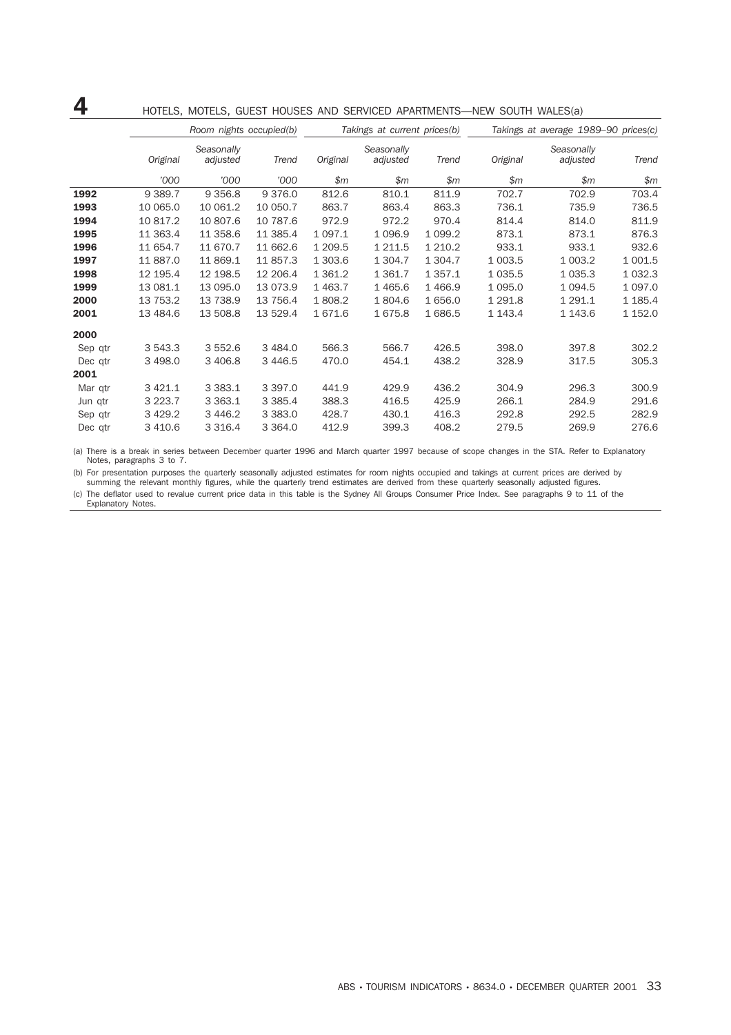|         |             | Room nights occupied(b) |             |             | Takings at current prices(b) |             | 11211 000111 1111220(0)<br>Takings at average 1989-90 prices(c) |                        |             |  |
|---------|-------------|-------------------------|-------------|-------------|------------------------------|-------------|-----------------------------------------------------------------|------------------------|-------------|--|
|         | Original    | Seasonally<br>adjusted  | Trend       | Original    | Seasonally<br>adjusted       | Trend       | Original                                                        | Seasonally<br>adjusted | Trend       |  |
|         | '000        | '000                    | '000        | \$m\$       | \$m                          | \$m\$       | \$m\$                                                           | \$m\$                  | \$m         |  |
| 1992    | 9 3 8 9.7   | 9 3 5 6.8               | 9 3 7 6 .0  | 812.6       | 810.1                        | 811.9       | 702.7                                                           | 702.9                  | 703.4       |  |
| 1993    | 10 065.0    | 10 061.2                | 10 050.7    | 863.7       | 863.4                        | 863.3       | 736.1                                                           | 735.9                  | 736.5       |  |
| 1994    | 10 817.2    | 10 807.6                | 10 787.6    | 972.9       | 972.2                        | 970.4       | 814.4                                                           | 814.0                  | 811.9       |  |
| 1995    | 11 363.4    | 11 358.6                | 11 385.4    | 1 0 9 7 . 1 | 1 0 9 6.9                    | 1 0 9 9.2   | 873.1                                                           | 873.1                  | 876.3       |  |
| 1996    | 11 654.7    | 11 670.7                | 11 662.6    | 1 209.5     | 1 2 1 1.5                    | 1 2 1 0.2   | 933.1                                                           | 933.1                  | 932.6       |  |
| 1997    | 11 887.0    | 11 869.1                | 11 857.3    | 1 303.6     | 1 3 0 4.7                    | 1 304.7     | 1 003.5                                                         | 1 003.2                | 1 001.5     |  |
| 1998    | 12 195.4    | 12 198.5                | 12 206.4    | 1 3 6 1.2   | 1 3 6 1.7                    | 1 3 5 7 . 1 | 1 0 3 5.5                                                       | 1 0 3 5 . 3            | 1 0 3 2.3   |  |
| 1999    | 13 081.1    | 13 095.0                | 13 073.9    | 1 4 6 3.7   | 1465.6                       | 1 4 6 6.9   | 1 0 9 5.0                                                       | 1 0 9 4.5              | 1 0 9 7 .0  |  |
| 2000    | 13 753.2    | 13 738.9                | 13 756.4    | 1808.2      | 1804.6                       | 1 656.0     | 1 291.8                                                         | 1 291.1                | 1 1 8 5 . 4 |  |
| 2001    | 13 484.6    | 13 508.8                | 13 529.4    | 1671.6      | 1675.8                       | 1686.5      | 1 1 4 3 . 4                                                     | 1 1 4 3 . 6            | 1 152.0     |  |
| 2000    |             |                         |             |             |                              |             |                                                                 |                        |             |  |
| Sep qtr | 3 543.3     | 3 5 5 2.6               | 3 4 8 4 .0  | 566.3       | 566.7                        | 426.5       | 398.0                                                           | 397.8                  | 302.2       |  |
| Dec qtr | 3 4 9 8.0   | 3 4 0 6.8               | 3 4 4 6.5   | 470.0       | 454.1                        | 438.2       | 328.9                                                           | 317.5                  | 305.3       |  |
| 2001    |             |                         |             |             |                              |             |                                                                 |                        |             |  |
| Mar qtr | 3 4 2 1.1   | 3 3 8 3.1               | 3 3 9 7 . 0 | 441.9       | 429.9                        | 436.2       | 304.9                                                           | 296.3                  | 300.9       |  |
| Jun qtr | 3 2 2 3 . 7 | 3 3 6 3 . 1             | 3 3 8 5.4   | 388.3       | 416.5                        | 425.9       | 266.1                                                           | 284.9                  | 291.6       |  |
| Sep qtr | 3 4 29.2    | 3 4 4 6.2               | 3 3 8 3 . 0 | 428.7       | 430.1                        | 416.3       | 292.8                                                           | 292.5                  | 282.9       |  |
| Dec qtr | 3 410.6     | 3 3 1 6.4               | 3 3 6 4 . 0 | 412.9       | 399.3                        | 408.2       | 279.5                                                           | 269.9                  | 276.6       |  |

# **4** HOTELS, MOTELS, GUEST HOUSES AND SERVICED APARTMENTS—NEW SOUTH WALES(a)

(a) There is a break in series between December quarter 1996 and March quarter 1997 because of scope changes in the STA. Refer to Explanatory Notes, paragraphs 3 to 7.

(b) For presentation purposes the quarterly seasonally adjusted estimates for room nights occupied and takings at current prices are derived by summing the relevant monthly figures, while the quarterly trend estimates are derived from these quarterly seasonally adjusted figures.

(c) The deflator used to revalue current price data in this table is the Sydney All Groups Consumer Price Index. See paragraphs 9 to 11 of the Explanatory Notes.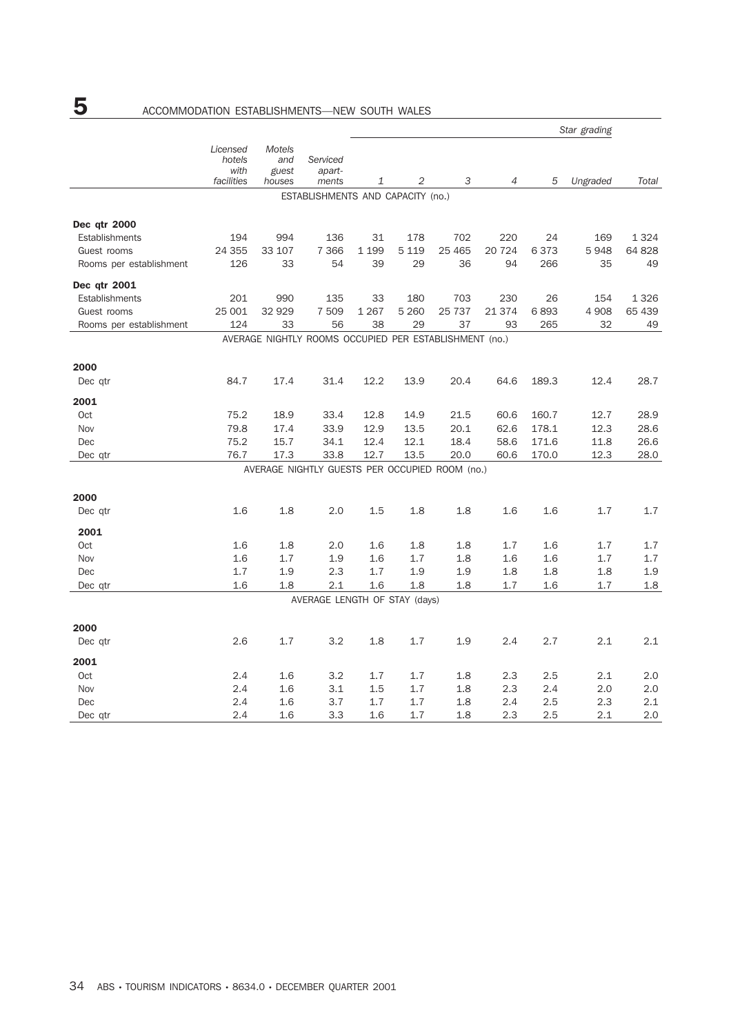|                         |                                          |                                         | Serviced<br>apart-<br>ments                            | Star grading |                |         |                |       |          |         |  |
|-------------------------|------------------------------------------|-----------------------------------------|--------------------------------------------------------|--------------|----------------|---------|----------------|-------|----------|---------|--|
|                         | Licensed<br>hotels<br>with<br>facilities | <b>Motels</b><br>and<br>guest<br>houses |                                                        | 1            | $\overline{2}$ | 3       | $\overline{4}$ | 5     | Ungraded | Total   |  |
|                         |                                          |                                         | ESTABLISHMENTS AND CAPACITY (no.)                      |              |                |         |                |       |          |         |  |
|                         |                                          |                                         |                                                        |              |                |         |                |       |          |         |  |
| Dec qtr 2000            |                                          |                                         |                                                        |              |                |         |                |       |          |         |  |
| Establishments          | 194                                      | 994                                     | 136                                                    | 31           | 178            | 702     | 220            | 24    | 169      | 1 3 2 4 |  |
| Guest rooms             | 24 355                                   | 33 107                                  | 7 3 6 6                                                | 1 1 9 9      | 5 1 1 9        | 25 4 65 | 20 7 24        | 6373  | 5948     | 64 828  |  |
| Rooms per establishment | 126                                      | 33                                      | 54                                                     | 39           | 29             | 36      | 94             | 266   | 35       | 49      |  |
| Dec qtr 2001            |                                          |                                         |                                                        |              |                |         |                |       |          |         |  |
| Establishments          | 201                                      | 990                                     | 135                                                    | 33           | 180            | 703     | 230            | 26    | 154      | 1 3 2 6 |  |
| Guest rooms             | 25 001                                   | 32 929                                  | 7 509                                                  | 1 2 6 7      | 5 2 6 0        | 25 737  | 21 374         | 6893  | 4 9 0 8  | 65 439  |  |
| Rooms per establishment | 124                                      | 33                                      | 56                                                     | 38           | 29             | 37      | 93             | 265   | 32       | 49      |  |
|                         |                                          |                                         | AVERAGE NIGHTLY ROOMS OCCUPIED PER ESTABLISHMENT (no.) |              |                |         |                |       |          |         |  |
| 2000                    |                                          |                                         |                                                        |              |                |         |                |       |          |         |  |
| Dec gtr                 | 84.7                                     | 17.4                                    | 31.4                                                   | 12.2         | 13.9           | 20.4    | 64.6           | 189.3 | 12.4     | 28.7    |  |
| 2001                    |                                          |                                         |                                                        |              |                |         |                |       |          |         |  |
| Oct                     | 75.2                                     | 18.9                                    | 33.4                                                   | 12.8         | 14.9           | 21.5    | 60.6           | 160.7 | 12.7     | 28.9    |  |
| Nov                     | 79.8                                     | 17.4                                    | 33.9                                                   | 12.9         | 13.5           | 20.1    | 62.6           | 178.1 | 12.3     | 28.6    |  |
| Dec                     | 75.2                                     | 15.7                                    | 34.1                                                   | 12.4         | 12.1           | 18.4    | 58.6           | 171.6 | 11.8     | 26.6    |  |
| Dec qtr                 | 76.7                                     | 17.3                                    | 33.8                                                   | 12.7         | 13.5           | 20.0    | 60.6           | 170.0 | 12.3     | 28.0    |  |
|                         |                                          |                                         | AVERAGE NIGHTLY GUESTS PER OCCUPIED ROOM (no.)         |              |                |         |                |       |          |         |  |
| 2000                    |                                          |                                         |                                                        |              |                |         |                |       |          |         |  |
| Dec qtr                 | 1.6                                      | 1.8                                     | 2.0                                                    | 1.5          | 1.8            | 1.8     | 1.6            | 1.6   | 1.7      | 1.7     |  |
| 2001                    |                                          |                                         |                                                        |              |                |         |                |       |          |         |  |
| <b>Oct</b>              | 1.6                                      | 1.8                                     | 2.0                                                    | 1.6          | 1.8            | 1.8     | 1.7            | 1.6   | 1.7      | 1.7     |  |
| Nov                     | 1.6                                      | 1.7                                     | 1.9                                                    | 1.6          | 1.7            | 1.8     | 1.6            | 1.6   | 1.7      | 1.7     |  |
| Dec                     | 1.7                                      | 1.9                                     | 2.3                                                    | 1.7          | 1.9            | 1.9     | 1.8            | 1.8   | 1.8      | 1.9     |  |
| Dec qtr                 | 1.6                                      | 1.8                                     | 2.1                                                    | 1.6          | 1.8            | 1.8     | 1.7            | 1.6   | 1.7      | 1.8     |  |
|                         |                                          |                                         | AVERAGE LENGTH OF STAY (days)                          |              |                |         |                |       |          |         |  |
| 2000                    |                                          |                                         |                                                        |              |                |         |                |       |          |         |  |
| Dec qtr                 | 2.6                                      | 1.7                                     | 3.2                                                    | 1.8          | 1.7            | 1.9     | 2.4            | 2.7   | 2.1      | 2.1     |  |
| 2001                    |                                          |                                         |                                                        |              |                |         |                |       |          |         |  |
| Oct                     | 2.4                                      | 1.6                                     | 3.2                                                    | 1.7          | 1.7            | 1.8     | 2.3            | 2.5   | 2.1      | 2.0     |  |
| Nov                     | 2.4                                      | 1.6                                     | 3.1                                                    | 1.5          | 1.7            | 1.8     | 2.3            | 2.4   | 2.0      | 2.0     |  |
| Dec                     | 2.4                                      | 1.6                                     | 3.7                                                    | 1.7          | 1.7            | 1.8     | 2.4            | 2.5   | 2.3      | 2.1     |  |
| Dec qtr                 | 2.4                                      | 1.6                                     | 3.3                                                    | 1.6          | 1.7            | 1.8     | 2.3            | 2.5   | 2.1      | 2.0     |  |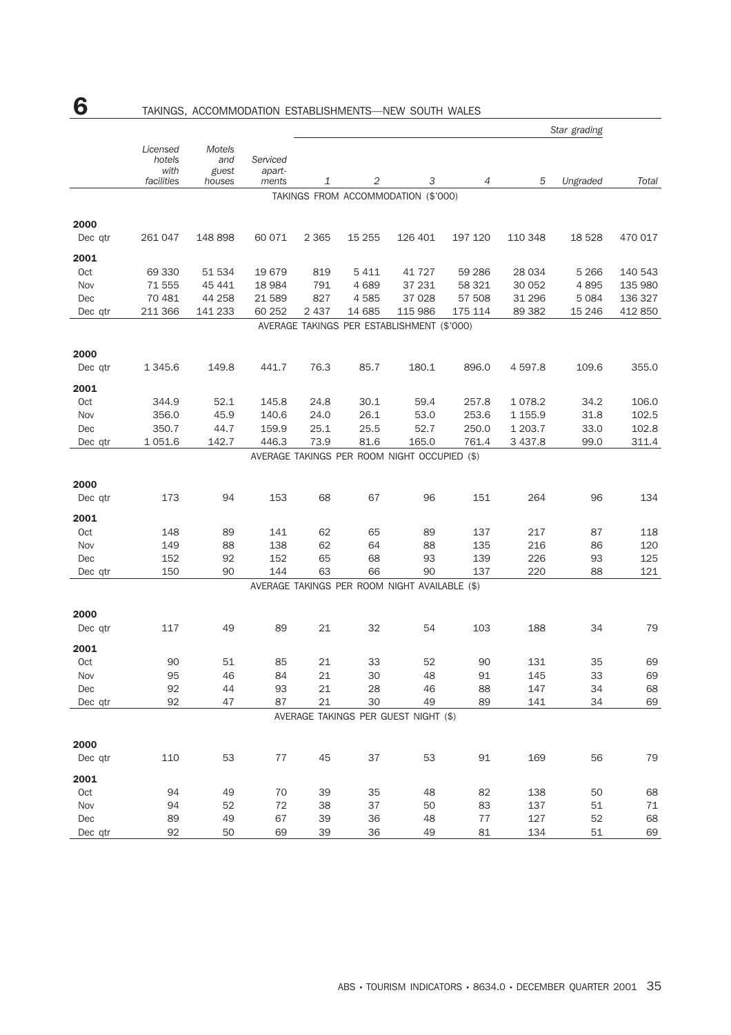|                 |                                          |                                  |                             | Star grading |         |                                               |         |           |          |         |  |
|-----------------|------------------------------------------|----------------------------------|-----------------------------|--------------|---------|-----------------------------------------------|---------|-----------|----------|---------|--|
|                 | Licensed<br>hotels<br>with<br>facilities | Motels<br>and<br>guest<br>houses | Serviced<br>apart-<br>ments | 1            | 2       | 3                                             | 4       | 5         | Ungraded | Total   |  |
|                 |                                          |                                  |                             |              |         | TAKINGS FROM ACCOMMODATION (\$'000)           |         |           |          |         |  |
| 2000            |                                          |                                  |                             |              |         |                                               |         |           |          |         |  |
| Dec qtr         | 261 047                                  | 148 898                          | 60 0 71                     | 2 3 6 5      | 15 255  | 126 401                                       | 197 120 | 110 348   | 18 5 28  | 470 017 |  |
| 2001            |                                          |                                  |                             |              |         |                                               |         |           |          |         |  |
| Oct             | 69 330                                   | 51 534                           | 19679                       | 819          | 5 4 1 1 | 41 7 2 7                                      | 59 286  | 28 0 34   | 5 2 6 6  | 140 543 |  |
| Nov             | 71 555                                   | 45 441                           | 18 9 84                     | 791          | 4 6 8 9 | 37 231                                        | 58 321  | 30 052    | 4895     | 135 980 |  |
| Dec             | 70 481                                   | 44 258                           | 21 589                      | 827          | 4585    | 37 0 28                                       | 57 508  | 31 29 6   | 5 0 8 4  | 136 327 |  |
| Dec qtr         | 211 366                                  | 141 233                          | 60 252                      | 2 4 3 7      | 14 685  | 115 986                                       | 175 114 | 89 382    | 15 2 46  | 412 850 |  |
|                 |                                          |                                  |                             |              |         | AVERAGE TAKINGS PER ESTABLISHMENT (\$'000)    |         |           |          |         |  |
|                 |                                          |                                  |                             |              |         |                                               |         |           |          |         |  |
| 2000<br>Dec qtr | 1 345.6                                  | 149.8                            | 441.7                       | 76.3         | 85.7    | 180.1                                         | 896.0   | 4597.8    | 109.6    | 355.0   |  |
| 2001            |                                          |                                  |                             |              |         |                                               |         |           |          |         |  |
| Oct             | 344.9                                    | 52.1                             | 145.8                       | 24.8         | 30.1    | 59.4                                          | 257.8   | 1078.2    | 34.2     | 106.0   |  |
| Nov             | 356.0                                    | 45.9                             | 140.6                       | 24.0         | 26.1    | 53.0                                          | 253.6   | 1 1 5 5.9 | 31.8     | 102.5   |  |
| Dec             | 350.7                                    | 44.7                             | 159.9                       | 25.1         | 25.5    | 52.7                                          | 250.0   | 1 203.7   | 33.0     | 102.8   |  |
| Dec qtr         | 1 0 5 1.6                                | 142.7                            | 446.3                       | 73.9         | 81.6    | 165.0                                         | 761.4   | 3 4 3 7.8 | 99.0     | 311.4   |  |
|                 |                                          |                                  |                             |              |         | AVERAGE TAKINGS PER ROOM NIGHT OCCUPIED (\$)  |         |           |          |         |  |
|                 |                                          |                                  |                             |              |         |                                               |         |           |          |         |  |
| 2000            |                                          |                                  |                             |              |         |                                               |         |           |          |         |  |
| Dec qtr         | 173                                      | 94                               | 153                         | 68           | 67      | 96                                            | 151     | 264       | 96       | 134     |  |
| 2001            |                                          |                                  |                             |              |         |                                               |         |           |          |         |  |
| Oct             | 148                                      | 89                               | 141                         | 62           | 65      | 89                                            | 137     | 217       | 87       | 118     |  |
| Nov             | 149                                      | 88                               | 138                         | 62           | 64      | 88                                            | 135     | 216       | 86       | 120     |  |
| Dec             | 152                                      | 92                               | 152                         | 65           | 68      | 93                                            | 139     | 226       | 93       | 125     |  |
| Dec qtr         | 150                                      | 90                               | 144                         | 63           | 66      | 90                                            | 137     | 220       | 88       | 121     |  |
|                 |                                          |                                  |                             |              |         | AVERAGE TAKINGS PER ROOM NIGHT AVAILABLE (\$) |         |           |          |         |  |
| 2000            |                                          |                                  |                             |              |         |                                               |         |           |          |         |  |
| Dec qtr         | 117                                      | 49                               | 89                          | 21           | 32      | 54                                            | 103     | 188       | 34       | 79      |  |
|                 |                                          |                                  |                             |              |         |                                               |         |           |          |         |  |
| 2001            |                                          |                                  |                             |              |         |                                               |         |           |          |         |  |
| Oct             | 90                                       | 51                               | 85                          | 21           | 33      | 52                                            | 90      | 131       | 35       | 69      |  |
| Nov             | 95                                       | 46                               | 84                          | 21           | 30      | 48                                            | 91      | 145       | 33       | 69      |  |
| Dec             | 92                                       | 44<br>47                         | 93<br>87                    | 21           | 28      | 46<br>49                                      | 88      | 147       | 34       | 68      |  |
| Dec qtr         | 92                                       |                                  |                             | 21           | 30      | AVERAGE TAKINGS PER GUEST NIGHT (\$)          | 89      | 141       | 34       | 69      |  |
|                 |                                          |                                  |                             |              |         |                                               |         |           |          |         |  |
| 2000            |                                          |                                  |                             |              |         |                                               |         |           |          |         |  |
| Dec qtr         | 110                                      | 53                               | 77                          | 45           | 37      | 53                                            | 91      | 169       | 56       | 79      |  |
| 2001            |                                          |                                  |                             |              |         |                                               |         |           |          |         |  |
| Oct             | 94                                       | 49                               | 70                          | 39           | 35      | 48                                            | 82      | 138       | 50       | 68      |  |
| Nov             | 94                                       | 52                               | 72                          | 38           | 37      | 50                                            | 83      | 137       | 51       | $71\,$  |  |
| Dec             | 89                                       | 49                               | 67                          | 39           | 36      | 48                                            | 77      | 127       | 52       | 68      |  |
| Dec qtr         | 92                                       | 50                               | 69                          | 39           | 36      | 49                                            | 81      | 134       | 51       | 69      |  |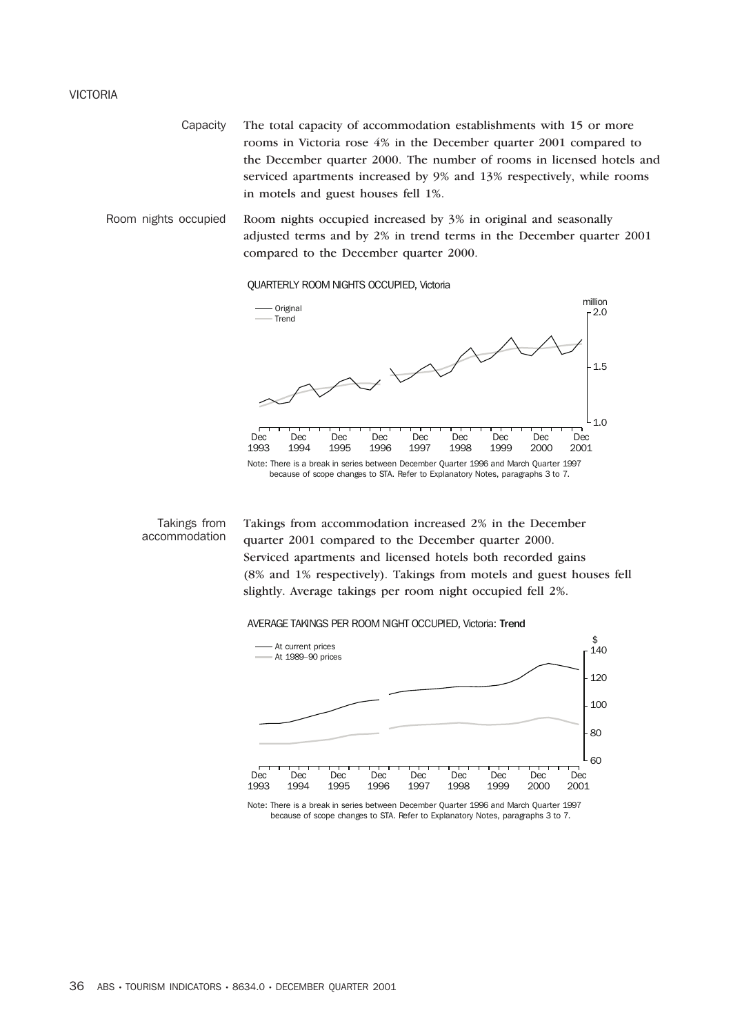#### VICTORIA

Capacity The total capacity of accommodation establishments with 15 or more rooms in Victoria rose 4% in the December quarter 2001 compared to the December quarter 2000. The number of rooms in licensed hotels and serviced apartments increased by 9% and 13% respectively, while rooms in motels and guest houses fell 1%.

Room nights occupied Room nights occupied increased by 3% in original and seasonally adjusted terms and by 2% in trend terms in the December quarter 2001 compared to the December quarter 2000.

QUARTERLY ROOM NIGHTS OCCUPIED, Victoria



Takings from accommodation Takings from accommodation increased 2% in the December quarter 2001 compared to the December quarter 2000. Serviced apartments and licensed hotels both recorded gains (8% and 1% respectively). Takings from motels and guest houses fell slightly. Average takings per room night occupied fell 2%.

#### AVERAGE TAKINGS PER ROOM NIGHT OCCUPIED, Victoria: Trend



Note: There is a break in series between December Quarter 1996 and March Quarter 1997 because of scope changes to STA. Refer to Explanatory Notes, paragraphs 3 to 7.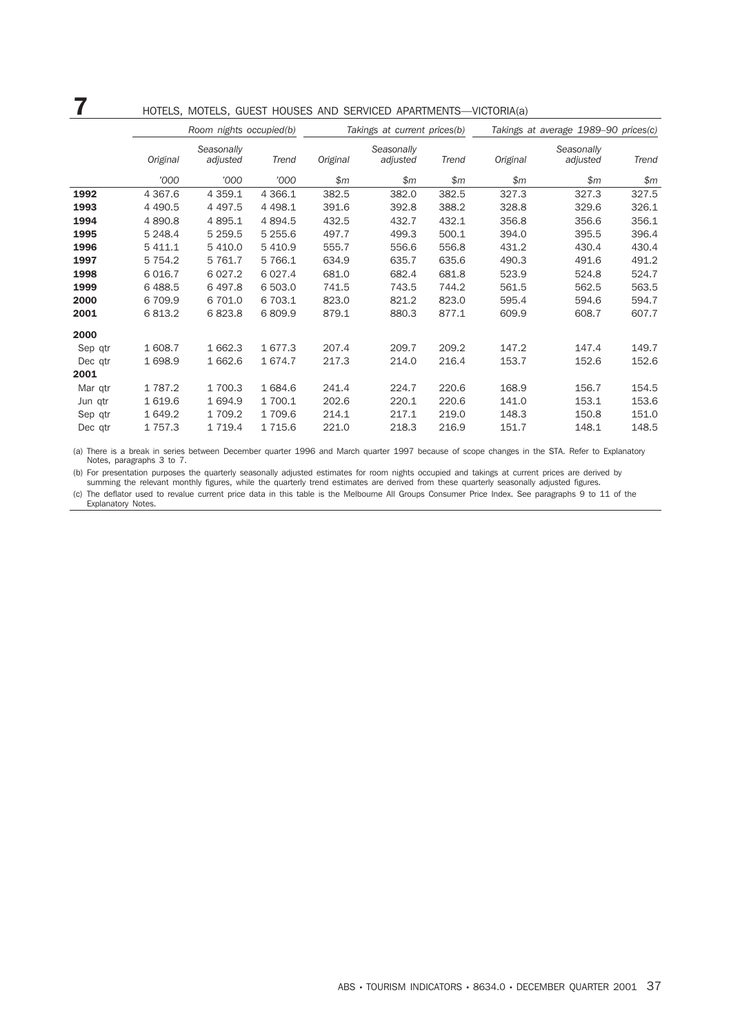## 7 HOTELS, MOTELS, GUEST HOUSES AND SERVICED APARTMENTS—VICTORIA(a)

|         |             | Room nights occupied(b) |           |          | Takings at current prices(b) |       | Takings at average 1989-90 prices(c) |                        |       |  |
|---------|-------------|-------------------------|-----------|----------|------------------------------|-------|--------------------------------------|------------------------|-------|--|
|         | Original    | Seasonally<br>adjusted  | Trend     | Original | Seasonally<br>adjusted       | Trend | Original                             | Seasonally<br>adjusted | Trend |  |
|         | '000        | '000                    | '000      | \$m      | \$m\$                        | \$m   | \$m\$                                | \$m                    | \$m\$ |  |
| 1992    | 4 3 6 7 . 6 | 4 3 5 9.1               | 4 3 6 6.1 | 382.5    | 382.0                        | 382.5 | 327.3                                | 327.3                  | 327.5 |  |
| 1993    | 4 4 9 0.5   | 4 4 9 7.5               | 4 4 9 8.1 | 391.6    | 392.8                        | 388.2 | 328.8                                | 329.6                  | 326.1 |  |
| 1994    | 4 890.8     | 4 8 9 5.1               | 4 8 9 4.5 | 432.5    | 432.7                        | 432.1 | 356.8                                | 356.6                  | 356.1 |  |
| 1995    | 5 248.4     | 5 2 5 9.5               | 5 255.6   | 497.7    | 499.3                        | 500.1 | 394.0                                | 395.5                  | 396.4 |  |
| 1996    | 5 411.1     | 5 4 1 0.0               | 5 4 1 0.9 | 555.7    | 556.6                        | 556.8 | 431.2                                | 430.4                  | 430.4 |  |
| 1997    | 5 7 5 4.2   | 5 7 6 1.7               | 5 7 6 6.1 | 634.9    | 635.7                        | 635.6 | 490.3                                | 491.6                  | 491.2 |  |
| 1998    | 6 0 16.7    | 6 0 27.2                | 6 0 27.4  | 681.0    | 682.4                        | 681.8 | 523.9                                | 524.8                  | 524.7 |  |
| 1999    | 6488.5      | 6497.8                  | 6 503.0   | 741.5    | 743.5                        | 744.2 | 561.5                                | 562.5                  | 563.5 |  |
| 2000    | 6709.9      | 6 701.0                 | 6 703.1   | 823.0    | 821.2                        | 823.0 | 595.4                                | 594.6                  | 594.7 |  |
| 2001    | 6813.2      | 6823.8                  | 6809.9    | 879.1    | 880.3                        | 877.1 | 609.9                                | 608.7                  | 607.7 |  |
| 2000    |             |                         |           |          |                              |       |                                      |                        |       |  |
| Sep qtr | 1 608.7     | 1 662.3                 | 1 677.3   | 207.4    | 209.7                        | 209.2 | 147.2                                | 147.4                  | 149.7 |  |
| Dec qtr | 1698.9      | 1 662.6                 | 1 674.7   | 217.3    | 214.0                        | 216.4 | 153.7                                | 152.6                  | 152.6 |  |
| 2001    |             |                         |           |          |                              |       |                                      |                        |       |  |
| Mar qtr | 1787.2      | 1 700.3                 | 1 684.6   | 241.4    | 224.7                        | 220.6 | 168.9                                | 156.7                  | 154.5 |  |
| Jun qtr | 1619.6      | 1 694.9                 | 1 700.1   | 202.6    | 220.1                        | 220.6 | 141.0                                | 153.1                  | 153.6 |  |
| Sep qtr | 1 649.2     | 1 709.2                 | 1 709.6   | 214.1    | 217.1                        | 219.0 | 148.3                                | 150.8                  | 151.0 |  |
| Dec qtr | 1757.3      | 1 7 1 9.4               | 1 7 1 5.6 | 221.0    | 218.3                        | 216.9 | 151.7                                | 148.1                  | 148.5 |  |

(a) There is a break in series between December quarter 1996 and March quarter 1997 because of scope changes in the STA. Refer to Explanatory Notes, paragraphs 3 to 7.

(b) For presentation purposes the quarterly seasonally adjusted estimates for room nights occupied and takings at current prices are derived by summing the relevant monthly figures, while the quarterly trend estimates are derived from these quarterly seasonally adjusted figures.

(c) The deflator used to revalue current price data in this table is the Melbourne All Groups Consumer Price Index. See paragraphs 9 to 11 of the Explanatory Notes.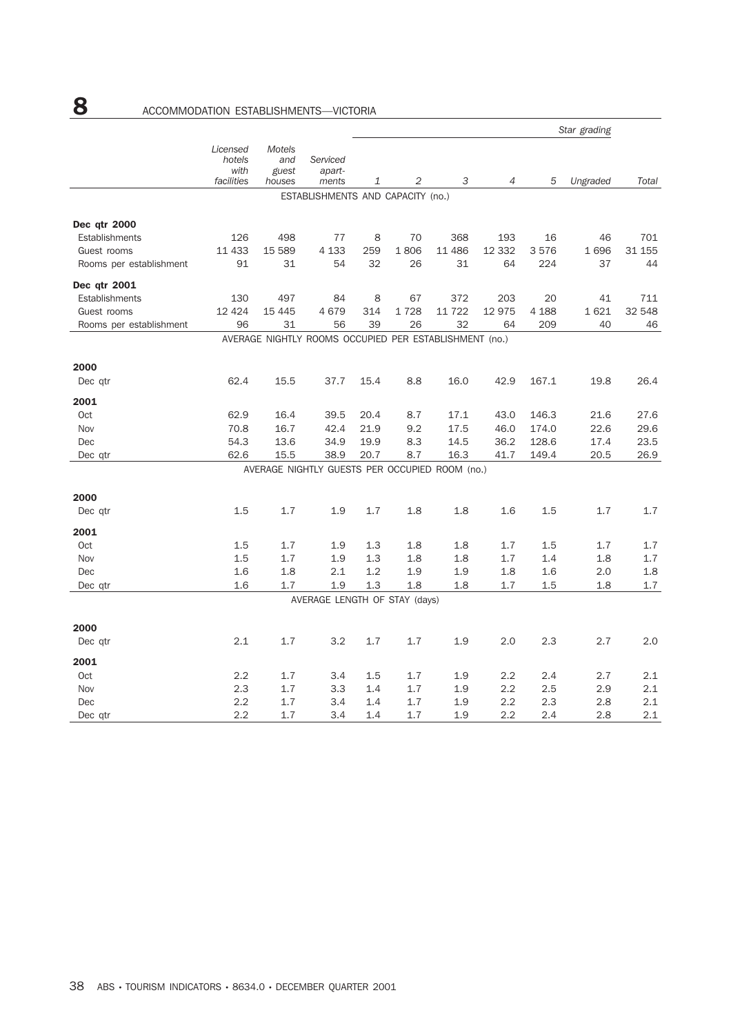|                         |                                          |                                         |                                                        |      |      |        |         |         | Star grading |        |
|-------------------------|------------------------------------------|-----------------------------------------|--------------------------------------------------------|------|------|--------|---------|---------|--------------|--------|
|                         | Licensed<br>hotels<br>with<br>facilities | <b>Motels</b><br>and<br>guest<br>houses | Serviced<br>apart-<br>ments                            | 1    | 2    | 3      | 4       | 5       | Ungraded     | Total  |
|                         |                                          |                                         | ESTABLISHMENTS AND CAPACITY (no.)                      |      |      |        |         |         |              |        |
|                         |                                          |                                         |                                                        |      |      |        |         |         |              |        |
| Dec qtr 2000            |                                          |                                         |                                                        |      |      |        |         |         |              |        |
| Establishments          | 126                                      | 498                                     | 77                                                     | 8    | 70   | 368    | 193     | 16      | 46           | 701    |
| Guest rooms             | 11 433                                   | 15 589                                  | 4 1 3 3                                                | 259  | 1806 | 11 486 | 12 3 32 | 3576    | 1696         | 31 155 |
| Rooms per establishment | 91                                       | 31                                      | 54                                                     | 32   | 26   | 31     | 64      | 224     | 37           | 44     |
| Dec qtr 2001            |                                          |                                         |                                                        |      |      |        |         |         |              |        |
| Establishments          | 130                                      | 497                                     | 84                                                     | 8    | 67   | 372    | 203     | 20      | 41           | 711    |
| Guest rooms             | 12 4 24                                  | 15 4 45                                 | 4679                                                   | 314  | 1728 | 11 722 | 12 975  | 4 1 8 8 | 1621         | 32 548 |
| Rooms per establishment | 96                                       | 31                                      | 56                                                     | 39   | 26   | 32     | 64      | 209     | 40           | 46     |
|                         |                                          |                                         | AVERAGE NIGHTLY ROOMS OCCUPIED PER ESTABLISHMENT (no.) |      |      |        |         |         |              |        |
| 2000                    |                                          |                                         |                                                        |      |      |        |         |         |              |        |
| Dec gtr                 | 62.4                                     | 15.5                                    | 37.7                                                   | 15.4 | 8.8  | 16.0   | 42.9    | 167.1   | 19.8         | 26.4   |
|                         |                                          |                                         |                                                        |      |      |        |         |         |              |        |
| 2001                    |                                          |                                         |                                                        |      |      |        |         |         |              |        |
| Oct                     | 62.9                                     | 16.4                                    | 39.5                                                   | 20.4 | 8.7  | 17.1   | 43.0    | 146.3   | 21.6         | 27.6   |
| Nov                     | 70.8                                     | 16.7                                    | 42.4                                                   | 21.9 | 9.2  | 17.5   | 46.0    | 174.0   | 22.6         | 29.6   |
| Dec                     | 54.3                                     | 13.6                                    | 34.9                                                   | 19.9 | 8.3  | 14.5   | 36.2    | 128.6   | 17.4         | 23.5   |
| Dec qtr                 | 62.6                                     | 15.5                                    | 38.9                                                   | 20.7 | 8.7  | 16.3   | 41.7    | 149.4   | 20.5         | 26.9   |
|                         |                                          |                                         | AVERAGE NIGHTLY GUESTS PER OCCUPIED ROOM (no.)         |      |      |        |         |         |              |        |
| 2000                    |                                          |                                         |                                                        |      |      |        |         |         |              |        |
| Dec gtr                 | 1.5                                      | 1.7                                     | 1.9                                                    | 1.7  | 1.8  | 1.8    | 1.6     | 1.5     | 1.7          | 1.7    |
| 2001                    |                                          |                                         |                                                        |      |      |        |         |         |              |        |
| Oct                     | 1.5                                      | 1.7                                     | 1.9                                                    | 1.3  | 1.8  | 1.8    | 1.7     | 1.5     | 1.7          | 1.7    |
| Nov                     | 1.5                                      | 1.7                                     | 1.9                                                    | 1.3  | 1.8  | 1.8    | 1.7     | 1.4     | 1.8          | 1.7    |
| Dec                     | 1.6                                      | 1.8                                     | 2.1                                                    | 1.2  | 1.9  | 1.9    | 1.8     | 1.6     | 2.0          | 1.8    |
| Dec qtr                 | 1.6                                      | 1.7                                     | 1.9                                                    | 1.3  | 1.8  | 1.8    | 1.7     | 1.5     | 1.8          | 1.7    |
|                         |                                          |                                         | AVERAGE LENGTH OF STAY (days)                          |      |      |        |         |         |              |        |
|                         |                                          |                                         |                                                        |      |      |        |         |         |              |        |
| 2000                    |                                          |                                         |                                                        |      |      |        |         |         |              |        |
| Dec qtr                 | 2.1                                      | 1.7                                     | 3.2                                                    | 1.7  | 1.7  | 1.9    | 2.0     | 2.3     | 2.7          | 2.0    |
| 2001                    |                                          |                                         |                                                        |      |      |        |         |         |              |        |
| Oct                     | 2.2                                      | 1.7                                     | 3.4                                                    | 1.5  | 1.7  | 1.9    | 2.2     | 2.4     | 2.7          | 2.1    |
| Nov                     | 2.3                                      | 1.7                                     | 3.3                                                    | 1.4  | 1.7  | 1.9    | 2.2     | 2.5     | 2.9          | 2.1    |
| Dec                     | 2.2                                      | 1.7                                     | 3.4                                                    | 1.4  | 1.7  | 1.9    | $2.2\,$ | 2.3     | 2.8          | 2.1    |
| Dec qtr                 | 2.2                                      | 1.7                                     | 3.4                                                    | 1.4  | 1.7  | 1.9    | 2.2     | 2.4     | 2.8          | 2.1    |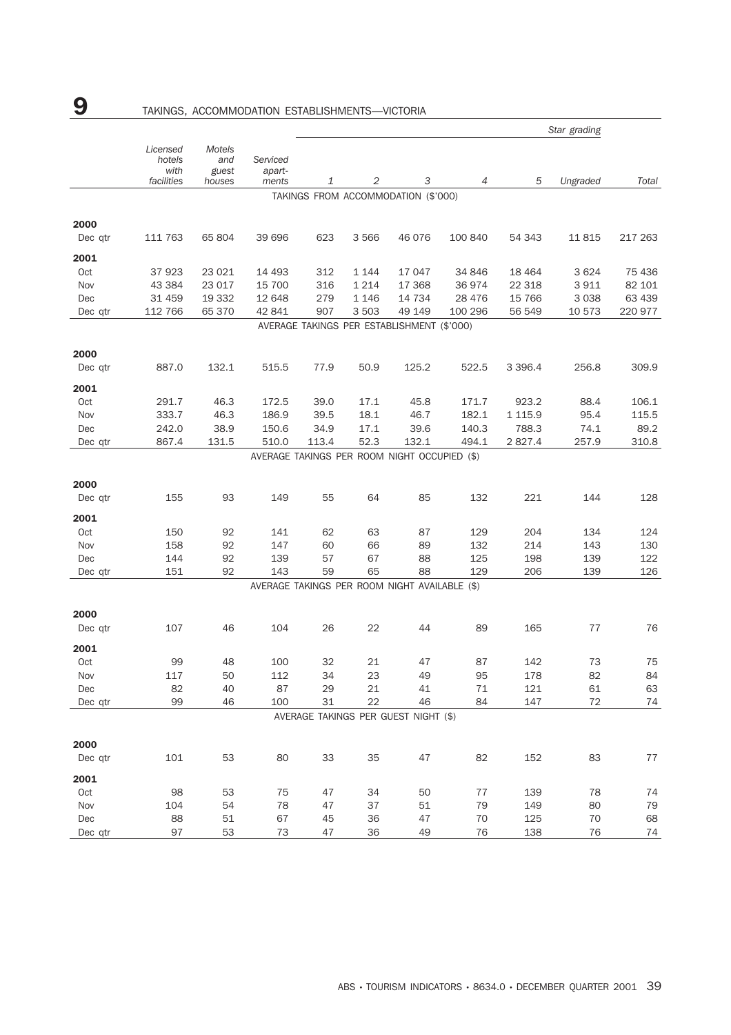|         |                                          |                                  | Star grading                |       |         |                                               |                |             |          |         |
|---------|------------------------------------------|----------------------------------|-----------------------------|-------|---------|-----------------------------------------------|----------------|-------------|----------|---------|
|         | Licensed<br>hotels<br>with<br>facilities | Motels<br>and<br>guest<br>houses | Serviced<br>apart-<br>ments | 1     | 2       | 3                                             | $\overline{4}$ | 5           | Ungraded | Total   |
|         |                                          |                                  |                             |       |         | TAKINGS FROM ACCOMMODATION (\$'000)           |                |             |          |         |
| 2000    |                                          |                                  |                             |       |         |                                               |                |             |          |         |
| Dec qtr | 111 763                                  | 65 804                           | 39 696                      | 623   | 3 5 6 6 | 46 076                                        | 100 840        | 54 343      | 11815    | 217 263 |
| 2001    |                                          |                                  |                             |       |         |                                               |                |             |          |         |
| Oct     | 37923                                    | 23 0 21                          | 14 4 93                     | 312   | 1 1 4 4 | 17 047                                        | 34 846         | 18 4 64     | 3 6 2 4  | 75 436  |
| Nov     | 43 3 84                                  | 23 017                           | 15 700                      | 316   | 1 2 1 4 | 17 3 68                                       | 36974          | 22 3 18     | 3 9 1 1  | 82 101  |
| Dec     | 31 459                                   | 19 3 32                          | 12 648                      | 279   | 1 1 4 6 | 14 7 34                                       | 28 4 7 6       | 15 766      | 3 0 3 8  | 63 439  |
| Dec qtr | 112 766                                  | 65 370                           | 42 841                      | 907   | 3 5 0 3 | 49 149                                        | 100 296        | 56 549      | 10 573   | 220 977 |
|         |                                          |                                  |                             |       |         | AVERAGE TAKINGS PER ESTABLISHMENT (\$'000)    |                |             |          |         |
| 2000    |                                          |                                  |                             |       |         |                                               |                |             |          |         |
| Dec qtr | 887.0                                    | 132.1                            | 515.5                       | 77.9  | 50.9    | 125.2                                         | 522.5          | 3 3 9 6.4   | 256.8    | 309.9   |
| 2001    |                                          |                                  |                             |       |         |                                               |                |             |          |         |
| Oct     | 291.7                                    | 46.3                             | 172.5                       | 39.0  | 17.1    | 45.8                                          | 171.7          | 923.2       | 88.4     | 106.1   |
| Nov     | 333.7                                    | 46.3                             | 186.9                       | 39.5  | 18.1    | 46.7                                          | 182.1          | 1 1 1 5.9   | 95.4     | 115.5   |
| Dec     | 242.0                                    | 38.9                             | 150.6                       | 34.9  | 17.1    | 39.6                                          | 140.3          | 788.3       | 74.1     | 89.2    |
| Dec qtr | 867.4                                    | 131.5                            | 510.0                       | 113.4 | 52.3    | 132.1                                         | 494.1          | 2 8 2 7 . 4 | 257.9    | 310.8   |
|         |                                          |                                  |                             |       |         | AVERAGE TAKINGS PER ROOM NIGHT OCCUPIED (\$)  |                |             |          |         |
| 2000    |                                          |                                  |                             |       |         |                                               |                |             |          |         |
| Dec qtr | 155                                      | 93                               | 149                         | 55    | 64      | 85                                            | 132            | 221         | 144      | 128     |
|         |                                          |                                  |                             |       |         |                                               |                |             |          |         |
| 2001    |                                          |                                  |                             |       |         |                                               |                |             |          |         |
| Oct     | 150                                      | 92                               | 141                         | 62    | 63      | 87                                            | 129            | 204         | 134      | 124     |
| Nov     | 158                                      | 92                               | 147                         | 60    | 66      | 89                                            | 132            | 214         | 143      | 130     |
| Dec     | 144                                      | 92                               | 139                         | 57    | 67      | 88                                            | 125            | 198         | 139      | 122     |
| Dec qtr | 151                                      | 92                               | 143                         | 59    | 65      | 88                                            | 129            | 206         | 139      | 126     |
|         |                                          |                                  |                             |       |         | AVERAGE TAKINGS PER ROOM NIGHT AVAILABLE (\$) |                |             |          |         |
| 2000    |                                          |                                  |                             |       |         |                                               |                |             |          |         |
| Dec qtr | 107                                      | 46                               | 104                         | 26    | 22      | 44                                            | 89             | 165         | 77       | 76      |
| 2001    |                                          |                                  |                             |       |         |                                               |                |             |          |         |
| Oct     | 99                                       | 48                               | 100                         | 32    | 21      | 47                                            | 87             | 142         | 73       | 75      |
| Nov     | 117                                      | 50                               | 112                         | 34    | 23      | 49                                            | 95             | 178         | 82       | 84      |
| Dec     | 82                                       | 40                               | 87                          | 29    | 21      | 41                                            | 71             | 121         | 61       | 63      |
| Dec qtr | 99                                       | 46                               | 100                         | 31    | 22      | 46                                            | 84             | 147         | 72       | 74      |
|         |                                          |                                  |                             |       |         | AVERAGE TAKINGS PER GUEST NIGHT (\$)          |                |             |          |         |
| 2000    |                                          |                                  |                             |       |         |                                               |                |             |          |         |
| Dec qtr | 101                                      | 53                               | 80                          | 33    | 35      | 47                                            | 82             | 152         | 83       | 77      |
| 2001    |                                          |                                  |                             |       |         |                                               |                |             |          |         |
| Oct     | 98                                       | 53                               | 75                          | 47    | 34      | 50                                            | 77             | 139         | 78       | 74      |
| Nov     | 104                                      | 54                               | 78                          | 47    | 37      | 51                                            | 79             | 149         | 80       | 79      |
| Dec     | 88                                       | 51                               | 67                          | 45    | 36      | 47                                            | 70             | 125         | 70       | 68      |
| Dec qtr | 97                                       | 53                               | 73                          | 47    | 36      | 49                                            | 76             | 138         | 76       | 74      |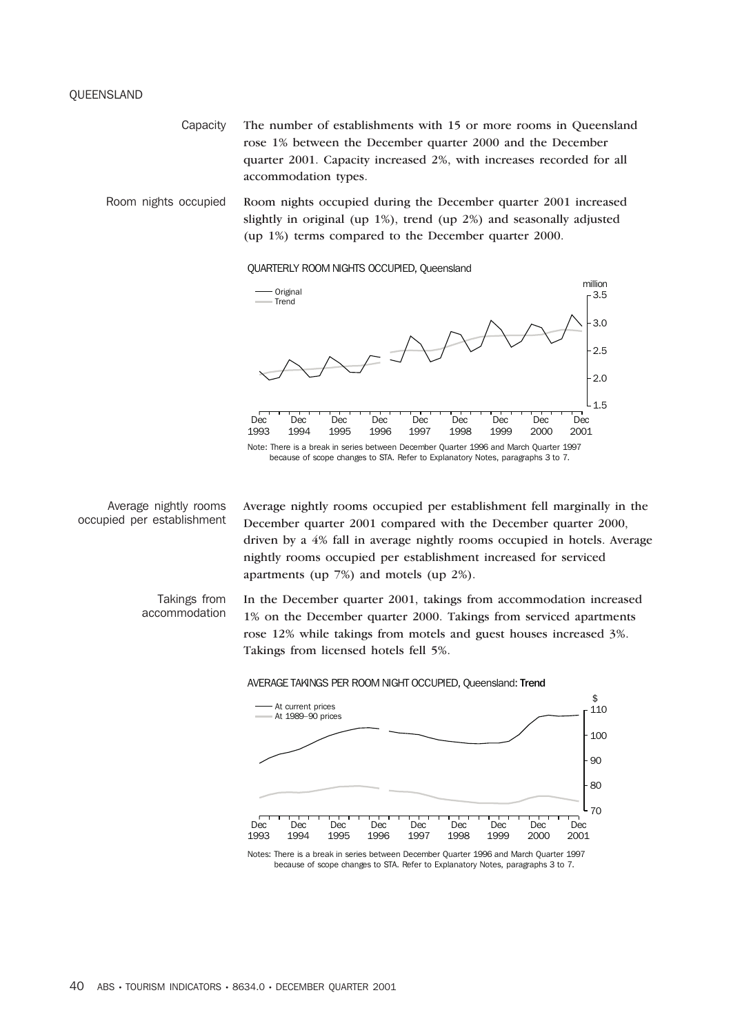### QUEENSLAND

Capacity The number of establishments with 15 or more rooms in Queensland rose 1% between the December quarter 2000 and the December quarter 2001. Capacity increased 2%, with increases recorded for all accommodation types.

Room nights occupied Room nights occupied during the December quarter 2001 increased slightly in original (up 1%), trend (up 2%) and seasonally adjusted (up 1%) terms compared to the December quarter 2000.

QUARTERLY ROOM NIGHTS OCCUPIED, Queensland



Average nightly rooms occupied per establishment Average nightly rooms occupied per establishment fell marginally in the December quarter 2001 compared with the December quarter 2000, driven by a 4% fall in average nightly rooms occupied in hotels. Average nightly rooms occupied per establishment increased for serviced apartments (up 7%) and motels (up 2%).

Takings from accommodation

In the December quarter 2001, takings from accommodation increased 1% on the December quarter 2000. Takings from serviced apartments rose 12% while takings from motels and guest houses increased 3%. Takings from licensed hotels fell 5%.

### AVERAGE TAKINGS PER ROOM NIGHT OCCUPIED, Queensland: Trend



because of scope changes to STA. Refer to Explanatory Notes, paragraphs 3 to 7.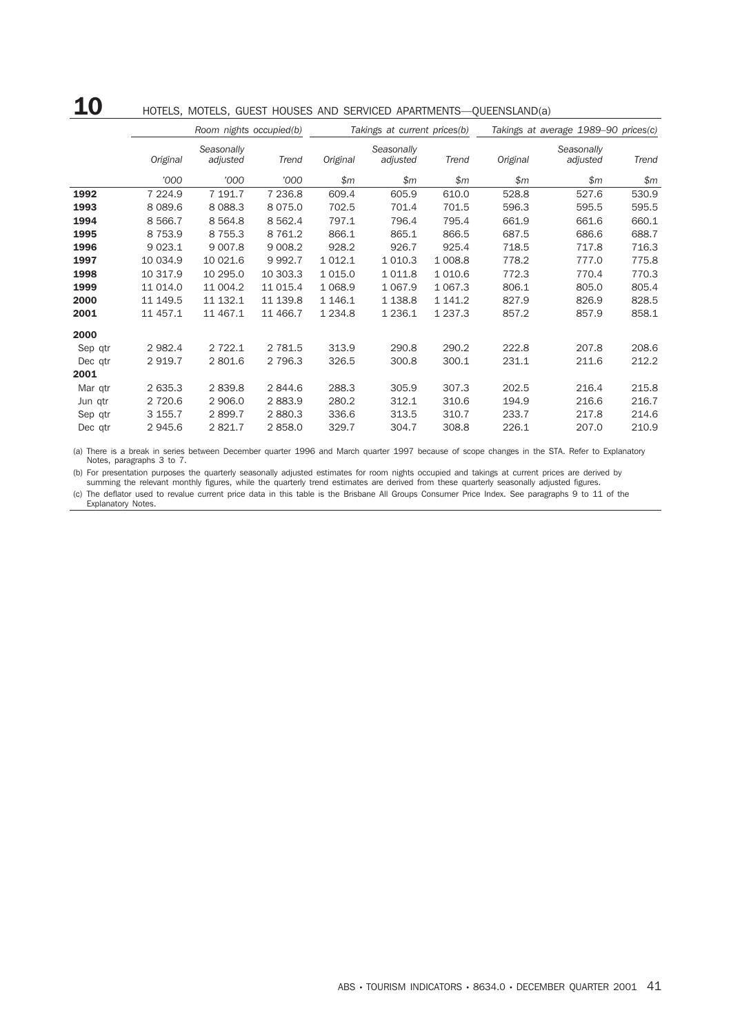## 10 HOTELS, MOTELS, GUEST HOUSES AND SERVICED APARTMENTS—QUEENSLAND(a)

|         |           | Room nights occupied(b) |            |             | Takings at current prices(b) |             | Takings at average 1989-90 prices(c) |            |       |  |
|---------|-----------|-------------------------|------------|-------------|------------------------------|-------------|--------------------------------------|------------|-------|--|
|         |           | Seasonally              |            |             | Seasonally                   |             |                                      | Seasonally |       |  |
|         | Original  | adjusted                | Trend      | Original    | adjusted                     | Trend       | Original                             | adjusted   | Trend |  |
|         | '000      | '000                    | '000       | \$m\$       | \$m\$                        | \$m\$       | \$m                                  | \$m        | \$m\$ |  |
| 1992    | 7 2 2 4.9 | 7 191.7                 | 7 236.8    | 609.4       | 605.9                        | 610.0       | 528.8                                | 527.6      | 530.9 |  |
| 1993    | 8 0 8 9.6 | 8 0 8 8.3               | 8 0 7 5 .0 | 702.5       | 701.4                        | 701.5       | 596.3                                | 595.5      | 595.5 |  |
| 1994    | 8 5 6 6.7 | 8 5 6 4.8               | 8 5 6 2.4  | 797.1       | 796.4                        | 795.4       | 661.9                                | 661.6      | 660.1 |  |
| 1995    | 8 7 5 3.9 | 8 7 5 5.3               | 8 7 6 1.2  | 866.1       | 865.1                        | 866.5       | 687.5                                | 686.6      | 688.7 |  |
| 1996    | 9 0 23.1  | 9 0 0 7.8               | 9 0 0 8.2  | 928.2       | 926.7                        | 925.4       | 718.5                                | 717.8      | 716.3 |  |
| 1997    | 10 034.9  | 10 021.6                | 9992.7     | 1 0 1 2.1   | 1 0 1 0.3                    | 1 008.8     | 778.2                                | 777.0      | 775.8 |  |
| 1998    | 10 317.9  | 10 295.0                | 10 303.3   | 1 0 1 5 .0  | 1011.8                       | 1 0 1 0.6   | 772.3                                | 770.4      | 770.3 |  |
| 1999    | 11 014.0  | 11 004.2                | 11 0 15.4  | 1 0 68.9    | 1 0 6 7 .9                   | 1 0 67.3    | 806.1                                | 805.0      | 805.4 |  |
| 2000    | 11 149.5  | 11 132.1                | 11 139.8   | 1 1 4 6 . 1 | 1 1 38.8                     | 1 141.2     | 827.9                                | 826.9      | 828.5 |  |
| 2001    | 11 457.1  | 11 467.1                | 11 466.7   | 1 2 3 4.8   | 1 2 3 6.1                    | 1 2 3 7 . 3 | 857.2                                | 857.9      | 858.1 |  |
| 2000    |           |                         |            |             |                              |             |                                      |            |       |  |
| Sep qtr | 2 9 8 2.4 | 2 7 2 2.1               | 2 7 8 1.5  | 313.9       | 290.8                        | 290.2       | 222.8                                | 207.8      | 208.6 |  |
| Dec qtr | 2 9 1 9.7 | 2 801.6                 | 2 7 9 6.3  | 326.5       | 300.8                        | 300.1       | 231.1                                | 211.6      | 212.2 |  |
| 2001    |           |                         |            |             |                              |             |                                      |            |       |  |
| Mar qtr | 2 635.3   | 2839.8                  | 2844.6     | 288.3       | 305.9                        | 307.3       | 202.5                                | 216.4      | 215.8 |  |
| Jun qtr | 2 7 2 0.6 | 2 906.0                 | 2883.9     | 280.2       | 312.1                        | 310.6       | 194.9                                | 216.6      | 216.7 |  |
| Sep qtr | 3 155.7   | 2899.7                  | 2880.3     | 336.6       | 313.5                        | 310.7       | 233.7                                | 217.8      | 214.6 |  |
| Dec qtr | 2 945.6   | 2821.7                  | 2858.0     | 329.7       | 304.7                        | 308.8       | 226.1                                | 207.0      | 210.9 |  |

(a) There is a break in series between December quarter 1996 and March quarter 1997 because of scope changes in the STA. Refer to Explanatory Notes, paragraphs 3 to 7.

(b) For presentation purposes the quarterly seasonally adjusted estimates for room nights occupied and takings at current prices are derived by summing the relevant monthly figures, while the quarterly trend estimates are derived from these quarterly seasonally adjusted figures.

(c) The deflator used to revalue current price data in this table is the Brisbane All Groups Consumer Price Index. See paragraphs 9 to 11 of the Explanatory Notes.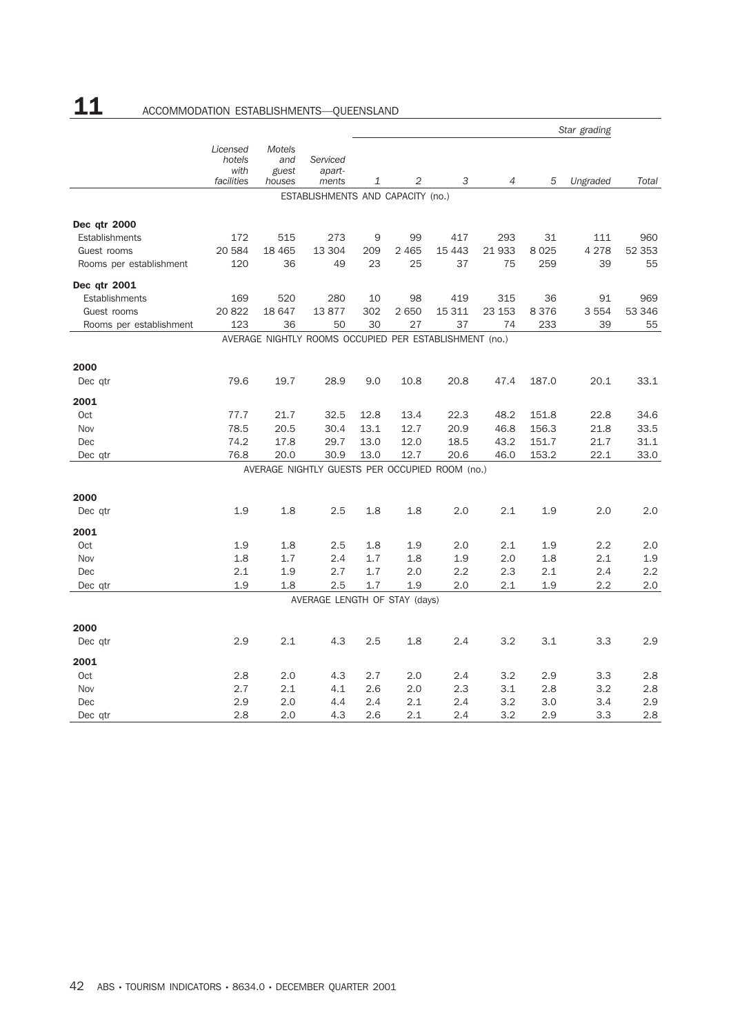# 11 ACCOMMODATION ESTABLISHMENTS-QUEENSLAND

|                         |                                          |                                  |                                                        |            |            |            |            |            | Star grading |            |
|-------------------------|------------------------------------------|----------------------------------|--------------------------------------------------------|------------|------------|------------|------------|------------|--------------|------------|
|                         | Licensed<br>hotels<br>with<br>facilities | Motels<br>and<br>guest<br>houses | Serviced<br>apart-<br>ments                            | 1          | 2          | 3          | 4          | 5          | Ungraded     | Total      |
|                         |                                          |                                  | ESTABLISHMENTS AND CAPACITY (no.)                      |            |            |            |            |            |              |            |
|                         |                                          |                                  |                                                        |            |            |            |            |            |              |            |
| Dec qtr 2000            |                                          |                                  |                                                        |            |            |            |            |            |              |            |
| Establishments          | 172                                      | 515                              | 273                                                    | 9          | 99         | 417        | 293        | 31         | 111          | 960        |
| Guest rooms             | 20 584                                   | 18 4 65                          | 13 304                                                 | 209        | 2 4 6 5    | 15 4 43    | 21933      | 8025       | 4 2 7 8      | 52 353     |
| Rooms per establishment | 120                                      | 36                               | 49                                                     | 23         | 25         | 37         | 75         | 259        | 39           | 55         |
| Dec qtr 2001            |                                          |                                  |                                                        |            |            |            |            |            |              |            |
| Establishments          | 169                                      | 520                              | 280                                                    | 10         | 98         | 419        | 315        | 36         | 91           | 969        |
| Guest rooms             | 20 822                                   | 18 647                           | 13877                                                  | 302        | 2 6 5 0    | 15 311     | 23 153     | 8376       | 3 5 5 4      | 53 346     |
| Rooms per establishment | 123                                      | 36                               | 50                                                     | 30         | 27         | 37         | 74         | 233        | 39           | 55         |
|                         |                                          |                                  | AVERAGE NIGHTLY ROOMS OCCUPIED PER ESTABLISHMENT (no.) |            |            |            |            |            |              |            |
| 2000                    |                                          |                                  |                                                        |            |            |            |            |            |              |            |
| Dec qtr                 | 79.6                                     | 19.7                             | 28.9                                                   | 9.0        | 10.8       | 20.8       | 47.4       | 187.0      | 20.1         | 33.1       |
| 2001                    |                                          |                                  |                                                        |            |            |            |            |            |              |            |
| Oct                     | 77.7                                     | 21.7                             | 32.5                                                   | 12.8       | 13.4       | 22.3       | 48.2       | 151.8      | 22.8         | 34.6       |
| Nov                     | 78.5                                     | 20.5                             | 30.4                                                   | 13.1       | 12.7       | 20.9       | 46.8       | 156.3      | 21.8         | 33.5       |
| Dec                     | 74.2                                     | 17.8                             | 29.7                                                   | 13.0       | 12.0       | 18.5       | 43.2       | 151.7      | 21.7         | 31.1       |
| Dec qtr                 | 76.8                                     | 20.0                             | 30.9                                                   | 13.0       | 12.7       | 20.6       | 46.0       | 153.2      | 22.1         | 33.0       |
|                         |                                          |                                  | AVERAGE NIGHTLY GUESTS PER OCCUPIED ROOM (no.)         |            |            |            |            |            |              |            |
| 2000                    |                                          |                                  |                                                        |            |            |            |            |            |              |            |
| Dec qtr                 | 1.9                                      | 1.8                              | 2.5                                                    | 1.8        | 1.8        | 2.0        | 2.1        | 1.9        | 2.0          | 2.0        |
|                         |                                          |                                  |                                                        |            |            |            |            |            |              |            |
| 2001                    |                                          |                                  |                                                        |            |            |            |            |            |              |            |
| Oct<br>Nov              | 1.9<br>1.8                               | 1.8<br>1.7                       | 2.5<br>2.4                                             | 1.8<br>1.7 | 1.9        | 2.0        | 2.1        | 1.9        | 2.2<br>2.1   | 2.0<br>1.9 |
| Dec                     | 2.1                                      | 1.9                              | 2.7                                                    | 1.7        | 1.8<br>2.0 | 1.9<br>2.2 | 2.0<br>2.3 | 1.8<br>2.1 | 2.4          | 2.2        |
| Dec qtr                 | 1.9                                      | 1.8                              | 2.5                                                    | 1.7        | 1.9        | 2.0        | 2.1        | 1.9        | 2.2          | 2.0        |
|                         |                                          |                                  | AVERAGE LENGTH OF STAY (days)                          |            |            |            |            |            |              |            |
|                         |                                          |                                  |                                                        |            |            |            |            |            |              |            |
| 2000                    |                                          |                                  |                                                        |            |            |            |            |            |              |            |
| Dec qtr                 | 2.9                                      | 2.1                              | 4.3                                                    | 2.5        | 1.8        | 2.4        | 3.2        | 3.1        | 3.3          | 2.9        |
| 2001                    |                                          |                                  |                                                        |            |            |            |            |            |              |            |
| Oct                     | 2.8                                      | 2.0                              | 4.3                                                    | 2.7        | 2.0        | 2.4        | 3.2        | 2.9        | 3.3          | 2.8        |
| Nov                     | 2.7                                      | 2.1                              | 4.1                                                    | 2.6        | 2.0        | 2.3        | 3.1        | 2.8        | 3.2          | 2.8        |
| Dec                     | 2.9                                      | 2.0                              | 4.4                                                    | 2.4        | 2.1        | 2.4        | 3.2        | 3.0        | 3.4          | 2.9        |
| Dec qtr                 | 2.8                                      | 2.0                              | 4.3                                                    | 2.6        | 2.1        | 2.4        | 3.2        | 2.9        | 3.3          | 2.8        |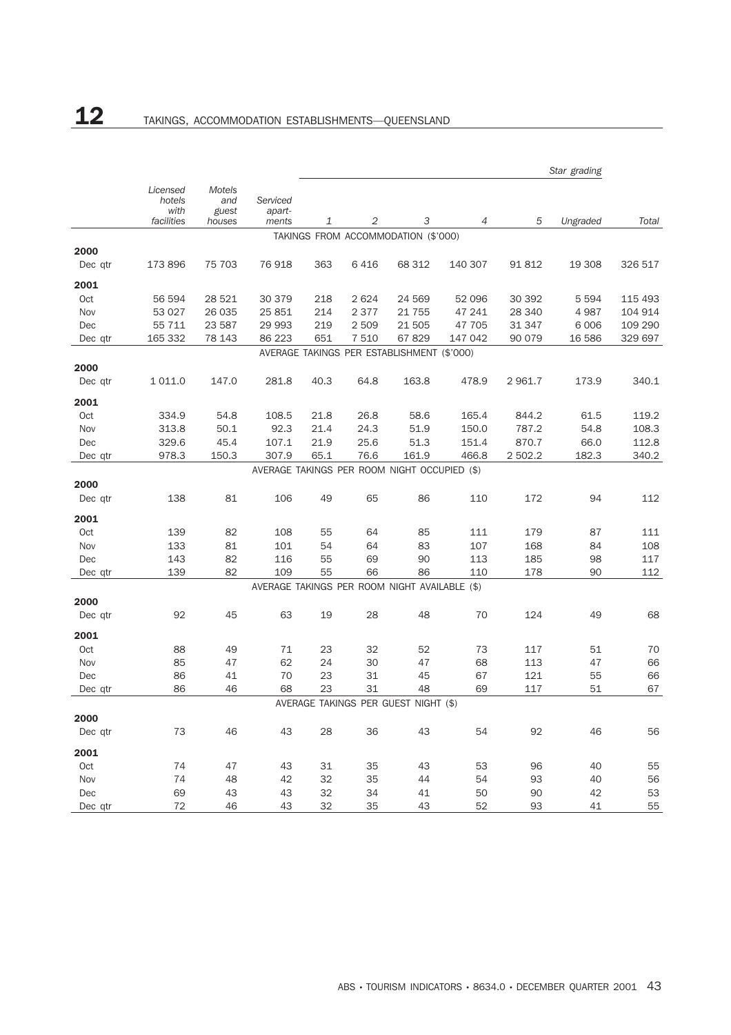|         | Star grading                             |                                         |                             |      |            |                                               |         |         |          |         |
|---------|------------------------------------------|-----------------------------------------|-----------------------------|------|------------|-----------------------------------------------|---------|---------|----------|---------|
|         | Licensed<br>hotels<br>with<br>facilities | <b>Motels</b><br>and<br>guest<br>houses | Serviced<br>apart-<br>ments | 1    | $\sqrt{2}$ | 3                                             | 4       | 5       | Ungraded | Total   |
|         |                                          |                                         |                             |      |            | TAKINGS FROM ACCOMMODATION (\$'000)           |         |         |          |         |
| 2000    |                                          |                                         |                             |      |            |                                               |         |         |          |         |
| Dec qtr | 173 896                                  | 75 703                                  | 76918                       | 363  | 6416       | 68 312                                        | 140 307 | 91 812  | 19 308   | 326 517 |
| 2001    |                                          |                                         |                             |      |            |                                               |         |         |          |         |
| Oct     | 56 594                                   | 28 5 21                                 | 30 379                      | 218  | 2 6 2 4    | 24 569                                        | 52 096  | 30 392  | 5 5 9 4  | 115 493 |
| Nov     | 53 0 27                                  | 26 035                                  | 25 851                      | 214  | 2 3 7 7    | 21 755                                        | 47 241  | 28 340  | 4 9 8 7  | 104 914 |
| Dec     | 55 711                                   | 23 587                                  | 29 993                      | 219  | 2 509      | 21 505                                        | 47 705  | 31 347  | 6 0 0 6  | 109 290 |
| Dec qtr | 165 332                                  | 78 143                                  | 86 223                      | 651  | 7 5 1 0    | 67829                                         | 147 042 | 90 079  | 16 586   | 329 697 |
|         |                                          |                                         |                             |      |            | AVERAGE TAKINGS PER ESTABLISHMENT (\$'000)    |         |         |          |         |
| 2000    |                                          |                                         |                             |      |            |                                               |         |         |          |         |
| Dec qtr | 1 0 1 1 .0                               | 147.0                                   | 281.8                       | 40.3 | 64.8       | 163.8                                         | 478.9   | 2 961.7 | 173.9    | 340.1   |
| 2001    |                                          |                                         |                             |      |            |                                               |         |         |          |         |
| Oct     | 334.9                                    | 54.8                                    | 108.5                       | 21.8 | 26.8       | 58.6                                          | 165.4   | 844.2   | 61.5     | 119.2   |
| Nov     | 313.8                                    | 50.1                                    | 92.3                        | 21.4 | 24.3       | 51.9                                          | 150.0   | 787.2   | 54.8     | 108.3   |
| Dec     | 329.6                                    | 45.4                                    | 107.1                       | 21.9 | 25.6       | 51.3                                          | 151.4   | 870.7   | 66.0     | 112.8   |
| Dec qtr | 978.3                                    | 150.3                                   | 307.9                       | 65.1 | 76.6       | 161.9                                         | 466.8   | 2 502.2 | 182.3    | 340.2   |
|         |                                          |                                         |                             |      |            | AVERAGE TAKINGS PER ROOM NIGHT OCCUPIED (\$)  |         |         |          |         |
| 2000    |                                          |                                         |                             |      |            |                                               |         |         |          |         |
| Dec qtr | 138                                      | 81                                      | 106                         | 49   | 65         | 86                                            | 110     | 172     | 94       | 112     |
| 2001    |                                          |                                         |                             |      |            |                                               |         |         |          |         |
| Oct     | 139                                      | 82                                      | 108                         | 55   | 64         | 85                                            | 111     | 179     | 87       | 111     |
| Nov     | 133                                      | 81                                      | 101                         | 54   | 64         | 83                                            | 107     | 168     | 84       | 108     |
| Dec     | 143                                      | 82                                      | 116                         | 55   | 69         | 90                                            | 113     | 185     | 98       | 117     |
| Dec qtr | 139                                      | 82                                      | 109                         | 55   | 66         | 86                                            | 110     | 178     | 90       | 112     |
|         |                                          |                                         |                             |      |            | AVERAGE TAKINGS PER ROOM NIGHT AVAILABLE (\$) |         |         |          |         |
| 2000    |                                          |                                         |                             |      |            |                                               |         |         |          |         |
| Dec qtr | 92                                       | 45                                      | 63                          | 19   | 28         | 48                                            | 70      | 124     | 49       | 68      |
| 2001    |                                          |                                         |                             |      |            |                                               |         |         |          |         |
| Oct     | 88                                       | 49                                      | 71                          | 23   | 32         | 52                                            | 73      | 117     | 51       | 70      |
| Nov     | 85                                       | 47                                      | 62                          | 24   | 30         | 47                                            | 68      | 113     | 47       | 66      |
| Dec     | 86                                       | 41                                      | 70                          | 23   | 31         | 45                                            | 67      | 121     | 55       | 66      |
| Dec qtr | 86                                       | 46                                      | 68                          | 23   | 31         | 48<br>AVERAGE TAKINGS PER GUEST NIGHT (\$)    | 69      | 117     | 51       | 67      |
| 2000    |                                          |                                         |                             |      |            |                                               |         |         |          |         |
| Dec qtr | 73                                       | 46                                      | 43                          | 28   | 36         | 43                                            | 54      | 92      | 46       | 56      |
| 2001    |                                          |                                         |                             |      |            |                                               |         |         |          |         |
| Oct     | 74                                       | 47                                      | 43                          | 31   | 35         | 43                                            | 53      | 96      | 40       | 55      |
| Nov     | 74                                       | 48                                      | 42                          | 32   | 35         | 44                                            | 54      | 93      | 40       | 56      |
| Dec     | 69                                       | 43                                      | 43                          | 32   | 34         | 41                                            | 50      | 90      | 42       | 53      |
| Dec qtr | 72                                       | 46                                      | 43                          | 32   | 35         | 43                                            | 52      | 93      | 41       | 55      |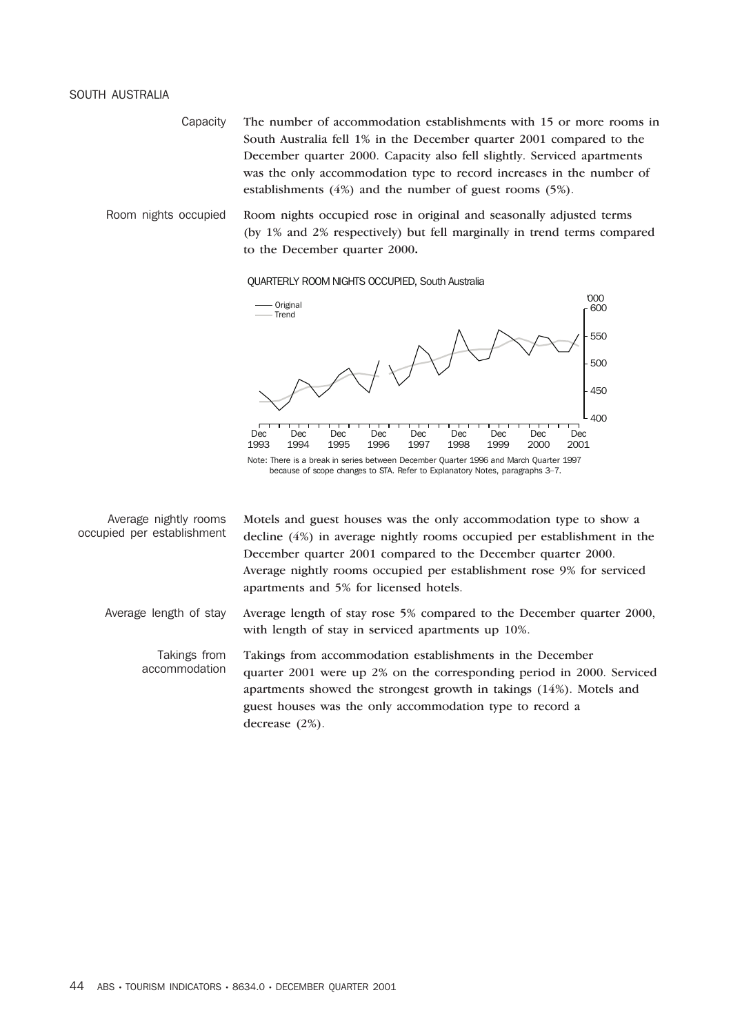Capacity The number of accommodation establishments with 15 or more rooms in South Australia fell 1% in the December quarter 2001 compared to the December quarter 2000. Capacity also fell slightly. Serviced apartments was the only accommodation type to record increases in the number of establishments (4%) and the number of guest rooms (5%).

Room nights occupied Room nights occupied rose in original and seasonally adjusted terms (by 1% and 2% respectively) but fell marginally in trend terms compared to the December quarter 2000**.**

### QUARTERLY ROOM NIGHTS OCCUPIED, South Australia



| Average nightly rooms<br>occupied per establishment | Motels and guest houses was the only accommodation type to show a<br>decline (4%) in average nightly rooms occupied per establishment in the |
|-----------------------------------------------------|----------------------------------------------------------------------------------------------------------------------------------------------|
|                                                     | December quarter 2001 compared to the December quarter 2000.                                                                                 |
|                                                     | Average nightly rooms occupied per establishment rose 9% for serviced<br>apartments and 5% for licensed hotels.                              |
| Average length of stay                              | Average length of stay rose 5% compared to the December quarter 2000,<br>with length of stay in serviced apartments up 10%.                  |

Takings from accommodation Takings from accommodation establishments in the December quarter 2001 were up 2% on the corresponding period in 2000. Serviced apartments showed the strongest growth in takings (14%). Motels and guest houses was the only accommodation type to record a decrease (2%).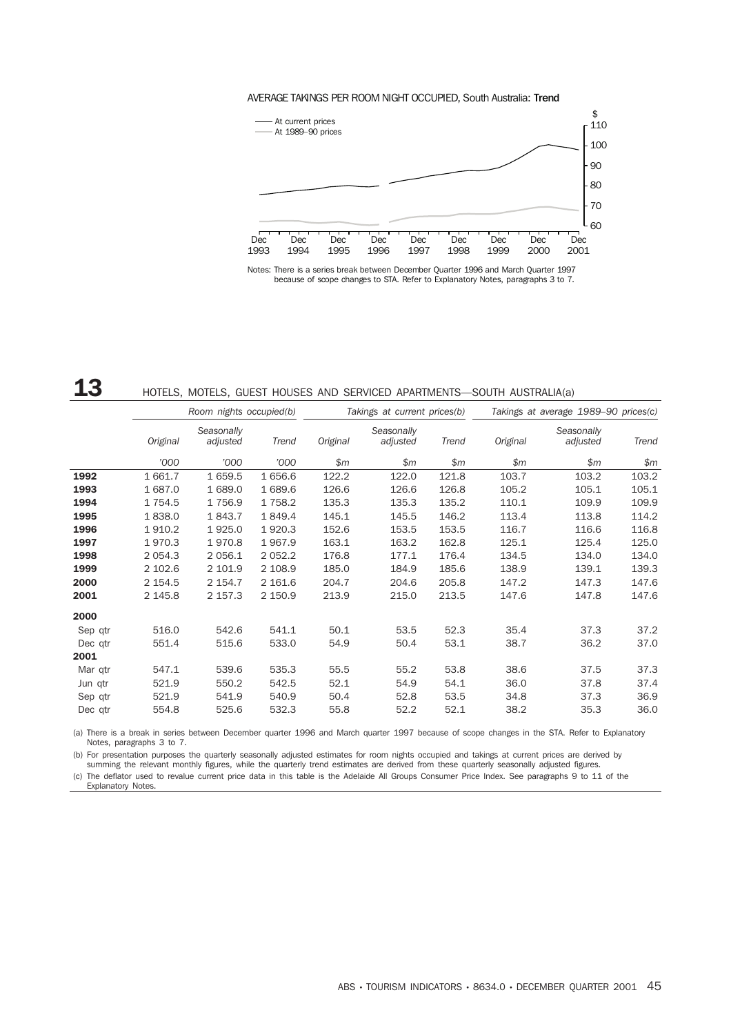## AVERAGE TAKINGS PER ROOM NIGHT OCCUPIED, South Australia: Trend



Notes: There is a series break between December Quarter 1996 and March Quarter 1997 because of scope changes to STA. Refer to Explanatory Notes, paragraphs 3 to 7.

## 13 HOTELS, MOTELS, GUEST HOUSES AND SERVICED APARTMENTS—SOUTH AUSTRALIA(a)

|         |             | Room nights occupied(b) |           |          | Takings at current prices(b) |       | Takings at average 1989-90 prices(c) |                        |       |  |
|---------|-------------|-------------------------|-----------|----------|------------------------------|-------|--------------------------------------|------------------------|-------|--|
|         | Original    | Seasonally<br>adjusted  | Trend     | Original | Seasonally<br>adjusted       | Trend | Original                             | Seasonally<br>adjusted | Trend |  |
|         | '000        | '000                    | '000      | \$m\$    | \$m\$                        | \$m\$ | \$m\$                                | \$m\$                  | \$m\$ |  |
| 1992    | 1 661.7     | 1 659.5                 | 1 656.6   | 122.2    | 122.0                        | 121.8 | 103.7                                | 103.2                  | 103.2 |  |
| 1993    | 1 687.0     | 1 689.0                 | 1 689.6   | 126.6    | 126.6                        | 126.8 | 105.2                                | 105.1                  | 105.1 |  |
| 1994    | 1754.5      | 1756.9                  | 1758.2    | 135.3    | 135.3                        | 135.2 | 110.1                                | 109.9                  | 109.9 |  |
| 1995    | 1838.0      | 1843.7                  | 1849.4    | 145.1    | 145.5                        | 146.2 | 113.4                                | 113.8                  | 114.2 |  |
| 1996    | 1910.2      | 1925.0                  | 1920.3    | 152.6    | 153.5                        | 153.5 | 116.7                                | 116.6                  | 116.8 |  |
| 1997    | 1970.3      | 1970.8                  | 1967.9    | 163.1    | 163.2                        | 162.8 | 125.1                                | 125.4                  | 125.0 |  |
| 1998    | 2 0 5 4 . 3 | 2 0 5 6.1               | 2 0 5 2.2 | 176.8    | 177.1                        | 176.4 | 134.5                                | 134.0                  | 134.0 |  |
| 1999    | 2 102.6     | 2 101.9                 | 2 108.9   | 185.0    | 184.9                        | 185.6 | 138.9                                | 139.1                  | 139.3 |  |
| 2000    | 2 154.5     | 2 154.7                 | 2 161.6   | 204.7    | 204.6                        | 205.8 | 147.2                                | 147.3                  | 147.6 |  |
| 2001    | 2 145.8     | 2 157.3                 | 2 150.9   | 213.9    | 215.0                        | 213.5 | 147.6                                | 147.8                  | 147.6 |  |
| 2000    |             |                         |           |          |                              |       |                                      |                        |       |  |
| Sep qtr | 516.0       | 542.6                   | 541.1     | 50.1     | 53.5                         | 52.3  | 35.4                                 | 37.3                   | 37.2  |  |
| Dec qtr | 551.4       | 515.6                   | 533.0     | 54.9     | 50.4                         | 53.1  | 38.7                                 | 36.2                   | 37.0  |  |
| 2001    |             |                         |           |          |                              |       |                                      |                        |       |  |
| Mar qtr | 547.1       | 539.6                   | 535.3     | 55.5     | 55.2                         | 53.8  | 38.6                                 | 37.5                   | 37.3  |  |
| Jun qtr | 521.9       | 550.2                   | 542.5     | 52.1     | 54.9                         | 54.1  | 36.0                                 | 37.8                   | 37.4  |  |
| Sep qtr | 521.9       | 541.9                   | 540.9     | 50.4     | 52.8                         | 53.5  | 34.8                                 | 37.3                   | 36.9  |  |
| Dec qtr | 554.8       | 525.6                   | 532.3     | 55.8     | 52.2                         | 52.1  | 38.2                                 | 35.3                   | 36.0  |  |

(a) There is a break in series between December quarter 1996 and March quarter 1997 because of scope changes in the STA. Refer to Explanatory Notes, paragraphs 3 to 7.

(b) For presentation purposes the quarterly seasonally adjusted estimates for room nights occupied and takings at current prices are derived by summing the relevant monthly figures, while the quarterly trend estimates are derived from these quarterly seasonally adjusted figures.

(c) The deflator used to revalue current price data in this table is the Adelaide All Groups Consumer Price Index. See paragraphs 9 to 11 of the Explanatory Notes.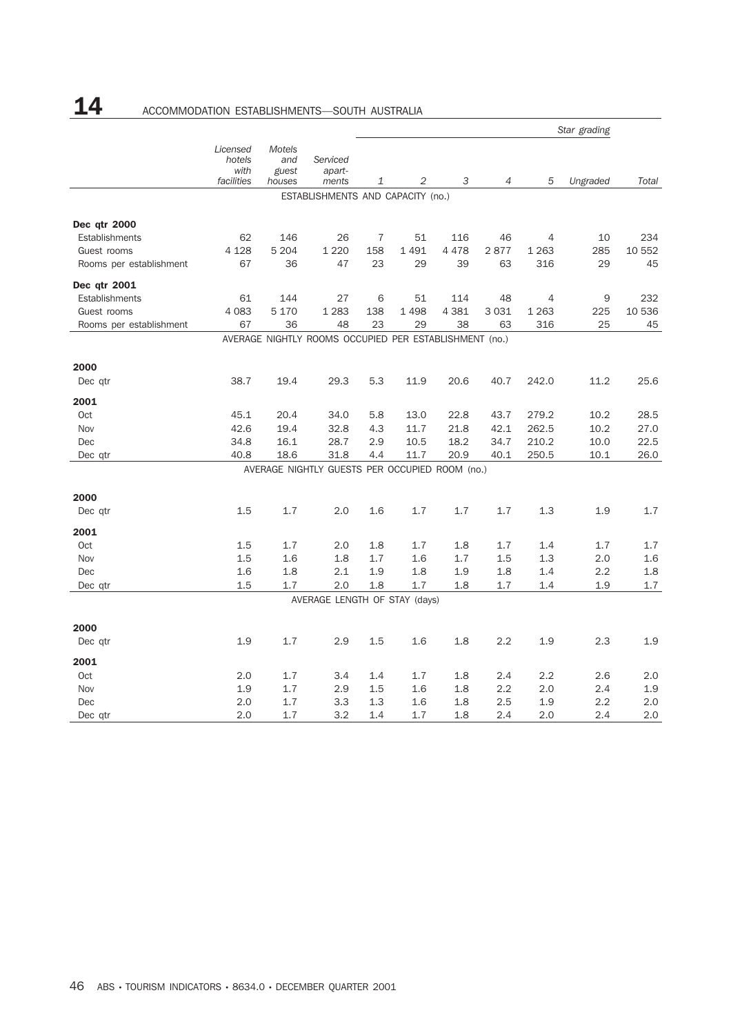# 14 ACCOMMODATION ESTABLISHMENTS-SOUTH AUSTRALIA

|                         |                                          |                                         |                                                        | Star grading   |                |         |                |                |          |        |
|-------------------------|------------------------------------------|-----------------------------------------|--------------------------------------------------------|----------------|----------------|---------|----------------|----------------|----------|--------|
|                         | Licensed<br>hotels<br>with<br>facilities | <b>Motels</b><br>and<br>guest<br>houses | Serviced<br>apart-<br>ments                            | 1              | $\overline{2}$ | 3       | $\overline{4}$ | 5              | Ungraded | Total  |
|                         |                                          |                                         | ESTABLISHMENTS AND CAPACITY (no.)                      |                |                |         |                |                |          |        |
|                         |                                          |                                         |                                                        |                |                |         |                |                |          |        |
| Dec qtr 2000            |                                          |                                         |                                                        |                |                |         |                |                |          |        |
| <b>Establishments</b>   | 62                                       | 146                                     | 26                                                     | $\overline{7}$ | 51             | 116     | 46             | $\overline{4}$ | 10       | 234    |
| Guest rooms             | 4 1 28                                   | 5 2 0 4                                 | 1 2 2 0                                                | 158            | 1491           | 4478    | 2877           | 1 2 6 3        | 285      | 10 552 |
| Rooms per establishment | 67                                       | 36                                      | 47                                                     | 23             | 29             | 39      | 63             | 316            | 29       | 45     |
| Dec qtr 2001            |                                          |                                         |                                                        |                |                |         |                |                |          |        |
| Establishments          | 61                                       | 144                                     | 27                                                     | 6              | 51             | 114     | 48             | $\overline{4}$ | 9        | 232    |
| Guest rooms             | 4 0 8 3                                  | 5 1 7 0                                 | 1 2 8 3                                                | 138            | 1498           | 4 3 8 1 | 3 0 3 1        | 1 2 6 3        | 225      | 10 536 |
| Rooms per establishment | 67                                       | 36                                      | 48                                                     | 23             | 29             | 38      | 63             | 316            | 25       | 45     |
|                         |                                          |                                         | AVERAGE NIGHTLY ROOMS OCCUPIED PER ESTABLISHMENT (no.) |                |                |         |                |                |          |        |
| 2000                    |                                          |                                         |                                                        |                |                |         |                |                |          |        |
| Dec gtr                 | 38.7                                     | 19.4                                    | 29.3                                                   | 5.3            | 11.9           | 20.6    | 40.7           | 242.0          | 11.2     | 25.6   |
| 2001                    |                                          |                                         |                                                        |                |                |         |                |                |          |        |
| <b>Oct</b>              | 45.1                                     | 20.4                                    | 34.0                                                   | 5.8            | 13.0           | 22.8    | 43.7           | 279.2          | 10.2     | 28.5   |
| Nov                     | 42.6                                     | 19.4                                    | 32.8                                                   | 4.3            | 11.7           | 21.8    | 42.1           | 262.5          | 10.2     | 27.0   |
| Dec                     | 34.8                                     | 16.1                                    | 28.7                                                   | 2.9            | 10.5           | 18.2    | 34.7           | 210.2          | 10.0     | 22.5   |
| Dec qtr                 | 40.8                                     | 18.6                                    | 31.8                                                   | 4.4            | 11.7           | 20.9    | 40.1           | 250.5          | 10.1     | 26.0   |
|                         |                                          |                                         | AVERAGE NIGHTLY GUESTS PER OCCUPIED ROOM (no.)         |                |                |         |                |                |          |        |
| 2000                    |                                          |                                         |                                                        |                |                |         |                |                |          |        |
| Dec qtr                 | 1.5                                      | 1.7                                     | 2.0                                                    | 1.6            | 1.7            | 1.7     | 1.7            | 1.3            | 1.9      | 1.7    |
| 2001                    |                                          |                                         |                                                        |                |                |         |                |                |          |        |
| Oct                     | 1.5                                      | 1.7                                     | 2.0                                                    | 1.8            | 1.7            | 1.8     | 1.7            | 1.4            | 1.7      | 1.7    |
| Nov                     | 1.5                                      | 1.6                                     | 1.8                                                    | 1.7            | 1.6            | 1.7     | 1.5            | 1.3            | 2.0      | 1.6    |
| Dec                     | 1.6                                      | 1.8                                     | 2.1                                                    | 1.9            | 1.8            | 1.9     | 1.8            | 1.4            | 2.2      | 1.8    |
| Dec qtr                 | 1.5                                      | 1.7                                     | 2.0                                                    | 1.8            | 1.7            | 1.8     | 1.7            | 1.4            | 1.9      | 1.7    |
|                         |                                          |                                         | AVERAGE LENGTH OF STAY (days)                          |                |                |         |                |                |          |        |
| 2000                    |                                          |                                         |                                                        |                |                |         |                |                |          |        |
| Dec qtr                 | 1.9                                      | 1.7                                     | 2.9                                                    | 1.5            | 1.6            | 1.8     | 2.2            | 1.9            | 2.3      | 1.9    |
| 2001                    |                                          |                                         |                                                        |                |                |         |                |                |          |        |
| Oct                     | 2.0                                      | 1.7                                     | 3.4                                                    | 1.4            | 1.7            | 1.8     | 2.4            | 2.2            | 2.6      | 2.0    |
| Nov                     | 1.9                                      | 1.7                                     | 2.9                                                    | 1.5            | 1.6            | 1.8     | 2.2            | 2.0            | 2.4      | 1.9    |
| Dec                     | 2.0                                      | 1.7                                     | 3.3                                                    | 1.3            | 1.6            | 1.8     | 2.5            | 1.9            | 2.2      | 2.0    |
| Dec qtr                 | 2.0                                      | 1.7                                     | 3.2                                                    | 1.4            | 1.7            | 1.8     | 2.4            | 2.0            | 2.4      | 2.0    |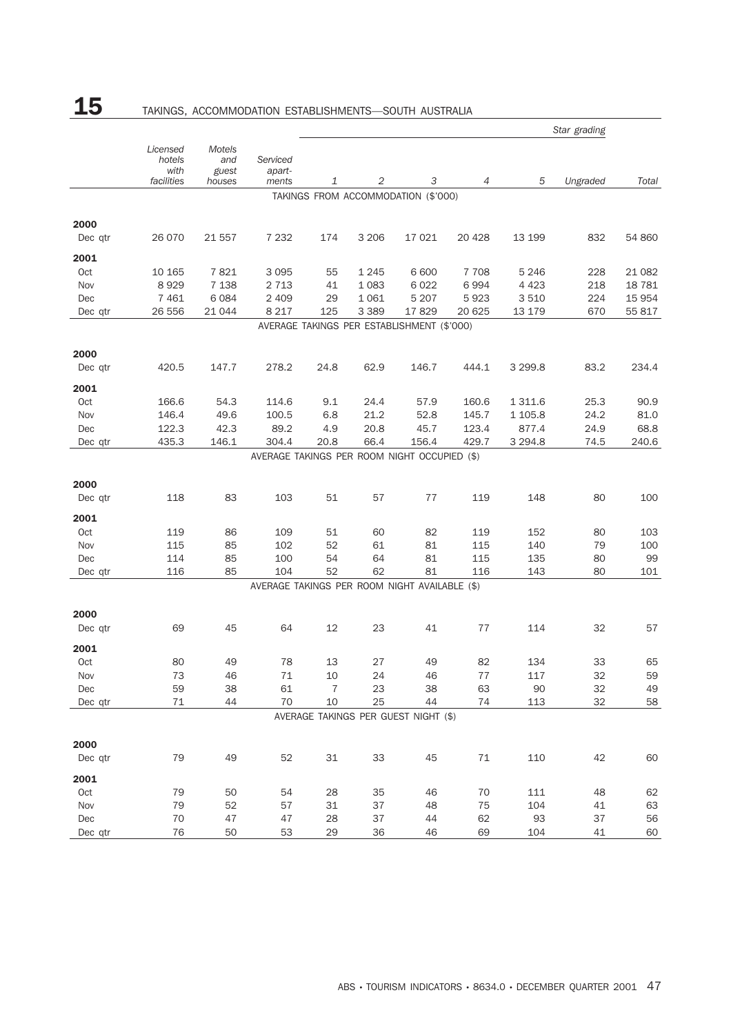# ${\bf 15}$  TAKINGS, ACCOMMODATION ESTABLISHMENTS—SOUTH AUSTRALIA

|            | Star grading                             |                                  |                                                       |                      |              |                                            |                |                    |              |           |
|------------|------------------------------------------|----------------------------------|-------------------------------------------------------|----------------------|--------------|--------------------------------------------|----------------|--------------------|--------------|-----------|
|            | Licensed<br>hotels<br>with<br>facilities | Motels<br>and<br>guest<br>houses | Serviced<br>apart-<br>ments                           | 1                    | 2            | 3                                          | 4              | 5                  | Ungraded     | Total     |
|            |                                          |                                  |                                                       |                      |              | TAKINGS FROM ACCOMMODATION (\$'000)        |                |                    |              |           |
|            |                                          |                                  |                                                       |                      |              |                                            |                |                    |              |           |
| 2000       |                                          |                                  |                                                       |                      |              |                                            |                |                    |              |           |
| Dec qtr    | 26 0 70                                  | 21 557                           | 7 2 3 2                                               | 174                  | 3 2 0 6      | 17 021                                     | 20 4 28        | 13 199             | 832          | 54 860    |
| 2001       |                                          |                                  |                                                       |                      |              |                                            |                |                    |              |           |
| Oct        | 10 165                                   | 7821                             | 3095                                                  | 55                   | 1 2 4 5      | 6 600                                      | 7 7 0 8        | 5 2 4 6            | 228          | 21 082    |
| Nov        | 8929                                     | 7 1 38                           | 2 7 1 3                                               | 41                   | 1 0 8 3      | 6 0 2 2                                    | 6994           | 4 4 2 3            | 218          | 18 781    |
| Dec        | 7461                                     | 6 0 8 4                          | 2 4 0 9                                               | 29                   | 1 0 6 1      | 5 2 0 7                                    | 5923           | 3 5 1 0            | 224          | 15 954    |
| Dec qtr    | 26 556                                   | 21 044                           | 8 2 1 7                                               | 125                  | 3 3 8 9      | 17829                                      | 20 6 25        | 13 179             | 670          | 55 817    |
|            |                                          |                                  |                                                       |                      |              | AVERAGE TAKINGS PER ESTABLISHMENT (\$'000) |                |                    |              |           |
| 2000       |                                          |                                  |                                                       |                      |              |                                            |                |                    |              |           |
| Dec qtr    | 420.5                                    | 147.7                            | 278.2                                                 | 24.8                 | 62.9         | 146.7                                      | 444.1          | 3 2 9 9.8          | 83.2         | 234.4     |
|            |                                          |                                  |                                                       |                      |              |                                            |                |                    |              |           |
| 2001       |                                          |                                  |                                                       |                      |              |                                            |                |                    |              |           |
| Oct        | 166.6                                    | 54.3                             | 114.6                                                 | 9.1                  | 24.4         | 57.9                                       | 160.6          | 1 3 1 1.6          | 25.3         | 90.9      |
| Nov        | 146.4                                    | 49.6                             | 100.5                                                 | 6.8                  | 21.2         | 52.8                                       | 145.7          | 1 105.8            | 24.2         | 81.0      |
| Dec        | 122.3<br>435.3                           | 42.3                             | 89.2                                                  | 4.9<br>20.8          | 20.8<br>66.4 | 45.7                                       | 123.4<br>429.7 | 877.4<br>3 2 9 4.8 | 24.9<br>74.5 | 68.8      |
| Dec qtr    |                                          | 146.1                            | 304.4<br>AVERAGE TAKINGS PER ROOM NIGHT OCCUPIED (\$) |                      |              | 156.4                                      |                |                    |              | 240.6     |
|            |                                          |                                  |                                                       |                      |              |                                            |                |                    |              |           |
| 2000       |                                          |                                  |                                                       |                      |              |                                            |                |                    |              |           |
| Dec qtr    | 118                                      | 83                               | 103                                                   | 51                   | 57           | 77                                         | 119            | 148                | 80           | 100       |
|            |                                          |                                  |                                                       |                      |              |                                            |                |                    |              |           |
| 2001       |                                          |                                  |                                                       |                      |              |                                            |                |                    |              |           |
| Oct        | 119                                      | 86                               | 109                                                   | 51                   | 60           | 82                                         | 119            | 152                | 80           | 103       |
| Nov        | 115                                      | 85                               | 102                                                   | 52                   | 61           | 81                                         | 115            | 140                | 79           | 100       |
| Dec        | 114<br>116                               | 85<br>85                         | 100<br>104                                            | 54<br>52             | 64<br>62     | 81<br>81                                   | 115<br>116     | 135<br>143         | 80<br>80     | 99<br>101 |
| Dec qtr    |                                          |                                  | AVERAGE TAKINGS PER ROOM NIGHT AVAILABLE (\$)         |                      |              |                                            |                |                    |              |           |
|            |                                          |                                  |                                                       |                      |              |                                            |                |                    |              |           |
| 2000       |                                          |                                  |                                                       |                      |              |                                            |                |                    |              |           |
| Dec gtr    | 69                                       | 45                               | 64                                                    | 12                   | 23           | 41                                         | 77             | 114                | 32           | 57        |
|            |                                          |                                  |                                                       |                      |              |                                            |                |                    |              |           |
| 2001       |                                          |                                  |                                                       |                      |              |                                            |                |                    |              |           |
| Oct        | 80                                       | 49                               | 78                                                    | 13                   | 27           | 49                                         | 82             | 134                | 33           | 65        |
| Nov        | 73                                       | 46                               | $71\,$                                                | $10$                 | 24           | 46                                         | $77\,$         | 117                | 32           | 59        |
| Dec        | 59                                       | 38<br>44                         | 61<br>70                                              | $\overline{7}$<br>10 | 23           | 38<br>44                                   | 63<br>74       | 90                 | 32           | 49        |
| Dec qtr    | 71                                       |                                  |                                                       |                      | 25           | AVERAGE TAKINGS PER GUEST NIGHT (\$)       |                | 113                | 32           | 58        |
|            |                                          |                                  |                                                       |                      |              |                                            |                |                    |              |           |
| 2000       |                                          |                                  |                                                       |                      |              |                                            |                |                    |              |           |
| Dec qtr    | 79                                       | 49                               | 52                                                    | 31                   | 33           | 45                                         | 71             | 110                | 42           | 60        |
|            |                                          |                                  |                                                       |                      |              |                                            |                |                    |              |           |
| 2001       |                                          |                                  |                                                       |                      |              |                                            |                |                    |              |           |
| Oct        | 79                                       | 50                               | 54                                                    | 28                   | 35           | 46                                         | 70             | 111                | 48           | 62        |
| Nov<br>Dec | 79<br>70                                 | 52<br>47                         | 57<br>47                                              | 31<br>28             | 37<br>37     | 48<br>44                                   | 75<br>62       | 104<br>93          | 41<br>37     | 63        |
| Dec qtr    | 76                                       | 50                               | 53                                                    | 29                   | 36           | 46                                         | 69             | 104                | 41           | 56<br>60  |
|            |                                          |                                  |                                                       |                      |              |                                            |                |                    |              |           |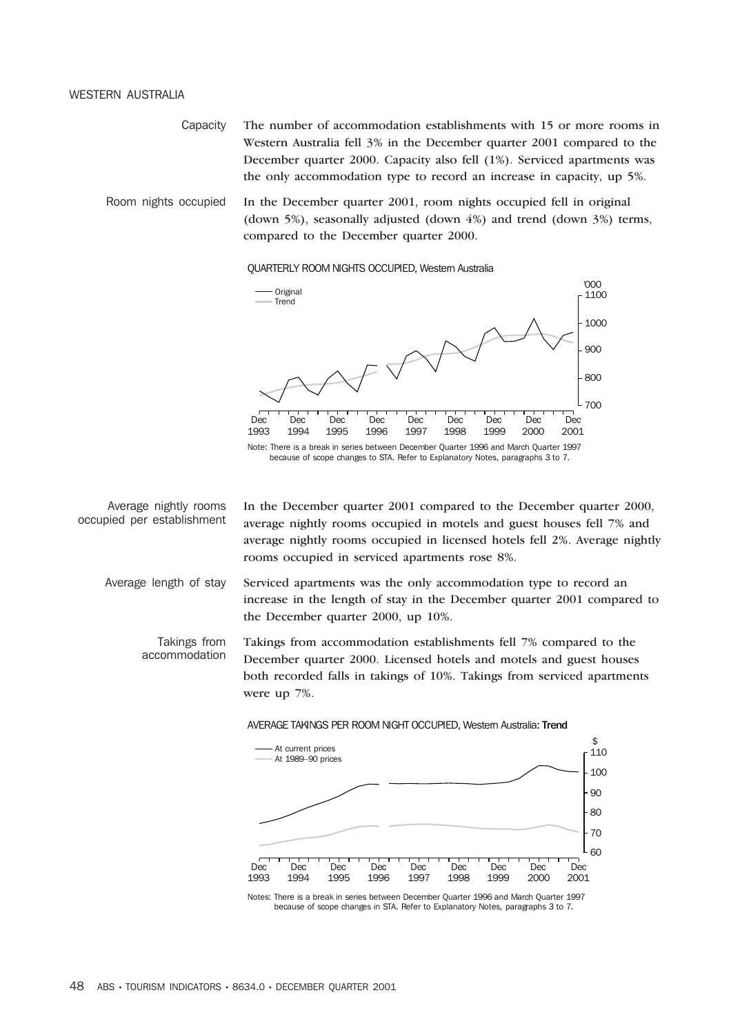### WESTERN AUSTRALIA

Capacity The number of accommodation establishments with 15 or more rooms in Western Australia fell 3% in the December quarter 2001 compared to the December quarter 2000. Capacity also fell (1%). Serviced apartments was the only accommodation type to record an increase in capacity, up 5%.

Room nights occupied In the December quarter 2001, room nights occupied fell in original (down 5%), seasonally adjusted (down 4%) and trend (down 3%) terms, compared to the December quarter 2000.

## QUARTERLY ROOM NIGHTS OCCUPIED, Western Australia



Average nightly rooms occupied per establishment In the December quarter 2001 compared to the December quarter 2000, average nightly rooms occupied in motels and guest houses fell 7% and average nightly rooms occupied in licensed hotels fell 2%. Average nightly rooms occupied in serviced apartments rose 8%.

Average length of stay Serviced apartments was the only accommodation type to record an increase in the length of stay in the December quarter 2001 compared to the December quarter 2000, up 10%.

Takings from accommodation Takings from accommodation establishments fell 7% compared to the December quarter 2000. Licensed hotels and motels and guest houses both recorded falls in takings of 10%. Takings from serviced apartments were up 7%.



Notes: There is a break in series between December Quarter 1996 and March Quarter 1997 because of scope changes in STA. Refer to Explanatory Notes, paragraphs 3 to 7.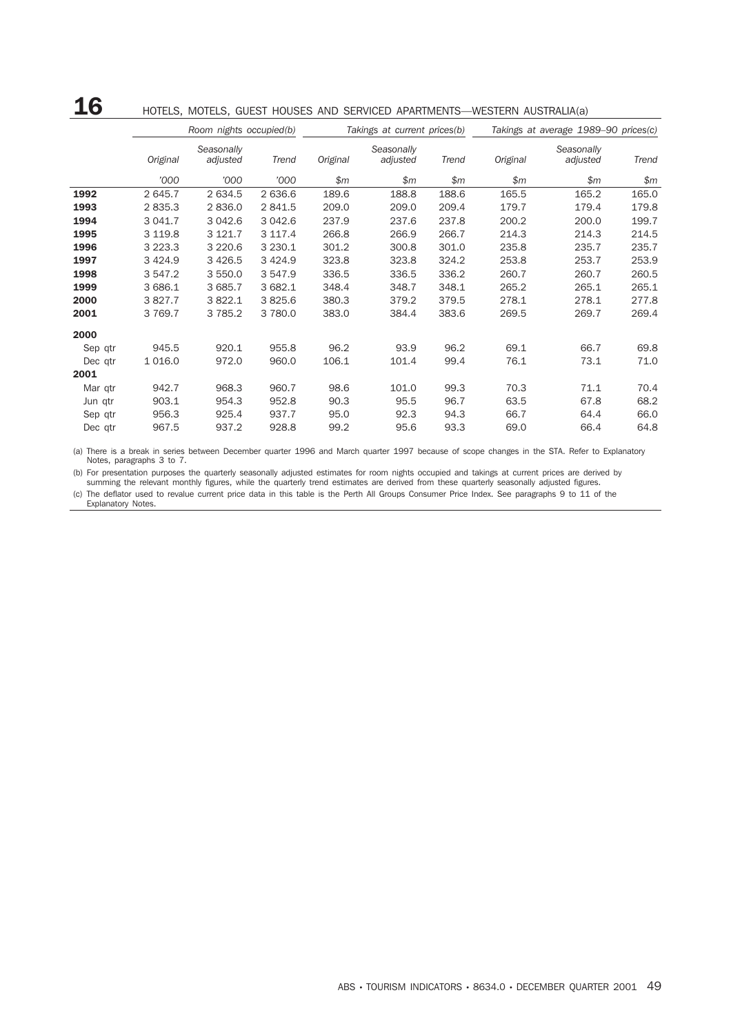## ${\bf 16}$  Hotels, Motels, Guest Houses and serviced apartments—western australia(a)

|         |             | Room nights occupied(b) |            |          | Takings at current prices(b) |       | Takings at average 1989-90 prices(c) |                        |       |  |
|---------|-------------|-------------------------|------------|----------|------------------------------|-------|--------------------------------------|------------------------|-------|--|
|         | Original    | Seasonally<br>adjusted  | Trend      | Original | Seasonally<br>adjusted       | Trend | Original                             | Seasonally<br>adjusted | Trend |  |
|         | '000        | '000                    | '000       | \$m\$    | \$m\$                        | \$m\$ | \$m\$                                | \$m                    | \$m\$ |  |
| 1992    | 2 645.7     | 2 634.5                 | 2 636.6    | 189.6    | 188.8                        | 188.6 | 165.5                                | 165.2                  | 165.0 |  |
| 1993    | 2835.3      | 2836.0                  | 2 841.5    | 209.0    | 209.0                        | 209.4 | 179.7                                | 179.4                  | 179.8 |  |
| 1994    | 3 041.7     | 3 042.6                 | 3 042.6    | 237.9    | 237.6                        | 237.8 | 200.2                                | 200.0                  | 199.7 |  |
| 1995    | 3 119.8     | 3 121.7                 | 3 117.4    | 266.8    | 266.9                        | 266.7 | 214.3                                | 214.3                  | 214.5 |  |
| 1996    | 3 2 2 3 . 3 | 3 2 2 0.6               | 3 2 3 0.1  | 301.2    | 300.8                        | 301.0 | 235.8                                | 235.7                  | 235.7 |  |
| 1997    | 3 4 2 4 .9  | 3 4 2 6.5               | 3 4 2 4 .9 | 323.8    | 323.8                        | 324.2 | 253.8                                | 253.7                  | 253.9 |  |
| 1998    | 3 547.2     | 3 550.0                 | 3 547.9    | 336.5    | 336.5                        | 336.2 | 260.7                                | 260.7                  | 260.5 |  |
| 1999    | 3 686.1     | 3 685.7                 | 3 682.1    | 348.4    | 348.7                        | 348.1 | 265.2                                | 265.1                  | 265.1 |  |
| 2000    | 3 827.7     | 3 822.1                 | 3825.6     | 380.3    | 379.2                        | 379.5 | 278.1                                | 278.1                  | 277.8 |  |
| 2001    | 3 7 6 9.7   | 3 7 8 5.2               | 3780.0     | 383.0    | 384.4                        | 383.6 | 269.5                                | 269.7                  | 269.4 |  |
| 2000    |             |                         |            |          |                              |       |                                      |                        |       |  |
| Sep qtr | 945.5       | 920.1                   | 955.8      | 96.2     | 93.9                         | 96.2  | 69.1                                 | 66.7                   | 69.8  |  |
| Dec qtr | 1 0 1 6 .0  | 972.0                   | 960.0      | 106.1    | 101.4                        | 99.4  | 76.1                                 | 73.1                   | 71.0  |  |
| 2001    |             |                         |            |          |                              |       |                                      |                        |       |  |
| Mar qtr | 942.7       | 968.3                   | 960.7      | 98.6     | 101.0                        | 99.3  | 70.3                                 | 71.1                   | 70.4  |  |
| Jun qtr | 903.1       | 954.3                   | 952.8      | 90.3     | 95.5                         | 96.7  | 63.5                                 | 67.8                   | 68.2  |  |
| Sep qtr | 956.3       | 925.4                   | 937.7      | 95.0     | 92.3                         | 94.3  | 66.7                                 | 64.4                   | 66.0  |  |
| Dec qtr | 967.5       | 937.2                   | 928.8      | 99.2     | 95.6                         | 93.3  | 69.0                                 | 66.4                   | 64.8  |  |

(a) There is a break in series between December quarter 1996 and March quarter 1997 because of scope changes in the STA. Refer to Explanatory Notes, paragraphs 3 to 7.

(b) For presentation purposes the quarterly seasonally adjusted estimates for room nights occupied and takings at current prices are derived by summing the relevant monthly figures, while the quarterly trend estimates are derived from these quarterly seasonally adjusted figures.

(c) The deflator used to revalue current price data in this table is the Perth All Groups Consumer Price Index. See paragraphs 9 to 11 of the Explanatory Notes.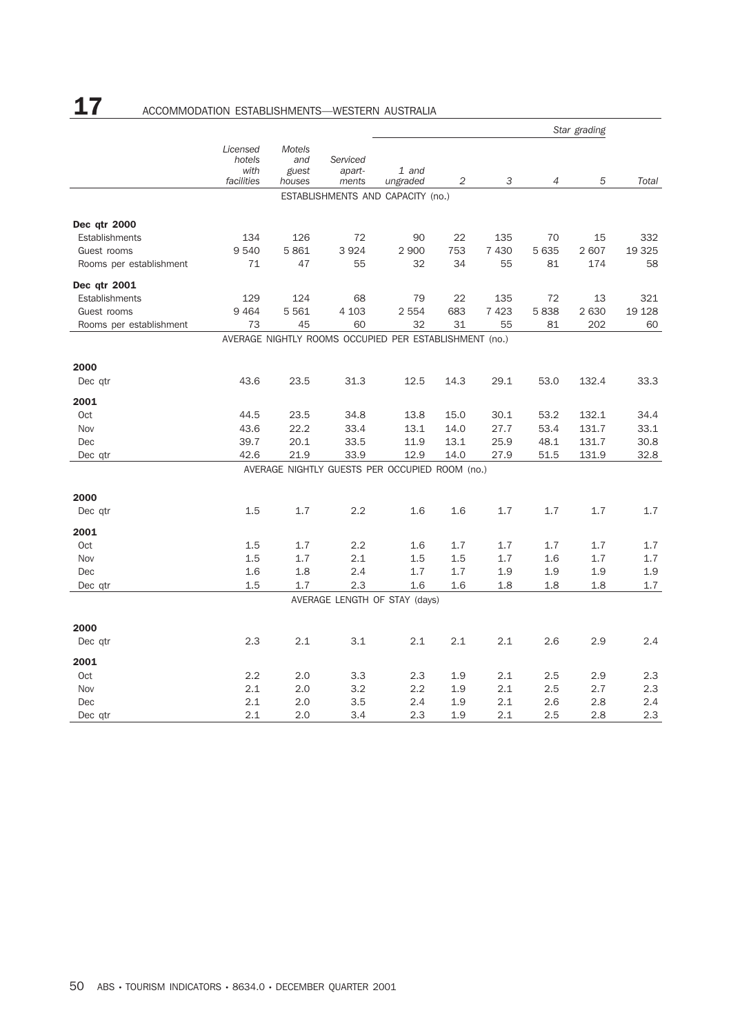# 17 ACCOMMODATION ESTABLISHMENTS-WESTERN AUSTRALIA

|                         |                                          |                                  |                             |                                                        |      |         |                | Star grading |         |
|-------------------------|------------------------------------------|----------------------------------|-----------------------------|--------------------------------------------------------|------|---------|----------------|--------------|---------|
|                         | Licensed<br>hotels<br>with<br>facilities | Motels<br>and<br>guest<br>houses | Serviced<br>apart-<br>ments | 1 and<br>ungraded                                      | 2    | 3       | $\overline{4}$ | 5            | Total   |
|                         |                                          |                                  |                             | ESTABLISHMENTS AND CAPACITY (no.)                      |      |         |                |              |         |
| Dec qtr 2000            |                                          |                                  |                             |                                                        |      |         |                |              |         |
| Establishments          | 134                                      | 126                              | 72                          | 90                                                     | 22   | 135     | 70             | 15           | 332     |
| Guest rooms             | 9540                                     | 5861                             | 3 9 2 4                     | 2 9 0 0                                                | 753  | 7 4 3 0 | 5 6 3 5        | 2 607        | 19 3 25 |
| Rooms per establishment | 71                                       | 47                               | 55                          | 32                                                     | 34   | 55      | 81             | 174          | 58      |
| Dec qtr 2001            |                                          |                                  |                             |                                                        |      |         |                |              |         |
| Establishments          | 129                                      | 124                              | 68                          | 79                                                     | 22   | 135     | 72             | 13           | 321     |
| Guest rooms             | 9464                                     | 5 5 6 1                          | 4 1 0 3                     | 2 5 5 4                                                | 683  | 7423    | 5838           | 2 6 3 0      | 19 128  |
| Rooms per establishment | 73                                       | 45                               | 60                          | 32                                                     | 31   | 55      | 81             | 202          | 60      |
|                         |                                          |                                  |                             | AVERAGE NIGHTLY ROOMS OCCUPIED PER ESTABLISHMENT (no.) |      |         |                |              |         |
| 2000                    |                                          |                                  |                             |                                                        |      |         |                |              |         |
| Dec qtr                 | 43.6                                     | 23.5                             | 31.3                        | 12.5                                                   | 14.3 | 29.1    | 53.0           | 132.4        | 33.3    |
| 2001                    |                                          |                                  |                             |                                                        |      |         |                |              |         |
| Oct                     | 44.5                                     | 23.5                             | 34.8                        | 13.8                                                   | 15.0 | 30.1    | 53.2           | 132.1        | 34.4    |
| Nov                     | 43.6                                     | 22.2                             | 33.4                        | 13.1                                                   | 14.0 | 27.7    | 53.4           | 131.7        | 33.1    |
| Dec                     | 39.7                                     | 20.1                             | 33.5                        | 11.9                                                   | 13.1 | 25.9    | 48.1           | 131.7        | 30.8    |
| Dec qtr                 | 42.6                                     | 21.9                             | 33.9                        | 12.9                                                   | 14.0 | 27.9    | 51.5           | 131.9        | 32.8    |
|                         |                                          |                                  |                             | AVERAGE NIGHTLY GUESTS PER OCCUPIED ROOM (no.)         |      |         |                |              |         |
| 2000                    |                                          |                                  |                             |                                                        |      |         |                |              |         |
| Dec qtr                 | 1.5                                      | 1.7                              | 2.2                         | 1.6                                                    | 1.6  | 1.7     | 1.7            | 1.7          | 1.7     |
| 2001                    |                                          |                                  |                             |                                                        |      |         |                |              |         |
| Oct                     | 1.5                                      | 1.7                              | 2.2                         | 1.6                                                    | 1.7  | 1.7     | 1.7            | 1.7          | 1.7     |
| Nov                     | 1.5                                      | 1.7                              | 2.1                         | 1.5                                                    | 1.5  | 1.7     | 1.6            | 1.7          | 1.7     |
| Dec                     | 1.6                                      | 1.8                              | 2.4                         | 1.7                                                    | 1.7  | 1.9     | 1.9            | 1.9          | 1.9     |
| Dec qtr                 | 1.5                                      | 1.7                              | 2.3                         | 1.6                                                    | 1.6  | 1.8     | 1.8            | 1.8          | 1.7     |
|                         |                                          |                                  |                             | AVERAGE LENGTH OF STAY (days)                          |      |         |                |              |         |
| 2000                    |                                          |                                  |                             |                                                        |      |         |                |              |         |
| Dec qtr                 | 2.3                                      | 2.1                              | 3.1                         | 2.1                                                    | 2.1  | 2.1     | 2.6            | 2.9          | 2.4     |
| 2001                    |                                          |                                  |                             |                                                        |      |         |                |              |         |
| Oct                     | 2.2                                      | 2.0                              | 3.3                         | 2.3                                                    | 1.9  | 2.1     | 2.5            | 2.9          | 2.3     |
| Nov                     | 2.1                                      | 2.0                              | 3.2                         | 2.2                                                    | 1.9  | 2.1     | 2.5            | 2.7          | 2.3     |
| Dec                     | 2.1                                      | 2.0                              | 3.5                         | 2.4                                                    | 1.9  | 2.1     | 2.6            | 2.8          | 2.4     |
| Dec gtr                 | 2.1                                      | 2.0                              | 3.4                         | 2.3                                                    | 1.9  | 2.1     | 2.5            | 2.8          | 2.3     |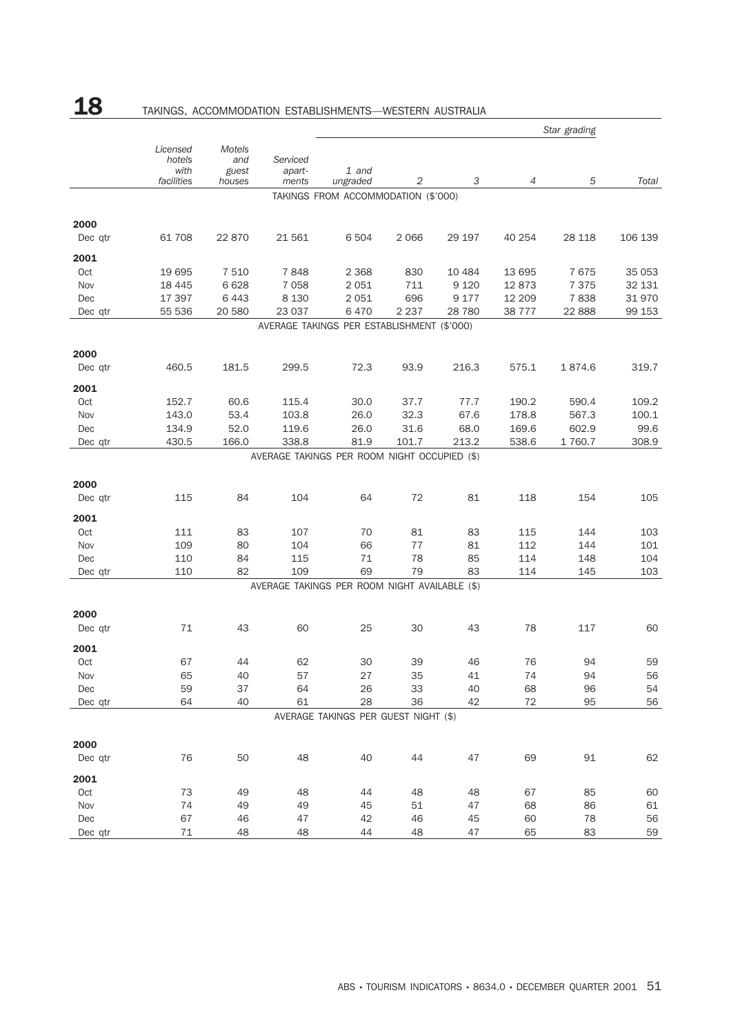# 18 TAKINGS, ACCOMMODATION ESTABLISHMENTS—WESTERN AUSTRALIA

|                 |                                          |                                  |                             |                                               |          |          |                | Star grading |         |
|-----------------|------------------------------------------|----------------------------------|-----------------------------|-----------------------------------------------|----------|----------|----------------|--------------|---------|
|                 | Licensed<br>hotels<br>with<br>facilities | Motels<br>and<br>guest<br>houses | Serviced<br>apart-<br>ments | 1 and<br>ungraded                             | 2        | 3        | $\overline{4}$ | 5            | Total   |
|                 |                                          |                                  |                             | TAKINGS FROM ACCOMMODATION (\$'000)           |          |          |                |              |         |
| 2000            |                                          |                                  |                             |                                               |          |          |                |              |         |
| Dec qtr         | 61 708                                   | 22 870                           | 21 561                      | 6 504                                         | 2 0 6 6  | 29 197   | 40 254         | 28 118       | 106 139 |
| 2001            |                                          |                                  |                             |                                               |          |          |                |              |         |
| Oct             | 19 695                                   | 7 5 1 0                          | 7848                        | 2 3 6 8                                       | 830      | 10 4 84  | 13 695         | 7675         | 35 053  |
| Nov             | 18 4 45                                  | 6 6 28                           | 7 0 5 8                     | 2 0 5 1                                       | 711      | 9 1 2 0  | 12873          | 7 3 7 5      | 32 131  |
| Dec             | 17 397                                   | 6443                             | 8 1 3 0                     | 2 0 5 1                                       | 696      | 9 1 7 7  | 12 209         | 7838         | 31970   |
| Dec qtr         | 55 536                                   | 20 580                           | 23 037                      | 6470                                          | 2 2 3 7  | 28 7 80  | 38 7 7 7       | 22 8 88      | 99 153  |
|                 |                                          |                                  |                             | AVERAGE TAKINGS PER ESTABLISHMENT (\$'000)    |          |          |                |              |         |
| 2000            |                                          |                                  |                             |                                               |          |          |                |              |         |
| Dec gtr         | 460.5                                    | 181.5                            | 299.5                       | 72.3                                          | 93.9     | 216.3    | 575.1          | 1874.6       | 319.7   |
| 2001            |                                          |                                  |                             |                                               |          |          |                |              |         |
| Oct             | 152.7                                    | 60.6                             | 115.4                       | 30.0                                          | 37.7     | 77.7     | 190.2          | 590.4        | 109.2   |
| Nov             | 143.0                                    | 53.4                             | 103.8                       | 26.0                                          | 32.3     | 67.6     | 178.8          | 567.3        | 100.1   |
| Dec             | 134.9                                    | 52.0                             | 119.6                       | 26.0                                          | 31.6     | 68.0     | 169.6          | 602.9        | 99.6    |
| Dec qtr         | 430.5                                    | 166.0                            | 338.8                       | 81.9                                          | 101.7    | 213.2    | 538.6          | 1 760.7      | 308.9   |
|                 |                                          |                                  |                             | AVERAGE TAKINGS PER ROOM NIGHT OCCUPIED (\$)  |          |          |                |              |         |
| 2000            |                                          |                                  |                             |                                               |          |          |                |              |         |
| Dec qtr         | 115                                      | 84                               | 104                         | 64                                            | 72       | 81       | 118            | 154          | 105     |
| 2001            |                                          |                                  |                             |                                               |          |          |                |              |         |
| Oct             | 111                                      | 83                               | 107                         | 70                                            | 81       | 83       | 115            | 144          | 103     |
| Nov             | 109                                      | 80                               | 104                         | 66                                            | 77       | 81       | 112            | 144          | 101     |
| Dec             | 110                                      | 84                               | 115                         | 71                                            | 78       | 85       | 114            | 148          | 104     |
| Dec qtr         | 110                                      | 82                               | 109                         | 69                                            | 79       | 83       | 114            | 145          | 103     |
|                 |                                          |                                  |                             | AVERAGE TAKINGS PER ROOM NIGHT AVAILABLE (\$) |          |          |                |              |         |
|                 |                                          |                                  |                             |                                               |          |          |                |              |         |
| 2000<br>Dec qtr | 71                                       | 43                               | 60                          | 25                                            | 30       | 43       | 78             | 117          | 60      |
| 2001            |                                          |                                  |                             |                                               |          |          |                |              |         |
| Oct             | 67                                       | 44                               | 62                          | 30                                            | 39       | 46       | 76             | 94           | 59      |
|                 | 65                                       | 40                               | 57                          | 27                                            |          |          | 74             | 94           | 56      |
| Nov<br>Dec      | 59                                       | 37                               | 64                          | 26                                            | 35<br>33 | 41<br>40 | 68             | 96           | 54      |
| Dec qtr         | 64                                       | 40                               | 61                          | 28                                            | 36       | 42       | $72\,$         | 95           | 56      |
|                 |                                          |                                  |                             | AVERAGE TAKINGS PER GUEST NIGHT (\$)          |          |          |                |              |         |
|                 |                                          |                                  |                             |                                               |          |          |                |              |         |
| 2000            |                                          |                                  |                             |                                               |          |          |                |              |         |
| Dec qtr         | 76                                       | 50                               | 48                          | 40                                            | 44       | 47       | 69             | $91\,$       | 62      |
| 2001            |                                          |                                  |                             |                                               |          |          |                |              |         |
| Oct             | 73                                       | 49                               | 48                          | 44                                            | 48       | 48       | 67             | 85           | 60      |
| Nov             | 74                                       | 49                               | 49                          | 45                                            | 51       | 47       | 68             | 86           | 61      |
| Dec             | 67                                       | 46                               | 47                          | 42                                            | 46       | 45       | 60             | 78           | 56      |
| Dec qtr         | 71                                       | 48                               | 48                          | 44                                            | 48       | 47       | 65             | 83           | 59      |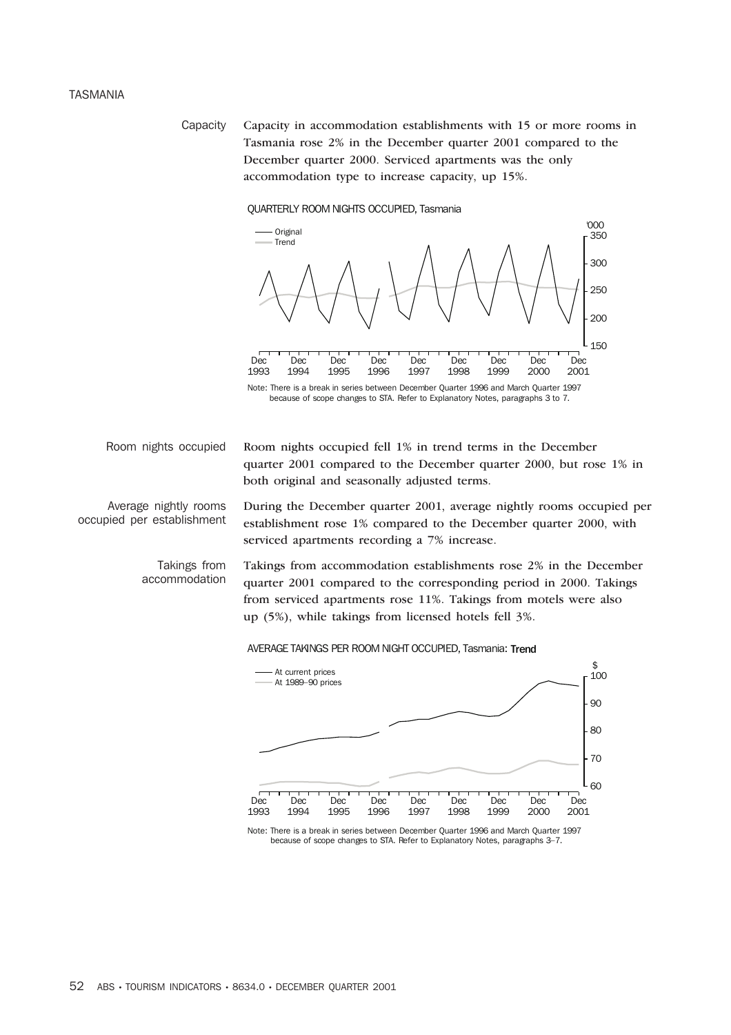## TASMANIA

Capacity Capacity in accommodation establishments with 15 or more rooms in Tasmania rose 2% in the December quarter 2001 compared to the December quarter 2000. Serviced apartments was the only accommodation type to increase capacity, up 15%.

## QUARTERLY ROOM NIGHTS OCCUPIED, Tasmania



Average nightly rooms occupied per establishment

> Takings from accommodation

Room nights occupied Room nights occupied fell 1% in trend terms in the December quarter 2001 compared to the December quarter 2000, but rose 1% in both original and seasonally adjusted terms.

> During the December quarter 2001, average nightly rooms occupied per establishment rose 1% compared to the December quarter 2000, with serviced apartments recording a 7% increase.

Takings from accommodation establishments rose 2% in the December quarter 2001 compared to the corresponding period in 2000. Takings from serviced apartments rose 11%. Takings from motels were also up (5%), while takings from licensed hotels fell 3%.

### AVERAGE TAKINGS PER ROOM NIGHT OCCUPIED, Tasmania: Trend



Note: There is a break in series between December Quarter 1996 and March Quarter 1997 because of scope changes to STA. Refer to Explanatory Notes, paragraphs 3–7.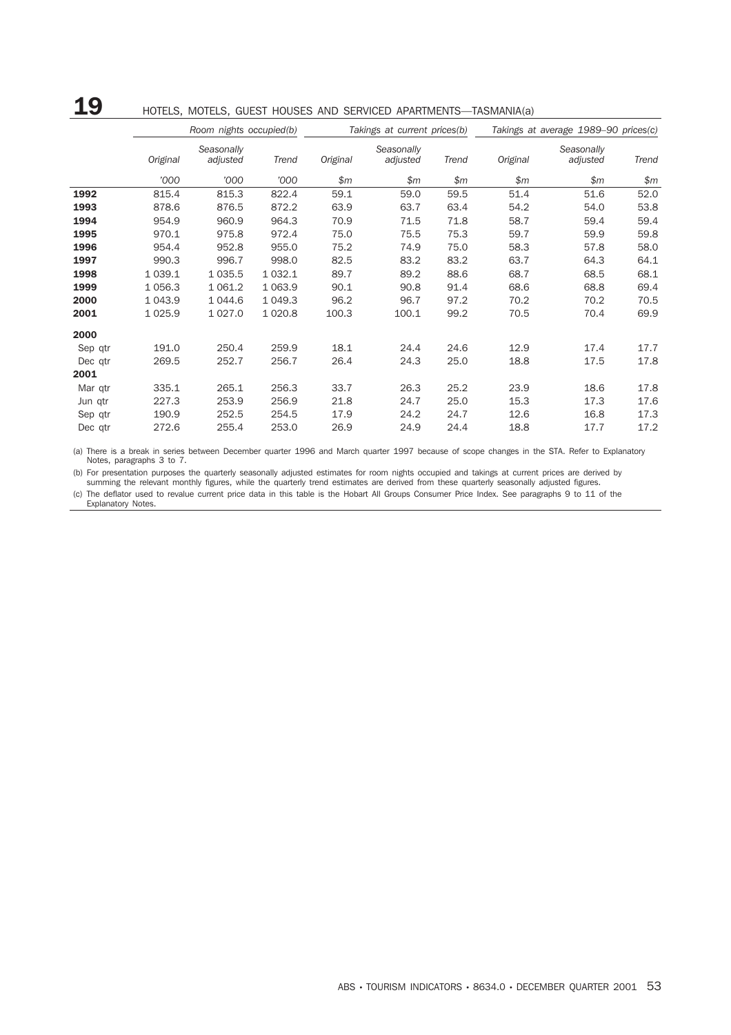# 19 HOTELS, MOTELS, GUEST HOUSES AND SERVICED APARTMENTS—TASMANIA(a)

|         |           | Room nights occupied(b) |           |          | Takings at current prices(b) |       | Takings at average 1989-90 prices(c) |                        |       |  |
|---------|-----------|-------------------------|-----------|----------|------------------------------|-------|--------------------------------------|------------------------|-------|--|
|         | Original  | Seasonally<br>adjusted  | Trend     | Original | Seasonally<br>adjusted       | Trend | Original                             | Seasonally<br>adjusted | Trend |  |
|         | '000      | '000                    | '000      | \$m\$    | \$m\$                        | \$m\$ | \$m                                  | \$m\$                  | \$m\$ |  |
| 1992    | 815.4     | 815.3                   | 822.4     | 59.1     | 59.0                         | 59.5  | 51.4                                 | 51.6                   | 52.0  |  |
| 1993    | 878.6     | 876.5                   | 872.2     | 63.9     | 63.7                         | 63.4  | 54.2                                 | 54.0                   | 53.8  |  |
| 1994    | 954.9     | 960.9                   | 964.3     | 70.9     | 71.5                         | 71.8  | 58.7                                 | 59.4                   | 59.4  |  |
| 1995    | 970.1     | 975.8                   | 972.4     | 75.0     | 75.5                         | 75.3  | 59.7                                 | 59.9                   | 59.8  |  |
| 1996    | 954.4     | 952.8                   | 955.0     | 75.2     | 74.9                         | 75.0  | 58.3                                 | 57.8                   | 58.0  |  |
| 1997    | 990.3     | 996.7                   | 998.0     | 82.5     | 83.2                         | 83.2  | 63.7                                 | 64.3                   | 64.1  |  |
| 1998    | 1 0 3 9.1 | 1 0 3 5.5               | 1 0 3 2.1 | 89.7     | 89.2                         | 88.6  | 68.7                                 | 68.5                   | 68.1  |  |
| 1999    | 1 0 5 6.3 | 1 0 6 1.2               | 1 0 6 3.9 | 90.1     | 90.8                         | 91.4  | 68.6                                 | 68.8                   | 69.4  |  |
| 2000    | 1 0 4 3.9 | 1 0 4 4 .6              | 1 0 4 9.3 | 96.2     | 96.7                         | 97.2  | 70.2                                 | 70.2                   | 70.5  |  |
| 2001    | 1 0 2 5.9 | 1 0 27.0                | 1 0 20.8  | 100.3    | 100.1                        | 99.2  | 70.5                                 | 70.4                   | 69.9  |  |
| 2000    |           |                         |           |          |                              |       |                                      |                        |       |  |
| Sep qtr | 191.0     | 250.4                   | 259.9     | 18.1     | 24.4                         | 24.6  | 12.9                                 | 17.4                   | 17.7  |  |
| Dec qtr | 269.5     | 252.7                   | 256.7     | 26.4     | 24.3                         | 25.0  | 18.8                                 | 17.5                   | 17.8  |  |
| 2001    |           |                         |           |          |                              |       |                                      |                        |       |  |
| Mar qtr | 335.1     | 265.1                   | 256.3     | 33.7     | 26.3                         | 25.2  | 23.9                                 | 18.6                   | 17.8  |  |
| Jun qtr | 227.3     | 253.9                   | 256.9     | 21.8     | 24.7                         | 25.0  | 15.3                                 | 17.3                   | 17.6  |  |
| Sep qtr | 190.9     | 252.5                   | 254.5     | 17.9     | 24.2                         | 24.7  | 12.6                                 | 16.8                   | 17.3  |  |
| Dec qtr | 272.6     | 255.4                   | 253.0     | 26.9     | 24.9                         | 24.4  | 18.8                                 | 17.7                   | 17.2  |  |

(a) There is a break in series between December quarter 1996 and March quarter 1997 because of scope changes in the STA. Refer to Explanatory Notes, paragraphs 3 to 7.

(b) For presentation purposes the quarterly seasonally adjusted estimates for room nights occupied and takings at current prices are derived by summing the relevant monthly figures, while the quarterly trend estimates are derived from these quarterly seasonally adjusted figures.

(c) The deflator used to revalue current price data in this table is the Hobart All Groups Consumer Price Index. See paragraphs 9 to 11 of the Explanatory Notes.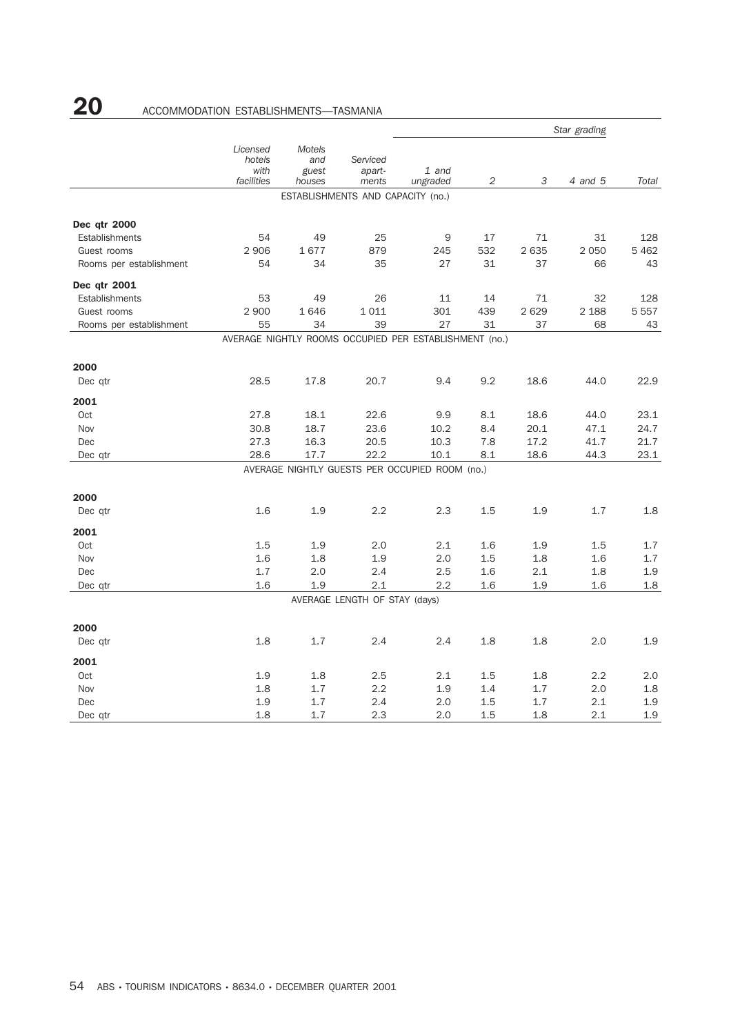# 20 ACCOMMODATION ESTABLISHMENTS-TASMANIA

|                         |                                          |                                         |                                   | Star grading                                           |                |         |         |         |
|-------------------------|------------------------------------------|-----------------------------------------|-----------------------------------|--------------------------------------------------------|----------------|---------|---------|---------|
|                         | Licensed<br>hotels<br>with<br>facilities | <b>Motels</b><br>and<br>guest<br>houses | Serviced<br>apart-<br>ments       | 1 and<br>ungraded                                      | $\overline{2}$ | 3       | 4 and 5 | Total   |
|                         |                                          |                                         | ESTABLISHMENTS AND CAPACITY (no.) |                                                        |                |         |         |         |
| Dec qtr 2000            |                                          |                                         |                                   |                                                        |                |         |         |         |
| Establishments          | 54                                       | 49                                      | 25                                | 9                                                      | 17             | 71      | 31      | 128     |
| Guest rooms             | 2 9 0 6                                  | 1677                                    | 879                               | 245                                                    | 532            | 2 6 3 5 | 2 0 5 0 | 5462    |
| Rooms per establishment | 54                                       | 34                                      | 35                                | 27                                                     | 31             | 37      | 66      | 43      |
| Dec qtr 2001            |                                          |                                         |                                   |                                                        |                |         |         |         |
| Establishments          | 53                                       | 49                                      | 26                                | 11                                                     | 14             | 71      | 32      | 128     |
| Guest rooms             | 2 9 0 0                                  | 1646                                    | 1011                              | 301                                                    | 439            | 2 6 2 9 | 2 1 8 8 | 5 5 5 7 |
| Rooms per establishment | 55                                       | 34                                      | 39                                | 27                                                     | 31             | 37      | 68      | 43      |
|                         |                                          |                                         |                                   | AVERAGE NIGHTLY ROOMS OCCUPIED PER ESTABLISHMENT (no.) |                |         |         |         |
| 2000                    |                                          |                                         |                                   |                                                        |                |         |         |         |
| Dec qtr                 | 28.5                                     | 17.8                                    | 20.7                              | 9.4                                                    | 9.2            | 18.6    | 44.0    | 22.9    |
| 2001                    |                                          |                                         |                                   |                                                        |                |         |         |         |
| Oct                     | 27.8                                     | 18.1                                    | 22.6                              | 9.9                                                    | 8.1            | 18.6    | 44.0    | 23.1    |
| Nov                     | 30.8                                     | 18.7                                    | 23.6                              | 10.2                                                   | 8.4            | 20.1    | 47.1    | 24.7    |
| Dec                     | 27.3                                     | 16.3                                    | 20.5                              | 10.3                                                   | 7.8            | 17.2    | 41.7    | 21.7    |
| Dec qtr                 | 28.6                                     | 17.7                                    | 22.2                              | 10.1                                                   | 8.1            | 18.6    | 44.3    | 23.1    |
|                         |                                          |                                         |                                   | AVERAGE NIGHTLY GUESTS PER OCCUPIED ROOM (no.)         |                |         |         |         |
| 2000                    |                                          |                                         |                                   |                                                        |                |         |         |         |
| Dec qtr                 | 1.6                                      | 1.9                                     | 2.2                               | 2.3                                                    | 1.5            | 1.9     | 1.7     | 1.8     |
| 2001                    |                                          |                                         |                                   |                                                        |                |         |         |         |
| Oct                     | 1.5                                      | 1.9                                     | 2.0                               | 2.1                                                    | 1.6            | 1.9     | 1.5     | 1.7     |
| Nov                     | 1.6                                      | 1.8                                     | 1.9                               | 2.0                                                    | 1.5            | 1.8     | 1.6     | 1.7     |
| Dec                     | 1.7                                      | 2.0                                     | 2.4                               | 2.5                                                    | 1.6            | 2.1     | 1.8     | 1.9     |
| Dec qtr                 | 1.6                                      | 1.9                                     | 2.1                               | 2.2                                                    | 1.6            | 1.9     | 1.6     | 1.8     |
|                         |                                          |                                         | AVERAGE LENGTH OF STAY (days)     |                                                        |                |         |         |         |
| 2000                    |                                          |                                         |                                   |                                                        |                |         |         |         |
| Dec qtr                 | 1.8                                      | 1.7                                     | 2.4                               | 2.4                                                    | 1.8            | 1.8     | 2.0     | 1.9     |
| 2001                    |                                          |                                         |                                   |                                                        |                |         |         |         |
| Oct                     | 1.9                                      | 1.8                                     | 2.5                               | 2.1                                                    | 1.5            | 1.8     | 2.2     | 2.0     |
| Nov                     | 1.8                                      | 1.7                                     | 2.2                               | 1.9                                                    | 1.4            | 1.7     | 2.0     | 1.8     |
| Dec                     | 1.9                                      | 1.7                                     | 2.4                               | 2.0                                                    | 1.5            | 1.7     | 2.1     | 1.9     |
| Dec qtr                 | 1.8                                      | 1.7                                     | 2.3                               | 2.0                                                    | 1.5            | 1.8     | 2.1     | 1.9     |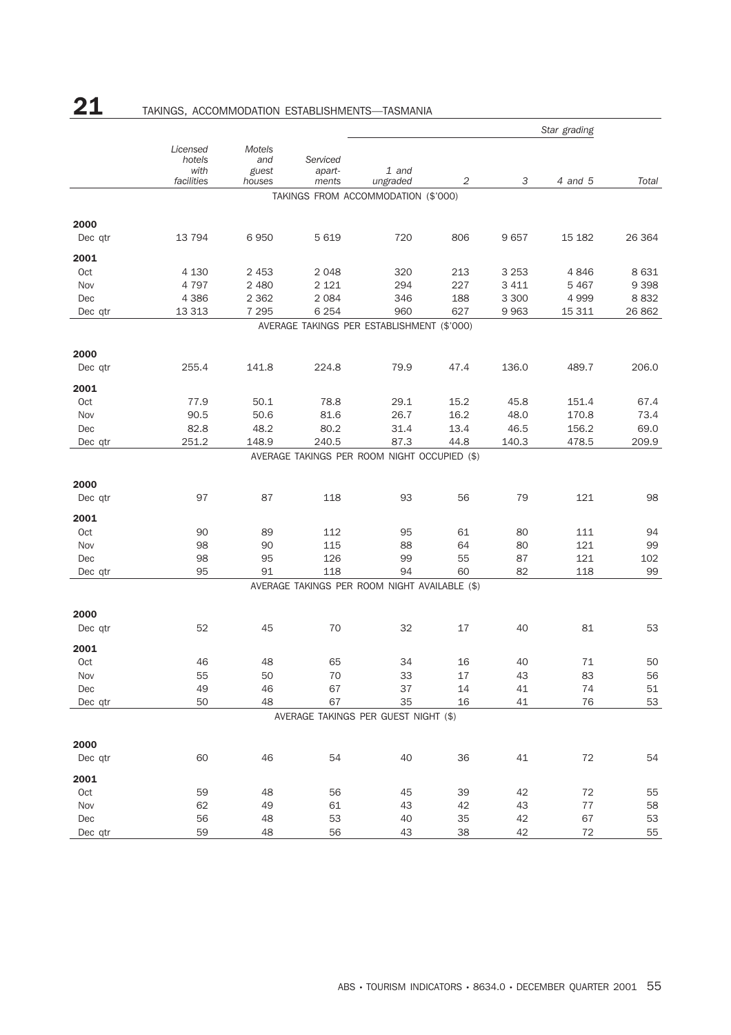|                 |                                          |                                  |                             |                                               |        |         | Star grading |         |
|-----------------|------------------------------------------|----------------------------------|-----------------------------|-----------------------------------------------|--------|---------|--------------|---------|
|                 | Licensed<br>hotels<br>with<br>facilities | Motels<br>and<br>guest<br>houses | Serviced<br>apart-<br>ments | $1$ and<br>ungraded                           | 2      | 3       | 4 and 5      | Total   |
|                 |                                          |                                  |                             | TAKINGS FROM ACCOMMODATION (\$'000)           |        |         |              |         |
|                 |                                          |                                  |                             |                                               |        |         |              |         |
| 2000            |                                          |                                  |                             |                                               |        |         |              |         |
| Dec qtr         | 13 7 9 4                                 | 6950                             | 5 6 1 9                     | 720                                           | 806    | 9657    | 15 182       | 26 364  |
| 2001            |                                          |                                  |                             |                                               |        |         |              |         |
| Oct             | 4 1 3 0                                  | 2 4 5 3                          | 2 0 4 8                     | 320                                           | 213    | 3 2 5 3 | 4846         | 8631    |
| Nov             | 4 7 9 7                                  | 2 4 8 0                          | 2 1 2 1                     | 294                                           | 227    | 3 4 1 1 | 5 4 6 7      | 9 3 9 8 |
| Dec             | 4 3 8 6                                  | 2 3 6 2                          | 2 0 8 4                     | 346                                           | 188    | 3 3 0 0 | 4 9 9 9      | 8832    |
| Dec qtr         | 13 3 13                                  | 7 2 9 5                          | 6 2 5 4                     | 960                                           | 627    | 9 9 6 3 | 15 311       | 26 862  |
|                 |                                          |                                  |                             | AVERAGE TAKINGS PER ESTABLISHMENT (\$'000)    |        |         |              |         |
| 2000            |                                          |                                  |                             |                                               |        |         |              |         |
| Dec qtr         | 255.4                                    | 141.8                            | 224.8                       | 79.9                                          | 47.4   | 136.0   | 489.7        | 206.0   |
| 2001            |                                          |                                  |                             |                                               |        |         |              |         |
| Oct             | 77.9                                     | 50.1                             | 78.8                        | 29.1                                          | 15.2   | 45.8    | 151.4        | 67.4    |
| Nov             | 90.5                                     | 50.6                             | 81.6                        | 26.7                                          | 16.2   | 48.0    | 170.8        | 73.4    |
| Dec             | 82.8                                     | 48.2                             | 80.2                        | 31.4                                          | 13.4   | 46.5    | 156.2        | 69.0    |
| Dec qtr         | 251.2                                    | 148.9                            | 240.5                       | 87.3                                          | 44.8   | 140.3   | 478.5        | 209.9   |
|                 |                                          |                                  |                             | AVERAGE TAKINGS PER ROOM NIGHT OCCUPIED (\$)  |        |         |              |         |
|                 |                                          |                                  |                             |                                               |        |         |              |         |
| 2000<br>Dec qtr | 97                                       | 87                               | 118                         | 93                                            | 56     | 79      | 121          | 98      |
|                 |                                          |                                  |                             |                                               |        |         |              |         |
| 2001            |                                          |                                  |                             |                                               |        |         |              |         |
| Oct             | 90                                       | 89                               | 112                         | 95                                            | 61     | 80      | 111          | 94      |
| Nov             | 98                                       | 90                               | 115                         | 88                                            | 64     | 80      | 121          | 99      |
| Dec             | 98                                       | 95                               | 126                         | 99                                            | 55     | 87      | 121          | 102     |
| Dec qtr         | 95                                       | 91                               | 118                         | 94                                            | 60     | 82      | 118          | 99      |
|                 |                                          |                                  |                             | AVERAGE TAKINGS PER ROOM NIGHT AVAILABLE (\$) |        |         |              |         |
| 2000            |                                          |                                  |                             |                                               |        |         |              |         |
| Dec qtr         | 52                                       | 45                               | 70                          | 32                                            | 17     | 40      | 81           | 53      |
| 2001            |                                          |                                  |                             |                                               |        |         |              |         |
| Oct             | 46                                       | 48                               | 65                          | 34                                            | 16     | 40      | 71           | 50      |
| Nov             | 55                                       | 50                               | $70\,$                      | 33                                            | $17\,$ | 43      | 83           | 56      |
| Dec             | 49                                       | 46                               | 67                          | 37                                            | 14     | 41      | 74           | 51      |
| Dec qtr         | 50                                       | 48                               | 67                          | 35                                            | 16     | 41      | 76           | 53      |
|                 |                                          |                                  |                             | AVERAGE TAKINGS PER GUEST NIGHT (\$)          |        |         |              |         |
| 2000            |                                          |                                  |                             |                                               |        |         |              |         |
| Dec qtr         | 60                                       | 46                               | 54                          | 40                                            | 36     | 41      | 72           | 54      |
| 2001            |                                          |                                  |                             |                                               |        |         |              |         |
| Oct             | 59                                       | 48                               | 56                          | 45                                            | 39     | 42      | 72           | 55      |
| Nov             | 62                                       | 49                               | 61                          | 43                                            | 42     | 43      | $77 \,$      | 58      |
| Dec             | 56                                       | 48                               | 53                          | 40                                            | 35     | 42      | 67           | 53      |
| Dec qtr         | 59                                       | 48                               | 56                          | 43                                            | 38     | 42      | 72           | 55      |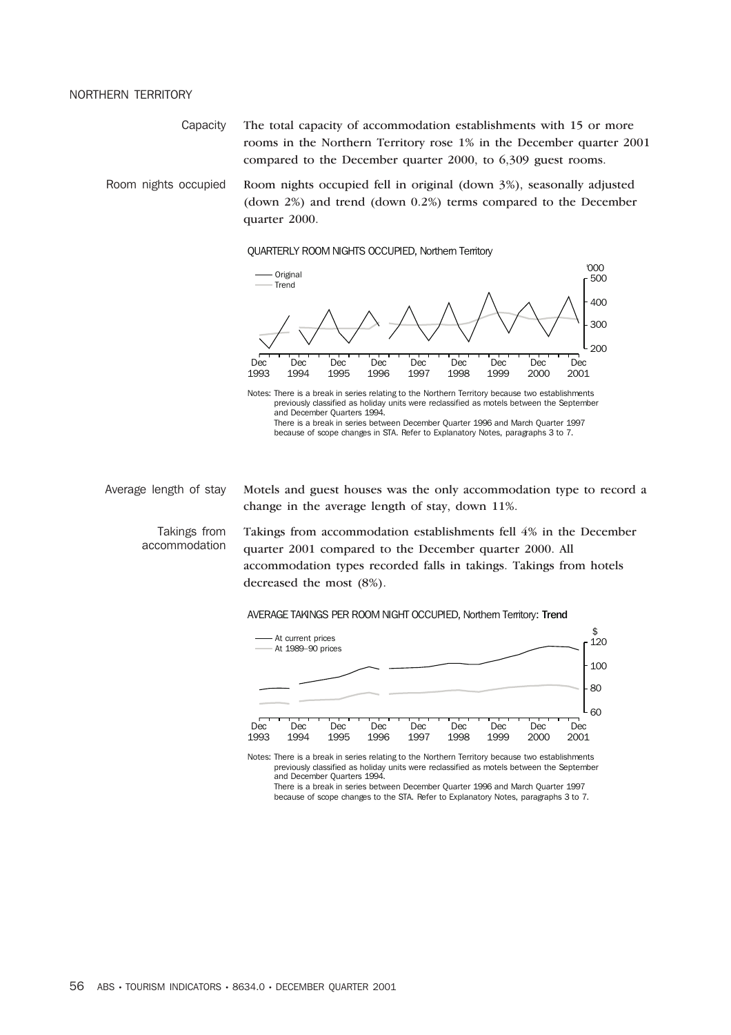## NORTHERN TERRITORY

Capacity The total capacity of accommodation establishments with 15 or more rooms in the Northern Territory rose 1% in the December quarter 2001 compared to the December quarter 2000, to 6,309 guest rooms.

Room nights occupied Room nights occupied fell in original (down 3%), seasonally adjusted (down 2%) and trend (down 0.2%) terms compared to the December quarter 2000.

### QUARTERLY ROOM NIGHTS OCCUPIED, Northern Territory



and December Quarters 1994. There is a break in series between December Quarter 1996 and March Quarter 1997 because of scope changes in STA. Refer to Explanatory Notes, paragraphs 3 to 7.

Average length of stay Motels and guest houses was the only accommodation type to record a

Takings from accommodation

Takings from accommodation establishments fell 4% in the December quarter 2001 compared to the December quarter 2000. All accommodation types recorded falls in takings. Takings from hotels decreased the most (8%).

AVERAGE TAKINGS PER ROOM NIGHT OCCUPIED, Northern Territory: Trend

change in the average length of stay, down 11%.



Notes: There is a break in series relating to the Northern Territory because two establishments previously classified as holiday units were reclassified as motels between the September and December Quarters 1994.

There is a break in series between December Quarter 1996 and March Quarter 1997 because of scope changes to the STA. Refer to Explanatory Notes, paragraphs 3 to 7.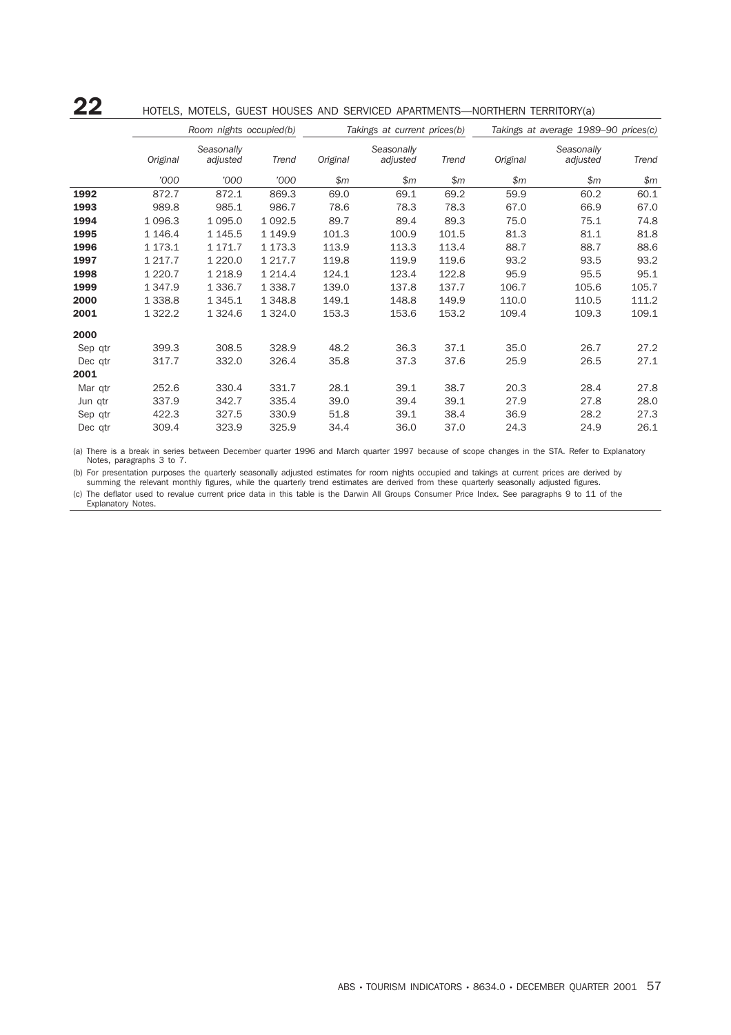## 22 HOTELS, MOTELS, GUEST HOUSES AND SERVICED APARTMENTS—NORTHERN TERRITORY(a)

|         | Room nights occupied(b) |                        |             |          | Takings at current prices(b) |       | Takings at average 1989-90 prices(c) |                        |       |  |
|---------|-------------------------|------------------------|-------------|----------|------------------------------|-------|--------------------------------------|------------------------|-------|--|
|         | Original                | Seasonally<br>adjusted | Trend       | Original | Seasonally<br>adjusted       | Trend | Original                             | Seasonally<br>adjusted | Trend |  |
|         | '000                    | '000                   | '000        | \$m      | \$m\$                        | \$m\$ | \$m\$                                | \$m\$                  | \$m\$ |  |
| 1992    | 872.7                   | 872.1                  | 869.3       | 69.0     | 69.1                         | 69.2  | 59.9                                 | 60.2                   | 60.1  |  |
| 1993    | 989.8                   | 985.1                  | 986.7       | 78.6     | 78.3                         | 78.3  | 67.0                                 | 66.9                   | 67.0  |  |
| 1994    | 1 0 9 6.3               | 1 0 9 5.0              | 1 0 9 2.5   | 89.7     | 89.4                         | 89.3  | 75.0                                 | 75.1                   | 74.8  |  |
| 1995    | 1 146.4                 | 1 1 4 5 . 5            | 1 1 4 9.9   | 101.3    | 100.9                        | 101.5 | 81.3                                 | 81.1                   | 81.8  |  |
| 1996    | 1 173.1                 | 1 171.7                | 1 173.3     | 113.9    | 113.3                        | 113.4 | 88.7                                 | 88.7                   | 88.6  |  |
| 1997    | 1 217.7                 | 1 2 2 0 . 0            | 1 2 1 7 . 7 | 119.8    | 119.9                        | 119.6 | 93.2                                 | 93.5                   | 93.2  |  |
| 1998    | 1 2 2 0 . 7             | 1 2 1 8.9              | 1 2 1 4 .4  | 124.1    | 123.4                        | 122.8 | 95.9                                 | 95.5                   | 95.1  |  |
| 1999    | 1 3 4 7 .9              | 1 3 3 6 . 7            | 1 3 3 8.7   | 139.0    | 137.8                        | 137.7 | 106.7                                | 105.6                  | 105.7 |  |
| 2000    | 1 3 3 8.8               | 1 3 4 5 . 1            | 1 3 4 8.8   | 149.1    | 148.8                        | 149.9 | 110.0                                | 110.5                  | 111.2 |  |
| 2001    | 1 322.2                 | 1 3 2 4 . 6            | 1 3 2 4 .0  | 153.3    | 153.6                        | 153.2 | 109.4                                | 109.3                  | 109.1 |  |
| 2000    |                         |                        |             |          |                              |       |                                      |                        |       |  |
| Sep qtr | 399.3                   | 308.5                  | 328.9       | 48.2     | 36.3                         | 37.1  | 35.0                                 | 26.7                   | 27.2  |  |
| Dec qtr | 317.7                   | 332.0                  | 326.4       | 35.8     | 37.3                         | 37.6  | 25.9                                 | 26.5                   | 27.1  |  |
| 2001    |                         |                        |             |          |                              |       |                                      |                        |       |  |
| Mar qtr | 252.6                   | 330.4                  | 331.7       | 28.1     | 39.1                         | 38.7  | 20.3                                 | 28.4                   | 27.8  |  |
| Jun qtr | 337.9                   | 342.7                  | 335.4       | 39.0     | 39.4                         | 39.1  | 27.9                                 | 27.8                   | 28.0  |  |
| Sep qtr | 422.3                   | 327.5                  | 330.9       | 51.8     | 39.1                         | 38.4  | 36.9                                 | 28.2                   | 27.3  |  |
| Dec qtr | 309.4                   | 323.9                  | 325.9       | 34.4     | 36.0                         | 37.0  | 24.3                                 | 24.9                   | 26.1  |  |

(a) There is a break in series between December quarter 1996 and March quarter 1997 because of scope changes in the STA. Refer to Explanatory Notes, paragraphs 3 to 7.

(b) For presentation purposes the quarterly seasonally adjusted estimates for room nights occupied and takings at current prices are derived by summing the relevant monthly figures, while the quarterly trend estimates are derived from these quarterly seasonally adjusted figures.

(c) The deflator used to revalue current price data in this table is the Darwin All Groups Consumer Price Index. See paragraphs 9 to 11 of the Explanatory Notes.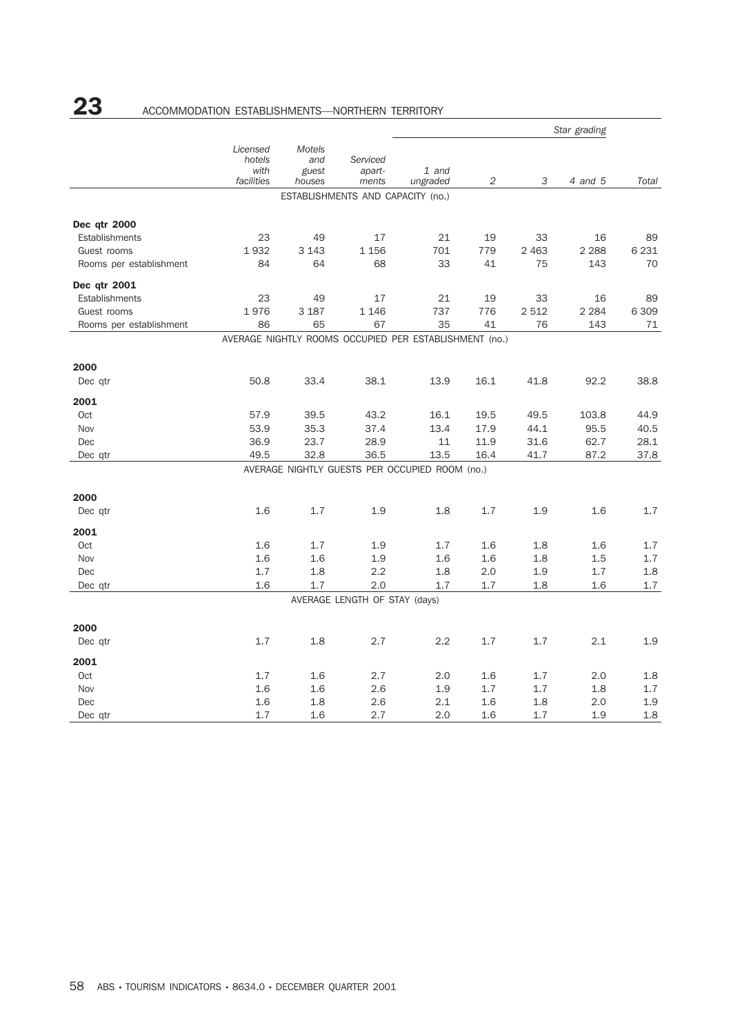# 23 ACCOMMODATION ESTABLISHMENTS-NORTHERN TERRITORY

|                         |                                          |                                         |                                   |                                                        | Star grading |         |         |         |
|-------------------------|------------------------------------------|-----------------------------------------|-----------------------------------|--------------------------------------------------------|--------------|---------|---------|---------|
|                         | Licensed<br>hotels<br>with<br>facilities | <b>Motels</b><br>and<br>guest<br>houses | Serviced<br>apart-<br>ments       | 1 and<br>ungraded                                      | 2            | 3       | 4 and 5 | Total   |
|                         |                                          |                                         | ESTABLISHMENTS AND CAPACITY (no.) |                                                        |              |         |         |         |
| Dec qtr 2000            |                                          |                                         |                                   |                                                        |              |         |         |         |
| Establishments          | 23                                       | 49                                      | 17                                | 21                                                     | 19           | 33      | 16      | 89      |
| Guest rooms             | 1932                                     | 3 1 4 3                                 | 1 1 5 6                           | 701                                                    | 779          | 2 4 6 3 | 2 2 8 8 | 6 2 3 1 |
| Rooms per establishment | 84                                       | 64                                      | 68                                | 33                                                     | 41           | 75      | 143     | 70      |
| Dec qtr 2001            |                                          |                                         |                                   |                                                        |              |         |         |         |
| Establishments          | 23                                       | 49                                      | 17                                | 21                                                     | 19           | 33      | 16      | 89      |
| Guest rooms             | 1976                                     | 3 1 8 7                                 | 1 1 4 6                           | 737                                                    | 776          | 2 5 1 2 | 2 2 8 4 | 6 3 0 9 |
| Rooms per establishment | 86                                       | 65                                      | 67                                | 35                                                     | 41           | 76      | 143     | 71      |
|                         |                                          |                                         |                                   | AVERAGE NIGHTLY ROOMS OCCUPIED PER ESTABLISHMENT (no.) |              |         |         |         |
| 2000                    |                                          |                                         |                                   |                                                        |              |         |         |         |
| Dec qtr                 | 50.8                                     | 33.4                                    | 38.1                              | 13.9                                                   | 16.1         | 41.8    | 92.2    | 38.8    |
| 2001                    |                                          |                                         |                                   |                                                        |              |         |         |         |
| Oct                     | 57.9                                     | 39.5                                    | 43.2                              | 16.1                                                   | 19.5         | 49.5    | 103.8   | 44.9    |
| Nov                     | 53.9                                     | 35.3                                    | 37.4                              | 13.4                                                   | 17.9         | 44.1    | 95.5    | 40.5    |
| Dec                     | 36.9                                     | 23.7                                    | 28.9                              | 11                                                     | 11.9         | 31.6    | 62.7    | 28.1    |
| Dec qtr                 | 49.5                                     | 32.8                                    | 36.5                              | 13.5                                                   | 16.4         | 41.7    | 87.2    | 37.8    |
|                         |                                          |                                         |                                   | AVERAGE NIGHTLY GUESTS PER OCCUPIED ROOM (no.)         |              |         |         |         |
| 2000                    |                                          |                                         |                                   |                                                        |              |         |         |         |
| Dec qtr                 | 1.6                                      | 1.7                                     | 1.9                               | 1.8                                                    | 1.7          | 1.9     | 1.6     | 1.7     |
| 2001                    |                                          |                                         |                                   |                                                        |              |         |         |         |
| Oct                     | 1.6                                      | 1.7                                     | 1.9                               | 1.7                                                    | 1.6          | 1.8     | 1.6     | 1.7     |
| Nov                     | 1.6                                      | 1.6                                     | 1.9                               | 1.6                                                    | 1.6          | 1.8     | 1.5     | 1.7     |
| Dec                     | 1.7                                      | 1.8                                     | 2.2                               | 1.8                                                    | 2.0          | 1.9     | 1.7     | 1.8     |
| Dec qtr                 | 1.6                                      | 1.7                                     | 2.0                               | 1.7                                                    | 1.7          | 1.8     | 1.6     | 1.7     |
|                         |                                          |                                         | AVERAGE LENGTH OF STAY (days)     |                                                        |              |         |         |         |
| 2000                    |                                          |                                         |                                   |                                                        |              |         |         |         |
| Dec qtr                 | 1.7                                      | 1.8                                     | 2.7                               | 2.2                                                    | 1.7          | 1.7     | 2.1     | 1.9     |
| 2001                    |                                          |                                         |                                   |                                                        |              |         |         |         |
| Oct                     | 1.7                                      | 1.6                                     | 2.7                               | 2.0                                                    | 1.6          | 1.7     | 2.0     | 1.8     |
| Nov                     | 1.6                                      | 1.6                                     | 2.6                               | 1.9                                                    | 1.7          | 1.7     | 1.8     | 1.7     |
| Dec                     | 1.6                                      | 1.8                                     | 2.6                               | 2.1                                                    | 1.6          | 1.8     | 2.0     | 1.9     |
| Dec gtr                 | 1.7                                      | 1.6                                     | 2.7                               | 2.0                                                    | 1.6          | 1.7     | 1.9     | 1.8     |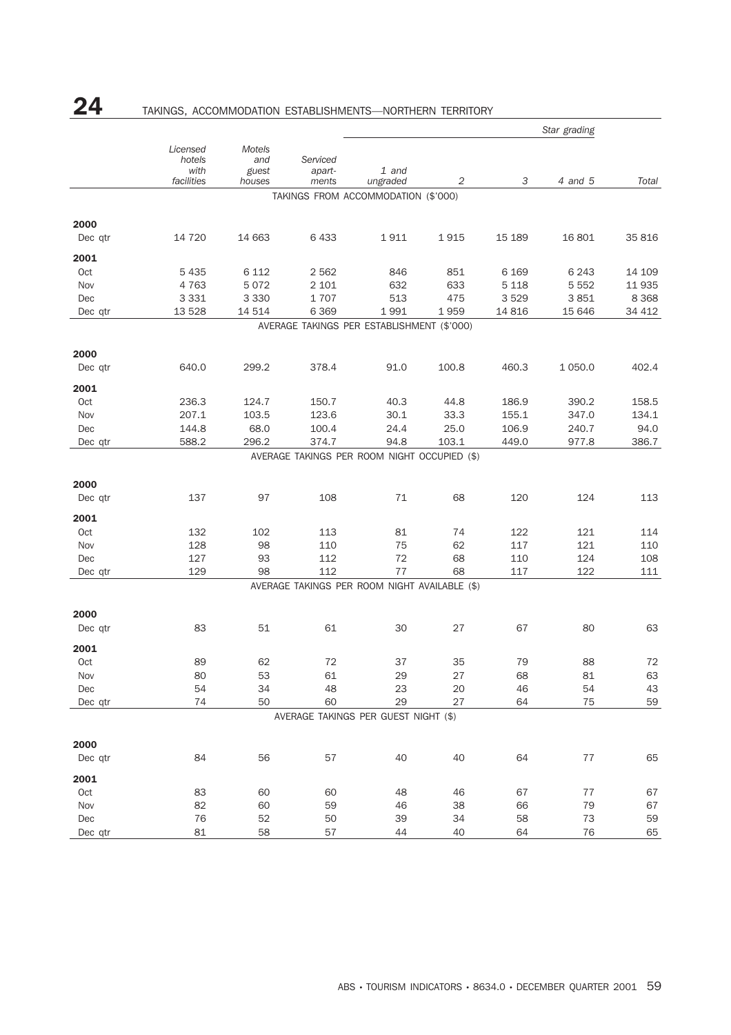# 24 TAKINGS, ACCOMMODATION ESTABLISHMENTS-NORTHERN TERRITORY

|                 |                                          |                                  |                             | Star grading                                  |       |         |           |         |  |
|-----------------|------------------------------------------|----------------------------------|-----------------------------|-----------------------------------------------|-------|---------|-----------|---------|--|
|                 | Licensed<br>hotels<br>with<br>facilities | Motels<br>and<br>guest<br>houses | Serviced<br>apart-<br>ments | 1 and<br>ungraded                             | 2     | 3       | 4 and 5   | Total   |  |
|                 |                                          |                                  |                             | TAKINGS FROM ACCOMMODATION (\$'000)           |       |         |           |         |  |
|                 |                                          |                                  |                             |                                               |       |         |           |         |  |
| 2000<br>Dec qtr | 14 720                                   | 14 663                           | 6 4 3 3                     | 1911                                          | 1915  | 15 189  | 16 801    | 35 816  |  |
|                 |                                          |                                  |                             |                                               |       |         |           |         |  |
| 2001            |                                          |                                  |                             |                                               |       |         |           |         |  |
| Oct             | 5 4 3 5                                  | 6 1 1 2                          | 2 5 6 2                     | 846                                           | 851   | 6 1 6 9 | 6 2 4 3   | 14 109  |  |
| Nov             | 4 7 6 3                                  | 5072                             | 2 1 0 1                     | 632                                           | 633   | 5 1 1 8 | 5 5 5 2   | 11 9 35 |  |
| Dec             | 3 3 3 1                                  | 3 3 3 0                          | 1707                        | 513                                           | 475   | 3529    | 3851      | 8 3 6 8 |  |
| Dec qtr         | 13 5 28                                  | 14 514                           | 6 3 6 9                     | 1991                                          | 1959  | 14 8 16 | 15 646    | 34 412  |  |
|                 |                                          |                                  |                             | AVERAGE TAKINGS PER ESTABLISHMENT (\$'000)    |       |         |           |         |  |
| 2000            |                                          |                                  |                             |                                               |       |         |           |         |  |
| Dec qtr         | 640.0                                    | 299.2                            | 378.4                       | 91.0                                          | 100.8 | 460.3   | 1 0 5 0.0 | 402.4   |  |
| 2001            |                                          |                                  |                             |                                               |       |         |           |         |  |
| Oct             | 236.3                                    | 124.7                            | 150.7                       | 40.3                                          | 44.8  | 186.9   | 390.2     | 158.5   |  |
| Nov             | 207.1                                    | 103.5                            | 123.6                       | 30.1                                          | 33.3  | 155.1   | 347.0     | 134.1   |  |
| Dec             | 144.8                                    | 68.0                             | 100.4                       | 24.4                                          | 25.0  | 106.9   | 240.7     | 94.0    |  |
| Dec qtr         | 588.2                                    | 296.2                            | 374.7                       | 94.8                                          | 103.1 | 449.0   | 977.8     | 386.7   |  |
|                 |                                          |                                  |                             | AVERAGE TAKINGS PER ROOM NIGHT OCCUPIED (\$)  |       |         |           |         |  |
|                 |                                          |                                  |                             |                                               |       |         |           |         |  |
| 2000            |                                          |                                  |                             |                                               |       |         |           |         |  |
| Dec qtr         | 137                                      | 97                               | 108                         | 71                                            | 68    | 120     | 124       | 113     |  |
| 2001            |                                          |                                  |                             |                                               |       |         |           |         |  |
| Oct             | 132                                      | 102                              | 113                         | 81                                            | 74    | 122     | 121       | 114     |  |
| Nov             | 128                                      | 98                               | 110                         | 75                                            | 62    | 117     | 121       | 110     |  |
| Dec             | 127                                      | 93                               | 112                         | 72                                            | 68    | 110     | 124       | 108     |  |
| Dec qtr         | 129                                      | 98                               | 112                         | 77                                            | 68    | 117     | 122       | 111     |  |
|                 |                                          |                                  |                             | AVERAGE TAKINGS PER ROOM NIGHT AVAILABLE (\$) |       |         |           |         |  |
|                 |                                          |                                  |                             |                                               |       |         |           |         |  |
| 2000            |                                          | 51                               | 61                          | 30                                            |       |         | 80        | 63      |  |
| Dec qtr         | 83                                       |                                  |                             |                                               | 27    | 67      |           |         |  |
| 2001            |                                          |                                  |                             |                                               |       |         |           |         |  |
| Oct             | 89                                       | 62                               | 72                          | 37                                            | 35    | 79      | 88        | 72      |  |
| Nov             | 80                                       | 53                               | 61                          | 29                                            | 27    | 68      | 81        | 63      |  |
| Dec             | 54                                       | 34                               | 48                          | 23                                            | 20    | 46      | 54        | 43      |  |
| Dec qtr         | 74                                       | 50                               | 60                          | 29                                            | 27    | 64      | 75        | 59      |  |
|                 |                                          |                                  |                             | AVERAGE TAKINGS PER GUEST NIGHT (\$)          |       |         |           |         |  |
| 2000            |                                          |                                  |                             |                                               |       |         |           |         |  |
| Dec qtr         | 84                                       | 56                               | 57                          | 40                                            | 40    | 64      | $77 \,$   | 65      |  |
|                 |                                          |                                  |                             |                                               |       |         |           |         |  |
| 2001            |                                          |                                  |                             |                                               |       |         |           |         |  |
| Oct             | 83                                       | 60                               | 60                          | 48                                            | 46    | 67      | 77        | 67      |  |
| Nov             | 82                                       | 60                               | 59                          | 46                                            | 38    | 66      | 79        | 67      |  |
| Dec             | 76                                       | 52                               | 50                          | 39                                            | 34    | 58      | 73        | 59      |  |
| Dec qtr         | 81                                       | 58                               | 57                          | 44                                            | 40    | 64      | $76\,$    | 65      |  |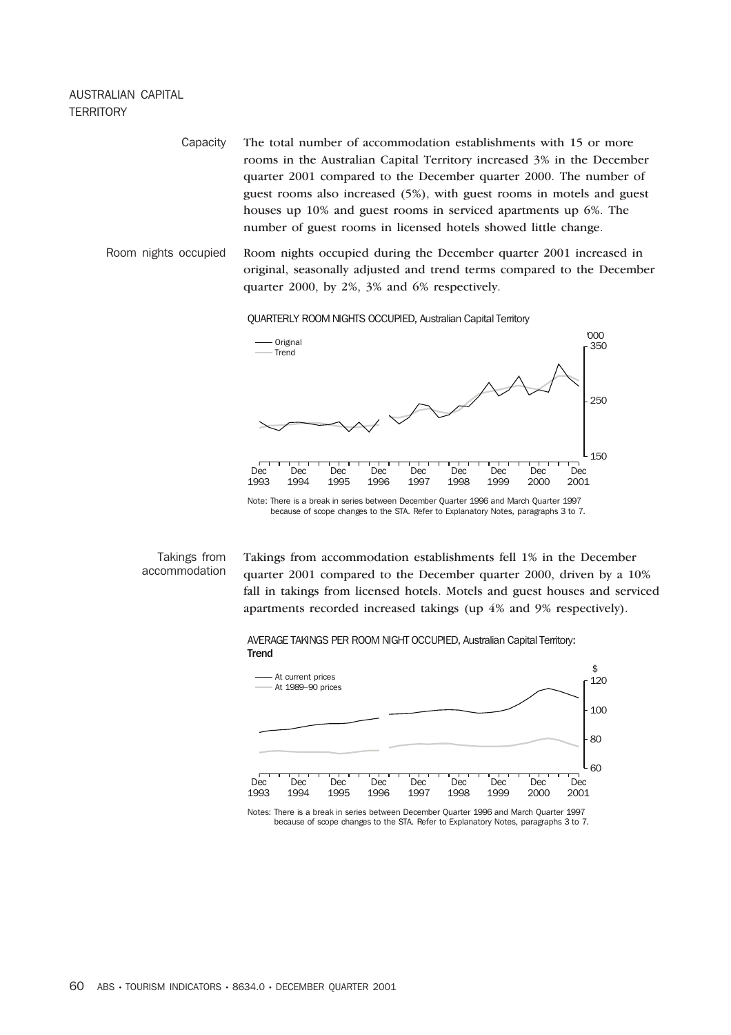## AUSTRALIAN CAPITAL **TERRITORY**

Capacity The total number of accommodation establishments with 15 or more rooms in the Australian Capital Territory increased 3% in the December quarter 2001 compared to the December quarter 2000. The number of guest rooms also increased (5%), with guest rooms in motels and guest houses up 10% and guest rooms in serviced apartments up 6%. The number of guest rooms in licensed hotels showed little change.

Room nights occupied Room nights occupied during the December quarter 2001 increased in original, seasonally adjusted and trend terms compared to the December quarter 2000, by 2%, 3% and 6% respectively.

QUARTERLY ROOM NIGHTS OCCUPIED, Australian Capital Territory



because of scope changes to the STA. Refer to Explanatory Notes, paragraphs 3 to 7.

## Takings from accommodation

Takings from accommodation establishments fell 1% in the December quarter 2001 compared to the December quarter 2000, driven by a 10% fall in takings from licensed hotels. Motels and guest houses and serviced apartments recorded increased takings (up 4% and 9% respectively).





Notes: There is a break in series between December Quarter 1996 and March Quarter 1997 because of scope changes to the STA. Refer to Explanatory Notes, paragraphs 3 to 7.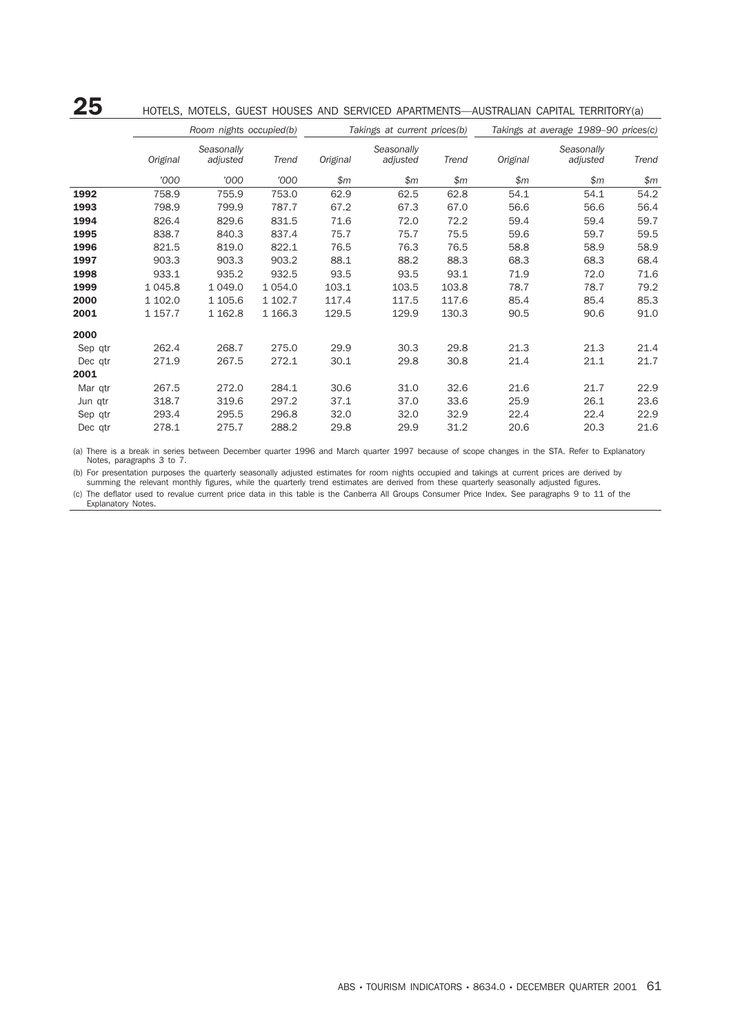## 25 HOTELS, MOTELS, GUEST HOUSES AND SERVICED APARTMENTS—AUSTRALIAN CAPITAL TERRITORY(a)

|         |           | Room nights occupied(b) |            |          | Takings at current prices(b) |       | Takings at average 1989-90 prices(c) |                        |       |  |
|---------|-----------|-------------------------|------------|----------|------------------------------|-------|--------------------------------------|------------------------|-------|--|
|         | Original  | Seasonally<br>adjusted  | Trend      | Original | Seasonally<br>adjusted       | Trend | Original                             | Seasonally<br>adjusted | Trend |  |
|         | '000      | '000                    | '000       | \$m      | \$m\$                        | \$m\$ | \$m                                  | \$m\$                  | \$m\$ |  |
| 1992    | 758.9     | 755.9                   | 753.0      | 62.9     | 62.5                         | 62.8  | 54.1                                 | 54.1                   | 54.2  |  |
| 1993    | 798.9     | 799.9                   | 787.7      | 67.2     | 67.3                         | 67.0  | 56.6                                 | 56.6                   | 56.4  |  |
| 1994    | 826.4     | 829.6                   | 831.5      | 71.6     | 72.0                         | 72.2  | 59.4                                 | 59.4                   | 59.7  |  |
| 1995    | 838.7     | 840.3                   | 837.4      | 75.7     | 75.7                         | 75.5  | 59.6                                 | 59.7                   | 59.5  |  |
| 1996    | 821.5     | 819.0                   | 822.1      | 76.5     | 76.3                         | 76.5  | 58.8                                 | 58.9                   | 58.9  |  |
| 1997    | 903.3     | 903.3                   | 903.2      | 88.1     | 88.2                         | 88.3  | 68.3                                 | 68.3                   | 68.4  |  |
| 1998    | 933.1     | 935.2                   | 932.5      | 93.5     | 93.5                         | 93.1  | 71.9                                 | 72.0                   | 71.6  |  |
| 1999    | 1 0 4 5.8 | 1 0 4 9 .0              | 1 0 5 4 .0 | 103.1    | 103.5                        | 103.8 | 78.7                                 | 78.7                   | 79.2  |  |
| 2000    | 1 102.0   | 1 105.6                 | 1 102.7    | 117.4    | 117.5                        | 117.6 | 85.4                                 | 85.4                   | 85.3  |  |
| 2001    | 1 157.7   | 1 1 6 2.8               | 1 1 66.3   | 129.5    | 129.9                        | 130.3 | 90.5                                 | 90.6                   | 91.0  |  |
| 2000    |           |                         |            |          |                              |       |                                      |                        |       |  |
| Sep qtr | 262.4     | 268.7                   | 275.0      | 29.9     | 30.3                         | 29.8  | 21.3                                 | 21.3                   | 21.4  |  |
| Dec qtr | 271.9     | 267.5                   | 272.1      | 30.1     | 29.8                         | 30.8  | 21.4                                 | 21.1                   | 21.7  |  |
| 2001    |           |                         |            |          |                              |       |                                      |                        |       |  |
| Mar qtr | 267.5     | 272.0                   | 284.1      | 30.6     | 31.0                         | 32.6  | 21.6                                 | 21.7                   | 22.9  |  |
| Jun qtr | 318.7     | 319.6                   | 297.2      | 37.1     | 37.0                         | 33.6  | 25.9                                 | 26.1                   | 23.6  |  |
| Sep qtr | 293.4     | 295.5                   | 296.8      | 32.0     | 32.0                         | 32.9  | 22.4                                 | 22.4                   | 22.9  |  |
| Dec qtr | 278.1     | 275.7                   | 288.2      | 29.8     | 29.9                         | 31.2  | 20.6                                 | 20.3                   | 21.6  |  |

(a) There is a break in series between December quarter 1996 and March quarter 1997 because of scope changes in the STA. Refer to Explanatory Notes, paragraphs 3 to 7.

(b) For presentation purposes the quarterly seasonally adjusted estimates for room nights occupied and takings at current prices are derived by summing the relevant monthly figures, while the quarterly trend estimates are derived from these quarterly seasonally adjusted figures.

(c) The deflator used to revalue current price data in this table is the Canberra All Groups Consumer Price Index. See paragraphs 9 to 11 of the Explanatory Notes.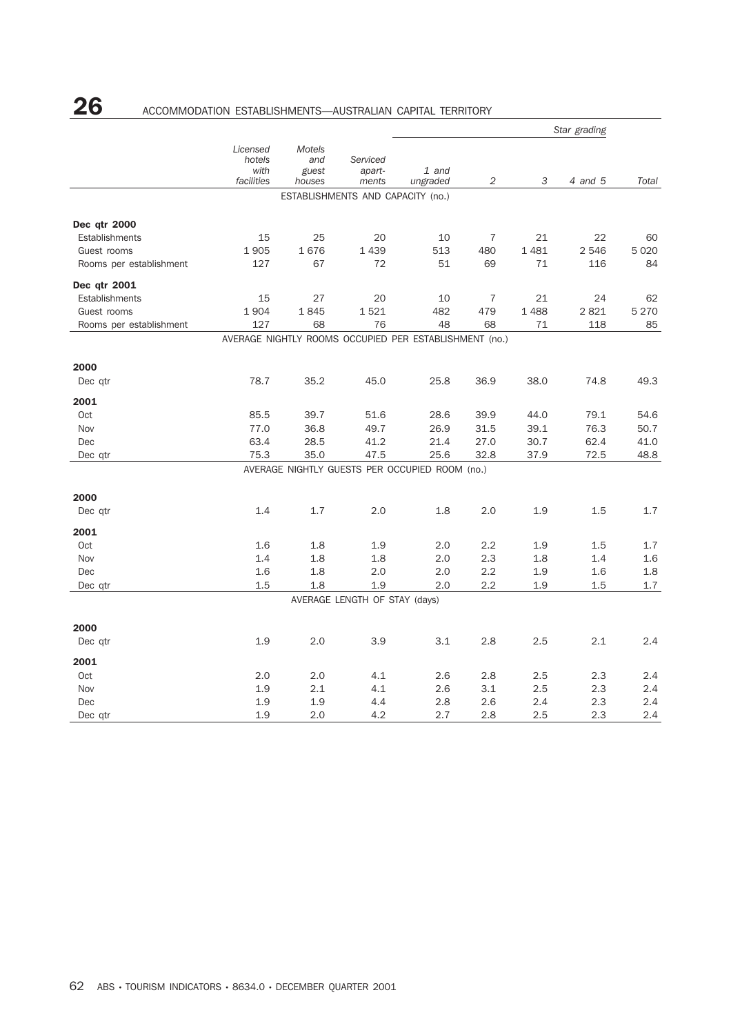# 26 ACCOMMODATION ESTABLISHMENTS—AUSTRALIAN CAPITAL TERRITORY

|                         |                                          |                                         |                                   |                                                        | Star grading   |      |         |         |
|-------------------------|------------------------------------------|-----------------------------------------|-----------------------------------|--------------------------------------------------------|----------------|------|---------|---------|
|                         | Licensed<br>hotels<br>with<br>facilities | <b>Motels</b><br>and<br>guest<br>houses | Serviced<br>apart-<br>ments       | 1 and<br>ungraded                                      | 2              | 3    | 4 and 5 | Total   |
|                         |                                          |                                         | ESTABLISHMENTS AND CAPACITY (no.) |                                                        |                |      |         |         |
| Dec qtr 2000            |                                          |                                         |                                   |                                                        |                |      |         |         |
| Establishments          | 15                                       | 25                                      | 20                                | 10                                                     | $\overline{7}$ | 21   | 22      | 60      |
| Guest rooms             | 1905                                     | 1676                                    | 1 4 3 9                           | 513                                                    | 480            | 1481 | 2 5 4 6 | 5 0 2 0 |
| Rooms per establishment | 127                                      | 67                                      | 72                                | 51                                                     | 69             | 71   | 116     | 84      |
| Dec qtr 2001            |                                          |                                         |                                   |                                                        |                |      |         |         |
| Establishments          | 15                                       | 27                                      | 20                                | 10                                                     | 7              | 21   | 24      | 62      |
| Guest rooms             | 1904                                     | 1845                                    | 1521                              | 482                                                    | 479            | 1488 | 2821    | 5 2 7 0 |
| Rooms per establishment | 127                                      | 68                                      | 76                                | 48                                                     | 68             | 71   | 118     | 85      |
|                         |                                          |                                         |                                   | AVERAGE NIGHTLY ROOMS OCCUPIED PER ESTABLISHMENT (no.) |                |      |         |         |
| 2000                    |                                          |                                         |                                   |                                                        |                |      |         |         |
| Dec qtr                 | 78.7                                     | 35.2                                    | 45.0                              | 25.8                                                   | 36.9           | 38.0 | 74.8    | 49.3    |
| 2001                    |                                          |                                         |                                   |                                                        |                |      |         |         |
| Oct                     | 85.5                                     | 39.7                                    | 51.6                              | 28.6                                                   | 39.9           | 44.0 | 79.1    | 54.6    |
| Nov                     | 77.0                                     | 36.8                                    | 49.7                              | 26.9                                                   | 31.5           | 39.1 | 76.3    | 50.7    |
| Dec                     | 63.4                                     | 28.5                                    | 41.2                              | 21.4                                                   | 27.0           | 30.7 | 62.4    | 41.0    |
| Dec qtr                 | 75.3                                     | 35.0                                    | 47.5                              | 25.6                                                   | 32.8           | 37.9 | 72.5    | 48.8    |
|                         |                                          |                                         |                                   | AVERAGE NIGHTLY GUESTS PER OCCUPIED ROOM (no.)         |                |      |         |         |
| 2000                    |                                          |                                         |                                   |                                                        |                |      |         |         |
| Dec qtr                 | 1.4                                      | 1.7                                     | 2.0                               | 1.8                                                    | 2.0            | 1.9  | 1.5     | 1.7     |
| 2001                    |                                          |                                         |                                   |                                                        |                |      |         |         |
| Oct                     | 1.6                                      | 1.8                                     | 1.9                               | 2.0                                                    | 2.2            | 1.9  | 1.5     | 1.7     |
| Nov                     | 1.4                                      | 1.8                                     | 1.8                               | 2.0                                                    | 2.3            | 1.8  | 1.4     | 1.6     |
| Dec                     | 1.6                                      | 1.8                                     | 2.0                               | 2.0                                                    | 2.2            | 1.9  | 1.6     | 1.8     |
| Dec qtr                 | 1.5                                      | 1.8                                     | 1.9                               | 2.0                                                    | 2.2            | 1.9  | 1.5     | 1.7     |
|                         |                                          |                                         | AVERAGE LENGTH OF STAY (days)     |                                                        |                |      |         |         |
| 2000                    |                                          |                                         |                                   |                                                        |                |      |         |         |
| Dec qtr                 | 1.9                                      | 2.0                                     | 3.9                               | 3.1                                                    | 2.8            | 2.5  | 2.1     | 2.4     |
| 2001                    |                                          |                                         |                                   |                                                        |                |      |         |         |
| Oct                     | 2.0                                      | 2.0                                     | 4.1                               | 2.6                                                    | 2.8            | 2.5  | 2.3     | 2.4     |
| Nov                     | 1.9                                      | 2.1                                     | 4.1                               | 2.6                                                    | 3.1            | 2.5  | 2.3     | 2.4     |
| Dec                     | 1.9                                      | 1.9                                     | 4.4                               | 2.8                                                    | 2.6            | 2.4  | 2.3     | 2.4     |
| Dec qtr                 | 1.9                                      | 2.0                                     | 4.2                               | 2.7                                                    | 2.8            | 2.5  | 2.3     | 2.4     |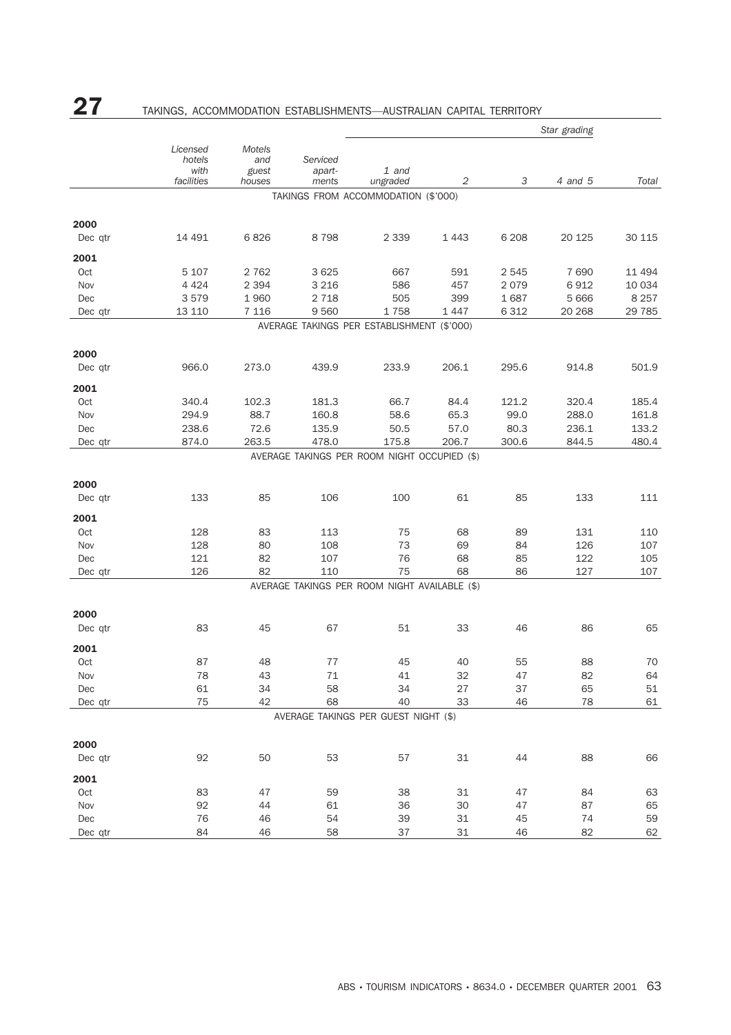# 27 TAKINGS, ACCOMMODATION ESTABLISHMENTS—AUSTRALIAN CAPITAL TERRITORY

| Licensed<br>Motels<br>hotels<br>Serviced<br>and<br>with<br>guest<br>1 and<br>apart-<br>facilities<br>2<br>3<br>4 and 5<br>Total<br>houses<br>ments<br>ungraded<br>TAKINGS FROM ACCOMMODATION (\$'000)<br>2000<br>6826<br>8798<br>2 3 3 9<br>6 2 0 8<br>30 115<br>Dec qtr<br>14 491<br>1443<br>20 125<br>2001<br>Oct<br>5 107<br>2 7 6 2<br>3 6 25<br>667<br>591<br>2 5 4 5<br>7690<br>11 494<br>2 3 9 4<br>3 2 1 6<br>586<br>6912<br>Nov<br>4 4 2 4<br>457<br>2 0 7 9<br>10 0 34<br>8 2 5 7<br>Dec<br>3579<br>1960<br>2 7 1 8<br>505<br>399<br>1687<br>5 6 6 6<br>6 3 1 2<br>13 110<br>7 1 1 6<br>9560<br>1758<br>1447<br>20 268<br>29 7 85<br>Dec qtr<br>AVERAGE TAKINGS PER ESTABLISHMENT (\$'000)<br>2000<br>206.1<br>501.9<br>966.0<br>273.0<br>439.9<br>233.9<br>295.6<br>914.8<br>Dec qtr<br>2001<br>Oct<br>340.4<br>102.3<br>181.3<br>66.7<br>84.4<br>121.2<br>320.4<br>185.4<br>88.7<br>160.8<br>99.0<br>Nov<br>294.9<br>58.6<br>65.3<br>288.0<br>161.8<br>72.6<br>80.3<br>133.2<br>238.6<br>135.9<br>50.5<br>57.0<br>236.1<br>Dec<br>478.0<br>300.6<br>480.4<br>874.0<br>263.5<br>175.8<br>206.7<br>844.5<br>Dec qtr<br>AVERAGE TAKINGS PER ROOM NIGHT OCCUPIED (\$)<br>2000<br>133<br>85<br>106<br>100<br>61<br>85<br>133<br>111<br>Dec qtr<br>2001<br>Oct<br>128<br>83<br>113<br>75<br>68<br>89<br>131<br>110<br>73<br>Nov<br>128<br>80<br>108<br>69<br>84<br>126<br>107<br>82<br>76<br>68<br>122<br>Dec<br>121<br>107<br>85<br>105<br>126<br>82<br>75<br>86<br>127<br>107<br>110<br>68<br>Dec qtr<br>AVERAGE TAKINGS PER ROOM NIGHT AVAILABLE (\$)<br>2000<br>51<br>83<br>45<br>67<br>33<br>46<br>86<br>65<br>Dec qtr<br>2001<br>87<br>48<br>77<br>45<br>40<br>55<br>88<br>70<br>Oct<br>Nov<br>78<br>43<br>71<br>41<br>32<br>47<br>82<br>64<br>34<br>34<br>37<br>51<br>61<br>58<br>27<br>65<br>Dec<br>75<br>40<br>78<br>42<br>68<br>33<br>46<br>61<br>Dec qtr<br>AVERAGE TAKINGS PER GUEST NIGHT (\$)<br>2000<br>92<br>50<br>53<br>$31\,$<br>88<br>66<br>Dec qtr<br>57<br>44<br>2001<br>38<br>Oct<br>83<br>47<br>59<br>31<br>47<br>84<br>63<br>92<br>36<br>$30\,$<br>47<br>87<br>65<br>Nov<br>44<br>61<br>76<br>54<br>39<br>$31\,$<br>74<br>59<br>Dec<br>46<br>45<br>84<br>58<br>37<br>82<br>62<br>Dec qtr<br>46<br>31<br>46 |  |  | Star grading |  |  |  |  |  |
|------------------------------------------------------------------------------------------------------------------------------------------------------------------------------------------------------------------------------------------------------------------------------------------------------------------------------------------------------------------------------------------------------------------------------------------------------------------------------------------------------------------------------------------------------------------------------------------------------------------------------------------------------------------------------------------------------------------------------------------------------------------------------------------------------------------------------------------------------------------------------------------------------------------------------------------------------------------------------------------------------------------------------------------------------------------------------------------------------------------------------------------------------------------------------------------------------------------------------------------------------------------------------------------------------------------------------------------------------------------------------------------------------------------------------------------------------------------------------------------------------------------------------------------------------------------------------------------------------------------------------------------------------------------------------------------------------------------------------------------------------------------------------------------------------------------------------------------------------------------------------------------------------------------------------------------------------------------------------------------------------------------------------------------------------------------------------------------------------------------------------------------------------------------------------------------------------------------------------------------|--|--|--------------|--|--|--|--|--|
|                                                                                                                                                                                                                                                                                                                                                                                                                                                                                                                                                                                                                                                                                                                                                                                                                                                                                                                                                                                                                                                                                                                                                                                                                                                                                                                                                                                                                                                                                                                                                                                                                                                                                                                                                                                                                                                                                                                                                                                                                                                                                                                                                                                                                                          |  |  |              |  |  |  |  |  |
|                                                                                                                                                                                                                                                                                                                                                                                                                                                                                                                                                                                                                                                                                                                                                                                                                                                                                                                                                                                                                                                                                                                                                                                                                                                                                                                                                                                                                                                                                                                                                                                                                                                                                                                                                                                                                                                                                                                                                                                                                                                                                                                                                                                                                                          |  |  |              |  |  |  |  |  |
|                                                                                                                                                                                                                                                                                                                                                                                                                                                                                                                                                                                                                                                                                                                                                                                                                                                                                                                                                                                                                                                                                                                                                                                                                                                                                                                                                                                                                                                                                                                                                                                                                                                                                                                                                                                                                                                                                                                                                                                                                                                                                                                                                                                                                                          |  |  |              |  |  |  |  |  |
|                                                                                                                                                                                                                                                                                                                                                                                                                                                                                                                                                                                                                                                                                                                                                                                                                                                                                                                                                                                                                                                                                                                                                                                                                                                                                                                                                                                                                                                                                                                                                                                                                                                                                                                                                                                                                                                                                                                                                                                                                                                                                                                                                                                                                                          |  |  |              |  |  |  |  |  |
|                                                                                                                                                                                                                                                                                                                                                                                                                                                                                                                                                                                                                                                                                                                                                                                                                                                                                                                                                                                                                                                                                                                                                                                                                                                                                                                                                                                                                                                                                                                                                                                                                                                                                                                                                                                                                                                                                                                                                                                                                                                                                                                                                                                                                                          |  |  |              |  |  |  |  |  |
|                                                                                                                                                                                                                                                                                                                                                                                                                                                                                                                                                                                                                                                                                                                                                                                                                                                                                                                                                                                                                                                                                                                                                                                                                                                                                                                                                                                                                                                                                                                                                                                                                                                                                                                                                                                                                                                                                                                                                                                                                                                                                                                                                                                                                                          |  |  |              |  |  |  |  |  |
|                                                                                                                                                                                                                                                                                                                                                                                                                                                                                                                                                                                                                                                                                                                                                                                                                                                                                                                                                                                                                                                                                                                                                                                                                                                                                                                                                                                                                                                                                                                                                                                                                                                                                                                                                                                                                                                                                                                                                                                                                                                                                                                                                                                                                                          |  |  |              |  |  |  |  |  |
|                                                                                                                                                                                                                                                                                                                                                                                                                                                                                                                                                                                                                                                                                                                                                                                                                                                                                                                                                                                                                                                                                                                                                                                                                                                                                                                                                                                                                                                                                                                                                                                                                                                                                                                                                                                                                                                                                                                                                                                                                                                                                                                                                                                                                                          |  |  |              |  |  |  |  |  |
|                                                                                                                                                                                                                                                                                                                                                                                                                                                                                                                                                                                                                                                                                                                                                                                                                                                                                                                                                                                                                                                                                                                                                                                                                                                                                                                                                                                                                                                                                                                                                                                                                                                                                                                                                                                                                                                                                                                                                                                                                                                                                                                                                                                                                                          |  |  |              |  |  |  |  |  |
|                                                                                                                                                                                                                                                                                                                                                                                                                                                                                                                                                                                                                                                                                                                                                                                                                                                                                                                                                                                                                                                                                                                                                                                                                                                                                                                                                                                                                                                                                                                                                                                                                                                                                                                                                                                                                                                                                                                                                                                                                                                                                                                                                                                                                                          |  |  |              |  |  |  |  |  |
|                                                                                                                                                                                                                                                                                                                                                                                                                                                                                                                                                                                                                                                                                                                                                                                                                                                                                                                                                                                                                                                                                                                                                                                                                                                                                                                                                                                                                                                                                                                                                                                                                                                                                                                                                                                                                                                                                                                                                                                                                                                                                                                                                                                                                                          |  |  |              |  |  |  |  |  |
|                                                                                                                                                                                                                                                                                                                                                                                                                                                                                                                                                                                                                                                                                                                                                                                                                                                                                                                                                                                                                                                                                                                                                                                                                                                                                                                                                                                                                                                                                                                                                                                                                                                                                                                                                                                                                                                                                                                                                                                                                                                                                                                                                                                                                                          |  |  |              |  |  |  |  |  |
|                                                                                                                                                                                                                                                                                                                                                                                                                                                                                                                                                                                                                                                                                                                                                                                                                                                                                                                                                                                                                                                                                                                                                                                                                                                                                                                                                                                                                                                                                                                                                                                                                                                                                                                                                                                                                                                                                                                                                                                                                                                                                                                                                                                                                                          |  |  |              |  |  |  |  |  |
|                                                                                                                                                                                                                                                                                                                                                                                                                                                                                                                                                                                                                                                                                                                                                                                                                                                                                                                                                                                                                                                                                                                                                                                                                                                                                                                                                                                                                                                                                                                                                                                                                                                                                                                                                                                                                                                                                                                                                                                                                                                                                                                                                                                                                                          |  |  |              |  |  |  |  |  |
|                                                                                                                                                                                                                                                                                                                                                                                                                                                                                                                                                                                                                                                                                                                                                                                                                                                                                                                                                                                                                                                                                                                                                                                                                                                                                                                                                                                                                                                                                                                                                                                                                                                                                                                                                                                                                                                                                                                                                                                                                                                                                                                                                                                                                                          |  |  |              |  |  |  |  |  |
|                                                                                                                                                                                                                                                                                                                                                                                                                                                                                                                                                                                                                                                                                                                                                                                                                                                                                                                                                                                                                                                                                                                                                                                                                                                                                                                                                                                                                                                                                                                                                                                                                                                                                                                                                                                                                                                                                                                                                                                                                                                                                                                                                                                                                                          |  |  |              |  |  |  |  |  |
|                                                                                                                                                                                                                                                                                                                                                                                                                                                                                                                                                                                                                                                                                                                                                                                                                                                                                                                                                                                                                                                                                                                                                                                                                                                                                                                                                                                                                                                                                                                                                                                                                                                                                                                                                                                                                                                                                                                                                                                                                                                                                                                                                                                                                                          |  |  |              |  |  |  |  |  |
|                                                                                                                                                                                                                                                                                                                                                                                                                                                                                                                                                                                                                                                                                                                                                                                                                                                                                                                                                                                                                                                                                                                                                                                                                                                                                                                                                                                                                                                                                                                                                                                                                                                                                                                                                                                                                                                                                                                                                                                                                                                                                                                                                                                                                                          |  |  |              |  |  |  |  |  |
|                                                                                                                                                                                                                                                                                                                                                                                                                                                                                                                                                                                                                                                                                                                                                                                                                                                                                                                                                                                                                                                                                                                                                                                                                                                                                                                                                                                                                                                                                                                                                                                                                                                                                                                                                                                                                                                                                                                                                                                                                                                                                                                                                                                                                                          |  |  |              |  |  |  |  |  |
|                                                                                                                                                                                                                                                                                                                                                                                                                                                                                                                                                                                                                                                                                                                                                                                                                                                                                                                                                                                                                                                                                                                                                                                                                                                                                                                                                                                                                                                                                                                                                                                                                                                                                                                                                                                                                                                                                                                                                                                                                                                                                                                                                                                                                                          |  |  |              |  |  |  |  |  |
|                                                                                                                                                                                                                                                                                                                                                                                                                                                                                                                                                                                                                                                                                                                                                                                                                                                                                                                                                                                                                                                                                                                                                                                                                                                                                                                                                                                                                                                                                                                                                                                                                                                                                                                                                                                                                                                                                                                                                                                                                                                                                                                                                                                                                                          |  |  |              |  |  |  |  |  |
|                                                                                                                                                                                                                                                                                                                                                                                                                                                                                                                                                                                                                                                                                                                                                                                                                                                                                                                                                                                                                                                                                                                                                                                                                                                                                                                                                                                                                                                                                                                                                                                                                                                                                                                                                                                                                                                                                                                                                                                                                                                                                                                                                                                                                                          |  |  |              |  |  |  |  |  |
|                                                                                                                                                                                                                                                                                                                                                                                                                                                                                                                                                                                                                                                                                                                                                                                                                                                                                                                                                                                                                                                                                                                                                                                                                                                                                                                                                                                                                                                                                                                                                                                                                                                                                                                                                                                                                                                                                                                                                                                                                                                                                                                                                                                                                                          |  |  |              |  |  |  |  |  |
|                                                                                                                                                                                                                                                                                                                                                                                                                                                                                                                                                                                                                                                                                                                                                                                                                                                                                                                                                                                                                                                                                                                                                                                                                                                                                                                                                                                                                                                                                                                                                                                                                                                                                                                                                                                                                                                                                                                                                                                                                                                                                                                                                                                                                                          |  |  |              |  |  |  |  |  |
|                                                                                                                                                                                                                                                                                                                                                                                                                                                                                                                                                                                                                                                                                                                                                                                                                                                                                                                                                                                                                                                                                                                                                                                                                                                                                                                                                                                                                                                                                                                                                                                                                                                                                                                                                                                                                                                                                                                                                                                                                                                                                                                                                                                                                                          |  |  |              |  |  |  |  |  |
|                                                                                                                                                                                                                                                                                                                                                                                                                                                                                                                                                                                                                                                                                                                                                                                                                                                                                                                                                                                                                                                                                                                                                                                                                                                                                                                                                                                                                                                                                                                                                                                                                                                                                                                                                                                                                                                                                                                                                                                                                                                                                                                                                                                                                                          |  |  |              |  |  |  |  |  |
|                                                                                                                                                                                                                                                                                                                                                                                                                                                                                                                                                                                                                                                                                                                                                                                                                                                                                                                                                                                                                                                                                                                                                                                                                                                                                                                                                                                                                                                                                                                                                                                                                                                                                                                                                                                                                                                                                                                                                                                                                                                                                                                                                                                                                                          |  |  |              |  |  |  |  |  |
|                                                                                                                                                                                                                                                                                                                                                                                                                                                                                                                                                                                                                                                                                                                                                                                                                                                                                                                                                                                                                                                                                                                                                                                                                                                                                                                                                                                                                                                                                                                                                                                                                                                                                                                                                                                                                                                                                                                                                                                                                                                                                                                                                                                                                                          |  |  |              |  |  |  |  |  |
|                                                                                                                                                                                                                                                                                                                                                                                                                                                                                                                                                                                                                                                                                                                                                                                                                                                                                                                                                                                                                                                                                                                                                                                                                                                                                                                                                                                                                                                                                                                                                                                                                                                                                                                                                                                                                                                                                                                                                                                                                                                                                                                                                                                                                                          |  |  |              |  |  |  |  |  |
|                                                                                                                                                                                                                                                                                                                                                                                                                                                                                                                                                                                                                                                                                                                                                                                                                                                                                                                                                                                                                                                                                                                                                                                                                                                                                                                                                                                                                                                                                                                                                                                                                                                                                                                                                                                                                                                                                                                                                                                                                                                                                                                                                                                                                                          |  |  |              |  |  |  |  |  |
|                                                                                                                                                                                                                                                                                                                                                                                                                                                                                                                                                                                                                                                                                                                                                                                                                                                                                                                                                                                                                                                                                                                                                                                                                                                                                                                                                                                                                                                                                                                                                                                                                                                                                                                                                                                                                                                                                                                                                                                                                                                                                                                                                                                                                                          |  |  |              |  |  |  |  |  |
|                                                                                                                                                                                                                                                                                                                                                                                                                                                                                                                                                                                                                                                                                                                                                                                                                                                                                                                                                                                                                                                                                                                                                                                                                                                                                                                                                                                                                                                                                                                                                                                                                                                                                                                                                                                                                                                                                                                                                                                                                                                                                                                                                                                                                                          |  |  |              |  |  |  |  |  |
|                                                                                                                                                                                                                                                                                                                                                                                                                                                                                                                                                                                                                                                                                                                                                                                                                                                                                                                                                                                                                                                                                                                                                                                                                                                                                                                                                                                                                                                                                                                                                                                                                                                                                                                                                                                                                                                                                                                                                                                                                                                                                                                                                                                                                                          |  |  |              |  |  |  |  |  |
|                                                                                                                                                                                                                                                                                                                                                                                                                                                                                                                                                                                                                                                                                                                                                                                                                                                                                                                                                                                                                                                                                                                                                                                                                                                                                                                                                                                                                                                                                                                                                                                                                                                                                                                                                                                                                                                                                                                                                                                                                                                                                                                                                                                                                                          |  |  |              |  |  |  |  |  |
|                                                                                                                                                                                                                                                                                                                                                                                                                                                                                                                                                                                                                                                                                                                                                                                                                                                                                                                                                                                                                                                                                                                                                                                                                                                                                                                                                                                                                                                                                                                                                                                                                                                                                                                                                                                                                                                                                                                                                                                                                                                                                                                                                                                                                                          |  |  |              |  |  |  |  |  |
|                                                                                                                                                                                                                                                                                                                                                                                                                                                                                                                                                                                                                                                                                                                                                                                                                                                                                                                                                                                                                                                                                                                                                                                                                                                                                                                                                                                                                                                                                                                                                                                                                                                                                                                                                                                                                                                                                                                                                                                                                                                                                                                                                                                                                                          |  |  |              |  |  |  |  |  |
|                                                                                                                                                                                                                                                                                                                                                                                                                                                                                                                                                                                                                                                                                                                                                                                                                                                                                                                                                                                                                                                                                                                                                                                                                                                                                                                                                                                                                                                                                                                                                                                                                                                                                                                                                                                                                                                                                                                                                                                                                                                                                                                                                                                                                                          |  |  |              |  |  |  |  |  |
|                                                                                                                                                                                                                                                                                                                                                                                                                                                                                                                                                                                                                                                                                                                                                                                                                                                                                                                                                                                                                                                                                                                                                                                                                                                                                                                                                                                                                                                                                                                                                                                                                                                                                                                                                                                                                                                                                                                                                                                                                                                                                                                                                                                                                                          |  |  |              |  |  |  |  |  |
|                                                                                                                                                                                                                                                                                                                                                                                                                                                                                                                                                                                                                                                                                                                                                                                                                                                                                                                                                                                                                                                                                                                                                                                                                                                                                                                                                                                                                                                                                                                                                                                                                                                                                                                                                                                                                                                                                                                                                                                                                                                                                                                                                                                                                                          |  |  |              |  |  |  |  |  |
|                                                                                                                                                                                                                                                                                                                                                                                                                                                                                                                                                                                                                                                                                                                                                                                                                                                                                                                                                                                                                                                                                                                                                                                                                                                                                                                                                                                                                                                                                                                                                                                                                                                                                                                                                                                                                                                                                                                                                                                                                                                                                                                                                                                                                                          |  |  |              |  |  |  |  |  |
|                                                                                                                                                                                                                                                                                                                                                                                                                                                                                                                                                                                                                                                                                                                                                                                                                                                                                                                                                                                                                                                                                                                                                                                                                                                                                                                                                                                                                                                                                                                                                                                                                                                                                                                                                                                                                                                                                                                                                                                                                                                                                                                                                                                                                                          |  |  |              |  |  |  |  |  |
|                                                                                                                                                                                                                                                                                                                                                                                                                                                                                                                                                                                                                                                                                                                                                                                                                                                                                                                                                                                                                                                                                                                                                                                                                                                                                                                                                                                                                                                                                                                                                                                                                                                                                                                                                                                                                                                                                                                                                                                                                                                                                                                                                                                                                                          |  |  |              |  |  |  |  |  |
|                                                                                                                                                                                                                                                                                                                                                                                                                                                                                                                                                                                                                                                                                                                                                                                                                                                                                                                                                                                                                                                                                                                                                                                                                                                                                                                                                                                                                                                                                                                                                                                                                                                                                                                                                                                                                                                                                                                                                                                                                                                                                                                                                                                                                                          |  |  |              |  |  |  |  |  |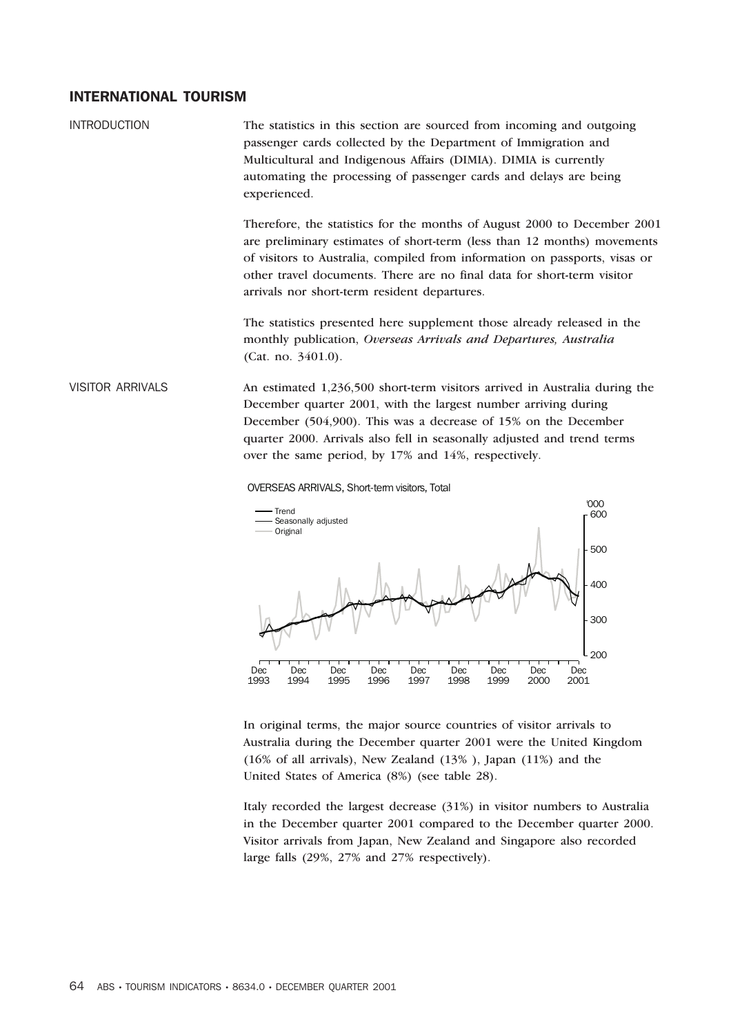## INTERNATIONAL TOURISM

INTRODUCTION The statistics in this section are sourced from incoming and outgoing passenger cards collected by the Department of Immigration and Multicultural and Indigenous Affairs (DIMIA). DIMIA is currently automating the processing of passenger cards and delays are being experienced.

> Therefore, the statistics for the months of August 2000 to December 2001 are preliminary estimates of short-term (less than 12 months) movements of visitors to Australia, compiled from information on passports, visas or other travel documents. There are no final data for short-term visitor arrivals nor short-term resident departures.

The statistics presented here supplement those already released in the monthly publication, *Overseas Arrivals and Departures, Australia* (Cat. no. 3401.0).

VISITOR ARRIVALS An estimated 1,236,500 short-term visitors arrived in Australia during the December quarter 2001, with the largest number arriving during December (504,900). This was a decrease of 15% on the December quarter 2000. Arrivals also fell in seasonally adjusted and trend terms over the same period, by 17% and 14%, respectively.





In original terms, the major source countries of visitor arrivals to Australia during the December quarter 2001 were the United Kingdom (16% of all arrivals), New Zealand (13% ), Japan (11%) and the United States of America (8%) (see table 28).

Italy recorded the largest decrease (31%) in visitor numbers to Australia in the December quarter 2001 compared to the December quarter 2000. Visitor arrivals from Japan, New Zealand and Singapore also recorded large falls (29%, 27% and 27% respectively).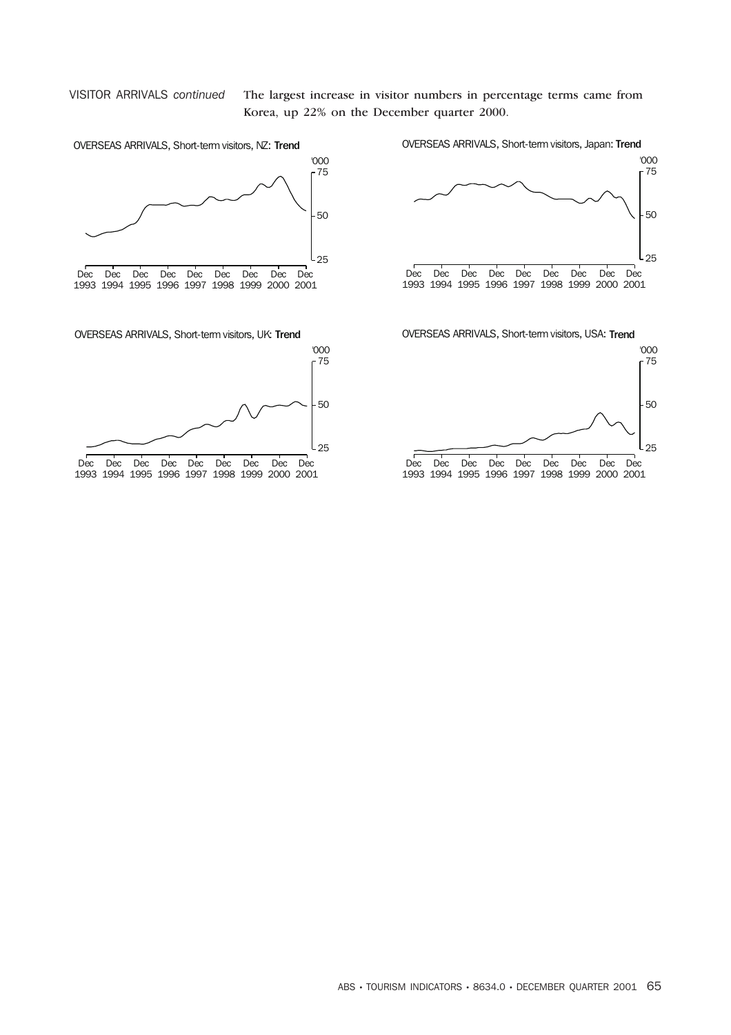VISITOR ARRIVALS *continued* The largest increase in visitor numbers in percentage terms came from Korea, up 22% on the December quarter 2000.

 $\overline{\Gamma}$ 

 $\overline{Dec}$ 

D<sub>ec</sub>

D<sub>ec</sub>

1993 1994 1995 1996 1997 1998 1999 2000 2001

D<sub>ec</sub>

D<sub>ec</sub>

D<sub>ec</sub>

D<sub>ec</sub>

D<sub>ec</sub>

25

50

Dec

25

'000

75

50

'000

75



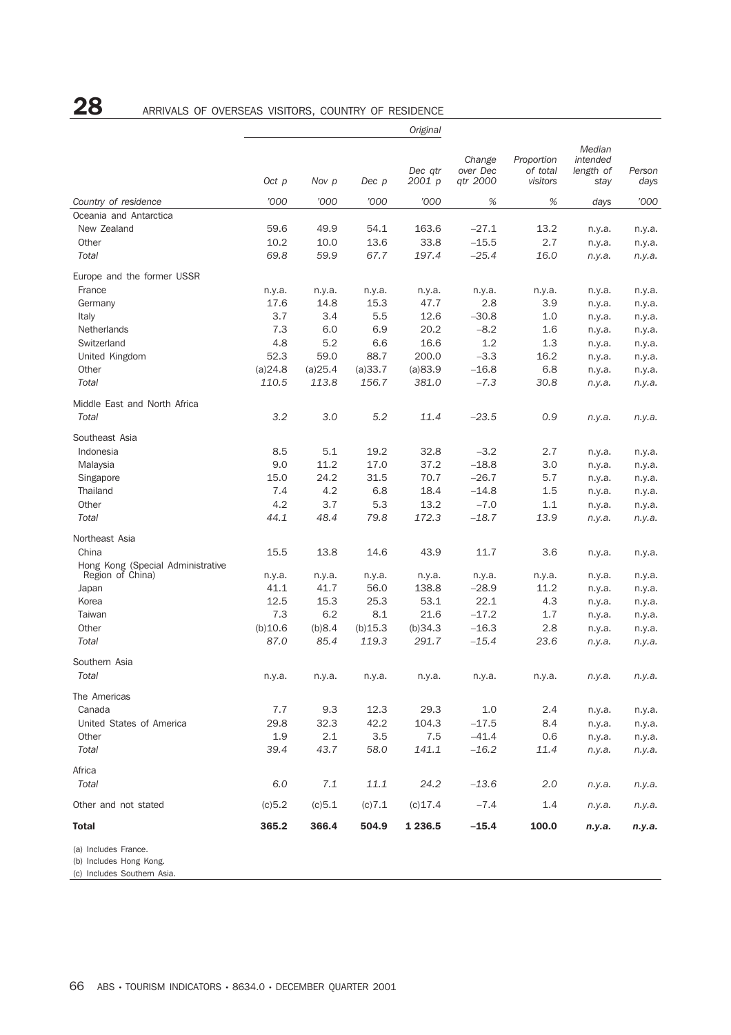# 28 ARRIVALS OF OVERSEAS VISITORS, COUNTRY OF RESIDENCE

|                                                                                |         |         |         | Original          |                                |                                    |                                         |                  |
|--------------------------------------------------------------------------------|---------|---------|---------|-------------------|--------------------------------|------------------------------------|-----------------------------------------|------------------|
|                                                                                | Oct p   | Nov p   | Dec p   | Dec qtr<br>2001 p | Change<br>over Dec<br>qtr 2000 | Proportion<br>of total<br>visitors | Median<br>intended<br>length of<br>stay | Person<br>days   |
| Country of residence                                                           | '000    | '000    | '000    | '000              | %                              | $\%$                               | days                                    | '000             |
| Oceania and Antarctica                                                         |         |         |         |                   |                                |                                    |                                         |                  |
| New Zealand                                                                    | 59.6    | 49.9    | 54.1    | 163.6             | $-27.1$                        | 13.2                               | n.y.a.                                  | n.y.a.           |
| Other                                                                          | 10.2    | 10.0    | 13.6    | 33.8              | $-15.5$                        | 2.7                                | n.y.a.                                  | n.y.a.           |
| Total                                                                          | 69.8    | 59.9    | 67.7    | 197.4             | $-25.4$                        | 16.0                               | n.y.a.                                  | n.y.a.           |
| Europe and the former USSR                                                     |         |         |         |                   |                                |                                    |                                         |                  |
| France                                                                         | n.y.a.  | n.y.a.  | n.y.a.  | n.y.a.            | n.y.a.                         | n.y.a.                             | n.y.a.                                  | n.y.a.           |
| Germany                                                                        | 17.6    | 14.8    | 15.3    | 47.7              | 2.8                            | 3.9                                | n.y.a.                                  | n.y.a.           |
| Italy                                                                          | 3.7     | 3.4     | 5.5     | 12.6              | $-30.8$                        | 1.0                                | n.y.a.                                  | n.y.a.           |
| Netherlands                                                                    | 7.3     | 6.0     | 6.9     | 20.2              | $-8.2$                         | 1.6                                | n.y.a.                                  | n.y.a.           |
| Switzerland                                                                    | 4.8     | 5.2     | 6.6     | 16.6              | 1.2                            | 1.3                                | n.y.a.                                  | n.y.a.           |
| United Kingdom                                                                 | 52.3    | 59.0    | 88.7    | 200.0             | $-3.3$                         | 16.2                               | n.y.a.                                  | n.y.a.           |
| Other                                                                          | (a)24.8 | (a)25.4 | (a)33.7 | (a)83.9           | $-16.8$                        | 6.8                                |                                         |                  |
| Total                                                                          | 110.5   | 113.8   | 156.7   | 381.0             | $-7.3$                         | 30.8                               | n.y.a.<br>n.y.a.                        | n.y.a.<br>n.y.a. |
|                                                                                |         |         |         |                   |                                |                                    |                                         |                  |
| Middle East and North Africa<br>Total                                          | 3.2     | 3.0     | 5.2     | 11.4              | $-23.5$                        | 0.9                                |                                         |                  |
|                                                                                |         |         |         |                   |                                |                                    | n.y.a.                                  | n.y.a.           |
| Southeast Asia                                                                 |         |         |         |                   |                                |                                    |                                         |                  |
| Indonesia                                                                      | 8.5     | 5.1     | 19.2    | 32.8              | $-3.2$                         | 2.7                                | n.y.a.                                  | n.y.a.           |
| Malaysia                                                                       | 9.0     | 11.2    | 17.0    | 37.2              | $-18.8$                        | 3.0                                | n.y.a.                                  | n.y.a.           |
| Singapore                                                                      | 15.0    | 24.2    | 31.5    | 70.7              | $-26.7$                        | 5.7                                | n.y.a.                                  | n.y.a.           |
| Thailand                                                                       | 7.4     | 4.2     | 6.8     | 18.4              | $-14.8$                        | 1.5                                | n.y.a.                                  | n.y.a.           |
| Other                                                                          | 4.2     | 3.7     | 5.3     | 13.2              | $-7.0$                         | 1.1                                | n.y.a.                                  | n.y.a.           |
| Total                                                                          | 44.1    | 48.4    | 79.8    | 172.3             | $-18.7$                        | 13.9                               | n.y.a.                                  | n.y.a.           |
| Northeast Asia                                                                 |         |         |         |                   |                                |                                    |                                         |                  |
| China                                                                          | 15.5    | 13.8    | 14.6    | 43.9              | 11.7                           | 3.6                                | n.y.a.                                  | n.y.a.           |
| Hong Kong (Special Administrative                                              |         |         |         |                   |                                |                                    |                                         |                  |
| Region of China)                                                               | n.y.a.  | n.y.a.  | n.y.a.  | n.y.a.            | n.y.a.                         | n.y.a.                             | n.y.a.                                  | n.y.a.           |
| Japan                                                                          | 41.1    | 41.7    | 56.0    | 138.8             | $-28.9$                        | 11.2                               | n.y.a.                                  | n.y.a.           |
| Korea                                                                          | 12.5    | 15.3    | 25.3    | 53.1              | 22.1                           | 4.3                                | n.y.a.                                  | n.y.a.           |
| Taiwan                                                                         | 7.3     | 6.2     | 8.1     | 21.6              | $-17.2$                        | 1.7                                | n.y.a.                                  | n.y.a.           |
| Other                                                                          | (b)10.6 | (b)8.4  | (b)15.3 | (b)34.3           | $-16.3$                        | 2.8                                | n.y.a.                                  | n.y.a.           |
| Total                                                                          | 87.0    | 85.4    | 119.3   | 291.7             | $-15.4$                        | 23.6                               | n.y.a.                                  | n.y.a.           |
| Southern Asia                                                                  |         |         |         |                   |                                |                                    |                                         |                  |
| Total                                                                          | n.y.a.  | n.y.a.  | n.y.a.  | n.y.a.            | n.y.a.                         | n.y.a.                             | n.y.a.                                  | n.y.a.           |
| The Americas                                                                   |         |         |         |                   |                                |                                    |                                         |                  |
| Canada                                                                         | 7.7     | 9.3     | 12.3    | 29.3              | 1.0                            | 2.4                                | n.y.a.                                  | n.y.a.           |
| United States of America                                                       | 29.8    | 32.3    | 42.2    | 104.3             | $-17.5$                        | 8.4                                | n.y.a.                                  | n.y.a.           |
| Other                                                                          | 1.9     | 2.1     | 3.5     | 7.5               | $-41.4$                        | 0.6                                | n.y.a.                                  | n.y.a.           |
| Total                                                                          | 39.4    | 43.7    | 58.0    | 141.1             | $-16.2$                        | 11.4                               | n.y.a.                                  | n.y.a.           |
| Africa                                                                         |         |         |         |                   |                                |                                    |                                         |                  |
| Total                                                                          | 6.0     | 7.1     | 11.1    | 24.2              | $-13.6$                        | 2.0                                | n.y.a.                                  | n.y.a.           |
| Other and not stated                                                           | (c)5.2  | (c) 5.1 | (c) 7.1 | $(c)$ 17.4        | $-7.4$                         | 1.4                                | n.y.a.                                  | n.y.a.           |
| <b>Total</b>                                                                   | 365.2   | 366.4   | 504.9   | 1 2 3 6 . 5       | $-15.4$                        | 100.0                              | n.y.a.                                  | n.y.a.           |
| (a) Includes France.<br>(b) Includes Hong Kong.<br>(c) Includes Southern Asia. |         |         |         |                   |                                |                                    |                                         |                  |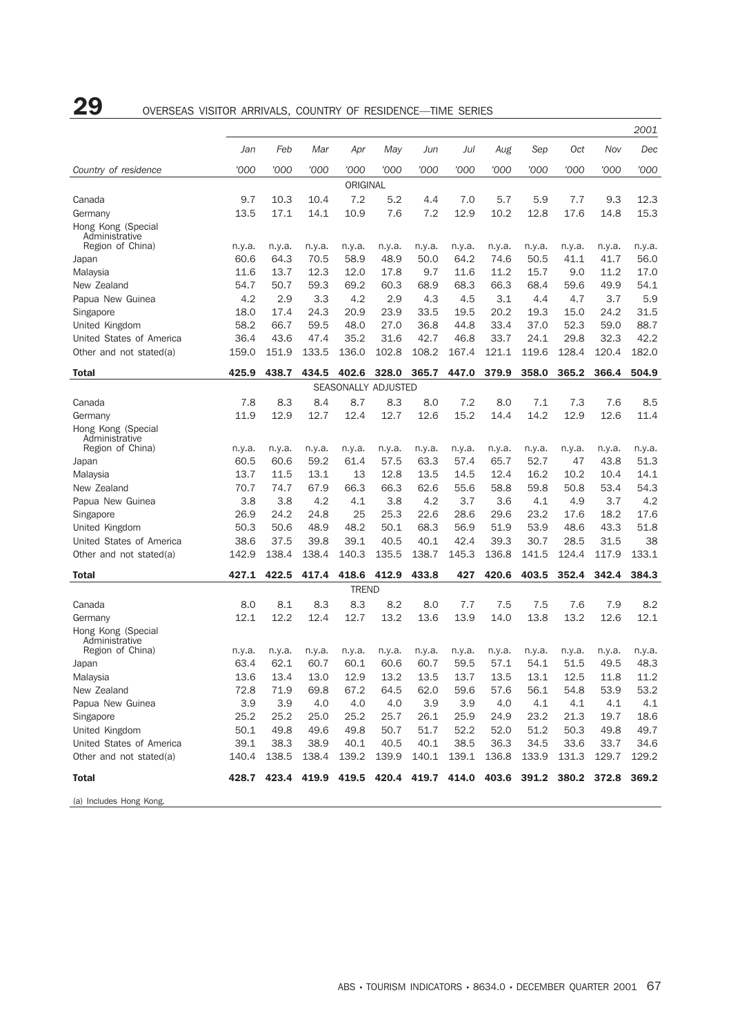# 29 OVERSEAS VISITOR ARRIVALS, COUNTRY OF RESIDENCE—TIME SERIES

|                                      |        |        |                                                             |                     |        |        |        |        |        |        |        | 2001   |
|--------------------------------------|--------|--------|-------------------------------------------------------------|---------------------|--------|--------|--------|--------|--------|--------|--------|--------|
|                                      | Jan    | Feb    | Mar                                                         | Apr                 | May    | Jun    | Jul    | Aug    | Sep    | Oct    | Nov    | Dec    |
| Country of residence                 | '000   | '000   | '000                                                        | '000                | '000   | '000   | '000   | '000   | '000   | '000   | '000   | '000   |
|                                      |        |        |                                                             | ORIGINAL            |        |        |        |        |        |        |        |        |
| Canada                               | 9.7    | 10.3   | 10.4                                                        | 7.2                 | 5.2    | 4.4    | 7.0    | 5.7    | 5.9    | 7.7    | 9.3    | 12.3   |
| Germany                              | 13.5   | 17.1   | 14.1                                                        | 10.9                | 7.6    | 7.2    | 12.9   | 10.2   | 12.8   | 17.6   | 14.8   | 15.3   |
| Hong Kong (Special<br>Administrative |        |        |                                                             |                     |        |        |        |        |        |        |        |        |
| Region of China)                     | n.y.a. | n.y.a. | n.y.a.                                                      | n.y.a.              | n.y.a. | n.y.a. | n.y.a. | n.y.a. | n.y.a. | n.y.a. | n.y.a. | n.y.a. |
| Japan                                | 60.6   | 64.3   | 70.5                                                        | 58.9                | 48.9   | 50.0   | 64.2   | 74.6   | 50.5   | 41.1   | 41.7   | 56.0   |
| Malaysia                             | 11.6   | 13.7   | 12.3                                                        | 12.0                | 17.8   | 9.7    | 11.6   | 11.2   | 15.7   | 9.0    | 11.2   | 17.0   |
| New Zealand                          | 54.7   | 50.7   | 59.3                                                        | 69.2                | 60.3   | 68.9   | 68.3   | 66.3   | 68.4   | 59.6   | 49.9   | 54.1   |
| Papua New Guinea                     | 4.2    | 2.9    | 3.3                                                         | 4.2                 | 2.9    | 4.3    | 4.5    | 3.1    | 4.4    | 4.7    | 3.7    | 5.9    |
| Singapore                            | 18.0   | 17.4   | 24.3                                                        | 20.9                | 23.9   | 33.5   | 19.5   | 20.2   | 19.3   | 15.0   | 24.2   | 31.5   |
| United Kingdom                       | 58.2   | 66.7   | 59.5                                                        | 48.0                | 27.0   | 36.8   | 44.8   | 33.4   | 37.0   | 52.3   | 59.0   | 88.7   |
| United States of America             | 36.4   | 43.6   | 47.4                                                        | 35.2                | 31.6   | 42.7   | 46.8   | 33.7   | 24.1   | 29.8   | 32.3   | 42.2   |
| Other and not stated(a)              | 159.0  | 151.9  | 133.5                                                       | 136.0               | 102.8  | 108.2  | 167.4  | 121.1  | 119.6  | 128.4  | 120.4  | 182.0  |
| Total                                | 425.9  | 438.7  | 434.5                                                       | 402.6               | 328.0  | 365.7  | 447.0  | 379.9  | 358.0  | 365.2  | 366.4  | 504.9  |
|                                      |        |        |                                                             | SEASONALLY ADJUSTED |        |        |        |        |        |        |        |        |
| Canada                               | 7.8    | 8.3    | 8.4                                                         | 8.7                 | 8.3    | 8.0    | 7.2    | 8.0    | 7.1    | 7.3    | 7.6    | 8.5    |
| Germany                              | 11.9   | 12.9   | 12.7                                                        | 12.4                | 12.7   | 12.6   | 15.2   | 14.4   | 14.2   | 12.9   | 12.6   | 11.4   |
| Hong Kong (Special<br>Administrative |        |        |                                                             |                     |        |        |        |        |        |        |        |        |
| Region of China)                     | n.y.a. | n.y.a. | n.y.a.                                                      | n.y.a.              | n.y.a. | n.y.a. | n.y.a. | n.y.a. | n.y.a. | n.y.a. | n.y.a. | n.y.a. |
| Japan                                | 60.5   | 60.6   | 59.2                                                        | 61.4                | 57.5   | 63.3   | 57.4   | 65.7   | 52.7   | 47     | 43.8   | 51.3   |
| Malaysia                             | 13.7   | 11.5   | 13.1                                                        | 13                  | 12.8   | 13.5   | 14.5   | 12.4   | 16.2   | 10.2   | 10.4   | 14.1   |
| New Zealand                          | 70.7   | 74.7   | 67.9                                                        | 66.3                | 66.3   | 62.6   | 55.6   | 58.8   | 59.8   | 50.8   | 53.4   | 54.3   |
| Papua New Guinea                     | 3.8    | 3.8    | 4.2                                                         | 4.1                 | 3.8    | 4.2    | 3.7    | 3.6    | 4.1    | 4.9    | 3.7    | 4.2    |
| Singapore                            | 26.9   | 24.2   | 24.8                                                        | 25                  | 25.3   | 22.6   | 28.6   | 29.6   | 23.2   | 17.6   | 18.2   | 17.6   |
| United Kingdom                       | 50.3   | 50.6   | 48.9                                                        | 48.2                | 50.1   | 68.3   | 56.9   | 51.9   | 53.9   | 48.6   | 43.3   | 51.8   |
| United States of America             | 38.6   | 37.5   | 39.8                                                        | 39.1                | 40.5   | 40.1   | 42.4   | 39.3   | 30.7   | 28.5   | 31.5   | 38     |
| Other and not stated(a)              | 142.9  | 138.4  | 138.4                                                       | 140.3               | 135.5  | 138.7  | 145.3  | 136.8  | 141.5  | 124.4  | 117.9  | 133.1  |
| Total                                | 427.1  | 422.5  | 417.4                                                       | 418.6               | 412.9  | 433.8  | 427    | 420.6  | 403.5  | 352.4  | 342.4  | 384.3  |
|                                      |        |        |                                                             | <b>TREND</b>        |        |        |        |        |        |        |        |        |
| Canada                               | 8.0    | 8.1    | 8.3                                                         | 8.3                 | 8.2    | 8.0    | 7.7    | 7.5    | 7.5    | 7.6    | 7.9    | 8.2    |
| Germany                              | 12.1   | 12.2   | 12.4                                                        | 12.7                | 13.2   | 13.6   | 13.9   | 14.0   | 13.8   | 13.2   | 12.6   | 12.1   |
| Hong Kong (Special<br>Administrative |        |        |                                                             |                     |        |        |        |        |        |        |        |        |
| Region of China)                     | n.y.a. | n.y.a. | n.y.a.                                                      | n.y.a.              | n.y.a. | n.y.a. | n.y.a. | n.y.a. | n.y.a. | n.y.a. | n.y.a. | n.y.a. |
| Japan                                | 63.4   | 62.1   | 60.7                                                        | 60.1                | 60.6   | 60.7   | 59.5   | 57.1   | 54.1   | 51.5   | 49.5   | 48.3   |
| Malaysia                             | 13.6   | 13.4   | 13.0                                                        | 12.9                | 13.2   | 13.5   | 13.7   | 13.5   | 13.1   | 12.5   | 11.8   | 11.2   |
| New Zealand                          | 72.8   | 71.9   | 69.8                                                        | 67.2                | 64.5   | 62.0   | 59.6   | 57.6   | 56.1   | 54.8   | 53.9   | 53.2   |
| Papua New Guinea                     | 3.9    | 3.9    | 4.0                                                         | 4.0                 | 4.0    | 3.9    | 3.9    | 4.0    | 4.1    | 4.1    | 4.1    | 4.1    |
| Singapore                            | 25.2   | 25.2   | 25.0                                                        | 25.2                | 25.7   | 26.1   | 25.9   | 24.9   | 23.2   | 21.3   | 19.7   | 18.6   |
| United Kingdom                       | 50.1   | 49.8   | 49.6                                                        | 49.8                | 50.7   | 51.7   | 52.2   | 52.0   | 51.2   | 50.3   | 49.8   | 49.7   |
| United States of America             | 39.1   | 38.3   | 38.9                                                        | 40.1                | 40.5   | 40.1   | 38.5   | 36.3   | 34.5   | 33.6   | 33.7   | 34.6   |
| Other and not stated(a)              | 140.4  | 138.5  | 138.4                                                       | 139.2               | 139.9  | 140.1  | 139.1  | 136.8  | 133.9  | 131.3  | 129.7  | 129.2  |
| Total                                | 428.7  |        | 423.4 419.9 419.5 420.4 419.7 414.0 403.6 391.2 380.2 372.8 |                     |        |        |        |        |        |        |        | 369.2  |
| (a) Includes Hong Kong.              |        |        |                                                             |                     |        |        |        |        |        |        |        |        |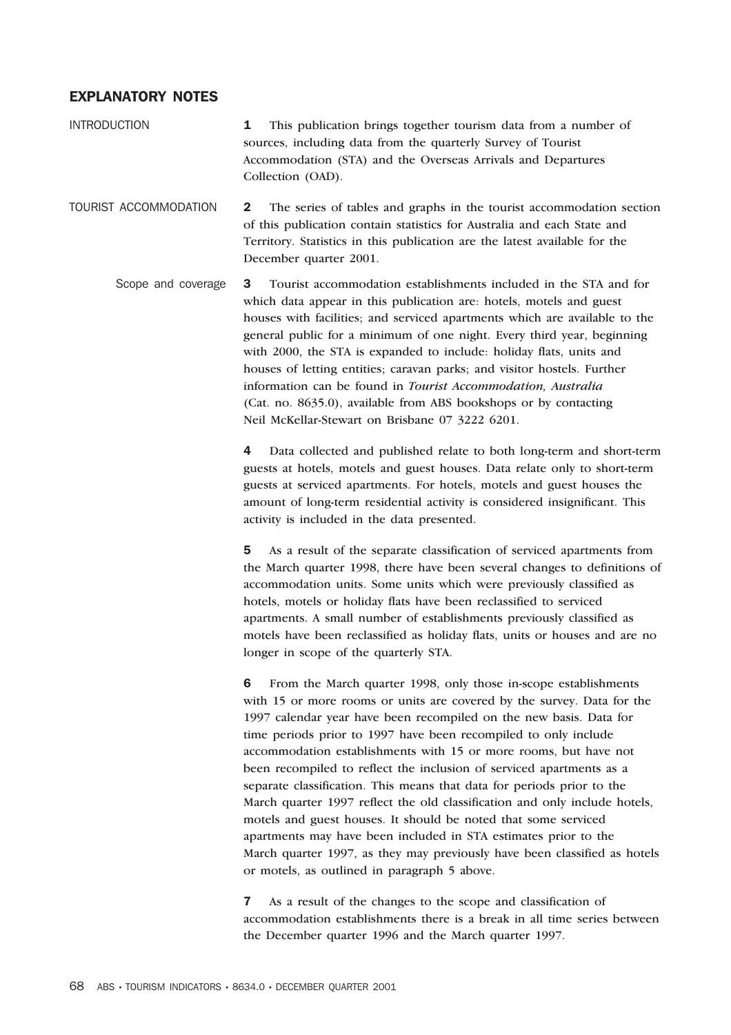## EXPLANATORY NOTES

INTRODUCTION 1 This publication brings together tourism data from a number of sources, including data from the quarterly Survey of Tourist Accommodation (STA) and the Overseas Arrivals and Departures Collection (OAD).

TOURIST ACCOMMODATION 2 The series of tables and graphs in the tourist accommodation section of this publication contain statistics for Australia and each State and Territory. Statistics in this publication are the latest available for the December quarter 2001.

Scope and coverage 3 Tourist accommodation establishments included in the STA and for which data appear in this publication are: hotels, motels and guest houses with facilities; and serviced apartments which are available to the general public for a minimum of one night. Every third year, beginning with 2000, the STA is expanded to include: holiday flats, units and houses of letting entities; caravan parks; and visitor hostels. Further information can be found in *Tourist Accommodation, Australia* (Cat. no. 8635.0), available from ABS bookshops or by contacting Neil McKellar-Stewart on Brisbane 07 3222 6201.

> 4 Data collected and published relate to both long-term and short-term guests at hotels, motels and guest houses. Data relate only to short-term guests at serviced apartments. For hotels, motels and guest houses the amount of long-term residential activity is considered insignificant. This activity is included in the data presented.

> 5 As a result of the separate classification of serviced apartments from the March quarter 1998, there have been several changes to definitions of accommodation units. Some units which were previously classified as hotels, motels or holiday flats have been reclassified to serviced apartments. A small number of establishments previously classified as motels have been reclassified as holiday flats, units or houses and are no longer in scope of the quarterly STA.

> 6 From the March quarter 1998, only those in-scope establishments with 15 or more rooms or units are covered by the survey. Data for the 1997 calendar year have been recompiled on the new basis. Data for time periods prior to 1997 have been recompiled to only include accommodation establishments with 15 or more rooms, but have not been recompiled to reflect the inclusion of serviced apartments as a separate classification. This means that data for periods prior to the March quarter 1997 reflect the old classification and only include hotels, motels and guest houses. It should be noted that some serviced apartments may have been included in STA estimates prior to the March quarter 1997, as they may previously have been classified as hotels or motels, as outlined in paragraph 5 above.

> 7 As a result of the changes to the scope and classification of accommodation establishments there is a break in all time series between the December quarter 1996 and the March quarter 1997.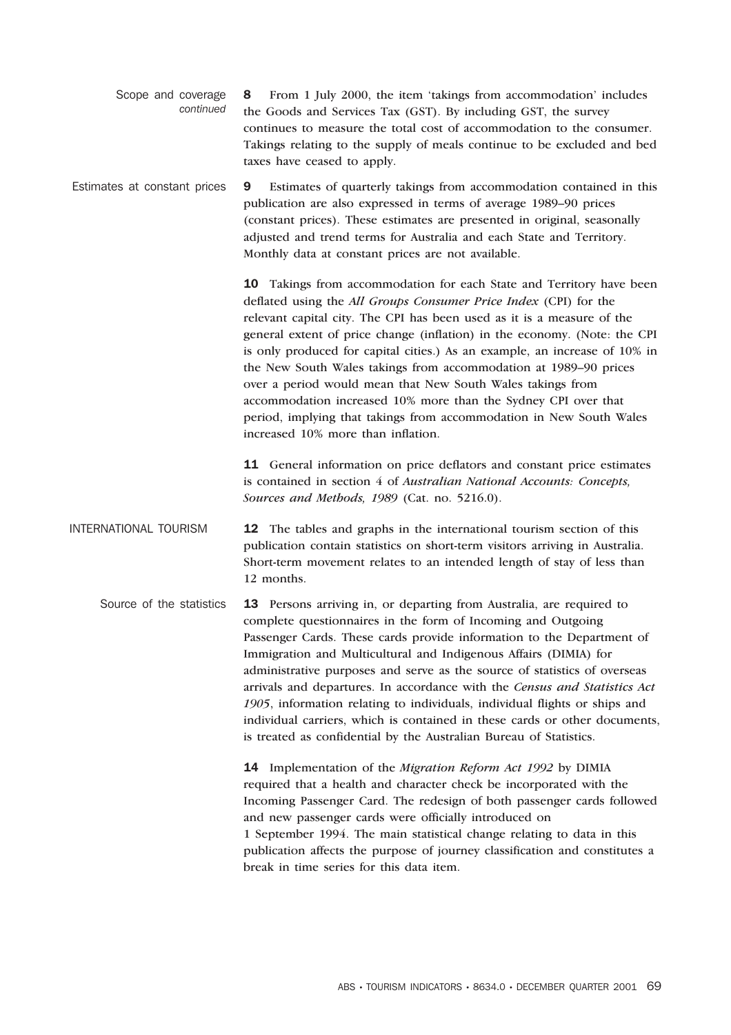| continued | Scope and coverage 8 From 1 July 2000, the item 'takings from accommodation' includes |
|-----------|---------------------------------------------------------------------------------------|
|           | the Goods and Services Tax (GST). By including GST, the survey                        |
|           | continues to measure the total cost of accommodation to the consumer.                 |
|           | Takings relating to the supply of meals continue to be excluded and bed               |
|           | taxes have ceased to apply.                                                           |

Estimates at constant prices 9 Estimates of quarterly takings from accommodation contained in this publication are also expressed in terms of average 1989–90 prices (constant prices). These estimates are presented in original, seasonally adjusted and trend terms for Australia and each State and Territory. Monthly data at constant prices are not available.

> 10 Takings from accommodation for each State and Territory have been deflated using the *All Groups Consumer Price Index* (CPI) for the relevant capital city. The CPI has been used as it is a measure of the general extent of price change (inflation) in the economy. (Note: the CPI is only produced for capital cities.) As an example, an increase of 10% in the New South Wales takings from accommodation at 1989–90 prices over a period would mean that New South Wales takings from accommodation increased 10% more than the Sydney CPI over that period, implying that takings from accommodation in New South Wales increased 10% more than inflation.

11 General information on price deflators and constant price estimates is contained in section 4 of *Australian National Accounts: Concepts, Sources and Methods, 1989* (Cat. no. 5216.0).

- INTERNATIONAL TOURISM 12 The tables and graphs in the international tourism section of this publication contain statistics on short-term visitors arriving in Australia. Short-term movement relates to an intended length of stay of less than 12 months.
	- Source of the statistics 13 Persons arriving in, or departing from Australia, are required to complete questionnaires in the form of Incoming and Outgoing Passenger Cards. These cards provide information to the Department of Immigration and Multicultural and Indigenous Affairs (DIMIA) for administrative purposes and serve as the source of statistics of overseas arrivals and departures. In accordance with the *Census and Statistics Act 1905*, information relating to individuals, individual flights or ships and individual carriers, which is contained in these cards or other documents, is treated as confidential by the Australian Bureau of Statistics.

14 Implementation of the *Migration Reform Act 1992* by DIMIA required that a health and character check be incorporated with the Incoming Passenger Card. The redesign of both passenger cards followed and new passenger cards were officially introduced on 1 September 1994. The main statistical change relating to data in this publication affects the purpose of journey classification and constitutes a break in time series for this data item.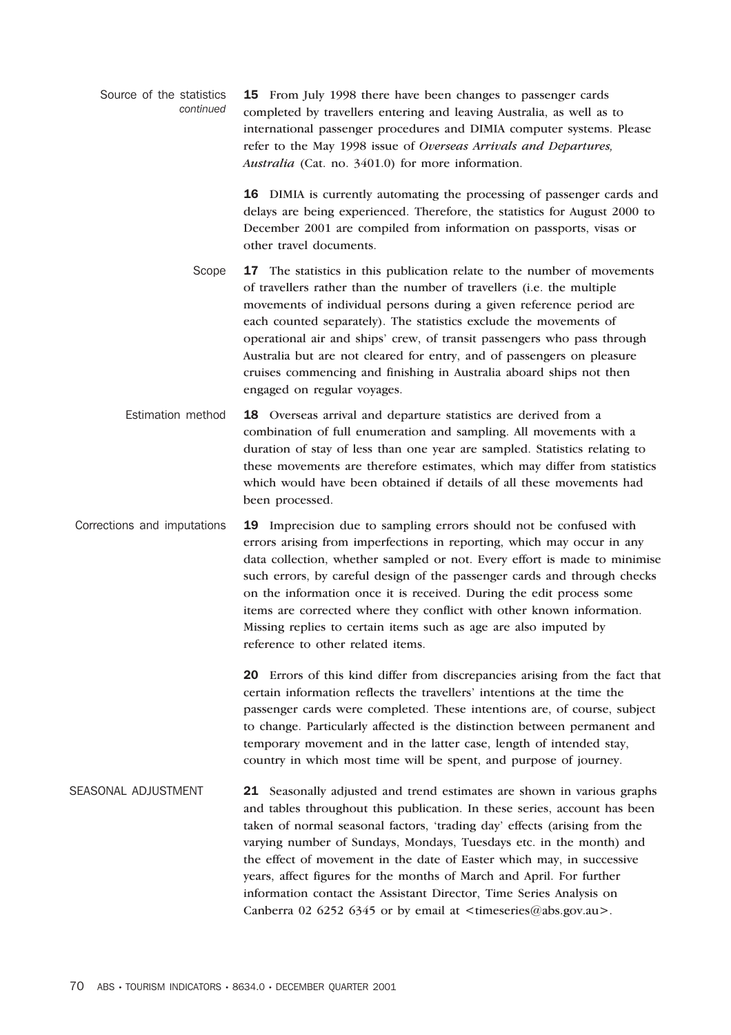| Source of the statistics<br>continued | <b>15</b> From July 1998 there have been changes to passenger cards   |
|---------------------------------------|-----------------------------------------------------------------------|
|                                       | completed by travellers entering and leaving Australia, as well as to |
|                                       | international passenger procedures and DIMIA computer systems. Please |
|                                       | refer to the May 1998 issue of Overseas Arrivals and Departures,      |
|                                       | <i>Australia</i> (Cat. no. 3401.0) for more information.              |

16 DIMIA is currently automating the processing of passenger cards and delays are being experienced. Therefore, the statistics for August 2000 to December 2001 are compiled from information on passports, visas or other travel documents.

Scope 17 The statistics in this publication relate to the number of movements of travellers rather than the number of travellers (i.e. the multiple movements of individual persons during a given reference period are each counted separately). The statistics exclude the movements of operational air and ships' crew, of transit passengers who pass through Australia but are not cleared for entry, and of passengers on pleasure cruises commencing and finishing in Australia aboard ships not then engaged on regular voyages.

- Estimation method 18 Overseas arrival and departure statistics are derived from a combination of full enumeration and sampling. All movements with a duration of stay of less than one year are sampled. Statistics relating to these movements are therefore estimates, which may differ from statistics which would have been obtained if details of all these movements had been processed.
- Corrections and imputations 19 Imprecision due to sampling errors should not be confused with errors arising from imperfections in reporting, which may occur in any data collection, whether sampled or not. Every effort is made to minimise such errors, by careful design of the passenger cards and through checks on the information once it is received. During the edit process some items are corrected where they conflict with other known information. Missing replies to certain items such as age are also imputed by reference to other related items.

20 Errors of this kind differ from discrepancies arising from the fact that certain information reflects the travellers' intentions at the time the passenger cards were completed. These intentions are, of course, subject to change. Particularly affected is the distinction between permanent and temporary movement and in the latter case, length of intended stay, country in which most time will be spent, and purpose of journey.

SEASONAL ADJUSTMENT 21 Seasonally adjusted and trend estimates are shown in various graphs and tables throughout this publication. In these series, account has been taken of normal seasonal factors, 'trading day' effects (arising from the varying number of Sundays, Mondays, Tuesdays etc. in the month) and the effect of movement in the date of Easter which may, in successive years, affect figures for the months of March and April. For further information contact the Assistant Director, Time Series Analysis on Canberra 02 6252 6345 or by email at  $\langle t \rangle = \langle \hat{\omega} \rangle$  abs.gov.au.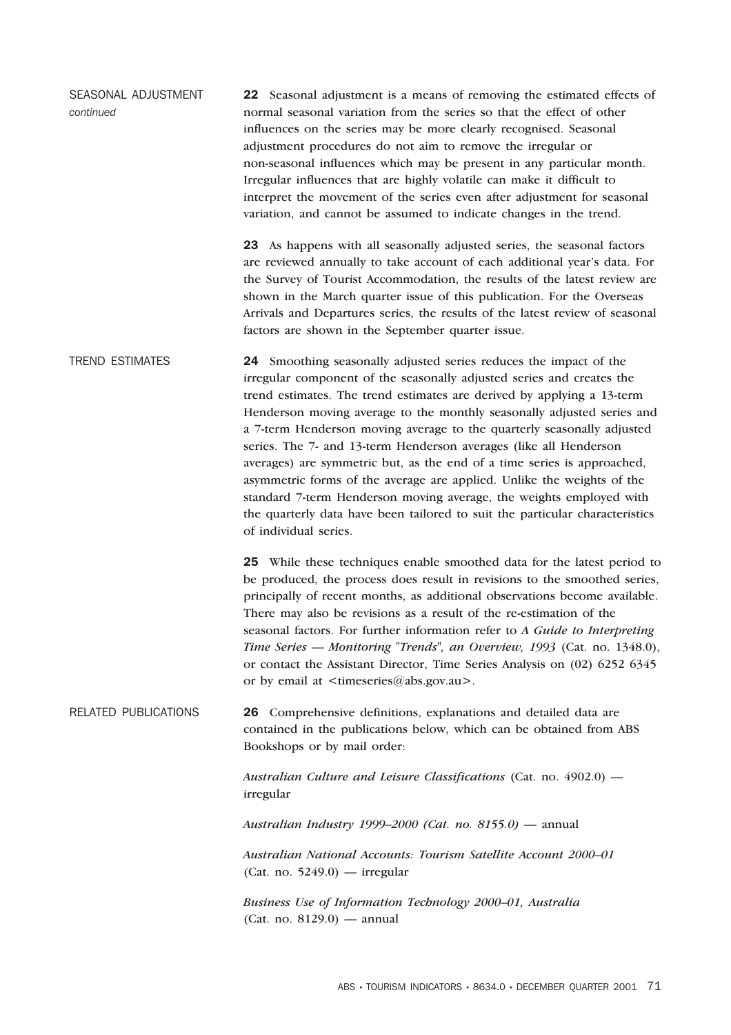| SEASONAL ADJUSTMENT<br>continued | 22 Seasonal adjustment is a means of removing the estimated effects of<br>normal seasonal variation from the series so that the effect of other<br>influences on the series may be more clearly recognised. Seasonal<br>adjustment procedures do not aim to remove the irregular or<br>non-seasonal influences which may be present in any particular month.<br>Irregular influences that are highly volatile can make it difficult to<br>interpret the movement of the series even after adjustment for seasonal<br>variation, and cannot be assumed to indicate changes in the trend. |
|----------------------------------|-----------------------------------------------------------------------------------------------------------------------------------------------------------------------------------------------------------------------------------------------------------------------------------------------------------------------------------------------------------------------------------------------------------------------------------------------------------------------------------------------------------------------------------------------------------------------------------------|
|                                  | 23 As happens with all seasonally adjusted series, the seasonal factors<br>are reviewed annually to take account of each additional year's data. For<br>the Survey of Tourist Accommodation, the results of the latest review are<br>shown in the March quarter issue of this publication. For the Overseas<br>Arrivals and Departures series, the results of the latest review of seasonal<br>factors are shown in the September quarter issue.                                                                                                                                        |
| <b>TREND ESTIMATES</b>           | 24 Smoothing seasonally adjusted series reduces the impact of the<br>irregular component of the seasonally adjusted series and creates the<br>trend estimates. The trend estimates are derived by applying a 13-term<br>Henderson moving average to the monthly seasonally adjusted series and<br>a 7-term Henderson moving average to the quarterly seasonally adjusted<br>series. The 7- and 13-term Henderson averages (like all Henderson                                                                                                                                           |

standard 7-term Henderson moving average, the weights employed with the quarterly data have been tailored to suit the particular characteristics of individual series. 25 While these techniques enable smoothed data for the latest period to be produced, the process does result in revisions to the smoothed series, principally of recent months, as additional observations become available.

averages) are symmetric but, as the end of a time series is approached, asymmetric forms of the average are applied. Unlike the weights of the

There may also be revisions as a result of the re-estimation of the seasonal factors. For further information refer to *A Guide to Interpreting Time Series — Monitoring "Trends", an Overview, 1993* (Cat. no. 1348.0), or contact the Assistant Director, Time Series Analysis on (02) 6252 6345 or by email at  $\leq$ timeseries@abs.gov.au>.

RELATED PUBLICATIONS 26 Comprehensive definitions, explanations and detailed data are contained in the publications below, which can be obtained from ABS Bookshops or by mail order:

> *Australian Culture and Leisure Classifications* (Cat. no. 4902.0) irregular

*Australian Industry 1999–2000 (Cat. no. 8155.0) —* annual

*Australian National Accounts: Tourism Satellite Account 2000–01* (Cat. no. 5249.0) — irregular

*Business Use of Information Technology 2000–01, Australia* (Cat. no. 8129.0) — annual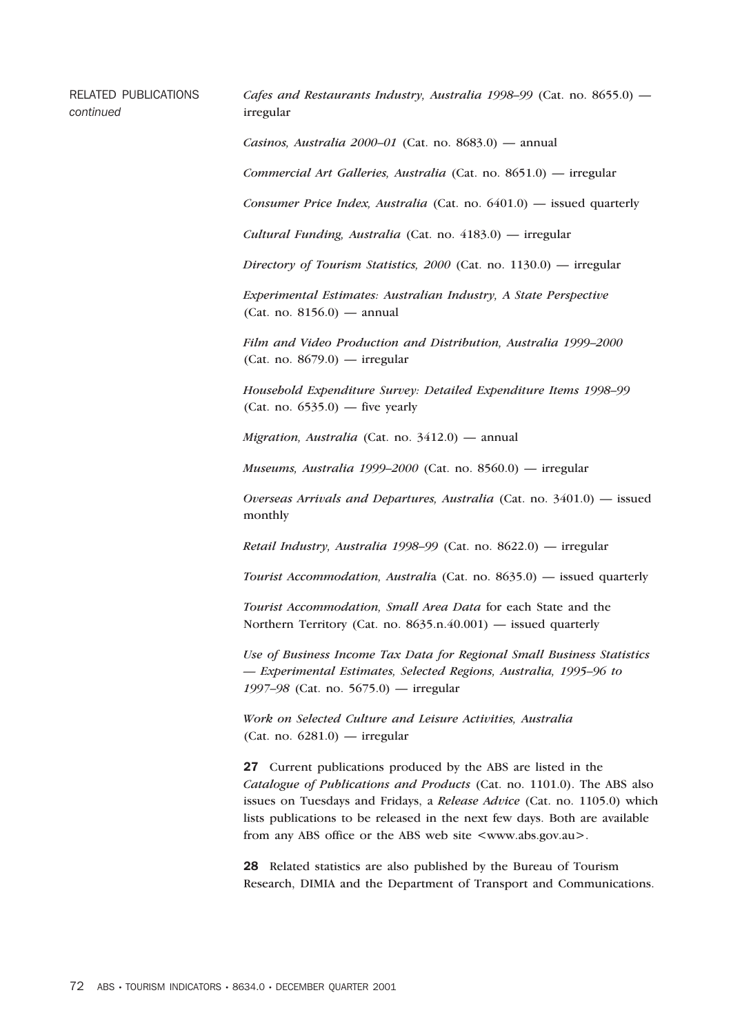RELATED PUBLICATIONS *continued*

*Cafes and Restaurants Industry, Australia 1998–99* (Cat. no. 8655.0) irregular

*Casinos, Australia 2000–01* (Cat. no. 8683.0) — annual

*Commercial Art Galleries, Australia* (Cat. no. 8651.0) — irregular

*Consumer Price Index, Australia* (Cat. no. 6401.0) — issued quarterly

*Cultural Funding, Australia* (Cat. no. 4183.0) — irregular

*Directory of Tourism Statistics, 2000* (Cat. no. 1130.0) — irregular

*Experimental Estimates: Australian Industry, A State Perspective* (Cat. no. 8156.0) — annual

*Film and Video Production and Distribution, Australia 1999–2000* (Cat. no. 8679.0) — irregular

*Household Expenditure Survey: Detailed Expenditure Items 1998–99*  $(Cat. no. 6535.0)$  — five yearly

*Migration, Australia* (Cat. no. 3412.0) — annual

*Museums, Australia 1999–2000* (Cat. no. 8560.0) — irregular

*Overseas Arrivals and Departures, Australia* (Cat. no. 3401.0) — issued monthly

*Retail Industry, Australia 1998–99* (Cat. no. 8622.0) — irregular

*Tourist Accommodation, Australi*a (Cat. no. 8635.0) — issued quarterly

*Tourist Accommodation, Small Area Data* for each State and the Northern Territory (Cat. no. 8635.n.40.001) — issued quarterly

*Use of Business Income Tax Data for Regional Small Business Statistics — Experimental Estimates, Selected Regions, Australia, 1995–96 to 1997–98* (Cat. no. 5675.0) — irregular

*Work on Selected Culture and Leisure Activities, Australia* (Cat. no. 6281.0) — irregular

27 Current publications produced by the ABS are listed in the *Catalogue of Publications and Products* (Cat. no. 1101.0). The ABS also issues on Tuesdays and Fridays, a *Release Advice* (Cat. no. 1105.0) which lists publications to be released in the next few days. Both are available from any ABS office or the ABS web site  $\langle$ www.abs.gov.au $\rangle$ .

28 Related statistics are also published by the Bureau of Tourism Research, DIMIA and the Department of Transport and Communications.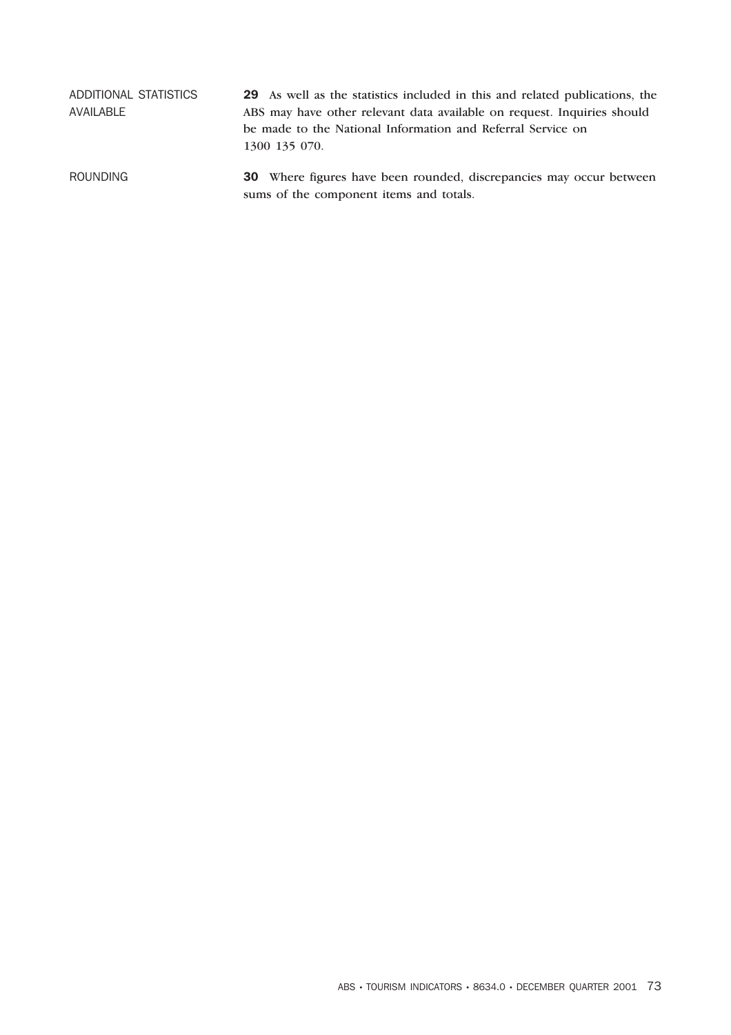| ADDITIONAL STATISTICS<br>AVAILABLE | <b>29</b> As well as the statistics included in this and related publications, the<br>ABS may have other relevant data available on request. Inquiries should<br>be made to the National Information and Referral Service on |
|------------------------------------|------------------------------------------------------------------------------------------------------------------------------------------------------------------------------------------------------------------------------|
| <b>ROUNDING</b>                    | 1300 135 070.<br><b>30</b> Where figures have been rounded, discrepancies may occur between<br>sums of the component items and totals.                                                                                       |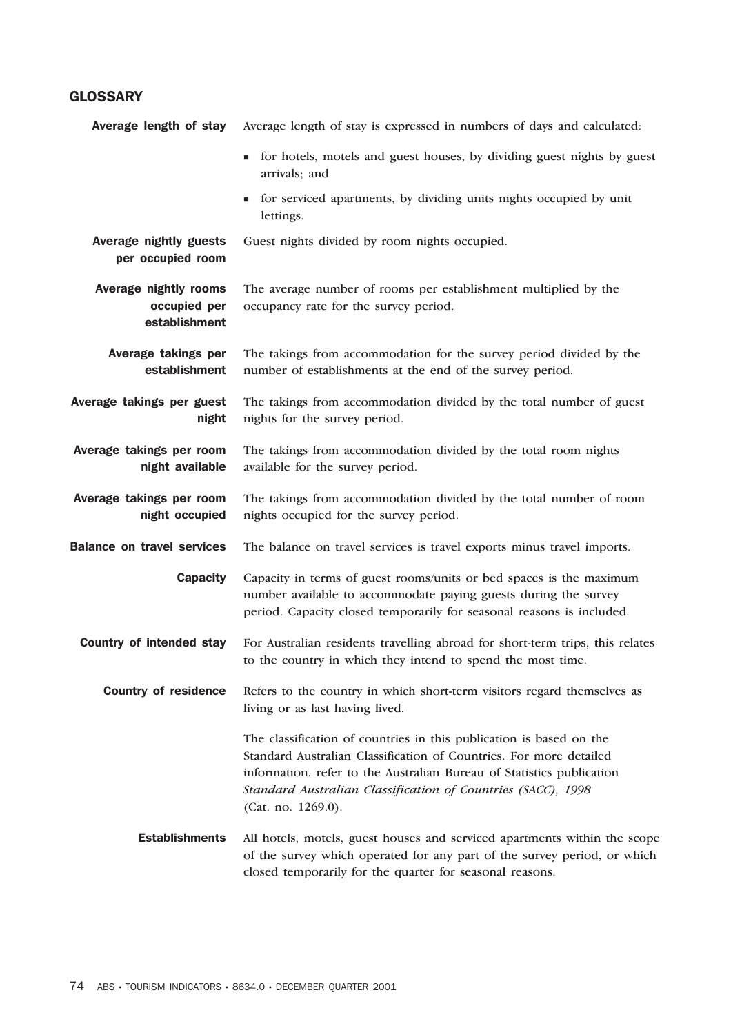### **GLOSSARY**

| Average length of stay                                 | Average length of stay is expressed in numbers of days and calculated:                                                                                                                                                                                                                                   |
|--------------------------------------------------------|----------------------------------------------------------------------------------------------------------------------------------------------------------------------------------------------------------------------------------------------------------------------------------------------------------|
|                                                        | for hotels, motels and guest houses, by dividing guest nights by guest<br>arrivals; and                                                                                                                                                                                                                  |
|                                                        | for serviced apartments, by dividing units nights occupied by unit<br>lettings.                                                                                                                                                                                                                          |
| Average nightly guests<br>per occupied room            | Guest nights divided by room nights occupied.                                                                                                                                                                                                                                                            |
| Average nightly rooms<br>occupied per<br>establishment | The average number of rooms per establishment multiplied by the<br>occupancy rate for the survey period.                                                                                                                                                                                                 |
| Average takings per<br>establishment                   | The takings from accommodation for the survey period divided by the<br>number of establishments at the end of the survey period.                                                                                                                                                                         |
| Average takings per guest<br>night                     | The takings from accommodation divided by the total number of guest<br>nights for the survey period.                                                                                                                                                                                                     |
| Average takings per room<br>night available            | The takings from accommodation divided by the total room nights<br>available for the survey period.                                                                                                                                                                                                      |
| Average takings per room<br>night occupied             | The takings from accommodation divided by the total number of room<br>nights occupied for the survey period.                                                                                                                                                                                             |
| <b>Balance on travel services</b>                      | The balance on travel services is travel exports minus travel imports.                                                                                                                                                                                                                                   |
| <b>Capacity</b>                                        | Capacity in terms of guest rooms/units or bed spaces is the maximum<br>number available to accommodate paying guests during the survey<br>period. Capacity closed temporarily for seasonal reasons is included.                                                                                          |
| <b>Country of intended stay</b>                        | For Australian residents travelling abroad for short-term trips, this relates<br>to the country in which they intend to spend the most time.                                                                                                                                                             |
| <b>Country of residence</b>                            | Refers to the country in which short-term visitors regard themselves as<br>living or as last having lived.                                                                                                                                                                                               |
|                                                        | The classification of countries in this publication is based on the<br>Standard Australian Classification of Countries. For more detailed<br>information, refer to the Australian Bureau of Statistics publication<br>Standard Australian Classification of Countries (SACC), 1998<br>(Cat. no. 1269.0). |
| <b>Establishments</b>                                  | All hotels, motels, guest houses and serviced apartments within the scope<br>of the survey which operated for any part of the survey period, or which<br>closed temporarily for the quarter for seasonal reasons.                                                                                        |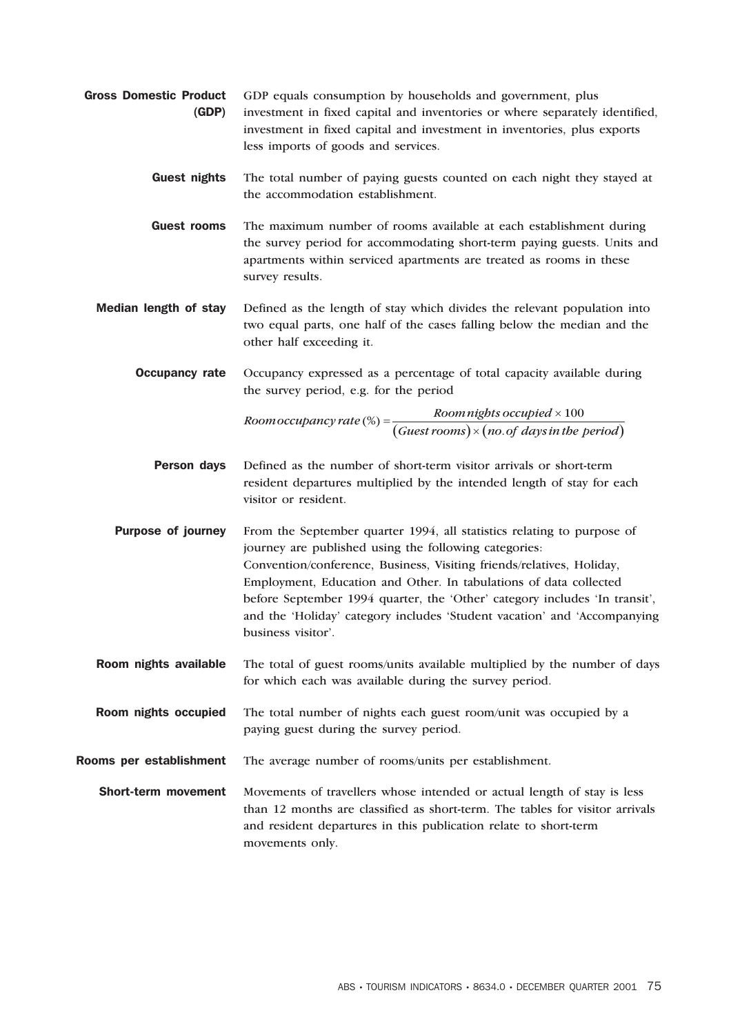- Gross Domestic Product (GDP) GDP equals consumption by households and government, plus investment in fixed capital and inventories or where separately identified, investment in fixed capital and investment in inventories, plus exports less imports of goods and services.
	- Guest nights The total number of paying guests counted on each night they stayed at the accommodation establishment.
	- Guest rooms The maximum number of rooms available at each establishment during the survey period for accommodating short-term paying guests. Units and apartments within serviced apartments are treated as rooms in these survey results.
	- Median length of stay Defined as the length of stay which divides the relevant population into two equal parts, one half of the cases falling below the median and the other half exceeding it.

**Occupancy rate** Occupancy expressed as a percentage of total capacity available during the survey period, e.g. for the period

> *Room occupancy rate* (%) =  $\frac{Room \, nights \, occupied \times 100}{(Guest \, rooms) \times (no. \,of \, days \,in \,the \,}$  $\bigl (Guest\, rooms \bigr ) \times \bigl (no. of \, days \, in \, the \, period \bigr )$

**Person days** Defined as the number of short-term visitor arrivals or short-term resident departures multiplied by the intended length of stay for each visitor or resident.

**Purpose of journey** From the September quarter 1994, all statistics relating to purpose of journey are published using the following categories: Convention/conference, Business, Visiting friends/relatives, Holiday, Employment, Education and Other. In tabulations of data collected before September 1994 quarter, the 'Other' category includes 'In transit', and the 'Holiday' category includes 'Student vacation' and 'Accompanying business visitor'.

Room nights available The total of guest rooms/units available multiplied by the number of days for which each was available during the survey period.

Room nights occupied The total number of nights each guest room/unit was occupied by a paying guest during the survey period.

Rooms per establishment The average number of rooms/units per establishment.

**Short-term movement** Movements of travellers whose intended or actual length of stay is less than 12 months are classified as short-term. The tables for visitor arrivals and resident departures in this publication relate to short-term movements only.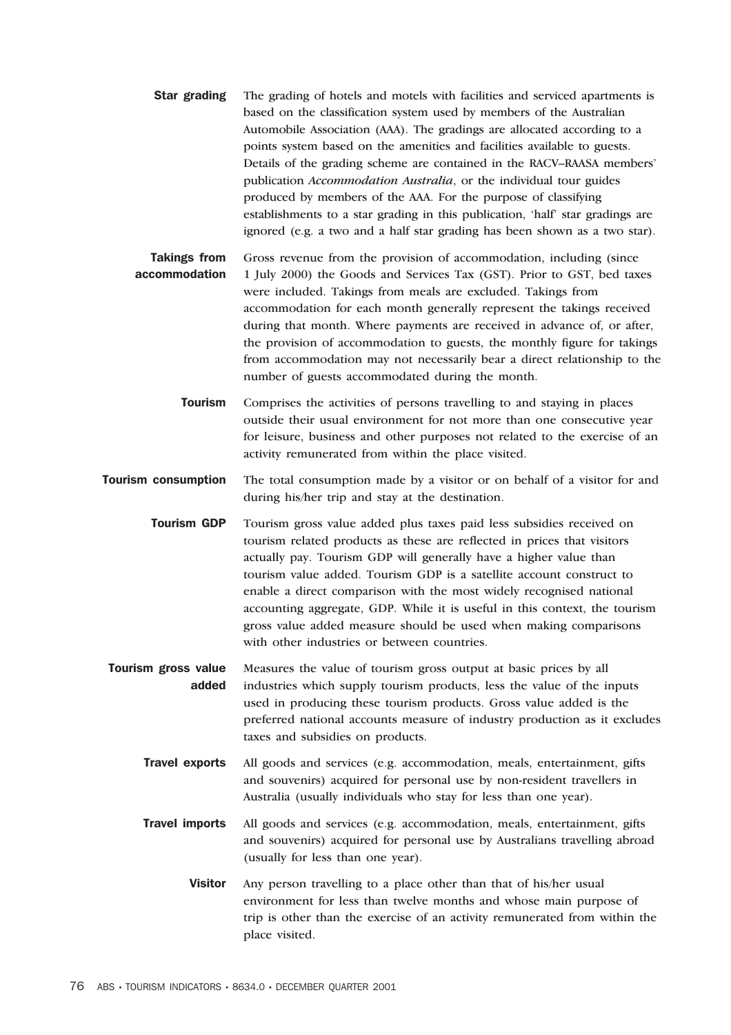**Star grading** The grading of hotels and motels with facilities and serviced apartments is based on the classification system used by members of the Australian Automobile Association (AAA). The gradings are allocated according to a points system based on the amenities and facilities available to guests. Details of the grading scheme are contained in the RACV–RAASA members' publication *Accommodation Australia*, or the individual tour guides produced by members of the AAA. For the purpose of classifying establishments to a star grading in this publication, 'half' star gradings are ignored (e.g. a two and a half star grading has been shown as a two star).

Takings from accommodation Gross revenue from the provision of accommodation, including (since 1 July 2000) the Goods and Services Tax (GST). Prior to GST, bed taxes were included. Takings from meals are excluded. Takings from accommodation for each month generally represent the takings received during that month. Where payments are received in advance of, or after, the provision of accommodation to guests, the monthly figure for takings from accommodation may not necessarily bear a direct relationship to the number of guests accommodated during the month.

Tourism Comprises the activities of persons travelling to and staying in places outside their usual environment for not more than one consecutive year for leisure, business and other purposes not related to the exercise of an activity remunerated from within the place visited.

**Tourism consumption** The total consumption made by a visitor or on behalf of a visitor for and during his/her trip and stay at the destination.

- Tourism GDP Tourism gross value added plus taxes paid less subsidies received on tourism related products as these are reflected in prices that visitors actually pay. Tourism GDP will generally have a higher value than tourism value added. Tourism GDP is a satellite account construct to enable a direct comparison with the most widely recognised national accounting aggregate, GDP. While it is useful in this context, the tourism gross value added measure should be used when making comparisons with other industries or between countries.
- Tourism gross value added Measures the value of tourism gross output at basic prices by all industries which supply tourism products, less the value of the inputs used in producing these tourism products. Gross value added is the preferred national accounts measure of industry production as it excludes taxes and subsidies on products.
	- Travel exports All goods and services (e.g. accommodation, meals, entertainment, gifts and souvenirs) acquired for personal use by non-resident travellers in Australia (usually individuals who stay for less than one year).
	- Travel imports All goods and services (e.g. accommodation, meals, entertainment, gifts and souvenirs) acquired for personal use by Australians travelling abroad (usually for less than one year).
		- Visitor Any person travelling to a place other than that of his/her usual environment for less than twelve months and whose main purpose of trip is other than the exercise of an activity remunerated from within the place visited.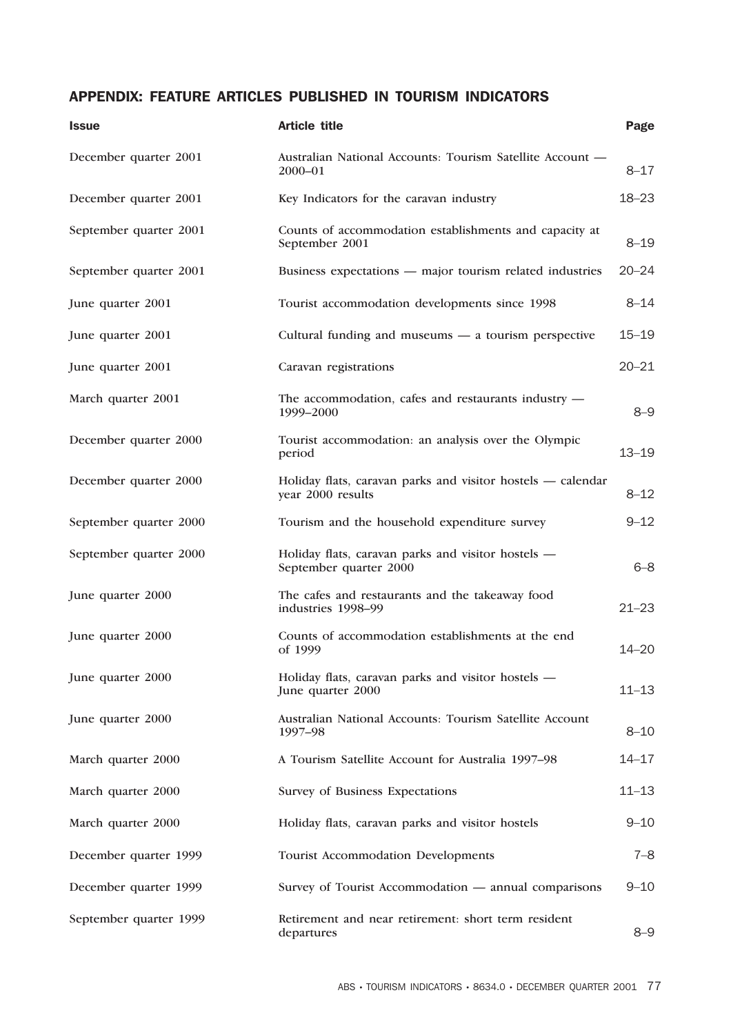## APPENDIX: FEATURE ARTICLES PUBLISHED IN TOURISM INDICATORS

| <b>Issue</b>           | <b>Article title</b>                                                             | Page      |
|------------------------|----------------------------------------------------------------------------------|-----------|
| December quarter 2001  | Australian National Accounts: Tourism Satellite Account -<br>$2000 - 01$         | $8 - 17$  |
| December quarter 2001  | Key Indicators for the caravan industry                                          | $18 - 23$ |
| September quarter 2001 | Counts of accommodation establishments and capacity at<br>September 2001         | $8 - 19$  |
| September quarter 2001 | Business expectations — major tourism related industries                         | $20 - 24$ |
| June quarter 2001      | Tourist accommodation developments since 1998                                    | $8 - 14$  |
| June quarter 2001      | Cultural funding and museums $-$ a tourism perspective                           | $15 - 19$ |
| June quarter 2001      | Caravan registrations                                                            | $20 - 21$ |
| March quarter 2001     | The accommodation, cafes and restaurants industry -<br>1999-2000                 | $8 - 9$   |
| December quarter 2000  | Tourist accommodation: an analysis over the Olympic<br>period                    | $13 - 19$ |
| December quarter 2000  | Holiday flats, caravan parks and visitor hostels — calendar<br>year 2000 results | $8 - 12$  |
| September quarter 2000 | Tourism and the household expenditure survey                                     | $9 - 12$  |
| September quarter 2000 | Holiday flats, caravan parks and visitor hostels -<br>September quarter 2000     | $6 - 8$   |
| June quarter 2000      | The cafes and restaurants and the takeaway food<br>industries 1998-99            | $21 - 23$ |
| June quarter 2000      | Counts of accommodation establishments at the end<br>of 1999                     | $14 - 20$ |
| June quarter 2000      | Holiday flats, caravan parks and visitor hostels -<br>June quarter 2000          | $11 - 13$ |
| June quarter 2000      | Australian National Accounts: Tourism Satellite Account<br>1997-98               | $8 - 10$  |
| March quarter 2000     | A Tourism Satellite Account for Australia 1997-98                                | $14 - 17$ |
| March quarter 2000     | Survey of Business Expectations                                                  | $11 - 13$ |
| March quarter 2000     | Holiday flats, caravan parks and visitor hostels                                 | $9 - 10$  |
| December quarter 1999  | <b>Tourist Accommodation Developments</b>                                        | $7 - 8$   |
| December quarter 1999  | Survey of Tourist Accommodation - annual comparisons                             | $9 - 10$  |
| September quarter 1999 | Retirement and near retirement: short term resident<br>departures                | $8 - 9$   |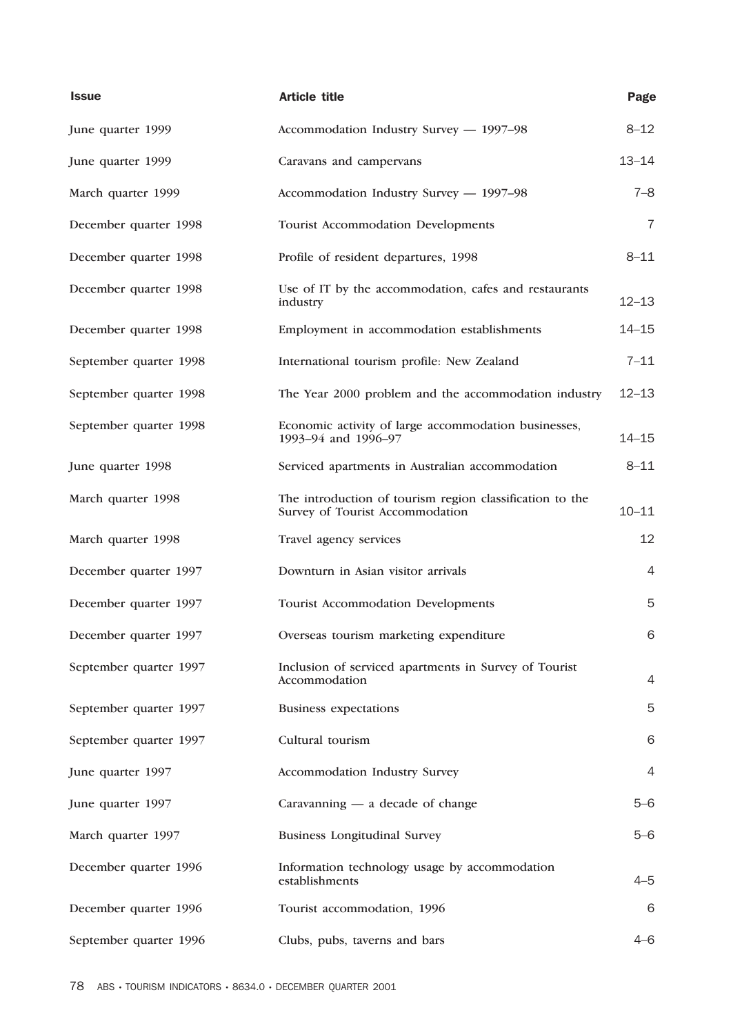| <b>Issue</b>           | <b>Article title</b>                                                                        | Page           |
|------------------------|---------------------------------------------------------------------------------------------|----------------|
| June quarter 1999      | Accommodation Industry Survey - 1997-98                                                     | $8 - 12$       |
| June quarter 1999      | Caravans and campervans                                                                     | $13 - 14$      |
| March quarter 1999     | Accommodation Industry Survey - 1997-98                                                     | $7 - 8$        |
| December quarter 1998  | Tourist Accommodation Developments                                                          | 7              |
| December quarter 1998  | Profile of resident departures, 1998                                                        | $8 - 11$       |
| December quarter 1998  | Use of IT by the accommodation, cafes and restaurants<br>industry                           | $12 - 13$      |
| December quarter 1998  | Employment in accommodation establishments                                                  | $14 - 15$      |
| September quarter 1998 | International tourism profile: New Zealand                                                  | $7 - 11$       |
| September quarter 1998 | The Year 2000 problem and the accommodation industry                                        | $12 - 13$      |
| September quarter 1998 | Economic activity of large accommodation businesses,<br>1993-94 and 1996-97                 | $14 - 15$      |
| June quarter 1998      | Serviced apartments in Australian accommodation                                             | $8 - 11$       |
| March quarter 1998     | The introduction of tourism region classification to the<br>Survey of Tourist Accommodation | $10 - 11$      |
| March quarter 1998     | Travel agency services                                                                      | 12             |
| December quarter 1997  | Downturn in Asian visitor arrivals                                                          | $\overline{4}$ |
| December quarter 1997  | <b>Tourist Accommodation Developments</b>                                                   | 5              |
| December quarter 1997  | Overseas tourism marketing expenditure                                                      | 6              |
| September quarter 1997 | Inclusion of serviced apartments in Survey of Tourist<br>Accommodation                      | $\overline{4}$ |
| September quarter 1997 | <b>Business expectations</b>                                                                | 5              |
| September quarter 1997 | Cultural tourism                                                                            | 6              |
| June quarter 1997      | Accommodation Industry Survey                                                               | 4              |
| June quarter 1997      | Caravanning $-$ a decade of change                                                          | $5 - 6$        |
| March quarter 1997     | <b>Business Longitudinal Survey</b>                                                         | $5-6$          |
| December quarter 1996  | Information technology usage by accommodation<br>establishments                             | $4 - 5$        |
| December quarter 1996  | Tourist accommodation, 1996                                                                 | 6              |
| September quarter 1996 | Clubs, pubs, taverns and bars                                                               | $4 - 6$        |